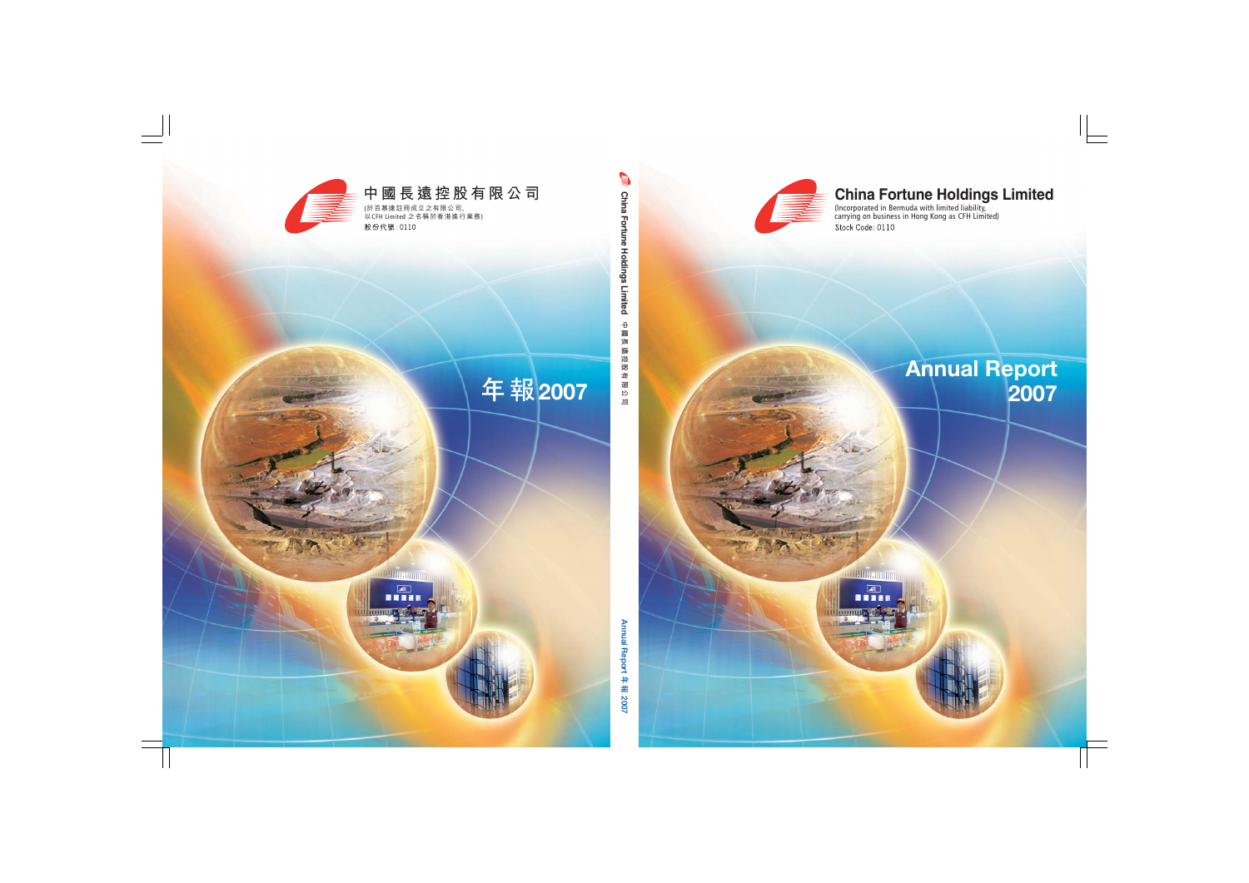

# **China Fortune Holdings Limited**

(Incorporated in Bermuda with limited liability,<br>carrying on business in Hong Kong as CFH Limited)

**ATTAINMANTARY** 

# Annual Report<br>2007 Example of the fermula and the finance and the finance distribution of the finance and the distribution of the Stock Code: 0110<br>
Stock Code: 0110<br>
Stock Code: 0110<br> **Annual Report**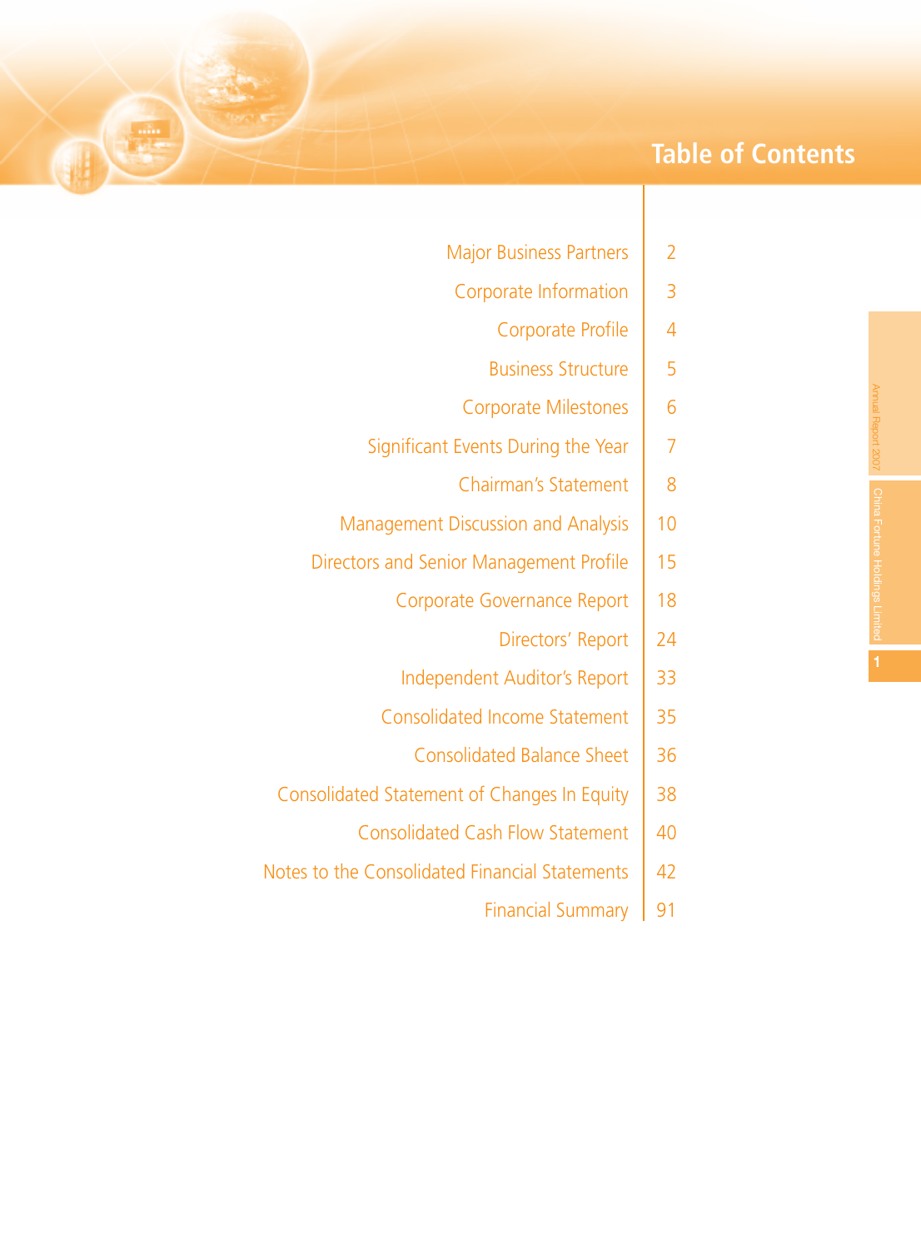## **Table of Contents**

| <b>Major Business Partners</b> |   |
|--------------------------------|---|
| Corporate Information          |   |
| Corporate Profile              | 1 |
| <b>Business Structure</b>      |   |
| <b>Corporate Milestones</b>    |   |

- Significant Events During the Year  $\begin{vmatrix} 7 \end{vmatrix}$ 
	- Chairman's Statement | 8
- Management Discussion and Analysis | 10
- Directors and Senior Management Profile | 15
	- Corporate Governance Report | 18
		- Directors' Report | 24
	- Independent Auditor's Report | 33
	- Consolidated Income Statement 35
		- Consolidated Balance Sheet | 36
- Consolidated Statement of Changes In Equity | 38
	- Consolidated Cash Flow Statement | 40
- Notes to the Consolidated Financial Statements | 42
	- Financial Summary | 91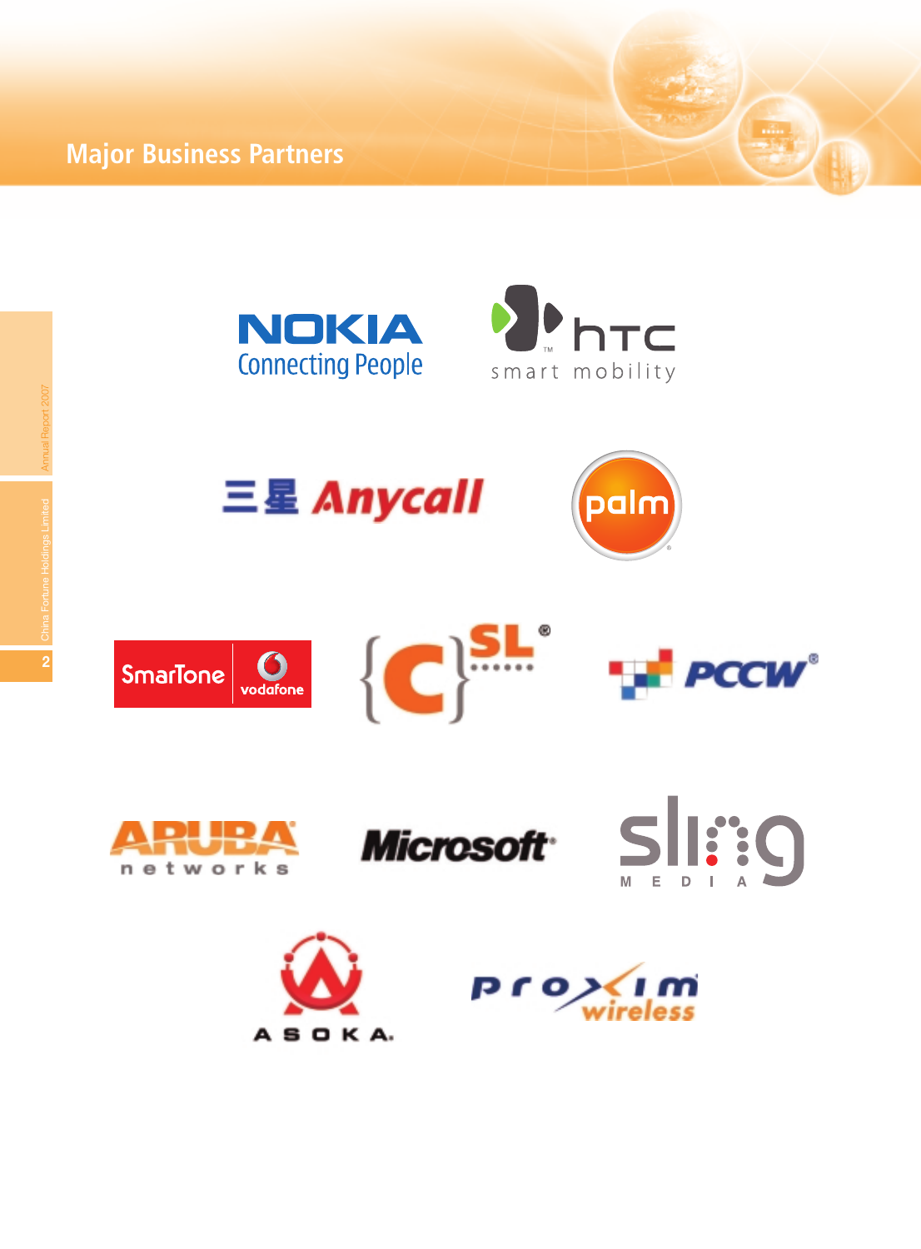**Major Business Partners**























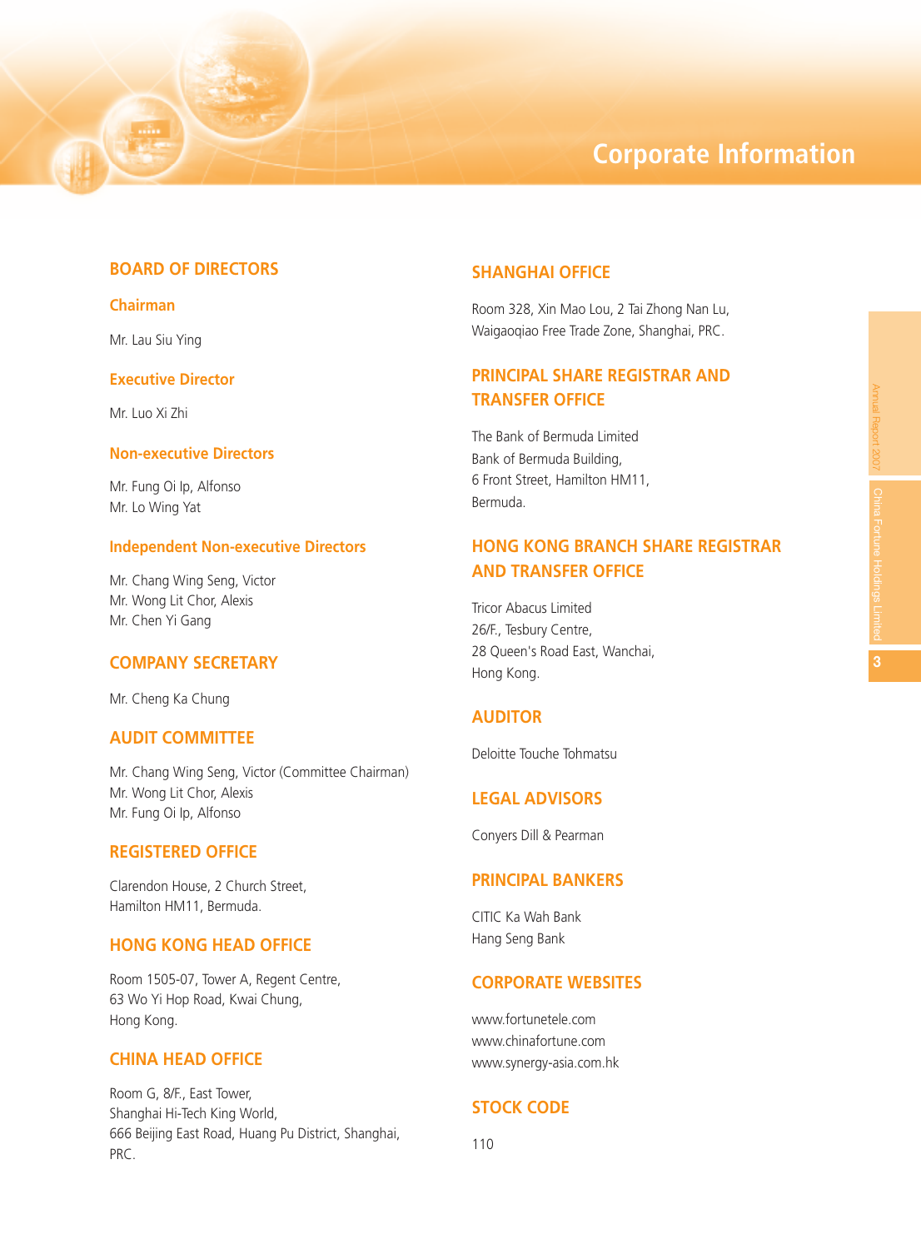## **Corporate Information**

#### **BOARD OF DIRECTORS**

#### **Chairman**

Mr. Lau Siu Ying

#### **Executive Director**

Mr. Luo Xi Zhi

#### **Non-executive Directors**

Mr. Fung Oi Ip, Alfonso Mr. Lo Wing Yat

#### **Independent Non-executive Directors**

Mr. Chang Wing Seng, Victor Mr. Wong Lit Chor, Alexis Mr. Chen Yi Gang

#### **COMPANY SECRETARY**

Mr. Cheng Ka Chung

#### **AUDIT COMMITTEE**

Mr. Chang Wing Seng, Victor (Committee Chairman) Mr. Wong Lit Chor, Alexis Mr. Fung Oi Ip, Alfonso

#### **REGISTERED OFFICE**

Clarendon House, 2 Church Street, Hamilton HM11, Bermuda.

#### **HONG KONG HEAD OFFICE**

Room 1505-07, Tower A, Regent Centre, 63 Wo Yi Hop Road, Kwai Chung, Hong Kong.

#### **CHINA HEAD OFFICE**

Room G, 8/F., East Tower, Shanghai Hi-Tech King World, 666 Beijing East Road, Huang Pu District, Shanghai, PRC.

#### **SHANGHAI OFFICE**

Room 328, Xin Mao Lou, 2 Tai Zhong Nan Lu, Waigaoqiao Free Trade Zone, Shanghai, PRC.

#### **PRINCIPAL SHARE REGISTRAR AND TRANSFER OFFICE**

The Bank of Bermuda Limited Bank of Bermuda Building, 6 Front Street, Hamilton HM11, Bermuda.

#### **HONG KONG BRANCH SHARE REGISTRAR AND TRANSFER OFFICE**

Tricor Abacus Limited 26/F., Tesbury Centre, 28 Queen's Road East, Wanchai, Hong Kong.

#### **AUDITOR**

Deloitte Touche Tohmatsu

#### **LEGAL ADVISORS**

Conyers Dill & Pearman

#### **PRINCIPAL BANKERS**

CITIC Ka Wah Bank Hang Seng Bank

#### **CORPORATE WEBSITES**

www.fortunetele.com www.chinafortune.com www.synergy-asia.com.hk

#### **STOCK CODE**

110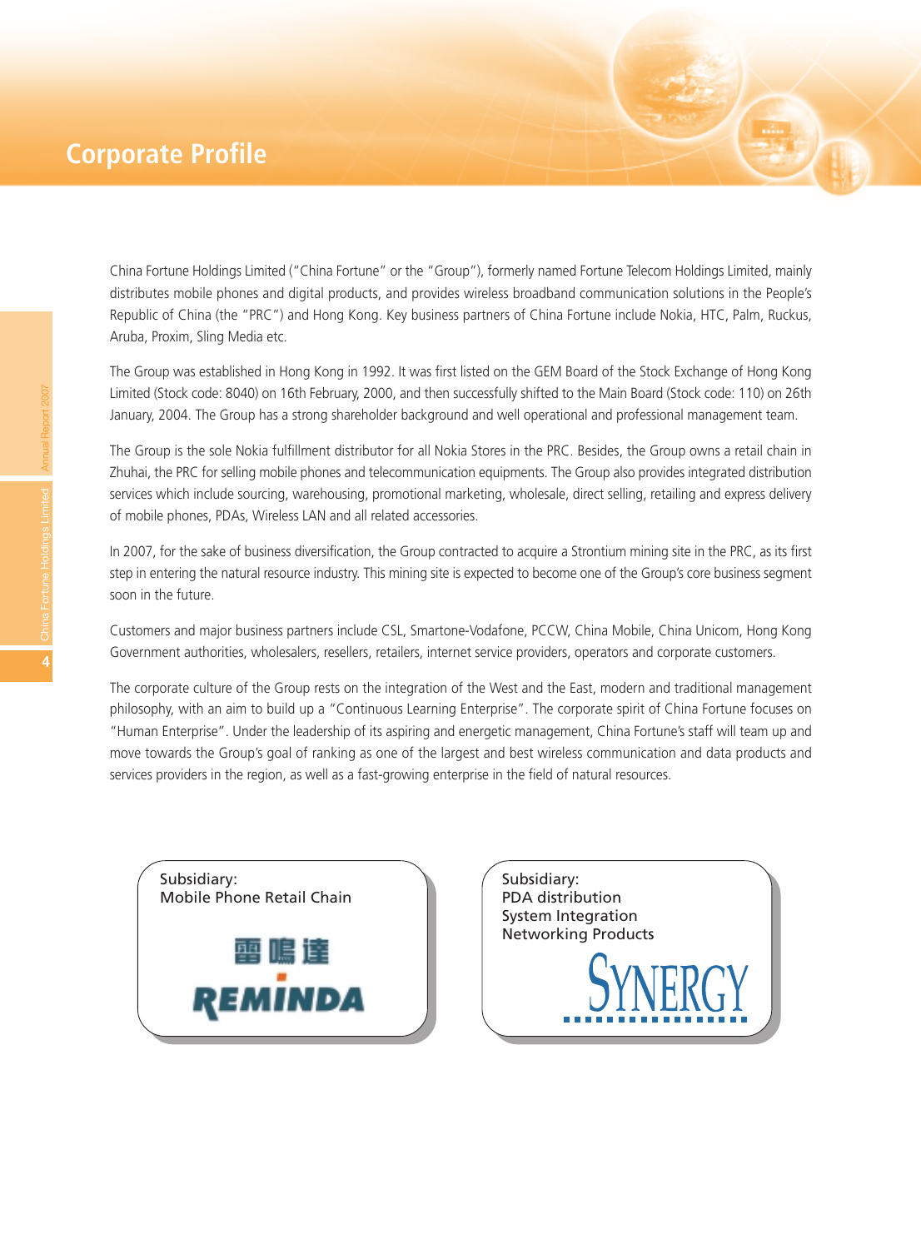China Fortune Holdings Limited ("China Fortune" or the "Group"), formerly named Fortune Telecom Holdings Limited, mainly distributes mobile phones and digital products, and provides wireless broadband communication solutions in the People's Republic of China (the "PRC") and Hong Kong. Key business partners of China Fortune include Nokia, HTC, Palm, Ruckus, Aruba, Proxim, Sling Media etc.

The Group was established in Hong Kong in 1992. It was first listed on the GEM Board of the Stock Exchange of Hong Kong Limited (Stock code: 8040) on 16th February, 2000, and then successfully shifted to the Main Board (Stock code: 110) on 26th January, 2004. The Group has a strong shareholder background and well operational and professional management team.

The Group is the sole Nokia fulfillment distributor for all Nokia Stores in the PRC. Besides, the Group owns a retail chain in Zhuhai, the PRC for selling mobile phones and telecommunication equipments. The Group also provides integrated distribution services which include sourcing, warehousing, promotional marketing, wholesale, direct selling, retailing and express delivery of mobile phones, PDAs, Wireless LAN and all related accessories.

In 2007, for the sake of business diversification, the Group contracted to acquire a Strontium mining site in the PRC, as its first step in entering the natural resource industry. This mining site is expected to become one of the Group's core business segment soon in the future.

Customers and major business partners include CSL, Smartone-Vodafone, PCCW, China Mobile, China Unicom, Hong Kong Government authorities, wholesalers, resellers, retailers, internet service providers, operators and corporate customers.

The corporate culture of the Group rests on the integration of the West and the East, modern and traditional management philosophy, with an aim to build up a "Continuous Learning Enterprise". The corporate spirit of China Fortune focuses on "Human Enterprise". Under the leadership of its aspiring and energetic management, China Fortune's staff will team up and move towards the Group's goal of ranking as one of the largest and best wireless communication and data products and services providers in the region, as well as a fast-growing enterprise in the field of natural resources.



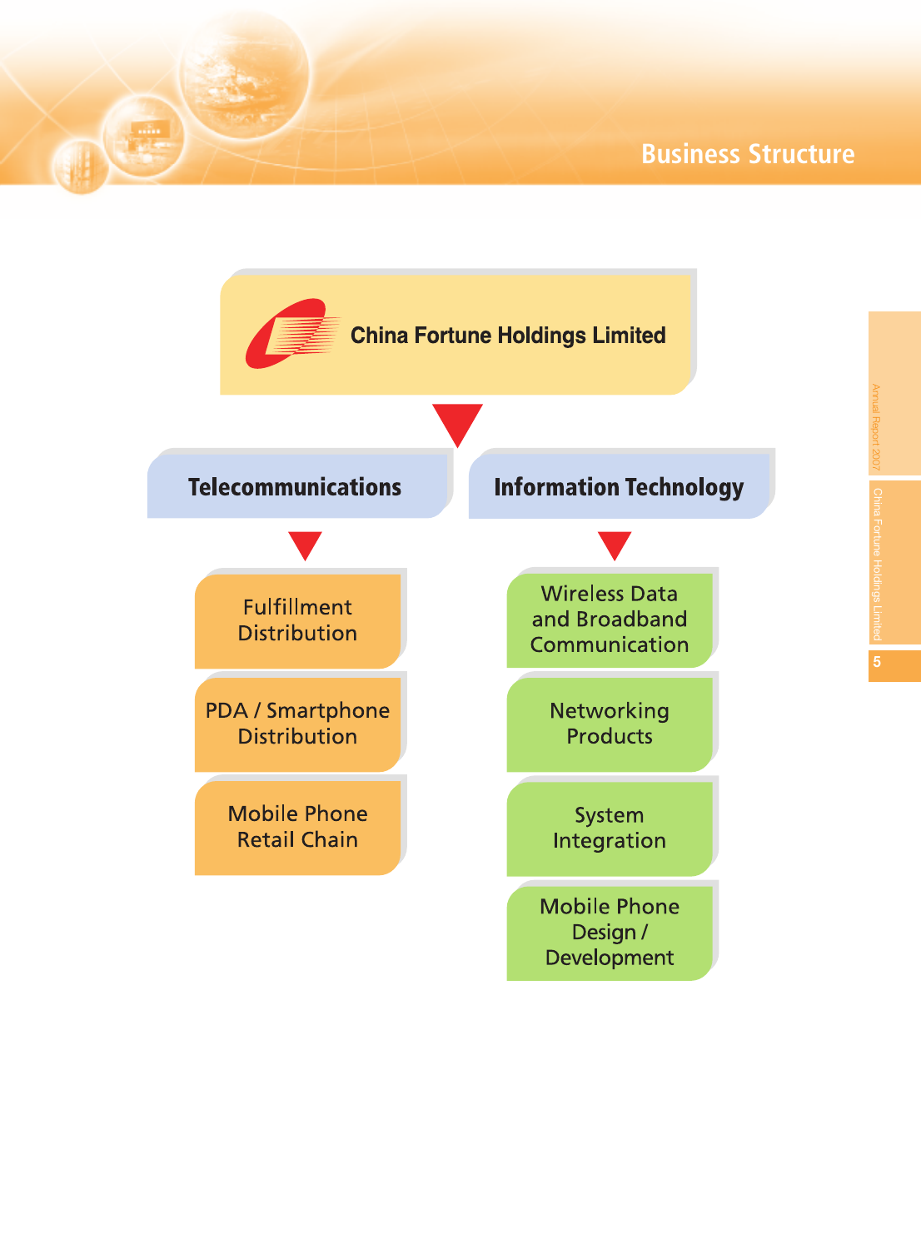## **Business Structure**

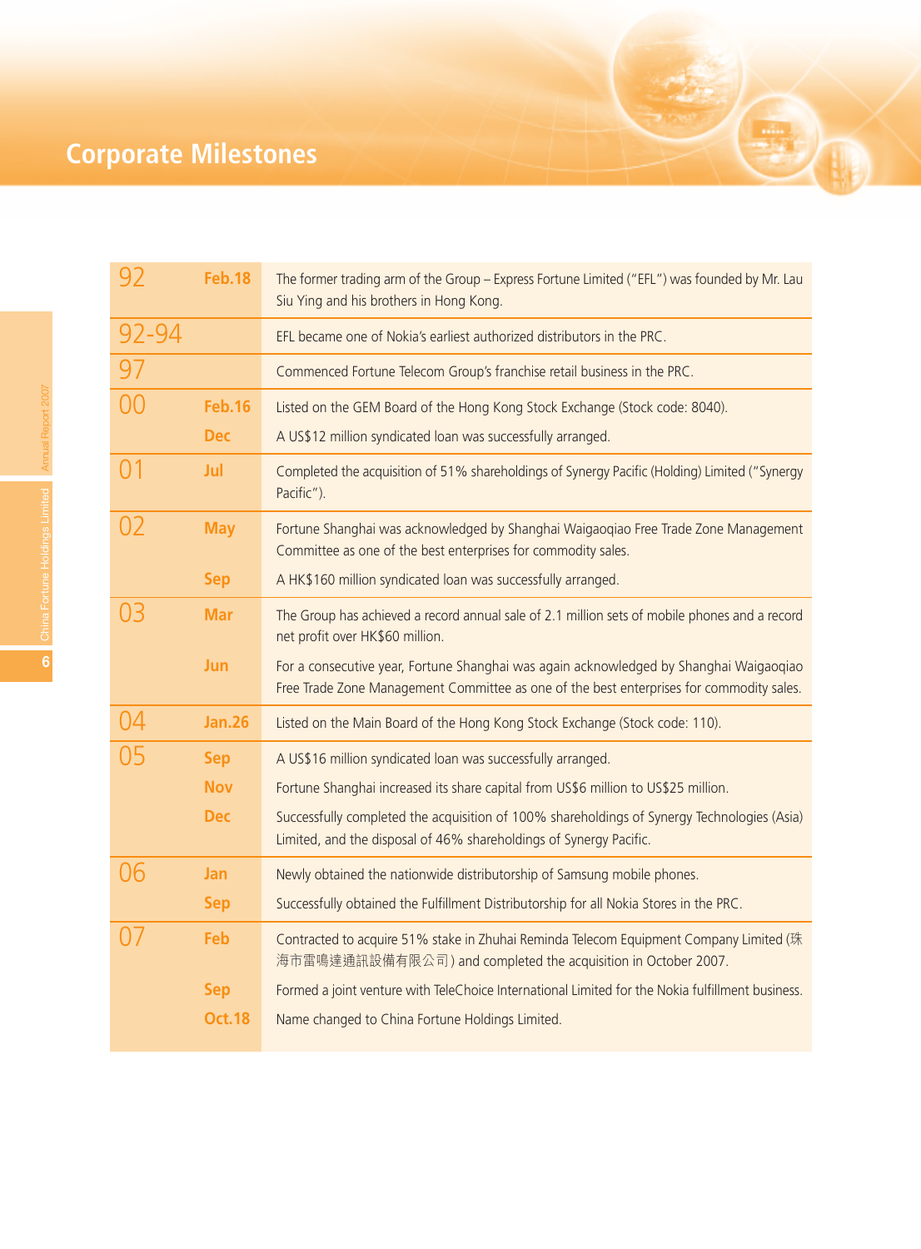# **Corporate Milestones**

| 92    | <b>Feb.18</b> | The former trading arm of the Group - Express Fortune Limited ("EFL") was founded by Mr. Lau<br>Siu Ying and his brothers in Hong Kong.                                            |
|-------|---------------|------------------------------------------------------------------------------------------------------------------------------------------------------------------------------------|
| 92-94 |               | EFL became one of Nokia's earliest authorized distributors in the PRC.                                                                                                             |
| 97    |               | Commenced Fortune Telecom Group's franchise retail business in the PRC.                                                                                                            |
| ΩO    | <b>Feb.16</b> | Listed on the GEM Board of the Hong Kong Stock Exchange (Stock code: 8040).                                                                                                        |
|       | <b>Dec</b>    | A US\$12 million syndicated loan was successfully arranged.                                                                                                                        |
| 01    | Jul           | Completed the acquisition of 51% shareholdings of Synergy Pacific (Holding) Limited ("Synergy<br>Pacific").                                                                        |
| 02    | <b>May</b>    | Fortune Shanghai was acknowledged by Shanghai Waigaoqiao Free Trade Zone Management<br>Committee as one of the best enterprises for commodity sales.                               |
|       | <b>Sep</b>    | A HK\$160 million syndicated loan was successfully arranged.                                                                                                                       |
| 03    | <b>Mar</b>    | The Group has achieved a record annual sale of 2.1 million sets of mobile phones and a record<br>net profit over HK\$60 million.                                                   |
|       | Jun           | For a consecutive year, Fortune Shanghai was again acknowledged by Shanghai Waigaogiao<br>Free Trade Zone Management Committee as one of the best enterprises for commodity sales. |
| 04    | <b>Jan.26</b> | Listed on the Main Board of the Hong Kong Stock Exchange (Stock code: 110).                                                                                                        |
|       | <b>Sep</b>    | A US\$16 million syndicated loan was successfully arranged.                                                                                                                        |
|       | <b>Nov</b>    | Fortune Shanghai increased its share capital from US\$6 million to US\$25 million.                                                                                                 |
|       | <b>Dec</b>    | Successfully completed the acquisition of 100% shareholdings of Synergy Technologies (Asia)<br>Limited, and the disposal of 46% shareholdings of Synergy Pacific.                  |
| 06    | Jan           | Newly obtained the nationwide distributorship of Samsung mobile phones.                                                                                                            |
|       | <b>Sep</b>    | Successfully obtained the Fulfillment Distributorship for all Nokia Stores in the PRC.                                                                                             |
|       | <b>Feb</b>    | Contracted to acquire 51% stake in Zhuhai Reminda Telecom Equipment Company Limited (珠<br>海市雷鳴達通訊設備有限公司) and completed the acquisition in October 2007.                            |
|       | <b>Sep</b>    | Formed a joint venture with TeleChoice International Limited for the Nokia fulfillment business.                                                                                   |
|       | <b>Oct.18</b> | Name changed to China Fortune Holdings Limited.                                                                                                                                    |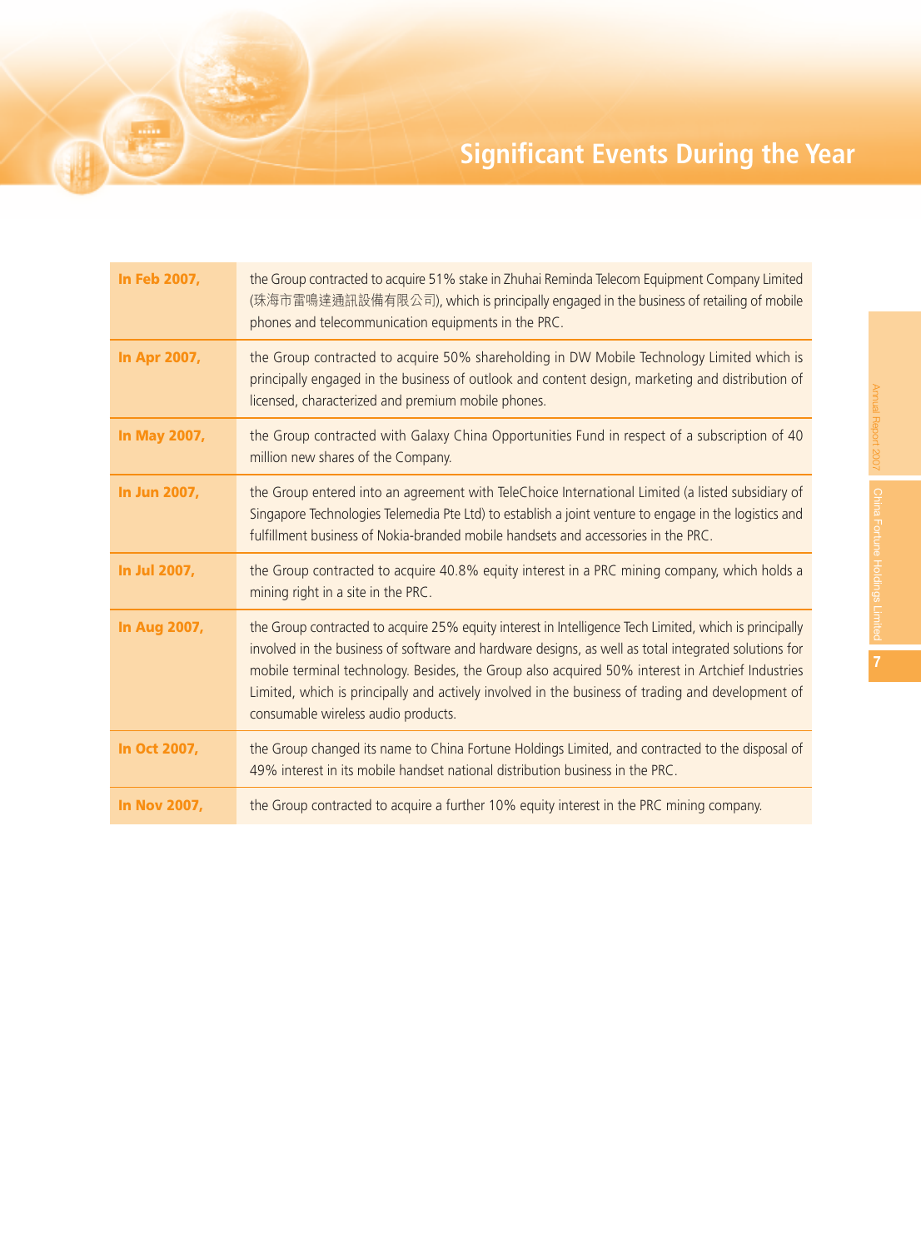| <b>In Feb 2007,</b> | the Group contracted to acquire 51% stake in Zhuhai Reminda Telecom Equipment Company Limited<br>(珠海市雷鳴達通訊設備有限公司), which is principally engaged in the business of retailing of mobile<br>phones and telecommunication equipments in the PRC.                                                                                                                                                                                                                  |
|---------------------|----------------------------------------------------------------------------------------------------------------------------------------------------------------------------------------------------------------------------------------------------------------------------------------------------------------------------------------------------------------------------------------------------------------------------------------------------------------|
| <b>In Apr 2007,</b> | the Group contracted to acquire 50% shareholding in DW Mobile Technology Limited which is<br>principally engaged in the business of outlook and content design, marketing and distribution of<br>licensed, characterized and premium mobile phones.                                                                                                                                                                                                            |
| <b>In May 2007,</b> | the Group contracted with Galaxy China Opportunities Fund in respect of a subscription of 40<br>million new shares of the Company.                                                                                                                                                                                                                                                                                                                             |
| <b>In Jun 2007,</b> | the Group entered into an agreement with TeleChoice International Limited (a listed subsidiary of<br>Singapore Technologies Telemedia Pte Ltd) to establish a joint venture to engage in the logistics and<br>fulfillment business of Nokia-branded mobile handsets and accessories in the PRC.                                                                                                                                                                |
| In Jul 2007,        | the Group contracted to acquire 40.8% equity interest in a PRC mining company, which holds a<br>mining right in a site in the PRC.                                                                                                                                                                                                                                                                                                                             |
| <b>In Aug 2007,</b> | the Group contracted to acquire 25% equity interest in Intelligence Tech Limited, which is principally<br>involved in the business of software and hardware designs, as well as total integrated solutions for<br>mobile terminal technology. Besides, the Group also acquired 50% interest in Artchief Industries<br>Limited, which is principally and actively involved in the business of trading and development of<br>consumable wireless audio products. |
| In Oct 2007,        | the Group changed its name to China Fortune Holdings Limited, and contracted to the disposal of<br>49% interest in its mobile handset national distribution business in the PRC.                                                                                                                                                                                                                                                                               |
| <b>In Nov 2007,</b> | the Group contracted to acquire a further 10% equity interest in the PRC mining company.                                                                                                                                                                                                                                                                                                                                                                       |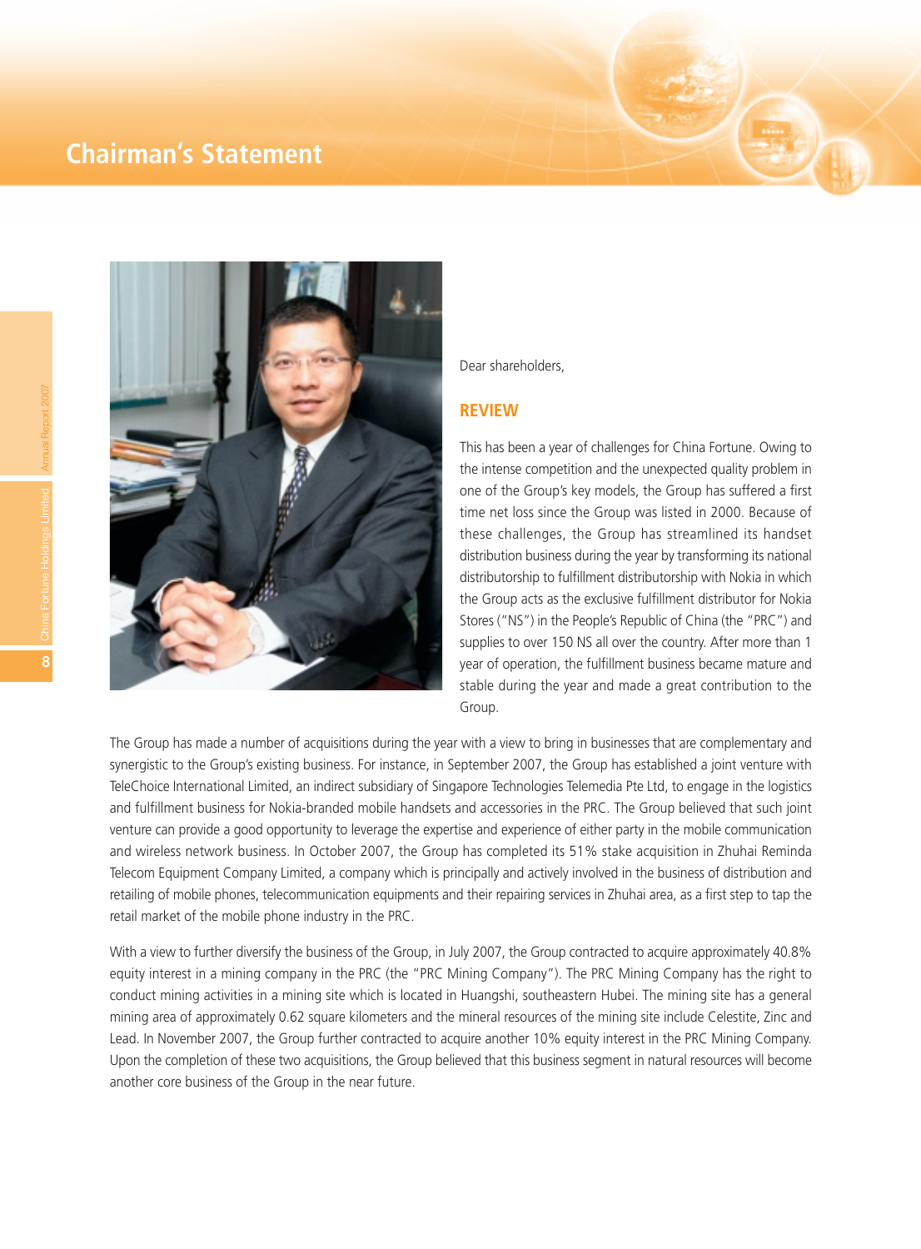### **Chairman's Statement**



#### Dear shareholders,

#### **REVIEW**

This has been a year of challenges for China Fortune. Owing to the intense competition and the unexpected quality problem in one of the Group's key models, the Group has suffered a first time net loss since the Group was listed in 2000. Because of these challenges, the Group has streamlined its handset distribution business during the year by transforming its national distributorship to fulfillment distributorship with Nokia in which the Group acts as the exclusive fulfillment distributor for Nokia Stores ("NS") in the People's Republic of China (the "PRC") and supplies to over 150 NS all over the country. After more than 1 year of operation, the fulfillment business became mature and stable during the year and made a great contribution to the Group.

The Group has made a number of acquisitions during the year with a view to bring in businesses that are complementary and synergistic to the Group's existing business. For instance, in September 2007, the Group has established a joint venture with TeleChoice International Limited, an indirect subsidiary of Singapore Technologies Telemedia Pte Ltd, to engage in the logistics and fulfillment business for Nokia-branded mobile handsets and accessories in the PRC. The Group believed that such joint venture can provide a good opportunity to leverage the expertise and experience of either party in the mobile communication and wireless network business. In October 2007, the Group has completed its 51% stake acquisition in Zhuhai Reminda Telecom Equipment Company Limited, a company which is principally and actively involved in the business of distribution and retailing of mobile phones, telecommunication equipments and their repairing services in Zhuhai area, as a first step to tap the retail market of the mobile phone industry in the PRC.

With a view to further diversify the business of the Group, in July 2007, the Group contracted to acquire approximately 40.8% equity interest in a mining company in the PRC (the "PRC Mining Company"). The PRC Mining Company has the right to conduct mining activities in a mining site which is located in Huangshi, southeastern Hubei. The mining site has a general mining area of approximately 0.62 square kilometers and the mineral resources of the mining site include Celestite, Zinc and Lead. In November 2007, the Group further contracted to acquire another 10% equity interest in the PRC Mining Company. Upon the completion of these two acquisitions, the Group believed that this business segment in natural resources will become another core business of the Group in the near future.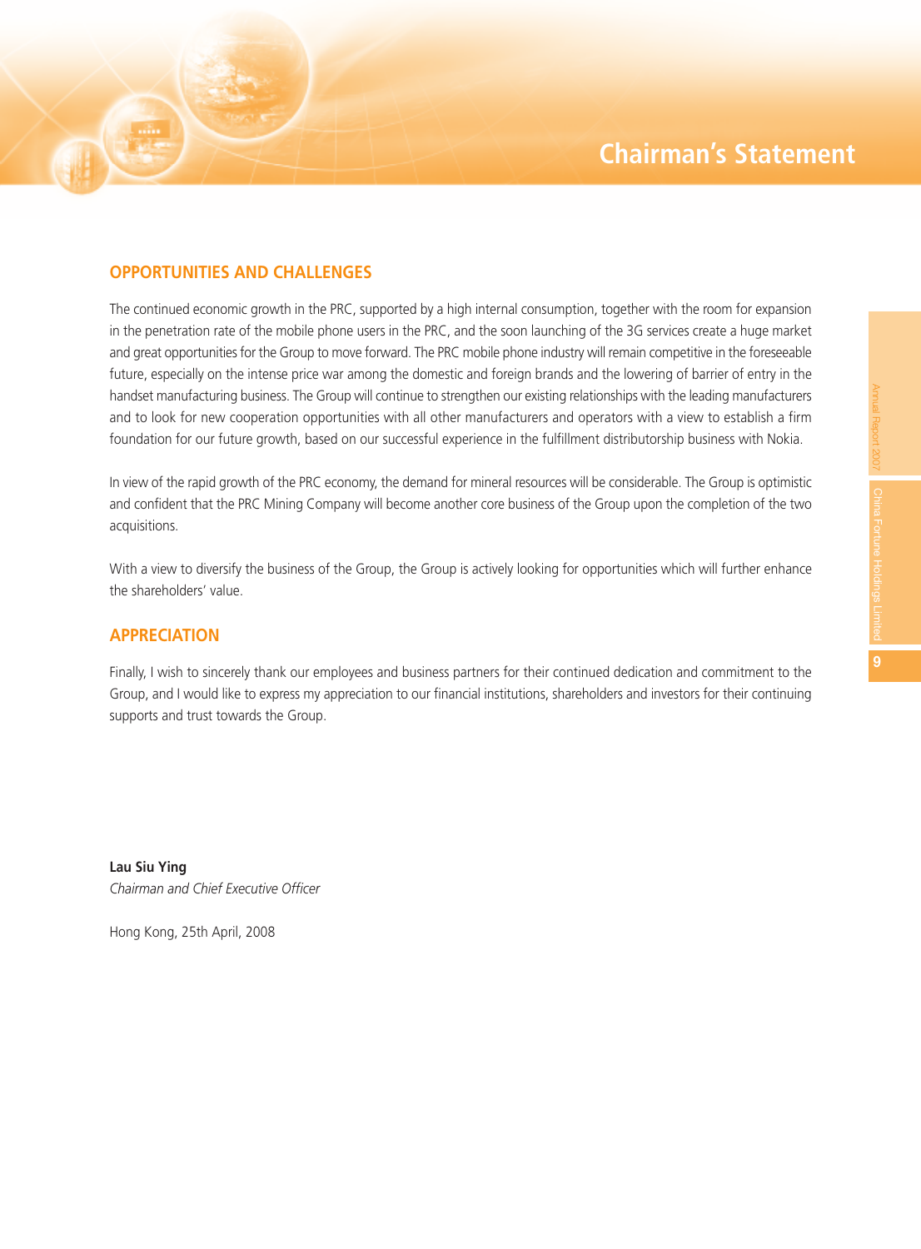#### **OPPORTUNITIES AND CHALLENGES**

The continued economic growth in the PRC, supported by a high internal consumption, together with the room for expansion in the penetration rate of the mobile phone users in the PRC, and the soon launching of the 3G services create a huge market and great opportunities for the Group to move forward. The PRC mobile phone industry will remain competitive in the foreseeable future, especially on the intense price war among the domestic and foreign brands and the lowering of barrier of entry in the handset manufacturing business. The Group will continue to strengthen our existing relationships with the leading manufacturers and to look for new cooperation opportunities with all other manufacturers and operators with a view to establish a firm foundation for our future growth, based on our successful experience in the fulfillment distributorship business with Nokia.

In view of the rapid growth of the PRC economy, the demand for mineral resources will be considerable. The Group is optimistic and confident that the PRC Mining Company will become another core business of the Group upon the completion of the two acquisitions.

With a view to diversify the business of the Group, the Group is actively looking for opportunities which will further enhance the shareholders' value.

#### **APPRECIATION**

Finally, I wish to sincerely thank our employees and business partners for their continued dedication and commitment to the Group, and I would like to express my appreciation to our financial institutions, shareholders and investors for their continuing supports and trust towards the Group.

**Lau Siu Ying** *Chairman and Chief Executive Officer*

Hong Kong, 25th April, 2008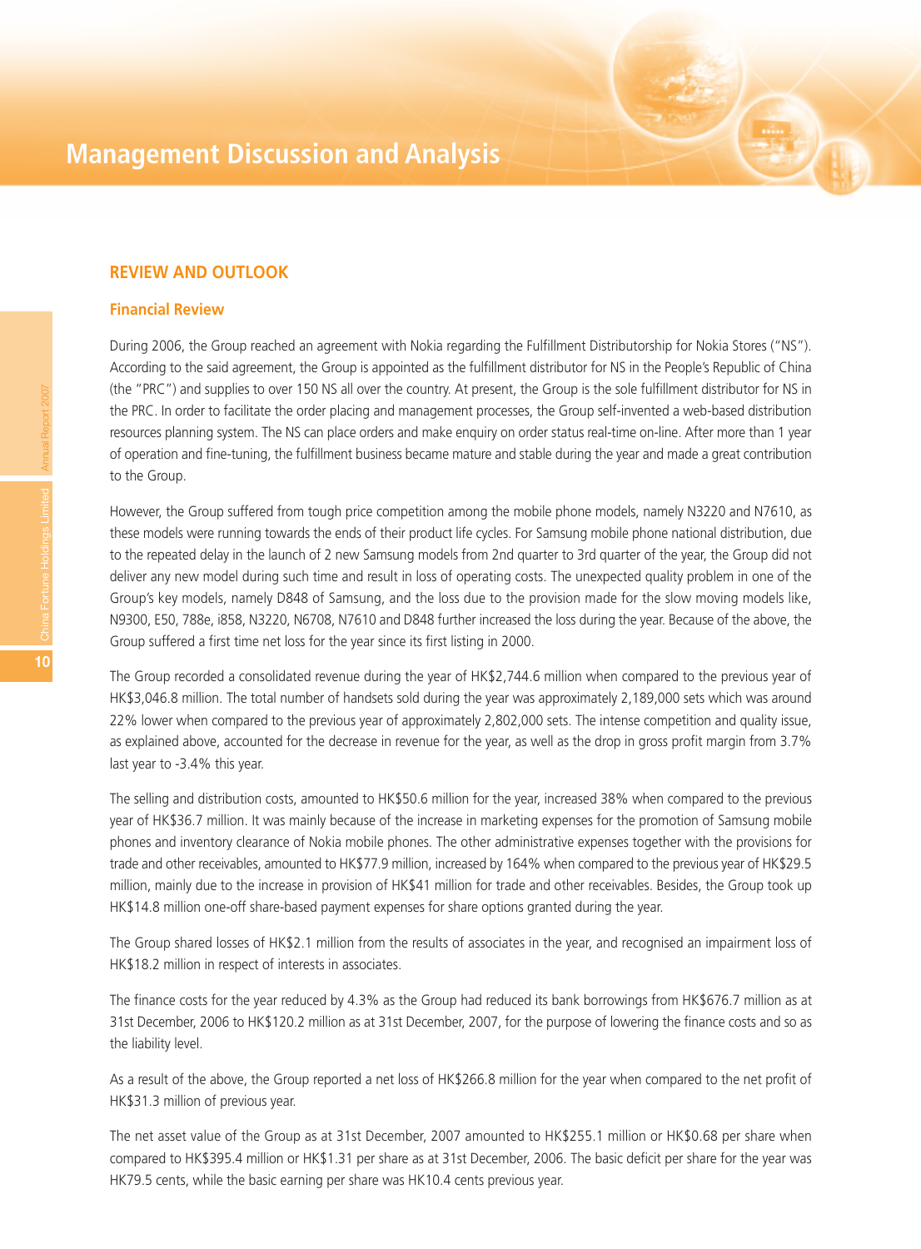#### **REVIEW AND OUTLOOK**

#### **Financial Review**

During 2006, the Group reached an agreement with Nokia regarding the Fulfillment Distributorship for Nokia Stores ("NS"). According to the said agreement, the Group is appointed as the fulfillment distributor for NS in the People's Republic of China (the "PRC") and supplies to over 150 NS all over the country. At present, the Group is the sole fulfillment distributor for NS in the PRC. In order to facilitate the order placing and management processes, the Group self-invented a web-based distribution resources planning system. The NS can place orders and make enquiry on order status real-time on-line. After more than 1 year of operation and fine-tuning, the fulfillment business became mature and stable during the year and made a great contribution to the Group.

However, the Group suffered from tough price competition among the mobile phone models, namely N3220 and N7610, as these models were running towards the ends of their product life cycles. For Samsung mobile phone national distribution, due to the repeated delay in the launch of 2 new Samsung models from 2nd quarter to 3rd quarter of the year, the Group did not deliver any new model during such time and result in loss of operating costs. The unexpected quality problem in one of the Group's key models, namely D848 of Samsung, and the loss due to the provision made for the slow moving models like, N9300, E50, 788e, i858, N3220, N6708, N7610 and D848 further increased the loss during the year. Because of the above, the Group suffered a first time net loss for the year since its first listing in 2000.

The Group recorded a consolidated revenue during the year of HK\$2,744.6 million when compared to the previous year of HK\$3,046.8 million. The total number of handsets sold during the year was approximately 2,189,000 sets which was around 22% lower when compared to the previous year of approximately 2,802,000 sets. The intense competition and quality issue, as explained above, accounted for the decrease in revenue for the year, as well as the drop in gross profit margin from 3.7% last year to -3.4% this year.

The selling and distribution costs, amounted to HK\$50.6 million for the year, increased 38% when compared to the previous year of HK\$36.7 million. It was mainly because of the increase in marketing expenses for the promotion of Samsung mobile phones and inventory clearance of Nokia mobile phones. The other administrative expenses together with the provisions for trade and other receivables, amounted to HK\$77.9 million, increased by 164% when compared to the previous year of HK\$29.5 million, mainly due to the increase in provision of HK\$41 million for trade and other receivables. Besides, the Group took up HK\$14.8 million one-off share-based payment expenses for share options granted during the year.

The Group shared losses of HK\$2.1 million from the results of associates in the year, and recognised an impairment loss of HK\$18.2 million in respect of interests in associates.

The finance costs for the year reduced by 4.3% as the Group had reduced its bank borrowings from HK\$676.7 million as at 31st December, 2006 to HK\$120.2 million as at 31st December, 2007, for the purpose of lowering the finance costs and so as the liability level.

As a result of the above, the Group reported a net loss of HK\$266.8 million for the year when compared to the net profit of HK\$31.3 million of previous year.

The net asset value of the Group as at 31st December, 2007 amounted to HK\$255.1 million or HK\$0.68 per share when compared to HK\$395.4 million or HK\$1.31 per share as at 31st December, 2006. The basic deficit per share for the year was HK79.5 cents, while the basic earning per share was HK10.4 cents previous year.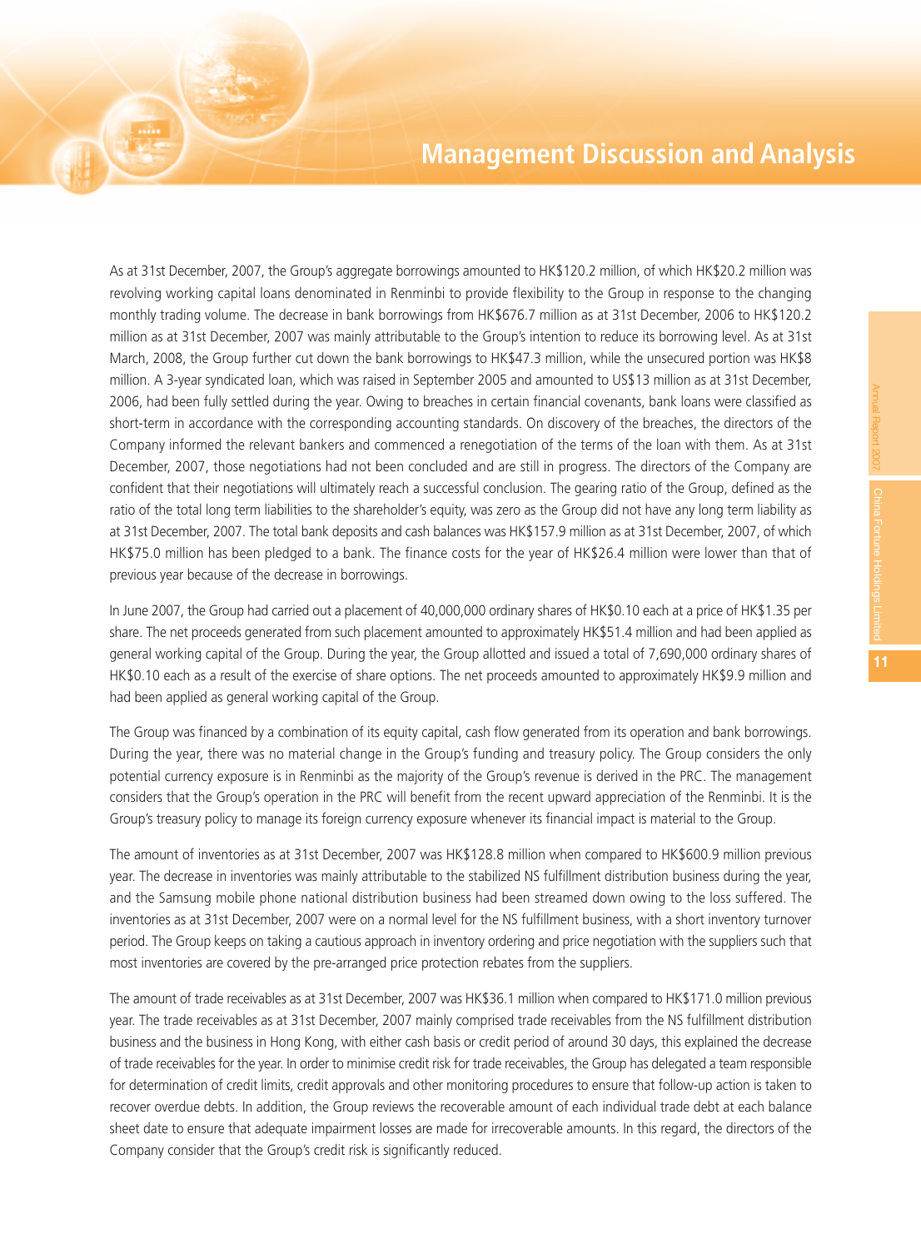As at 31st December, 2007, the Group's aggregate borrowings amounted to HK\$120.2 million, of which HK\$20.2 million was revolving working capital loans denominated in Renminbi to provide flexibility to the Group in response to the changing monthly trading volume. The decrease in bank borrowings from HK\$676.7 million as at 31st December, 2006 to HK\$120.2 million as at 31st December, 2007 was mainly attributable to the Group's intention to reduce its borrowing level. As at 31st March, 2008, the Group further cut down the bank borrowings to HK\$47.3 million, while the unsecured portion was HK\$8 million. A 3-year syndicated loan, which was raised in September 2005 and amounted to US\$13 million as at 31st December, 2006, had been fully settled during the year. Owing to breaches in certain financial covenants, bank loans were classified as short-term in accordance with the corresponding accounting standards. On discovery of the breaches, the directors of the Company informed the relevant bankers and commenced a renegotiation of the terms of the loan with them. As at 31st December, 2007, those negotiations had not been concluded and are still in progress. The directors of the Company are confident that their negotiations will ultimately reach a successful conclusion. The gearing ratio of the Group, defined as the ratio of the total long term liabilities to the shareholder's equity, was zero as the Group did not have any long term liability as at 31st December, 2007. The total bank deposits and cash balances was HK\$157.9 million as at 31st December, 2007, of which HK\$75.0 million has been pledged to a bank. The finance costs for the year of HK\$26.4 million were lower than that of previous year because of the decrease in borrowings.

In June 2007, the Group had carried out a placement of 40,000,000 ordinary shares of HK\$0.10 each at a price of HK\$1.35 per share. The net proceeds generated from such placement amounted to approximately HK\$51.4 million and had been applied as general working capital of the Group. During the year, the Group allotted and issued a total of 7,690,000 ordinary shares of HK\$0.10 each as a result of the exercise of share options. The net proceeds amounted to approximately HK\$9.9 million and had been applied as general working capital of the Group.

The Group was financed by a combination of its equity capital, cash flow generated from its operation and bank borrowings. During the year, there was no material change in the Group's funding and treasury policy. The Group considers the only potential currency exposure is in Renminbi as the majority of the Group's revenue is derived in the PRC. The management considers that the Group's operation in the PRC will benefit from the recent upward appreciation of the Renminbi. It is the Group's treasury policy to manage its foreign currency exposure whenever its financial impact is material to the Group.

The amount of inventories as at 31st December, 2007 was HK\$128.8 million when compared to HK\$600.9 million previous year. The decrease in inventories was mainly attributable to the stabilized NS fulfillment distribution business during the year, and the Samsung mobile phone national distribution business had been streamed down owing to the loss suffered. The inventories as at 31st December, 2007 were on a normal level for the NS fulfillment business, with a short inventory turnover period. The Group keeps on taking a cautious approach in inventory ordering and price negotiation with the suppliers such that most inventories are covered by the pre-arranged price protection rebates from the suppliers.

The amount of trade receivables as at 31st December, 2007 was HK\$36.1 million when compared to HK\$171.0 million previous year. The trade receivables as at 31st December, 2007 mainly comprised trade receivables from the NS fulfillment distribution business and the business in Hong Kong, with either cash basis or credit period of around 30 days, this explained the decrease of trade receivables for the year. In order to minimise credit risk for trade receivables, the Group has delegated a team responsible for determination of credit limits, credit approvals and other monitoring procedures to ensure that follow-up action is taken to recover overdue debts. In addition, the Group reviews the recoverable amount of each individual trade debt at each balance sheet date to ensure that adequate impairment losses are made for irrecoverable amounts. In this regard, the directors of the Company consider that the Group's credit risk is significantly reduced.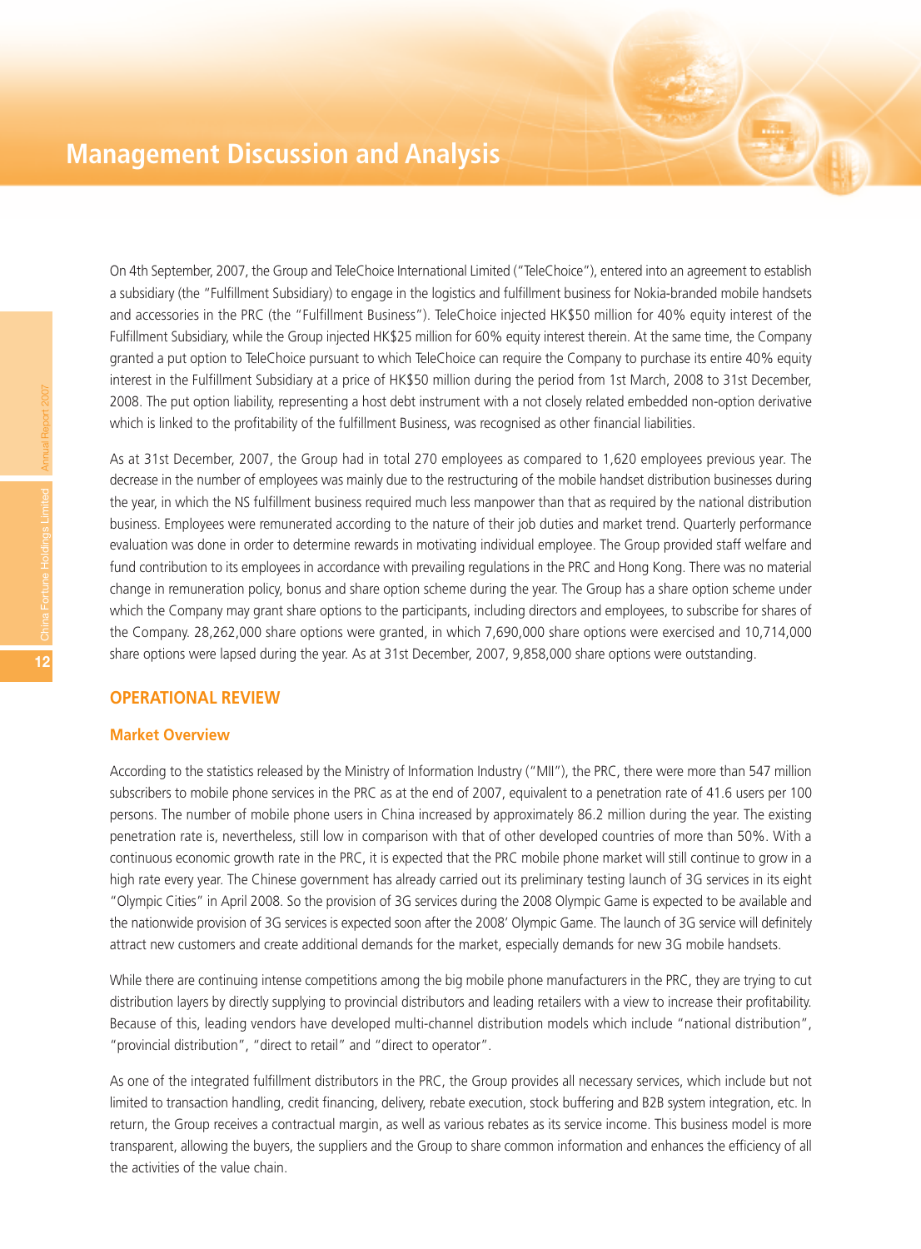On 4th September, 2007, the Group and TeleChoice International Limited ("TeleChoice"), entered into an agreement to establish a subsidiary (the "Fulfillment Subsidiary) to engage in the logistics and fulfillment business for Nokia-branded mobile handsets and accessories in the PRC (the "Fulfillment Business"). TeleChoice injected HK\$50 million for 40% equity interest of the Fulfillment Subsidiary, while the Group injected HK\$25 million for 60% equity interest therein. At the same time, the Company granted a put option to TeleChoice pursuant to which TeleChoice can require the Company to purchase its entire 40% equity interest in the Fulfillment Subsidiary at a price of HK\$50 million during the period from 1st March, 2008 to 31st December, 2008. The put option liability, representing a host debt instrument with a not closely related embedded non-option derivative which is linked to the profitability of the fulfillment Business, was recognised as other financial liabilities.

As at 31st December, 2007, the Group had in total 270 employees as compared to 1,620 employees previous year. The decrease in the number of employees was mainly due to the restructuring of the mobile handset distribution businesses during the year, in which the NS fulfillment business required much less manpower than that as required by the national distribution business. Employees were remunerated according to the nature of their job duties and market trend. Quarterly performance evaluation was done in order to determine rewards in motivating individual employee. The Group provided staff welfare and fund contribution to its employees in accordance with prevailing regulations in the PRC and Hong Kong. There was no material change in remuneration policy, bonus and share option scheme during the year. The Group has a share option scheme under which the Company may grant share options to the participants, including directors and employees, to subscribe for shares of the Company. 28,262,000 share options were granted, in which 7,690,000 share options were exercised and 10,714,000 share options were lapsed during the year. As at 31st December, 2007, 9,858,000 share options were outstanding.

#### **OPERATIONAL REVIEW**

#### **Market Overview**

According to the statistics released by the Ministry of Information Industry ("MII"), the PRC, there were more than 547 million subscribers to mobile phone services in the PRC as at the end of 2007, equivalent to a penetration rate of 41.6 users per 100 persons. The number of mobile phone users in China increased by approximately 86.2 million during the year. The existing penetration rate is, nevertheless, still low in comparison with that of other developed countries of more than 50%. With a continuous economic growth rate in the PRC, it is expected that the PRC mobile phone market will still continue to grow in a high rate every year. The Chinese government has already carried out its preliminary testing launch of 3G services in its eight "Olympic Cities" in April 2008. So the provision of 3G services during the 2008 Olympic Game is expected to be available and the nationwide provision of 3G services is expected soon after the 2008' Olympic Game. The launch of 3G service will definitely attract new customers and create additional demands for the market, especially demands for new 3G mobile handsets.

While there are continuing intense competitions among the big mobile phone manufacturers in the PRC, they are trying to cut distribution layers by directly supplying to provincial distributors and leading retailers with a view to increase their profitability. Because of this, leading vendors have developed multi-channel distribution models which include "national distribution", "provincial distribution", "direct to retail" and "direct to operator".

As one of the integrated fulfillment distributors in the PRC, the Group provides all necessary services, which include but not limited to transaction handling, credit financing, delivery, rebate execution, stock buffering and B2B system integration, etc. In return, the Group receives a contractual margin, as well as various rebates as its service income. This business model is more transparent, allowing the buyers, the suppliers and the Group to share common information and enhances the efficiency of all the activities of the value chain.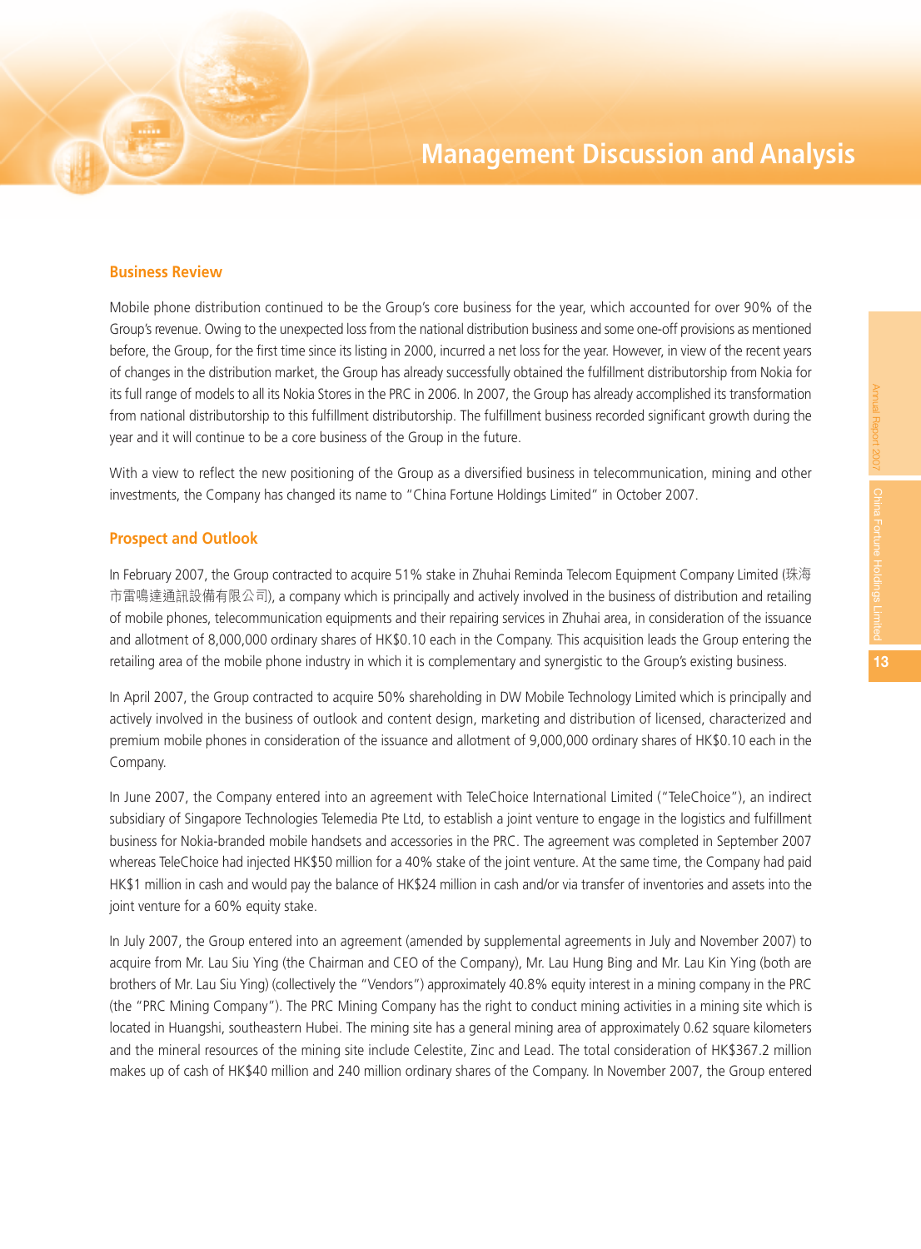#### **Business Review**

Mobile phone distribution continued to be the Group's core business for the year, which accounted for over 90% of the Group's revenue. Owing to the unexpected loss from the national distribution business and some one-off provisions as mentioned before, the Group, for the first time since its listing in 2000, incurred a net loss for the year. However, in view of the recent years of changes in the distribution market, the Group has already successfully obtained the fulfillment distributorship from Nokia for its full range of models to all its Nokia Stores in the PRC in 2006. In 2007, the Group has already accomplished its transformation from national distributorship to this fulfillment distributorship. The fulfillment business recorded significant growth during the year and it will continue to be a core business of the Group in the future.

With a view to reflect the new positioning of the Group as a diversified business in telecommunication, mining and other investments, the Company has changed its name to "China Fortune Holdings Limited" in October 2007.

#### **Prospect and Outlook**

In February 2007, the Group contracted to acquire 51% stake in Zhuhai Reminda Telecom Equipment Company Limited (珠海 市雷鳴達通訊設備有限公司), a company which is principally and actively involved in the business of distribution and retailing of mobile phones, telecommunication equipments and their repairing services in Zhuhai area, in consideration of the issuance and allotment of 8,000,000 ordinary shares of HK\$0.10 each in the Company. This acquisition leads the Group entering the retailing area of the mobile phone industry in which it is complementary and synergistic to the Group's existing business.

In April 2007, the Group contracted to acquire 50% shareholding in DW Mobile Technology Limited which is principally and actively involved in the business of outlook and content design, marketing and distribution of licensed, characterized and premium mobile phones in consideration of the issuance and allotment of 9,000,000 ordinary shares of HK\$0.10 each in the Company.

In June 2007, the Company entered into an agreement with TeleChoice International Limited ("TeleChoice"), an indirect subsidiary of Singapore Technologies Telemedia Pte Ltd, to establish a joint venture to engage in the logistics and fulfillment business for Nokia-branded mobile handsets and accessories in the PRC. The agreement was completed in September 2007 whereas TeleChoice had injected HK\$50 million for a 40% stake of the joint venture. At the same time, the Company had paid HK\$1 million in cash and would pay the balance of HK\$24 million in cash and/or via transfer of inventories and assets into the joint venture for a 60% equity stake.

In July 2007, the Group entered into an agreement (amended by supplemental agreements in July and November 2007) to acquire from Mr. Lau Siu Ying (the Chairman and CEO of the Company), Mr. Lau Hung Bing and Mr. Lau Kin Ying (both are brothers of Mr. Lau Siu Ying) (collectively the "Vendors") approximately 40.8% equity interest in a mining company in the PRC (the "PRC Mining Company"). The PRC Mining Company has the right to conduct mining activities in a mining site which is located in Huangshi, southeastern Hubei. The mining site has a general mining area of approximately 0.62 square kilometers and the mineral resources of the mining site include Celestite, Zinc and Lead. The total consideration of HK\$367.2 million makes up of cash of HK\$40 million and 240 million ordinary shares of the Company. In November 2007, the Group entered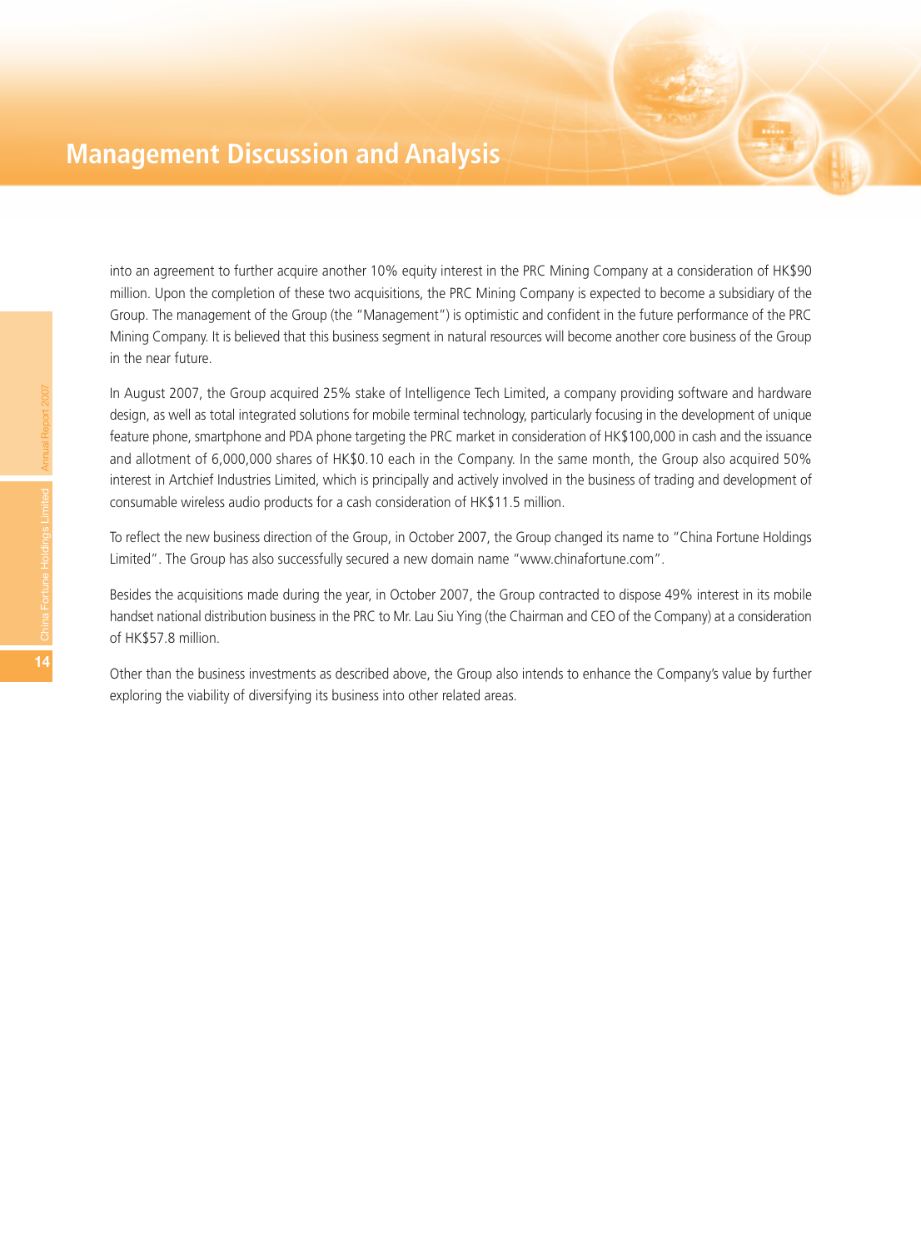into an agreement to further acquire another 10% equity interest in the PRC Mining Company at a consideration of HK\$90 million. Upon the completion of these two acquisitions, the PRC Mining Company is expected to become a subsidiary of the Group. The management of the Group (the "Management") is optimistic and confident in the future performance of the PRC Mining Company. It is believed that this business segment in natural resources will become another core business of the Group in the near future.

In August 2007, the Group acquired 25% stake of Intelligence Tech Limited, a company providing software and hardware design, as well as total integrated solutions for mobile terminal technology, particularly focusing in the development of unique feature phone, smartphone and PDA phone targeting the PRC market in consideration of HK\$100,000 in cash and the issuance and allotment of 6,000,000 shares of HK\$0.10 each in the Company. In the same month, the Group also acquired 50% interest in Artchief Industries Limited, which is principally and actively involved in the business of trading and development of consumable wireless audio products for a cash consideration of HK\$11.5 million.

To reflect the new business direction of the Group, in October 2007, the Group changed its name to "China Fortune Holdings Limited". The Group has also successfully secured a new domain name "www.chinafortune.com".

Besides the acquisitions made during the year, in October 2007, the Group contracted to dispose 49% interest in its mobile handset national distribution business in the PRC to Mr. Lau Siu Ying (the Chairman and CEO of the Company) at a consideration of HK\$57.8 million.

Other than the business investments as described above, the Group also intends to enhance the Company's value by further exploring the viability of diversifying its business into other related areas.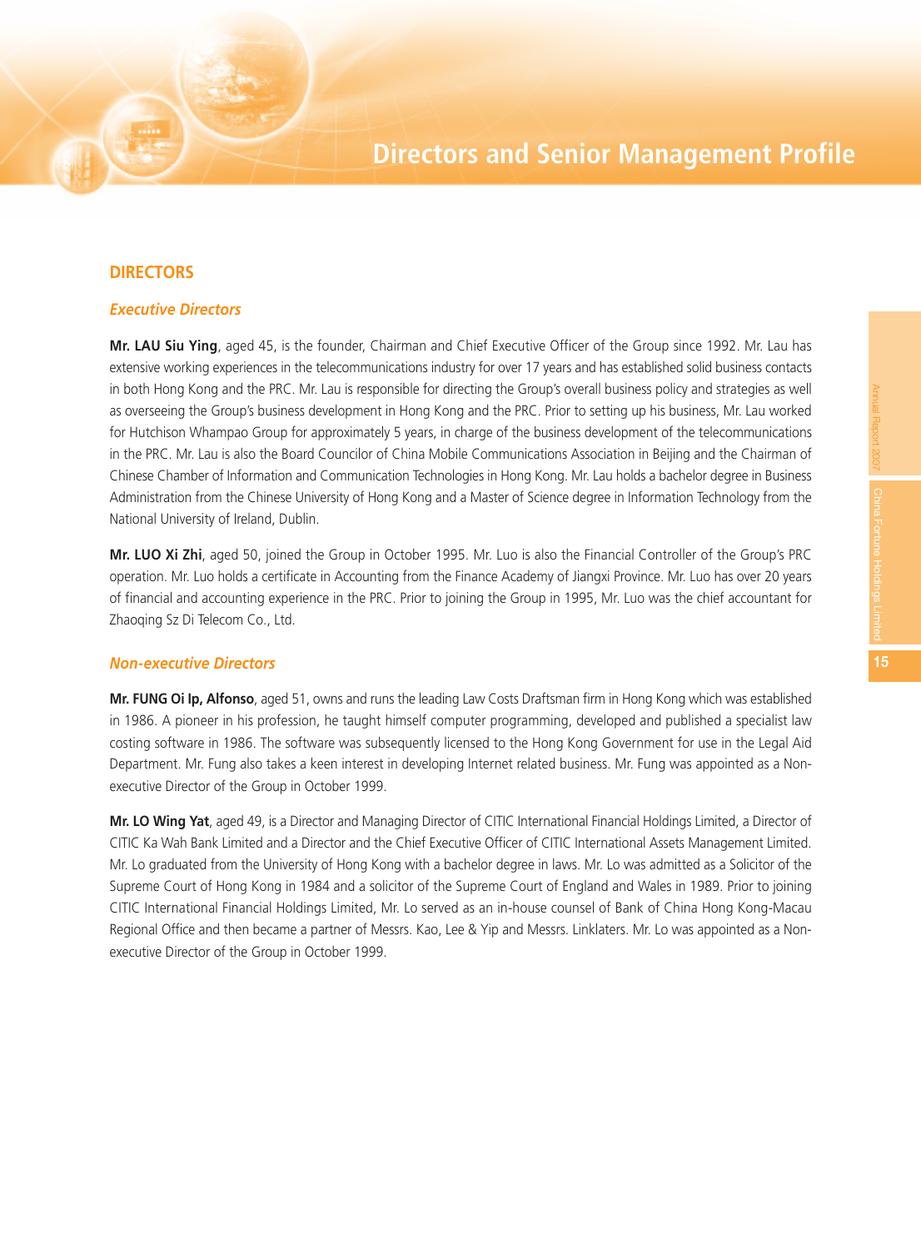#### **DIRECTORS**

#### *Executive Directors*

**Mr. LAU Siu Ying**, aged 45, is the founder, Chairman and Chief Executive Officer of the Group since 1992. Mr. Lau has extensive working experiences in the telecommunications industry for over 17 years and has established solid business contacts in both Hong Kong and the PRC. Mr. Lau is responsible for directing the Group's overall business policy and strategies as well as overseeing the Group's business development in Hong Kong and the PRC. Prior to setting up his business, Mr. Lau worked for Hutchison Whampao Group for approximately 5 years, in charge of the business development of the telecommunications in the PRC. Mr. Lau is also the Board Councilor of China Mobile Communications Association in Beijing and the Chairman of Chinese Chamber of Information and Communication Technologies in Hong Kong. Mr. Lau holds a bachelor degree in Business Administration from the Chinese University of Hong Kong and a Master of Science degree in Information Technology from the National University of Ireland, Dublin.

**Mr. LUO Xi Zhi**, aged 50, joined the Group in October 1995. Mr. Luo is also the Financial Controller of the Group's PRC operation. Mr. Luo holds a certificate in Accounting from the Finance Academy of Jiangxi Province. Mr. Luo has over 20 years of financial and accounting experience in the PRC. Prior to joining the Group in 1995, Mr. Luo was the chief accountant for Zhaoqing Sz Di Telecom Co., Ltd.

#### *Non-executive Directors*

**Mr. FUNG Oi Ip, Alfonso**, aged 51, owns and runs the leading Law Costs Draftsman firm in Hong Kong which was established in 1986. A pioneer in his profession, he taught himself computer programming, developed and published a specialist law costing software in 1986. The software was subsequently licensed to the Hong Kong Government for use in the Legal Aid Department. Mr. Fung also takes a keen interest in developing Internet related business. Mr. Fung was appointed as a Nonexecutive Director of the Group in October 1999.

**Mr. LO Wing Yat**, aged 49, is a Director and Managing Director of CITIC International Financial Holdings Limited, a Director of CITIC Ka Wah Bank Limited and a Director and the Chief Executive Officer of CITIC International Assets Management Limited. Mr. Lo graduated from the University of Hong Kong with a bachelor degree in laws. Mr. Lo was admitted as a Solicitor of the Supreme Court of Hong Kong in 1984 and a solicitor of the Supreme Court of England and Wales in 1989. Prior to joining CITIC International Financial Holdings Limited, Mr. Lo served as an in-house counsel of Bank of China Hong Kong-Macau Regional Office and then became a partner of Messrs. Kao, Lee & Yip and Messrs. Linklaters. Mr. Lo was appointed as a Nonexecutive Director of the Group in October 1999.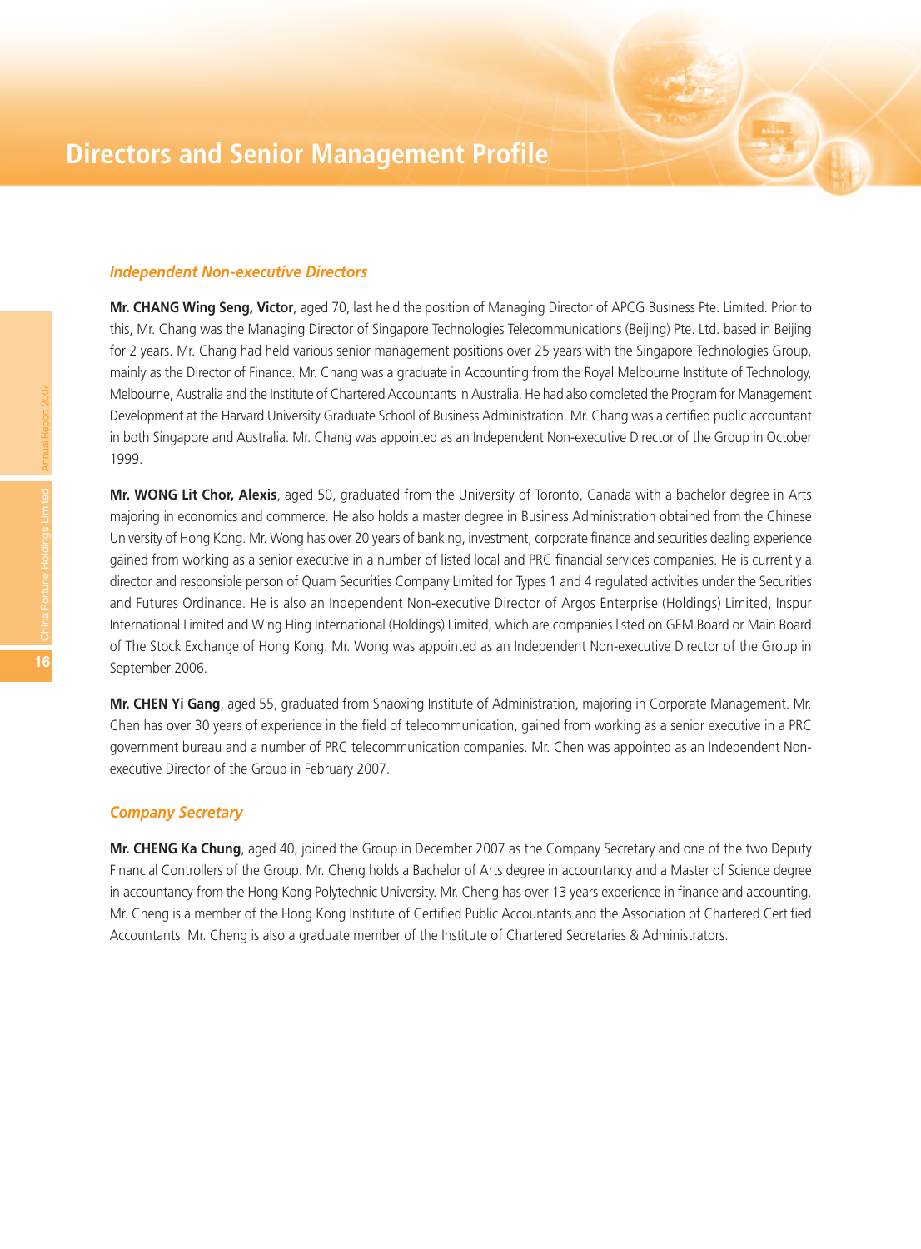#### *Independent Non-executive Directors*

**Mr. CHANG Wing Seng, Victor**, aged 70, last held the position of Managing Director of APCG Business Pte. Limited. Prior to this, Mr. Chang was the Managing Director of Singapore Technologies Telecommunications (Beijing) Pte. Ltd. based in Beijing for 2 years. Mr. Chang had held various senior management positions over 25 years with the Singapore Technologies Group, mainly as the Director of Finance. Mr. Chang was a graduate in Accounting from the Royal Melbourne Institute of Technology, Melbourne, Australia and the Institute of Chartered Accountants in Australia. He had also completed the Program for Management Development at the Harvard University Graduate School of Business Administration. Mr. Chang was a certified public accountant in both Singapore and Australia. Mr. Chang was appointed as an Independent Non-executive Director of the Group in October 1999.

**Mr. WONG Lit Chor, Alexis**, aged 50, graduated from the University of Toronto, Canada with a bachelor degree in Arts majoring in economics and commerce. He also holds a master degree in Business Administration obtained from the Chinese University of Hong Kong. Mr. Wong has over 20 years of banking, investment, corporate finance and securities dealing experience gained from working as a senior executive in a number of listed local and PRC financial services companies. He is currently a director and responsible person of Quam Securities Company Limited for Types 1 and 4 regulated activities under the Securities and Futures Ordinance. He is also an Independent Non-executive Director of Argos Enterprise (Holdings) Limited, Inspur International Limited and Wing Hing International (Holdings) Limited, which are companies listed on GEM Board or Main Board of The Stock Exchange of Hong Kong. Mr. Wong was appointed as an Independent Non-executive Director of the Group in September 2006.

**Mr. CHEN Yi Gang**, aged 55, graduated from Shaoxing Institute of Administration, majoring in Corporate Management. Mr. Chen has over 30 years of experience in the field of telecommunication, gained from working as a senior executive in a PRC government bureau and a number of PRC telecommunication companies. Mr. Chen was appointed as an Independent Nonexecutive Director of the Group in February 2007.

#### *Company Secretary*

**Mr. CHENG Ka Chung**, aged 40, joined the Group in December 2007 as the Company Secretary and one of the two Deputy Financial Controllers of the Group. Mr. Cheng holds a Bachelor of Arts degree in accountancy and a Master of Science degree in accountancy from the Hong Kong Polytechnic University. Mr. Cheng has over 13 years experience in finance and accounting. Mr. Cheng is a member of the Hong Kong Institute of Certified Public Accountants and the Association of Chartered Certified Accountants. Mr. Cheng is also a graduate member of the Institute of Chartered Secretaries & Administrators.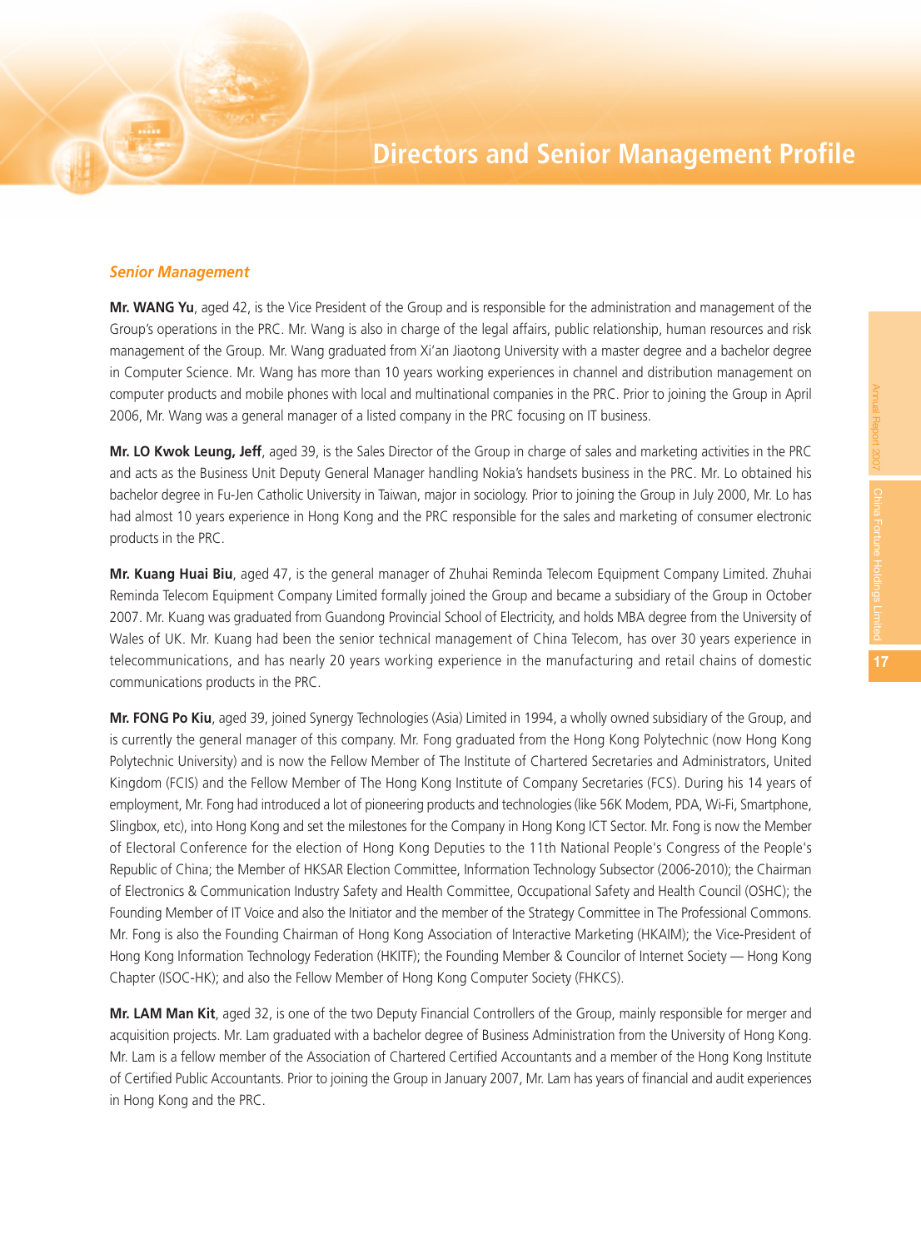## **Directors and Senior Management Profile**

#### *Senior Management*

**Mr. WANG Yu**, aged 42, is the Vice President of the Group and is responsible for the administration and management of the Group's operations in the PRC. Mr. Wang is also in charge of the legal affairs, public relationship, human resources and risk management of the Group. Mr. Wang graduated from Xi'an Jiaotong University with a master degree and a bachelor degree in Computer Science. Mr. Wang has more than 10 years working experiences in channel and distribution management on computer products and mobile phones with local and multinational companies in the PRC. Prior to joining the Group in April 2006, Mr. Wang was a general manager of a listed company in the PRC focusing on IT business.

**Mr. LO Kwok Leung, Jeff**, aged 39, is the Sales Director of the Group in charge of sales and marketing activities in the PRC and acts as the Business Unit Deputy General Manager handling Nokia's handsets business in the PRC. Mr. Lo obtained his bachelor degree in Fu-Jen Catholic University in Taiwan, major in sociology. Prior to joining the Group in July 2000, Mr. Lo has had almost 10 years experience in Hong Kong and the PRC responsible for the sales and marketing of consumer electronic products in the PRC.

**Mr. Kuang Huai Biu**, aged 47, is the general manager of Zhuhai Reminda Telecom Equipment Company Limited. Zhuhai Reminda Telecom Equipment Company Limited formally joined the Group and became a subsidiary of the Group in October 2007. Mr. Kuang was graduated from Guandong Provincial School of Electricity, and holds MBA degree from the University of Wales of UK. Mr. Kuang had been the senior technical management of China Telecom, has over 30 years experience in telecommunications, and has nearly 20 years working experience in the manufacturing and retail chains of domestic communications products in the PRC.

**Mr. FONG Po Kiu**, aged 39, joined Synergy Technologies (Asia) Limited in 1994, a wholly owned subsidiary of the Group, and is currently the general manager of this company. Mr. Fong graduated from the Hong Kong Polytechnic (now Hong Kong Polytechnic University) and is now the Fellow Member of The Institute of Chartered Secretaries and Administrators, United Kingdom (FCIS) and the Fellow Member of The Hong Kong Institute of Company Secretaries (FCS). During his 14 years of employment, Mr. Fong had introduced a lot of pioneering products and technologies (like 56K Modem, PDA, Wi-Fi, Smartphone, Slingbox, etc), into Hong Kong and set the milestones for the Company in Hong Kong ICT Sector. Mr. Fong is now the Member of Electoral Conference for the election of Hong Kong Deputies to the 11th National People's Congress of the People's Republic of China; the Member of HKSAR Election Committee, Information Technology Subsector (2006-2010); the Chairman of Electronics & Communication Industry Safety and Health Committee, Occupational Safety and Health Council (OSHC); the Founding Member of IT Voice and also the Initiator and the member of the Strategy Committee in The Professional Commons. Mr. Fong is also the Founding Chairman of Hong Kong Association of Interactive Marketing (HKAIM); the Vice-President of Hong Kong Information Technology Federation (HKITF); the Founding Member & Councilor of Internet Society — Hong Kong Chapter (ISOC-HK); and also the Fellow Member of Hong Kong Computer Society (FHKCS).

**Mr. LAM Man Kit**, aged 32, is one of the two Deputy Financial Controllers of the Group, mainly responsible for merger and acquisition projects. Mr. Lam graduated with a bachelor degree of Business Administration from the University of Hong Kong. Mr. Lam is a fellow member of the Association of Chartered Certified Accountants and a member of the Hong Kong Institute of Certified Public Accountants. Prior to joining the Group in January 2007, Mr. Lam has years of financial and audit experiences in Hong Kong and the PRC.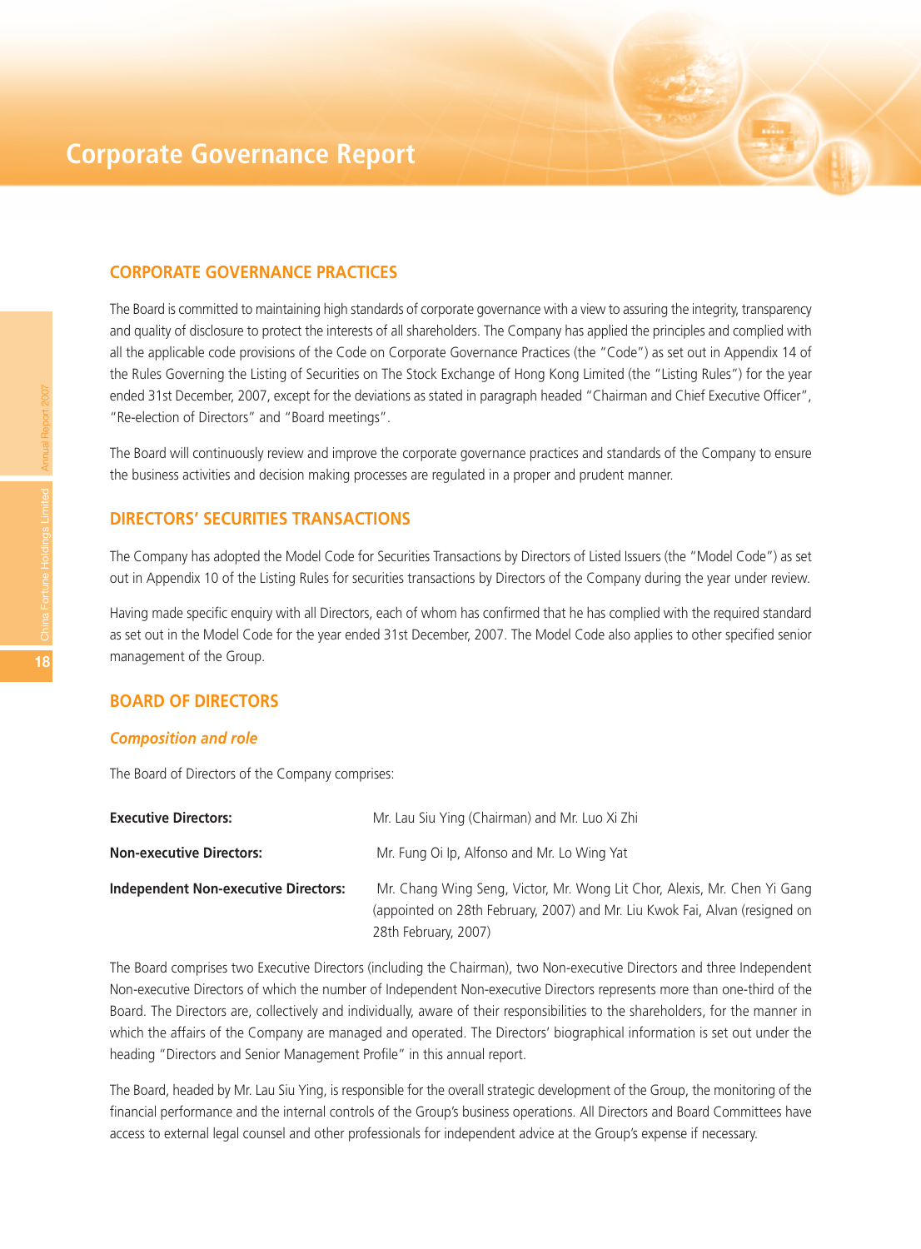#### **CORPORATE GOVERNANCE PRACTICES**

The Board is committed to maintaining high standards of corporate governance with a view to assuring the integrity, transparency and quality of disclosure to protect the interests of all shareholders. The Company has applied the principles and complied with all the applicable code provisions of the Code on Corporate Governance Practices (the "Code") as set out in Appendix 14 of the Rules Governing the Listing of Securities on The Stock Exchange of Hong Kong Limited (the "Listing Rules") for the year ended 31st December, 2007, except for the deviations as stated in paragraph headed "Chairman and Chief Executive Officer", "Re-election of Directors" and "Board meetings".

The Board will continuously review and improve the corporate governance practices and standards of the Company to ensure the business activities and decision making processes are regulated in a proper and prudent manner.

#### **DIRECTORS' SECURITIES TRANSACTIONS**

The Company has adopted the Model Code for Securities Transactions by Directors of Listed Issuers (the "Model Code") as set out in Appendix 10 of the Listing Rules for securities transactions by Directors of the Company during the year under review.

Having made specific enquiry with all Directors, each of whom has confirmed that he has complied with the required standard as set out in the Model Code for the year ended 31st December, 2007. The Model Code also applies to other specified senior management of the Group.

#### **BOARD OF DIRECTORS**

#### *Composition and role*

The Board of Directors of the Company comprises:

| <b>Executive Directors:</b>                 | Mr. Lau Siu Ying (Chairman) and Mr. Luo Xi Zhi                                                                                                                                  |
|---------------------------------------------|---------------------------------------------------------------------------------------------------------------------------------------------------------------------------------|
| <b>Non-executive Directors:</b>             | Mr. Fung Oi Ip, Alfonso and Mr. Lo Wing Yat                                                                                                                                     |
| <b>Independent Non-executive Directors:</b> | Mr. Chang Wing Seng, Victor, Mr. Wong Lit Chor, Alexis, Mr. Chen Yi Gang<br>(appointed on 28th February, 2007) and Mr. Liu Kwok Fai, Alvan (resigned on<br>28th February, 2007) |

The Board comprises two Executive Directors (including the Chairman), two Non-executive Directors and three Independent Non-executive Directors of which the number of Independent Non-executive Directors represents more than one-third of the Board. The Directors are, collectively and individually, aware of their responsibilities to the shareholders, for the manner in which the affairs of the Company are managed and operated. The Directors' biographical information is set out under the heading "Directors and Senior Management Profile" in this annual report.

The Board, headed by Mr. Lau Siu Ying, is responsible for the overall strategic development of the Group, the monitoring of the financial performance and the internal controls of the Group's business operations. All Directors and Board Committees have access to external legal counsel and other professionals for independent advice at the Group's expense if necessary.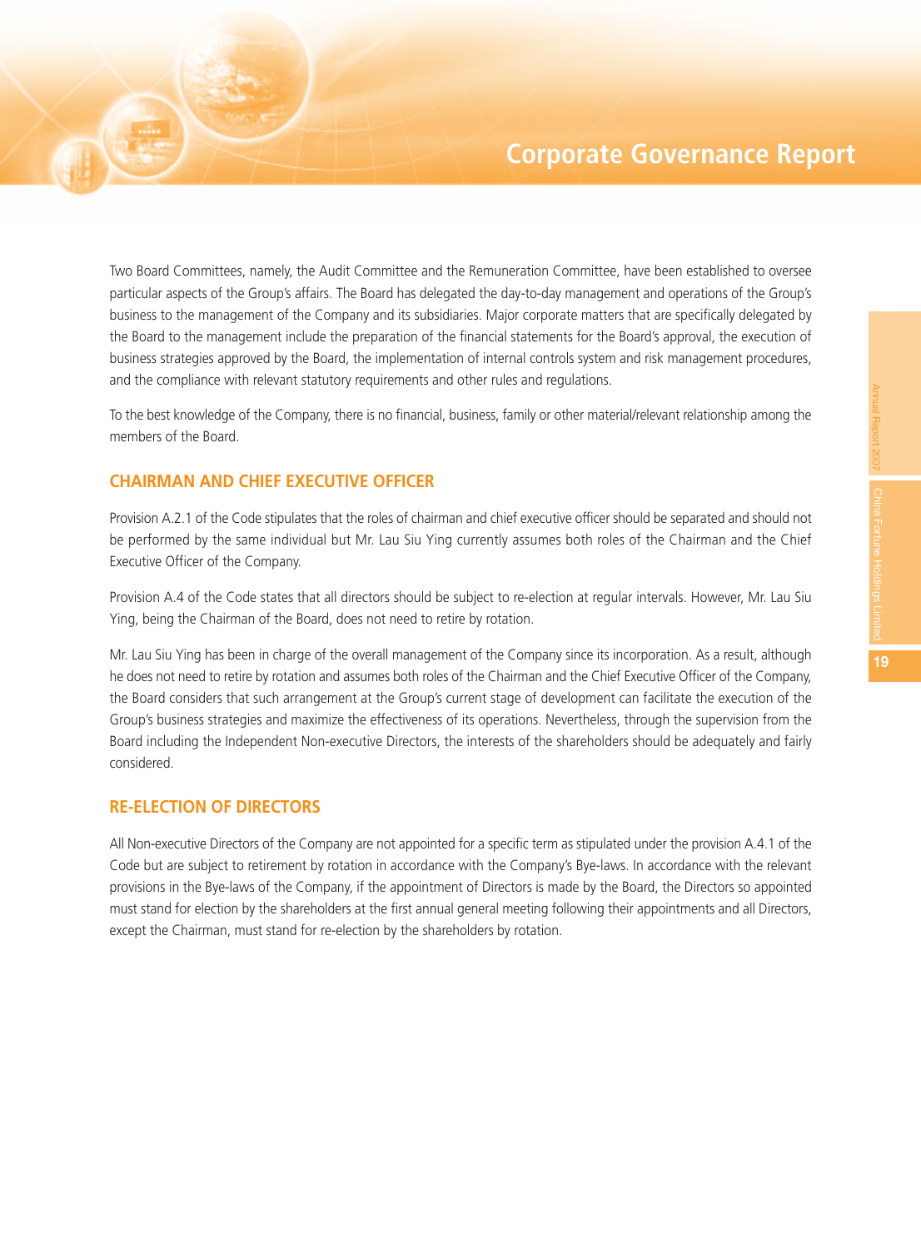Two Board Committees, namely, the Audit Committee and the Remuneration Committee, have been established to oversee particular aspects of the Group's affairs. The Board has delegated the day-to-day management and operations of the Group's business to the management of the Company and its subsidiaries. Major corporate matters that are specifically delegated by the Board to the management include the preparation of the financial statements for the Board's approval, the execution of business strategies approved by the Board, the implementation of internal controls system and risk management procedures, and the compliance with relevant statutory requirements and other rules and regulations.

To the best knowledge of the Company, there is no financial, business, family or other material/relevant relationship among the members of the Board.

#### **CHAIRMAN AND CHIEF EXECUTIVE OFFICER**

Provision A.2.1 of the Code stipulates that the roles of chairman and chief executive officer should be separated and should not be performed by the same individual but Mr. Lau Siu Ying currently assumes both roles of the Chairman and the Chief Executive Officer of the Company.

Provision A.4 of the Code states that all directors should be subject to re-election at regular intervals. However, Mr. Lau Siu Ying, being the Chairman of the Board, does not need to retire by rotation.

Mr. Lau Siu Ying has been in charge of the overall management of the Company since its incorporation. As a result, although he does not need to retire by rotation and assumes both roles of the Chairman and the Chief Executive Officer of the Company, the Board considers that such arrangement at the Group's current stage of development can facilitate the execution of the Group's business strategies and maximize the effectiveness of its operations. Nevertheless, through the supervision from the Board including the Independent Non-executive Directors, the interests of the shareholders should be adequately and fairly considered.

#### **RE-ELECTION OF DIRECTORS**

All Non-executive Directors of the Company are not appointed for a specific term as stipulated under the provision A.4.1 of the Code but are subject to retirement by rotation in accordance with the Company's Bye-laws. In accordance with the relevant provisions in the Bye-laws of the Company, if the appointment of Directors is made by the Board, the Directors so appointed must stand for election by the shareholders at the first annual general meeting following their appointments and all Directors, except the Chairman, must stand for re-election by the shareholders by rotation.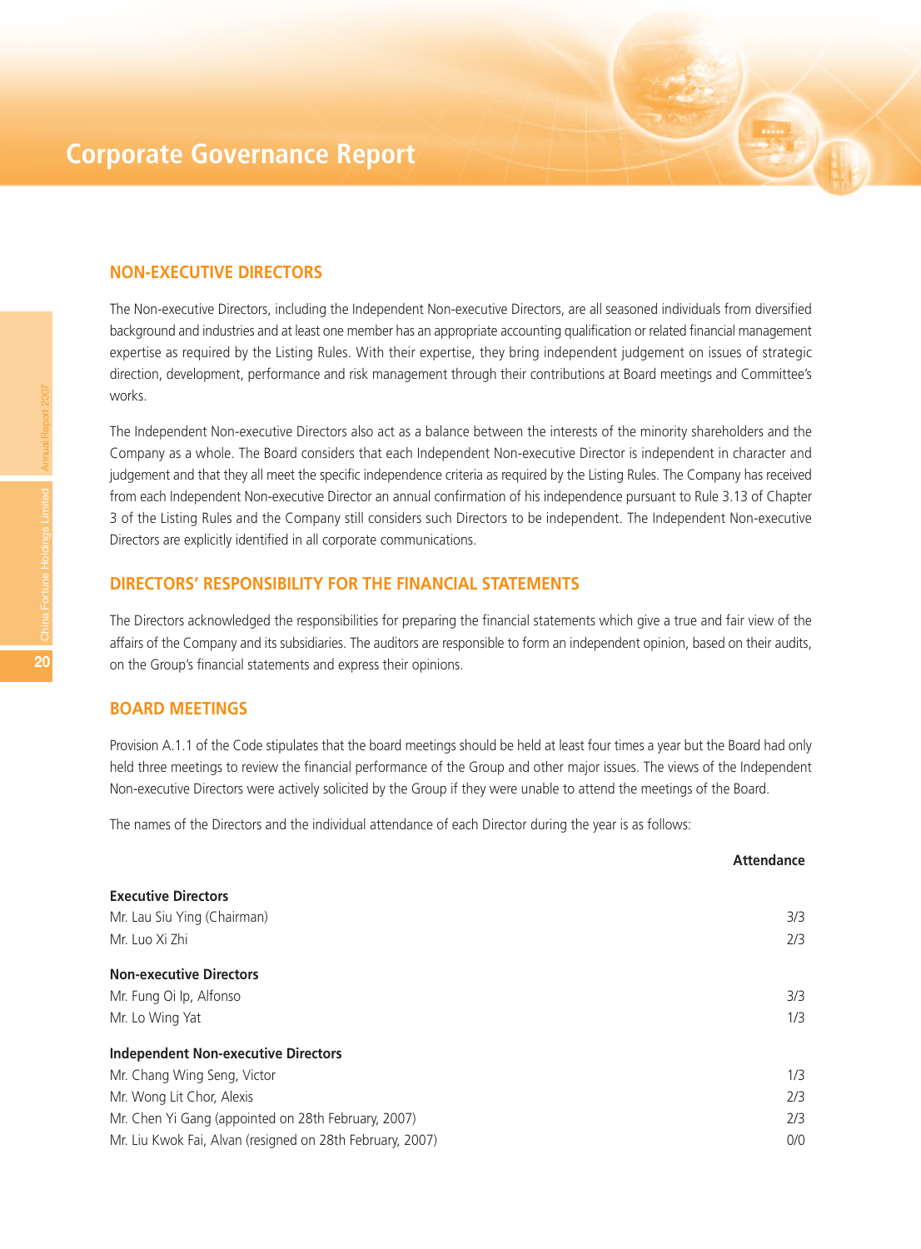#### **NON-EXECUTIVE DIRECTORS**

The Non-executive Directors, including the Independent Non-executive Directors, are all seasoned individuals from diversified background and industries and at least one member has an appropriate accounting qualification or related financial management expertise as required by the Listing Rules. With their expertise, they bring independent judgement on issues of strategic direction, development, performance and risk management through their contributions at Board meetings and Committee's works.

The Independent Non-executive Directors also act as a balance between the interests of the minority shareholders and the Company as a whole. The Board considers that each Independent Non-executive Director is independent in character and judgement and that they all meet the specific independence criteria as required by the Listing Rules. The Company has received from each Independent Non-executive Director an annual confirmation of his independence pursuant to Rule 3.13 of Chapter 3 of the Listing Rules and the Company still considers such Directors to be independent. The Independent Non-executive Directors are explicitly identified in all corporate communications.

#### **DIRECTORS' RESPONSIBILITY FOR THE FINANCIAL STATEMENTS**

The Directors acknowledged the responsibilities for preparing the financial statements which give a true and fair view of the affairs of the Company and its subsidiaries. The auditors are responsible to form an independent opinion, based on their audits, on the Group's financial statements and express their opinions.

#### **BOARD MEETINGS**

Provision A.1.1 of the Code stipulates that the board meetings should be held at least four times a year but the Board had only held three meetings to review the financial performance of the Group and other major issues. The views of the Independent Non-executive Directors were actively solicited by the Group if they were unable to attend the meetings of the Board.

**Attendance**

The names of the Directors and the individual attendance of each Director during the year is as follows:

| <b>Executive Directors</b>                                |     |
|-----------------------------------------------------------|-----|
| Mr. Lau Siu Ying (Chairman)                               | 3/3 |
| Mr. Luo Xi Zhi                                            | 2/3 |
| <b>Non-executive Directors</b>                            |     |
| Mr. Fung Oi Ip, Alfonso                                   | 3/3 |
| Mr. Lo Wing Yat                                           | 1/3 |
| <b>Independent Non-executive Directors</b>                |     |
| Mr. Chang Wing Seng, Victor                               | 1/3 |
| Mr. Wong Lit Chor, Alexis                                 | 2/3 |
| Mr. Chen Yi Gang (appointed on 28th February, 2007)       | 2/3 |
| Mr. Liu Kwok Fai, Alvan (resigned on 28th February, 2007) | 0/0 |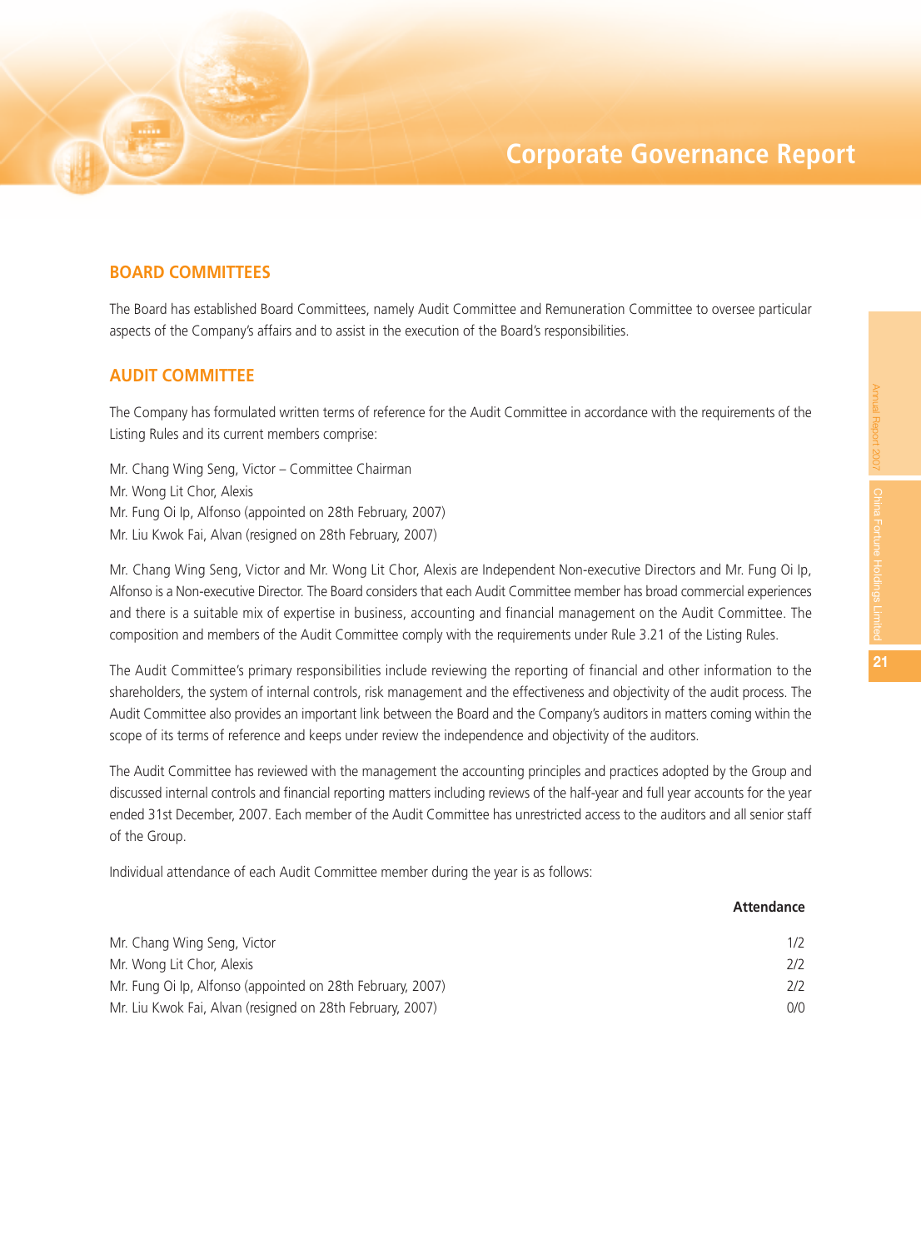#### **BOARD COMMITTEES**

The Board has established Board Committees, namely Audit Committee and Remuneration Committee to oversee particular aspects of the Company's affairs and to assist in the execution of the Board's responsibilities.

#### **AUDIT COMMITTEE**

The Company has formulated written terms of reference for the Audit Committee in accordance with the requirements of the Listing Rules and its current members comprise:

Mr. Chang Wing Seng, Victor – Committee Chairman Mr. Wong Lit Chor, Alexis Mr. Fung Oi Ip, Alfonso (appointed on 28th February, 2007) Mr. Liu Kwok Fai, Alvan (resigned on 28th February, 2007)

Mr. Chang Wing Seng, Victor and Mr. Wong Lit Chor, Alexis are Independent Non-executive Directors and Mr. Fung Oi Ip, Alfonso is a Non-executive Director. The Board considers that each Audit Committee member has broad commercial experiences and there is a suitable mix of expertise in business, accounting and financial management on the Audit Committee. The composition and members of the Audit Committee comply with the requirements under Rule 3.21 of the Listing Rules.

The Audit Committee's primary responsibilities include reviewing the reporting of financial and other information to the shareholders, the system of internal controls, risk management and the effectiveness and objectivity of the audit process. The Audit Committee also provides an important link between the Board and the Company's auditors in matters coming within the scope of its terms of reference and keeps under review the independence and objectivity of the auditors.

The Audit Committee has reviewed with the management the accounting principles and practices adopted by the Group and discussed internal controls and financial reporting matters including reviews of the half-year and full year accounts for the year ended 31st December, 2007. Each member of the Audit Committee has unrestricted access to the auditors and all senior staff of the Group.

Individual attendance of each Audit Committee member during the year is as follows:

|                                                            | <b>AUCHMAIL</b> |
|------------------------------------------------------------|-----------------|
| Mr. Chang Wing Seng, Victor                                | 1/2             |
| Mr. Wong Lit Chor, Alexis                                  | 7/2             |
| Mr. Fung Oi Ip, Alfonso (appointed on 28th February, 2007) | 7/2             |
| Mr. Liu Kwok Fai, Alvan (resigned on 28th February, 2007)  | 0/0             |

**Attendance**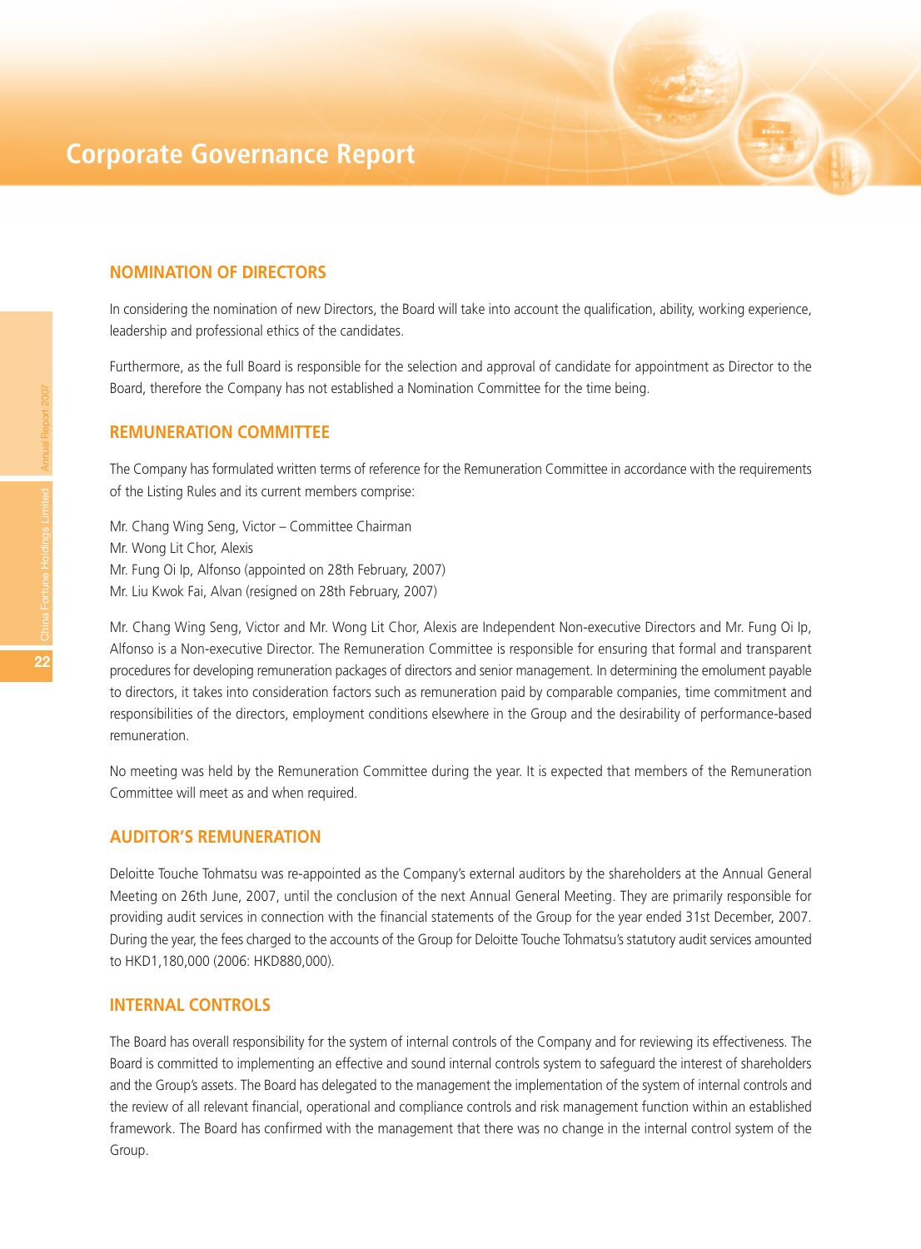#### **NOMINATION OF DIRECTORS**

In considering the nomination of new Directors, the Board will take into account the qualification, ability, working experience, leadership and professional ethics of the candidates.

Furthermore, as the full Board is responsible for the selection and approval of candidate for appointment as Director to the Board, therefore the Company has not established a Nomination Committee for the time being.

#### **REMUNERATION COMMITTEE**

The Company has formulated written terms of reference for the Remuneration Committee in accordance with the requirements of the Listing Rules and its current members comprise:

Mr. Chang Wing Seng, Victor – Committee Chairman Mr. Wong Lit Chor, Alexis Mr. Fung Oi Ip, Alfonso (appointed on 28th February, 2007) Mr. Liu Kwok Fai, Alvan (resigned on 28th February, 2007)

Mr. Chang Wing Seng, Victor and Mr. Wong Lit Chor, Alexis are Independent Non-executive Directors and Mr. Fung Oi Ip, Alfonso is a Non-executive Director. The Remuneration Committee is responsible for ensuring that formal and transparent procedures for developing remuneration packages of directors and senior management. In determining the emolument payable to directors, it takes into consideration factors such as remuneration paid by comparable companies, time commitment and responsibilities of the directors, employment conditions elsewhere in the Group and the desirability of performance-based remuneration.

No meeting was held by the Remuneration Committee during the year. It is expected that members of the Remuneration Committee will meet as and when required.

#### **AUDITOR'S REMUNERATION**

Deloitte Touche Tohmatsu was re-appointed as the Company's external auditors by the shareholders at the Annual General Meeting on 26th June, 2007, until the conclusion of the next Annual General Meeting. They are primarily responsible for providing audit services in connection with the financial statements of the Group for the year ended 31st December, 2007. During the year, the fees charged to the accounts of the Group for Deloitte Touche Tohmatsu's statutory audit services amounted to HKD1,180,000 (2006: HKD880,000).

#### **INTERNAL CONTROLS**

The Board has overall responsibility for the system of internal controls of the Company and for reviewing its effectiveness. The Board is committed to implementing an effective and sound internal controls system to safeguard the interest of shareholders and the Group's assets. The Board has delegated to the management the implementation of the system of internal controls and the review of all relevant financial, operational and compliance controls and risk management function within an established framework. The Board has confirmed with the management that there was no change in the internal control system of the Group.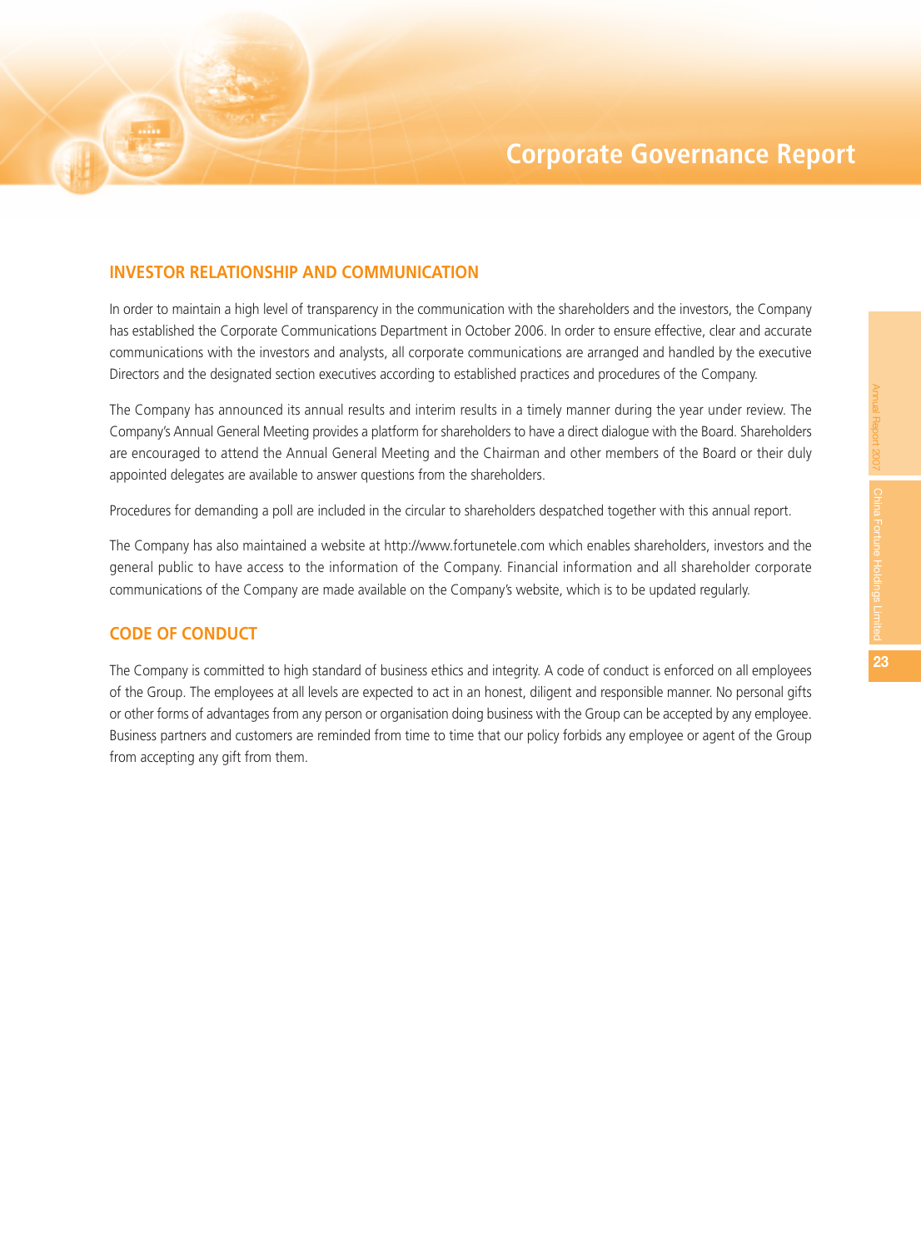#### **INVESTOR RELATIONSHIP AND COMMUNICATION**

In order to maintain a high level of transparency in the communication with the shareholders and the investors, the Company has established the Corporate Communications Department in October 2006. In order to ensure effective, clear and accurate communications with the investors and analysts, all corporate communications are arranged and handled by the executive Directors and the designated section executives according to established practices and procedures of the Company.

The Company has announced its annual results and interim results in a timely manner during the year under review. The Company's Annual General Meeting provides a platform for shareholders to have a direct dialogue with the Board. Shareholders are encouraged to attend the Annual General Meeting and the Chairman and other members of the Board or their duly appointed delegates are available to answer questions from the shareholders.

Procedures for demanding a poll are included in the circular to shareholders despatched together with this annual report.

The Company has also maintained a website at http://www.fortunetele.com which enables shareholders, investors and the general public to have access to the information of the Company. Financial information and all shareholder corporate communications of the Company are made available on the Company's website, which is to be updated regularly.

#### **CODE OF CONDUCT**

The Company is committed to high standard of business ethics and integrity. A code of conduct is enforced on all employees of the Group. The employees at all levels are expected to act in an honest, diligent and responsible manner. No personal gifts or other forms of advantages from any person or organisation doing business with the Group can be accepted by any employee. Business partners and customers are reminded from time to time that our policy forbids any employee or agent of the Group from accepting any gift from them.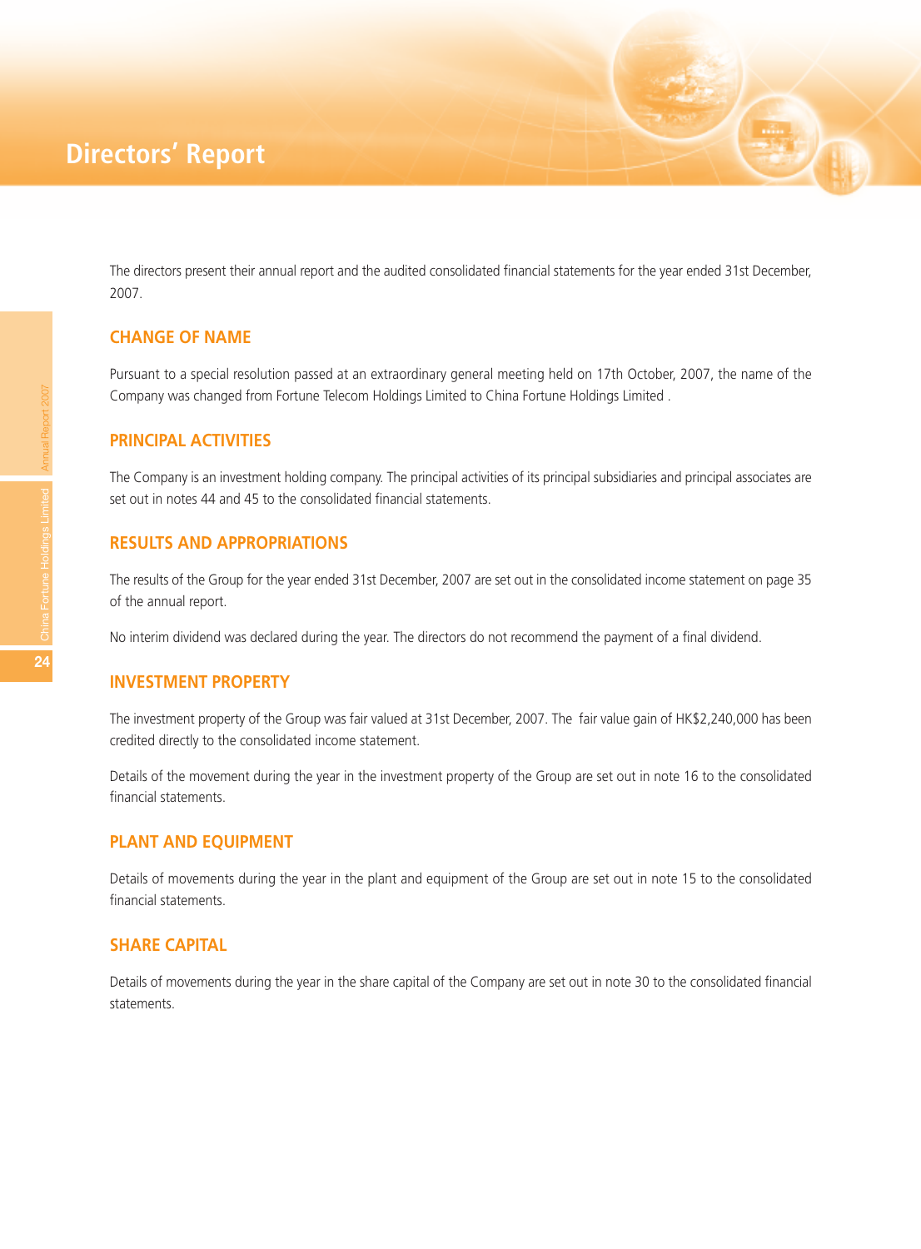## **Directors' Report**

The directors present their annual report and the audited consolidated financial statements for the year ended 31st December, 2007.

#### **CHANGE OF NAME**

Pursuant to a special resolution passed at an extraordinary general meeting held on 17th October, 2007, the name of the Company was changed from Fortune Telecom Holdings Limited to China Fortune Holdings Limited .

#### **PRINCIPAL ACTIVITIES**

The Company is an investment holding company. The principal activities of its principal subsidiaries and principal associates are set out in notes 44 and 45 to the consolidated financial statements.

#### **RESULTS AND APPROPRIATIONS**

The results of the Group for the year ended 31st December, 2007 are set out in the consolidated income statement on page 35 of the annual report.

No interim dividend was declared during the year. The directors do not recommend the payment of a final dividend.

#### **INVESTMENT PROPERTY**

The investment property of the Group was fair valued at 31st December, 2007. The fair value gain of HK\$2,240,000 has been credited directly to the consolidated income statement.

Details of the movement during the year in the investment property of the Group are set out in note 16 to the consolidated financial statements.

#### **PLANT AND EQUIPMENT**

Details of movements during the year in the plant and equipment of the Group are set out in note 15 to the consolidated financial statements.

#### **SHARE CAPITAL**

Details of movements during the year in the share capital of the Company are set out in note 30 to the consolidated financial statements.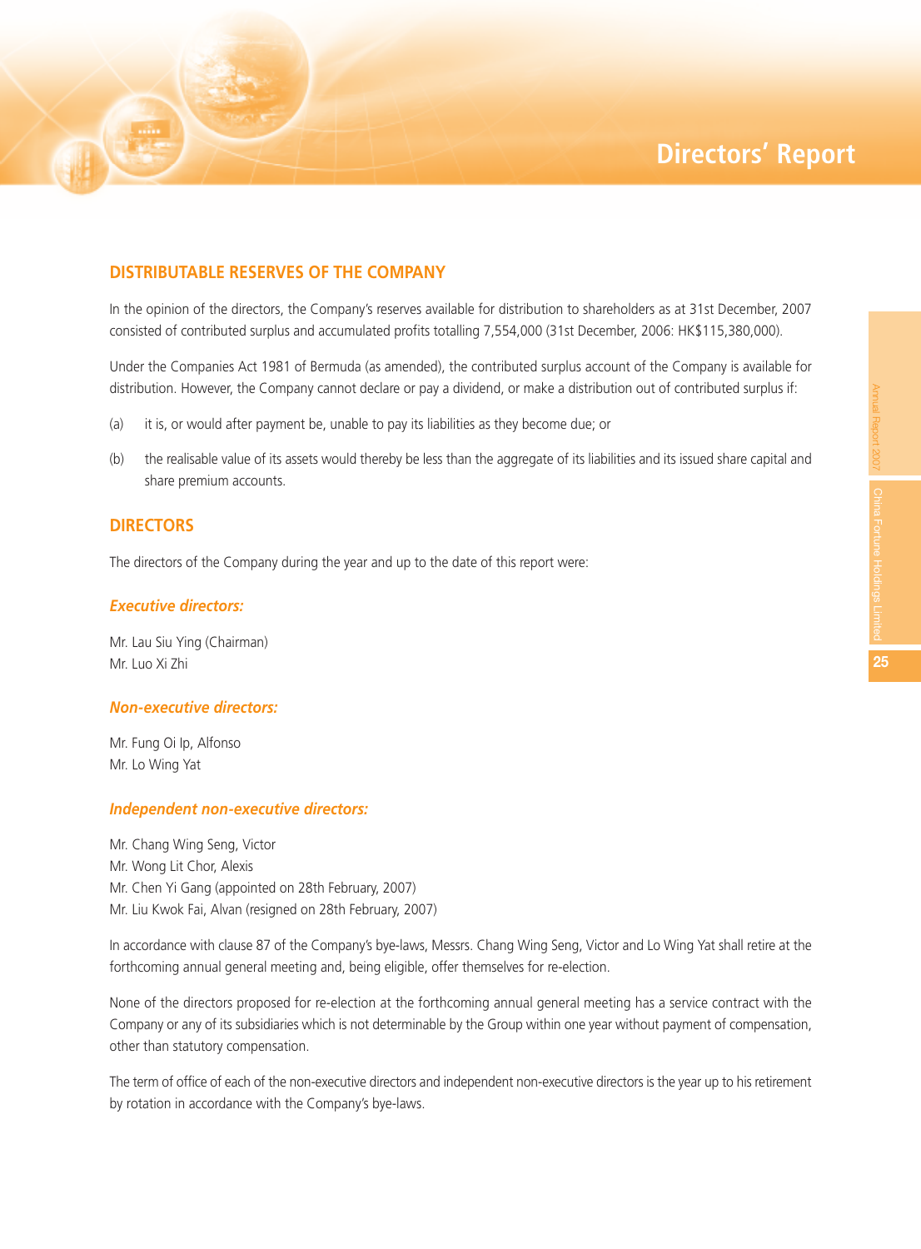#### **DISTRIBUTABLE RESERVES OF THE COMPANY**

In the opinion of the directors, the Company's reserves available for distribution to shareholders as at 31st December, 2007 consisted of contributed surplus and accumulated profits totalling 7,554,000 (31st December, 2006: HK\$115,380,000).

Under the Companies Act 1981 of Bermuda (as amended), the contributed surplus account of the Company is available for distribution. However, the Company cannot declare or pay a dividend, or make a distribution out of contributed surplus if:

- (a) it is, or would after payment be, unable to pay its liabilities as they become due; or
- (b) the realisable value of its assets would thereby be less than the aggregate of its liabilities and its issued share capital and share premium accounts.

#### **DIRECTORS**

The directors of the Company during the year and up to the date of this report were:

#### *Executive directors:*

Mr. Lau Siu Ying (Chairman) Mr. Luo Xi Zhi

#### *Non-executive directors:*

Mr. Fung Oi Ip, Alfonso Mr. Lo Wing Yat

#### *Independent non-executive directors:*

Mr. Chang Wing Seng, Victor Mr. Wong Lit Chor, Alexis Mr. Chen Yi Gang (appointed on 28th February, 2007) Mr. Liu Kwok Fai, Alvan (resigned on 28th February, 2007)

In accordance with clause 87 of the Company's bye-laws, Messrs. Chang Wing Seng, Victor and Lo Wing Yat shall retire at the forthcoming annual general meeting and, being eligible, offer themselves for re-election.

None of the directors proposed for re-election at the forthcoming annual general meeting has a service contract with the Company or any of its subsidiaries which is not determinable by the Group within one year without payment of compensation, other than statutory compensation.

The term of office of each of the non-executive directors and independent non-executive directors is the year up to his retirement by rotation in accordance with the Company's bye-laws.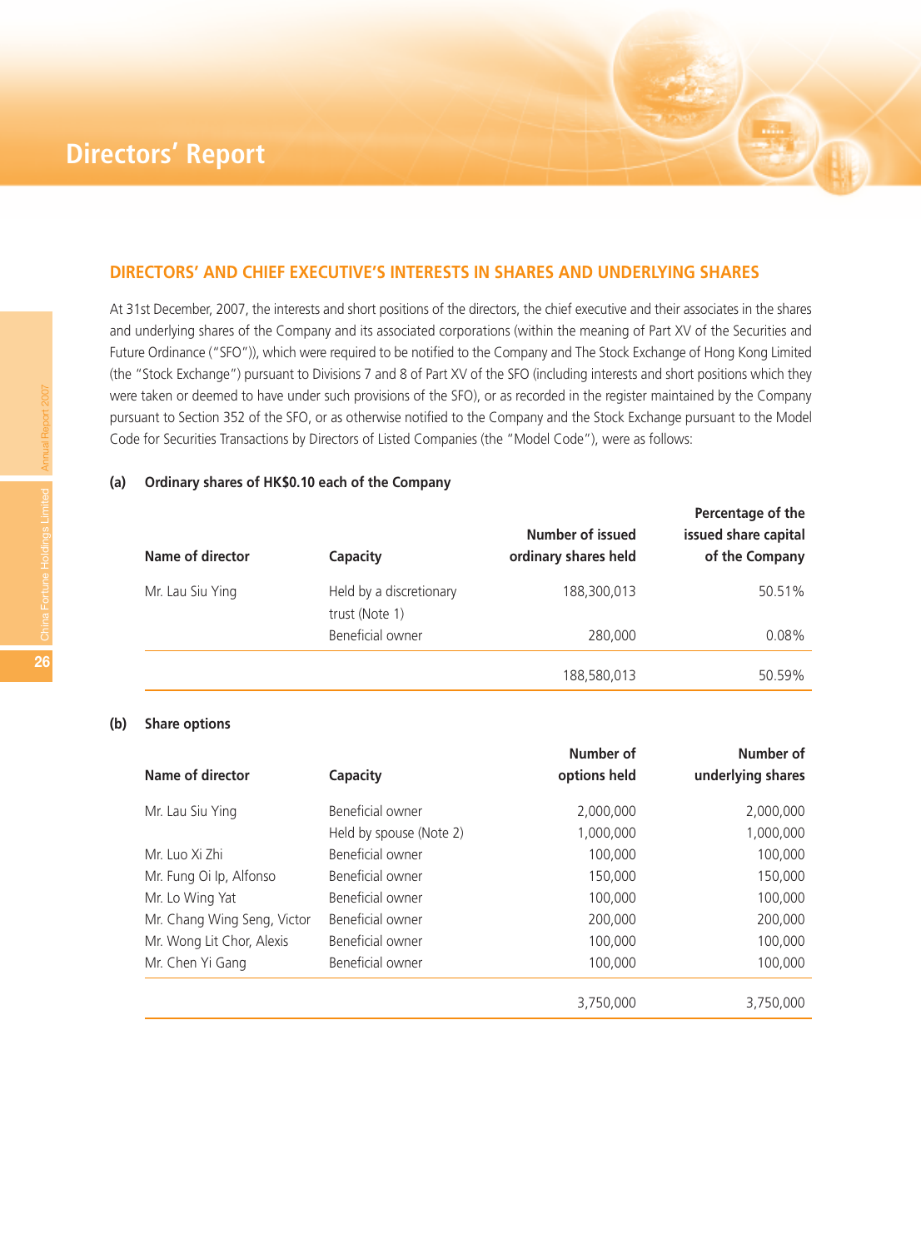#### **DIRECTORS' AND CHIEF EXECUTIVE'S INTERESTS IN SHARES AND UNDERLYING SHARES**

At 31st December, 2007, the interests and short positions of the directors, the chief executive and their associates in the shares and underlying shares of the Company and its associated corporations (within the meaning of Part XV of the Securities and Future Ordinance ("SFO")), which were required to be notified to the Company and The Stock Exchange of Hong Kong Limited (the "Stock Exchange") pursuant to Divisions 7 and 8 of Part XV of the SFO (including interests and short positions which they were taken or deemed to have under such provisions of the SFO), or as recorded in the register maintained by the Company pursuant to Section 352 of the SFO, or as otherwise notified to the Company and the Stock Exchange pursuant to the Model Code for Securities Transactions by Directors of Listed Companies (the "Model Code"), were as follows:

#### **(a) Ordinary shares of HK\$0.10 each of the Company**

| Name of director | Capacity                                  | Number of issued<br>ordinary shares held | Percentage of the<br>issued share capital<br>of the Company |
|------------------|-------------------------------------------|------------------------------------------|-------------------------------------------------------------|
| Mr. Lau Siu Ying | Held by a discretionary<br>trust (Note 1) | 188,300,013                              | 50.51%                                                      |
|                  | Beneficial owner                          | 280,000                                  | 0.08%                                                       |
|                  |                                           | 188,580,013                              | 50.59%                                                      |

#### **(b) Share options**

| Name of director            | <b>Capacity</b>         | Number of<br>options held | Number of<br>underlying shares |
|-----------------------------|-------------------------|---------------------------|--------------------------------|
| Mr. Lau Siu Ying            | Beneficial owner        | 2,000,000                 | 2,000,000                      |
|                             | Held by spouse (Note 2) | 1,000,000                 | 1,000,000                      |
| Mr. Luo Xi Zhi              | Beneficial owner        | 100,000                   | 100,000                        |
| Mr. Fung Oi Ip, Alfonso     | Beneficial owner        | 150.000                   | 150,000                        |
| Mr. Lo Wing Yat             | Beneficial owner        | 100,000                   | 100,000                        |
| Mr. Chang Wing Seng, Victor | Beneficial owner        | 200,000                   | 200,000                        |
| Mr. Wong Lit Chor, Alexis   | Beneficial owner        | 100,000                   | 100,000                        |
| Mr. Chen Yi Gang            | Beneficial owner        | 100,000                   | 100,000                        |
|                             |                         | 3,750,000                 | 3,750,000                      |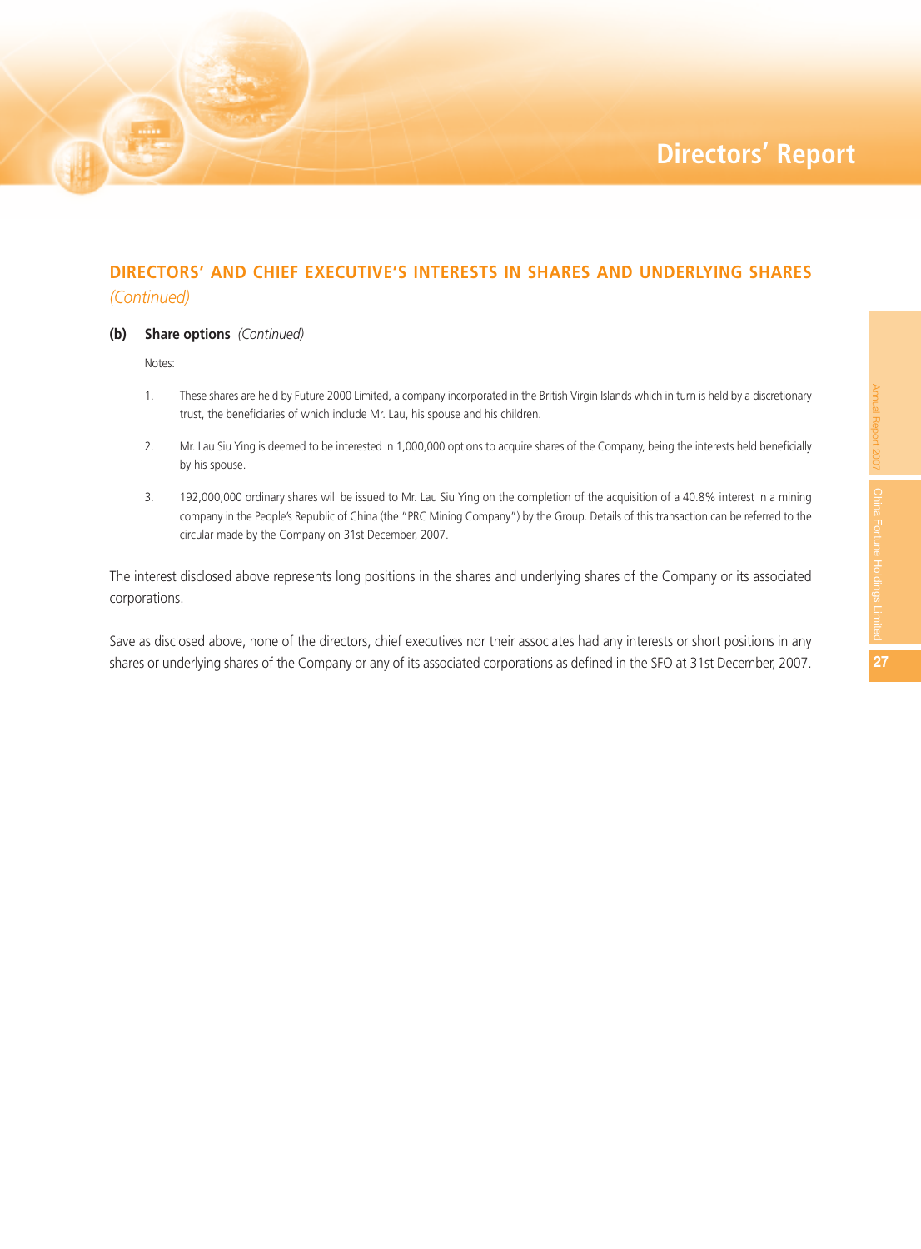## **Directors' Report**

#### **DIRECTORS' AND CHIEF EXECUTIVE'S INTERESTS IN SHARES AND UNDERLYING SHARES** *(Continued)*

#### **(b) Share options** *(Continued)*

Notes:

- 1. These shares are held by Future 2000 Limited, a company incorporated in the British Virgin Islands which in turn is held by a discretionary trust, the beneficiaries of which include Mr. Lau, his spouse and his children.
- 2. Mr. Lau Siu Ying is deemed to be interested in 1,000,000 options to acquire shares of the Company, being the interests held beneficially by his spouse.
- 3. 192,000,000 ordinary shares will be issued to Mr. Lau Siu Ying on the completion of the acquisition of a 40.8% interest in a mining company in the People's Republic of China (the "PRC Mining Company") by the Group. Details of this transaction can be referred to the circular made by the Company on 31st December, 2007.

The interest disclosed above represents long positions in the shares and underlying shares of the Company or its associated corporations.

Save as disclosed above, none of the directors, chief executives nor their associates had any interests or short positions in any shares or underlying shares of the Company or any of its associated corporations as defined in the SFO at 31st December, 2007.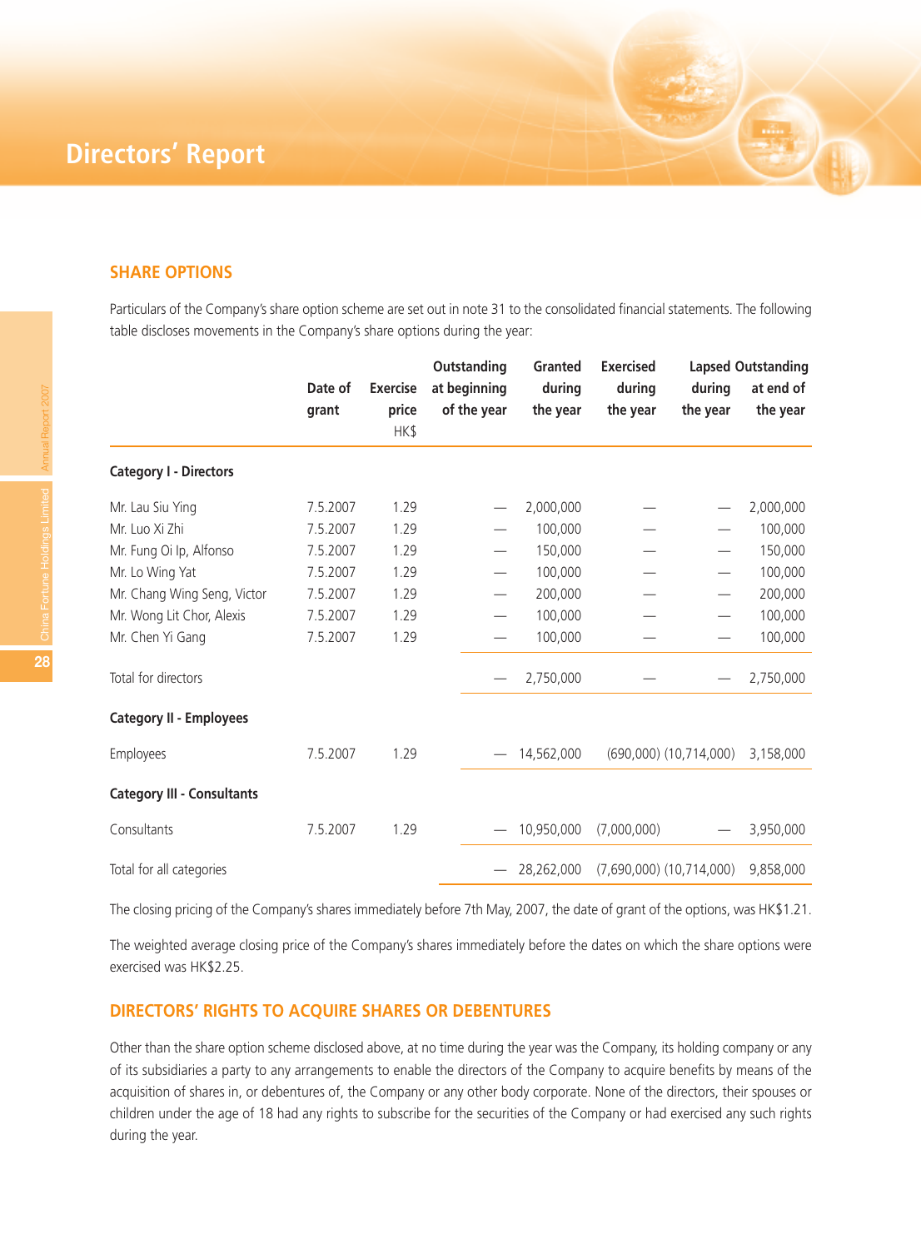#### **SHARE OPTIONS**

Particulars of the Company's share option scheme are set out in note 31 to the consolidated financial statements. The following table discloses movements in the Company's share options during the year:

99

|                                   | Date of<br>grant | <b>Exercise</b><br>price<br>HK\$ | Outstanding<br>at beginning<br>of the year | <b>Granted</b><br>during<br>the year | <b>Exercised</b><br>during<br>the year | during<br>the year       | <b>Lapsed Outstanding</b><br>at end of<br>the year |
|-----------------------------------|------------------|----------------------------------|--------------------------------------------|--------------------------------------|----------------------------------------|--------------------------|----------------------------------------------------|
| <b>Category I - Directors</b>     |                  |                                  |                                            |                                      |                                        |                          |                                                    |
| Mr. Lau Siu Ying                  | 7.5.2007         | 1.29                             |                                            | 2,000,000                            |                                        |                          | 2,000,000                                          |
| Mr. Luo Xi Zhi                    | 7.5.2007         | 1.29                             |                                            | 100,000                              |                                        |                          | 100,000                                            |
| Mr. Fung Oi Ip, Alfonso           | 7.5.2007         | 1.29                             |                                            | 150,000                              |                                        | $\overline{\phantom{0}}$ | 150,000                                            |
| Mr. Lo Wing Yat                   | 7.5.2007         | 1.29                             |                                            | 100,000                              |                                        | $\overline{\phantom{0}}$ | 100,000                                            |
| Mr. Chang Wing Seng, Victor       | 7.5.2007         | 1.29                             |                                            | 200,000                              |                                        |                          | 200,000                                            |
| Mr. Wong Lit Chor, Alexis         | 7.5.2007         | 1.29                             |                                            | 100,000                              |                                        |                          | 100,000                                            |
| Mr. Chen Yi Gang                  | 7.5.2007         | 1.29                             |                                            | 100,000                              |                                        | $\overline{\phantom{0}}$ | 100,000                                            |
| Total for directors               |                  |                                  |                                            | 2,750,000                            |                                        |                          | 2,750,000                                          |
| <b>Category II - Employees</b>    |                  |                                  |                                            |                                      |                                        |                          |                                                    |
| Employees                         | 7.5.2007         | 1.29                             |                                            | 14,562,000                           | $(690,000)$ $(10,714,000)$             |                          | 3,158,000                                          |
| <b>Category III - Consultants</b> |                  |                                  |                                            |                                      |                                        |                          |                                                    |
| Consultants                       | 7.5.2007         | 1.29                             |                                            | 10,950,000                           | (7,000,000)                            |                          | 3,950,000                                          |
| Total for all categories          |                  |                                  |                                            | 28.262.000                           | $(7,690,000)$ $(10,714,000)$           |                          | 9,858,000                                          |

The closing pricing of the Company's shares immediately before 7th May, 2007, the date of grant of the options, was HK\$1.21.

The weighted average closing price of the Company's shares immediately before the dates on which the share options were exercised was HK\$2.25.

#### **DIRECTORS' RIGHTS TO ACQUIRE SHARES OR DEBENTURES**

Other than the share option scheme disclosed above, at no time during the year was the Company, its holding company or any of its subsidiaries a party to any arrangements to enable the directors of the Company to acquire benefits by means of the acquisition of shares in, or debentures of, the Company or any other body corporate. None of the directors, their spouses or children under the age of 18 had any rights to subscribe for the securities of the Company or had exercised any such rights during the year.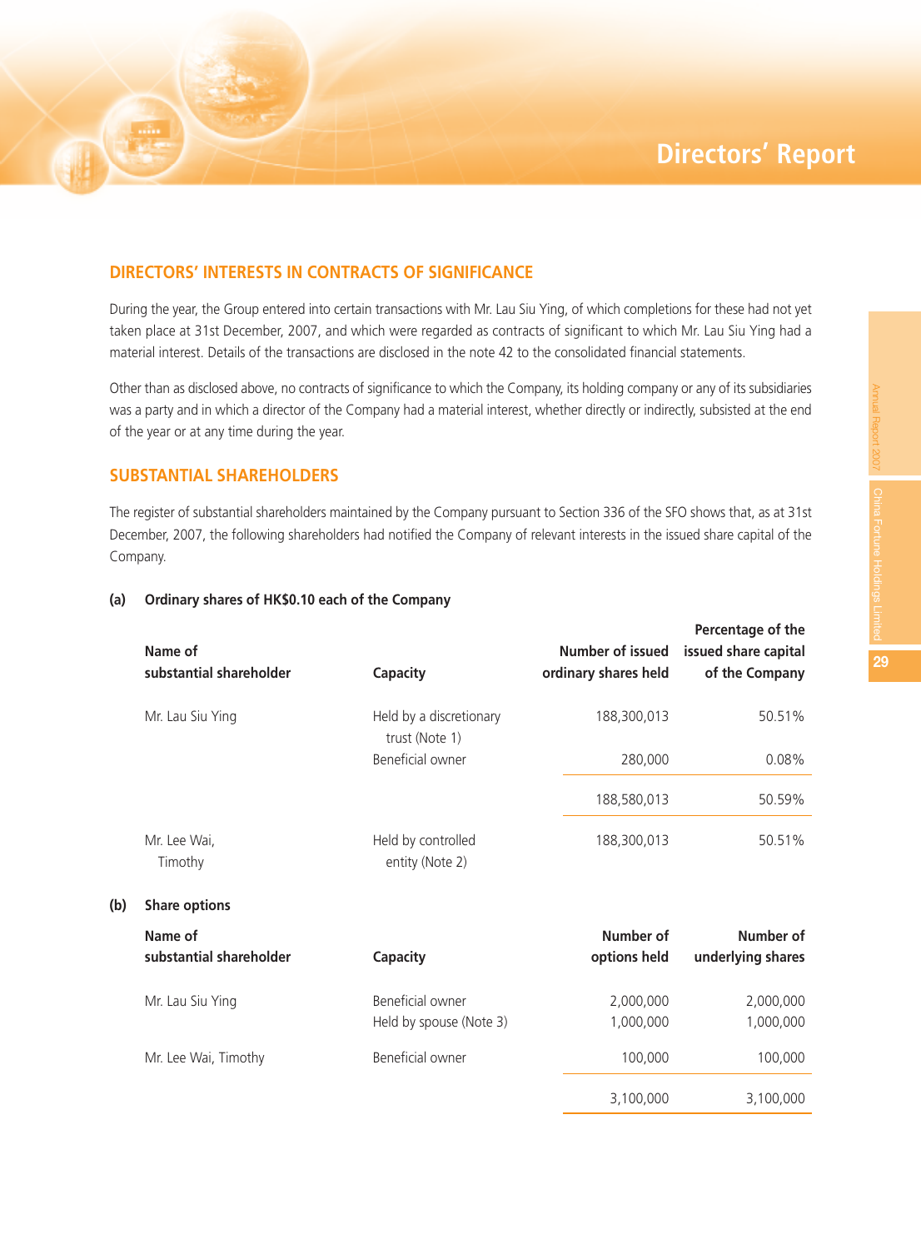#### **DIRECTORS' INTERESTS IN CONTRACTS OF SIGNIFICANCE**

During the year, the Group entered into certain transactions with Mr. Lau Siu Ying, of which completions for these had not yet taken place at 31st December, 2007, and which were regarded as contracts of significant to which Mr. Lau Siu Ying had a material interest. Details of the transactions are disclosed in the note 42 to the consolidated financial statements.

Other than as disclosed above, no contracts of significance to which the Company, its holding company or any of its subsidiaries was a party and in which a director of the Company had a material interest, whether directly or indirectly, subsisted at the end of the year or at any time during the year.

#### **SUBSTANTIAL SHAREHOLDERS**

The register of substantial shareholders maintained by the Company pursuant to Section 336 of the SFO shows that, as at 31st December, 2007, the following shareholders had notified the Company of relevant interests in the issued share capital of the Company.

|     | Name of<br>substantial shareholder | <b>Capacity</b>                             | Number of issued<br>ordinary shares held | Percentage of the<br>issued share capital<br>of the Company |
|-----|------------------------------------|---------------------------------------------|------------------------------------------|-------------------------------------------------------------|
|     | Mr. Lau Siu Ying                   | Held by a discretionary<br>trust (Note 1)   | 188,300,013                              | 50.51%                                                      |
|     |                                    | Beneficial owner                            | 280,000                                  | 0.08%                                                       |
|     |                                    |                                             | 188,580,013                              | 50.59%                                                      |
|     | Mr. Lee Wai,<br>Timothy            | Held by controlled<br>entity (Note 2)       | 188,300,013                              | 50.51%                                                      |
| (b) | <b>Share options</b>               |                                             |                                          |                                                             |
|     | Name of<br>substantial shareholder | <b>Capacity</b>                             | Number of<br>options held                | Number of<br>underlying shares                              |
|     | Mr. Lau Siu Ying                   | Beneficial owner<br>Held by spouse (Note 3) | 2,000,000<br>1,000,000                   | 2,000,000<br>1,000,000                                      |
|     | Mr. Lee Wai, Timothy               | Beneficial owner                            | 100,000                                  | 100,000                                                     |
|     |                                    |                                             | 3,100,000                                | 3,100,000                                                   |

#### **(a) Ordinary shares of HK\$0.10 each of the Company**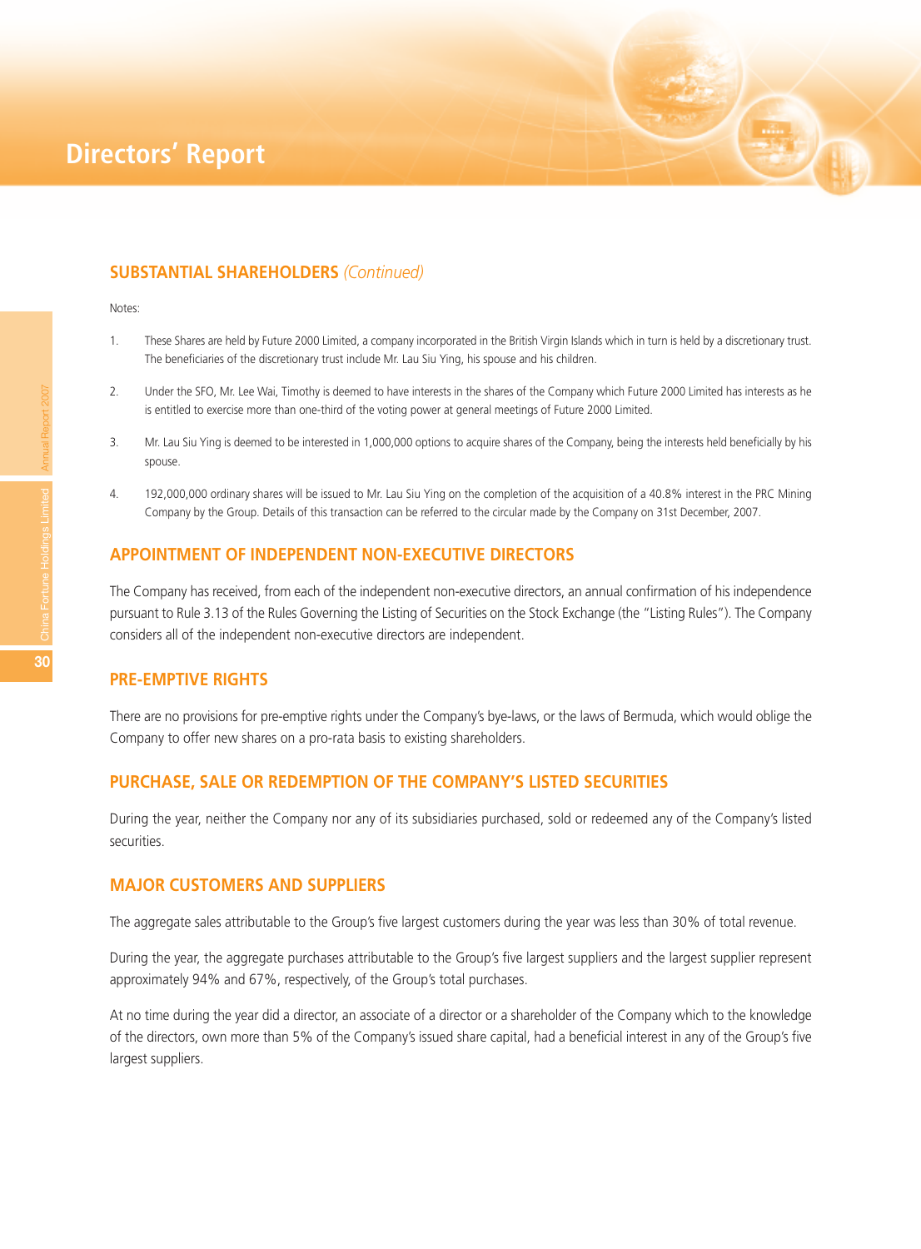## **Directors' Report**

#### **SUBSTANTIAL SHAREHOLDERS** *(Continued)*

Notes:

1. These Shares are held by Future 2000 Limited, a company incorporated in the British Virgin Islands which in turn is held by a discretionary trust. The beneficiaries of the discretionary trust include Mr. Lau Siu Ying, his spouse and his children.

3) T

- 2. Under the SFO, Mr. Lee Wai, Timothy is deemed to have interests in the shares of the Company which Future 2000 Limited has interests as he is entitled to exercise more than one-third of the voting power at general meetings of Future 2000 Limited.
- 3. Mr. Lau Siu Ying is deemed to be interested in 1,000,000 options to acquire shares of the Company, being the interests held beneficially by his spouse.
- 4. 192,000,000 ordinary shares will be issued to Mr. Lau Siu Ying on the completion of the acquisition of a 40.8% interest in the PRC Mining Company by the Group. Details of this transaction can be referred to the circular made by the Company on 31st December, 2007.

#### **APPOINTMENT OF INDEPENDENT NON-EXECUTIVE DIRECTORS**

The Company has received, from each of the independent non-executive directors, an annual confirmation of his independence pursuant to Rule 3.13 of the Rules Governing the Listing of Securities on the Stock Exchange (the "Listing Rules"). The Company considers all of the independent non-executive directors are independent.

#### **PRE-EMPTIVE RIGHTS**

There are no provisions for pre-emptive rights under the Company's bye-laws, or the laws of Bermuda, which would oblige the Company to offer new shares on a pro-rata basis to existing shareholders.

#### **PURCHASE, SALE OR REDEMPTION OF THE COMPANY'S LISTED SECURITIES**

During the year, neither the Company nor any of its subsidiaries purchased, sold or redeemed any of the Company's listed securities.

#### **MAJOR CUSTOMERS AND SUPPLIERS**

The aggregate sales attributable to the Group's five largest customers during the year was less than 30% of total revenue.

During the year, the aggregate purchases attributable to the Group's five largest suppliers and the largest supplier represent approximately 94% and 67%, respectively, of the Group's total purchases.

At no time during the year did a director, an associate of a director or a shareholder of the Company which to the knowledge of the directors, own more than 5% of the Company's issued share capital, had a beneficial interest in any of the Group's five largest suppliers.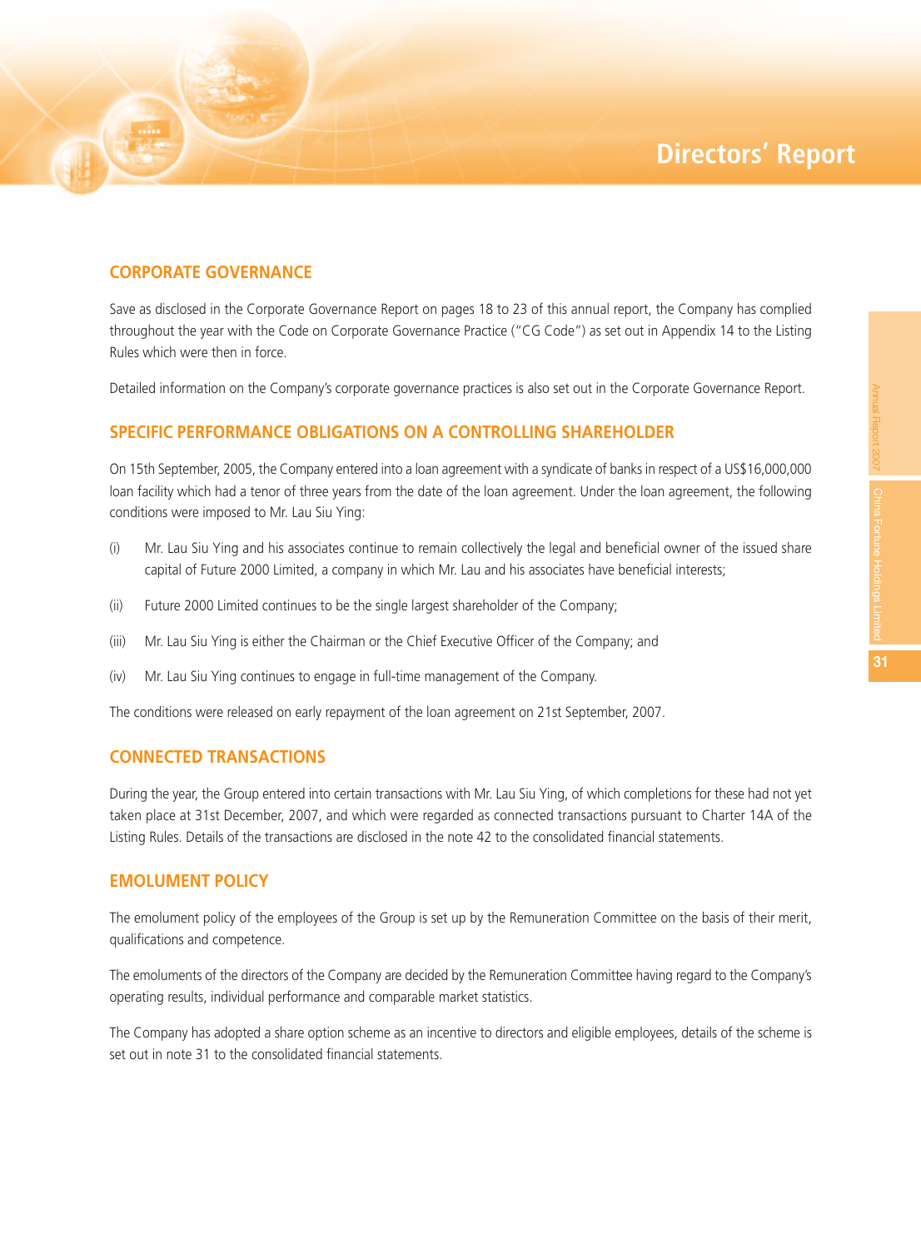31

**Directors' Report**

#### **CORPORATE GOVERNANCE**

Save as disclosed in the Corporate Governance Report on pages 18 to 23 of this annual report, the Company has complied throughout the year with the Code on Corporate Governance Practice ("CG Code") as set out in Appendix 14 to the Listing Rules which were then in force.

Detailed information on the Company's corporate governance practices is also set out in the Corporate Governance Report.

#### **SPECIFIC PERFORMANCE OBLIGATIONS ON A CONTROLLING SHAREHOLDER**

On 15th September, 2005, the Company entered into a loan agreement with a syndicate of banks in respect of a US\$16,000,000 loan facility which had a tenor of three years from the date of the loan agreement. Under the loan agreement, the following conditions were imposed to Mr. Lau Siu Ying:

- (i) Mr. Lau Siu Ying and his associates continue to remain collectively the legal and beneficial owner of the issued share capital of Future 2000 Limited, a company in which Mr. Lau and his associates have beneficial interests;
- (ii) Future 2000 Limited continues to be the single largest shareholder of the Company;
- (iii) Mr. Lau Siu Ying is either the Chairman or the Chief Executive Officer of the Company; and
- (iv) Mr. Lau Siu Ying continues to engage in full-time management of the Company.

The conditions were released on early repayment of the loan agreement on 21st September, 2007.

#### **CONNECTED TRANSACTIONS**

During the year, the Group entered into certain transactions with Mr. Lau Siu Ying, of which completions for these had not yet taken place at 31st December, 2007, and which were regarded as connected transactions pursuant to Charter 14A of the Listing Rules. Details of the transactions are disclosed in the note 42 to the consolidated financial statements.

#### **EMOLUMENT POLICY**

The emolument policy of the employees of the Group is set up by the Remuneration Committee on the basis of their merit, qualifications and competence.

The emoluments of the directors of the Company are decided by the Remuneration Committee having regard to the Company's operating results, individual performance and comparable market statistics.

The Company has adopted a share option scheme as an incentive to directors and eligible employees, details of the scheme is set out in note 31 to the consolidated financial statements.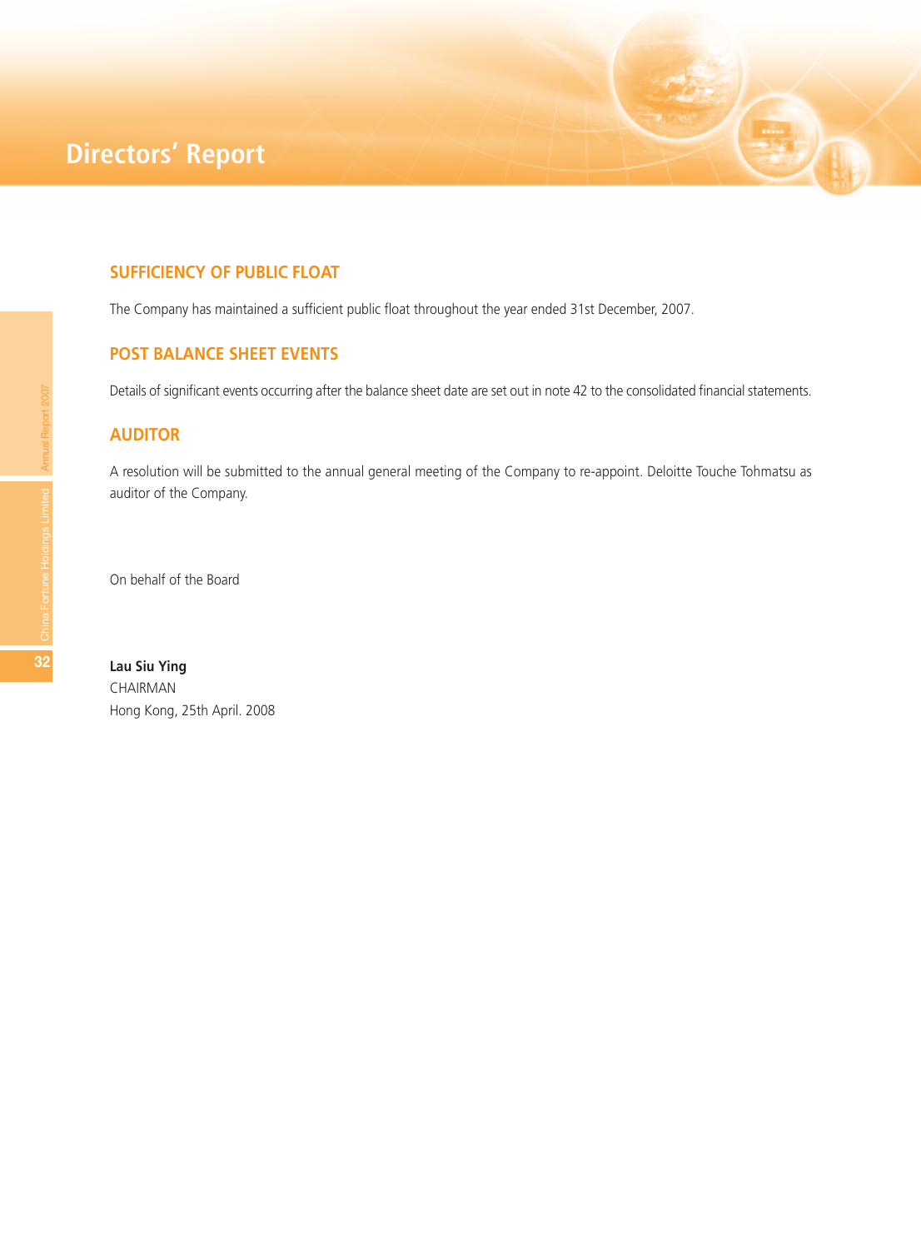#### **SUFFICIENCY OF PUBLIC FLOAT**

The Company has maintained a sufficient public float throughout the year ended 31st December, 2007.

#### **POST BALANCE SHEET EVENTS**

Details of significant events occurring after the balance sheet date are set out in note 42 to the consolidated financial statements.

シロ

#### **AUDITOR**

A resolution will be submitted to the annual general meeting of the Company to re-appoint. Deloitte Touche Tohmatsu as auditor of the Company.

On behalf of the Board

**Lau Siu Ying** CHAIRMAN Hong Kong, 25th April. 2008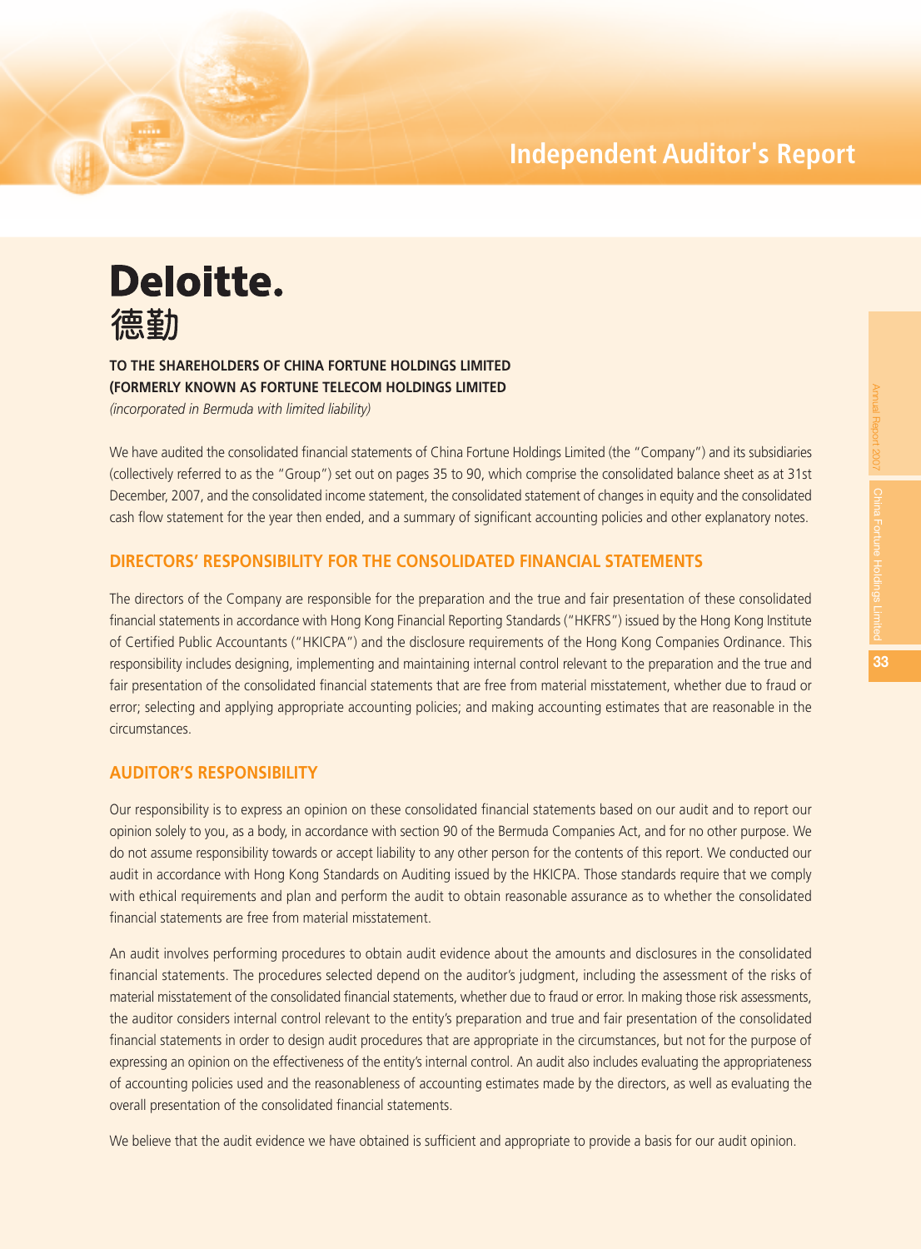

#### **TO THE SHAREHOLDERS OF CHINA FORTUNE HOLDINGS LIMITED (FORMERLY KNOWN AS FORTUNE TELECOM HOLDINGS LIMITED** *(incorporated in Bermuda with limited liability)*

We have audited the consolidated financial statements of China Fortune Holdings Limited (the "Company") and its subsidiaries (collectively referred to as the "Group") set out on pages 35 to 90, which comprise the consolidated balance sheet as at 31st December, 2007, and the consolidated income statement, the consolidated statement of changes in equity and the consolidated cash flow statement for the year then ended, and a summary of significant accounting policies and other explanatory notes.

#### **DIRECTORS' RESPONSIBILITY FOR THE CONSOLIDATED FINANCIAL STATEMENTS**

The directors of the Company are responsible for the preparation and the true and fair presentation of these consolidated financial statements in accordance with Hong Kong Financial Reporting Standards ("HKFRS") issued by the Hong Kong Institute of Certified Public Accountants ("HKICPA") and the disclosure requirements of the Hong Kong Companies Ordinance. This responsibility includes designing, implementing and maintaining internal control relevant to the preparation and the true and fair presentation of the consolidated financial statements that are free from material misstatement, whether due to fraud or error; selecting and applying appropriate accounting policies; and making accounting estimates that are reasonable in the circumstances.

#### **AUDITOR'S RESPONSIBILITY**

Our responsibility is to express an opinion on these consolidated financial statements based on our audit and to report our opinion solely to you, as a body, in accordance with section 90 of the Bermuda Companies Act, and for no other purpose. We do not assume responsibility towards or accept liability to any other person for the contents of this report. We conducted our audit in accordance with Hong Kong Standards on Auditing issued by the HKICPA. Those standards require that we comply with ethical requirements and plan and perform the audit to obtain reasonable assurance as to whether the consolidated financial statements are free from material misstatement.

An audit involves performing procedures to obtain audit evidence about the amounts and disclosures in the consolidated financial statements. The procedures selected depend on the auditor's judgment, including the assessment of the risks of material misstatement of the consolidated financial statements, whether due to fraud or error. In making those risk assessments, the auditor considers internal control relevant to the entity's preparation and true and fair presentation of the consolidated financial statements in order to design audit procedures that are appropriate in the circumstances, but not for the purpose of expressing an opinion on the effectiveness of the entity's internal control. An audit also includes evaluating the appropriateness of accounting policies used and the reasonableness of accounting estimates made by the directors, as well as evaluating the overall presentation of the consolidated financial statements.

We believe that the audit evidence we have obtained is sufficient and appropriate to provide a basis for our audit opinion.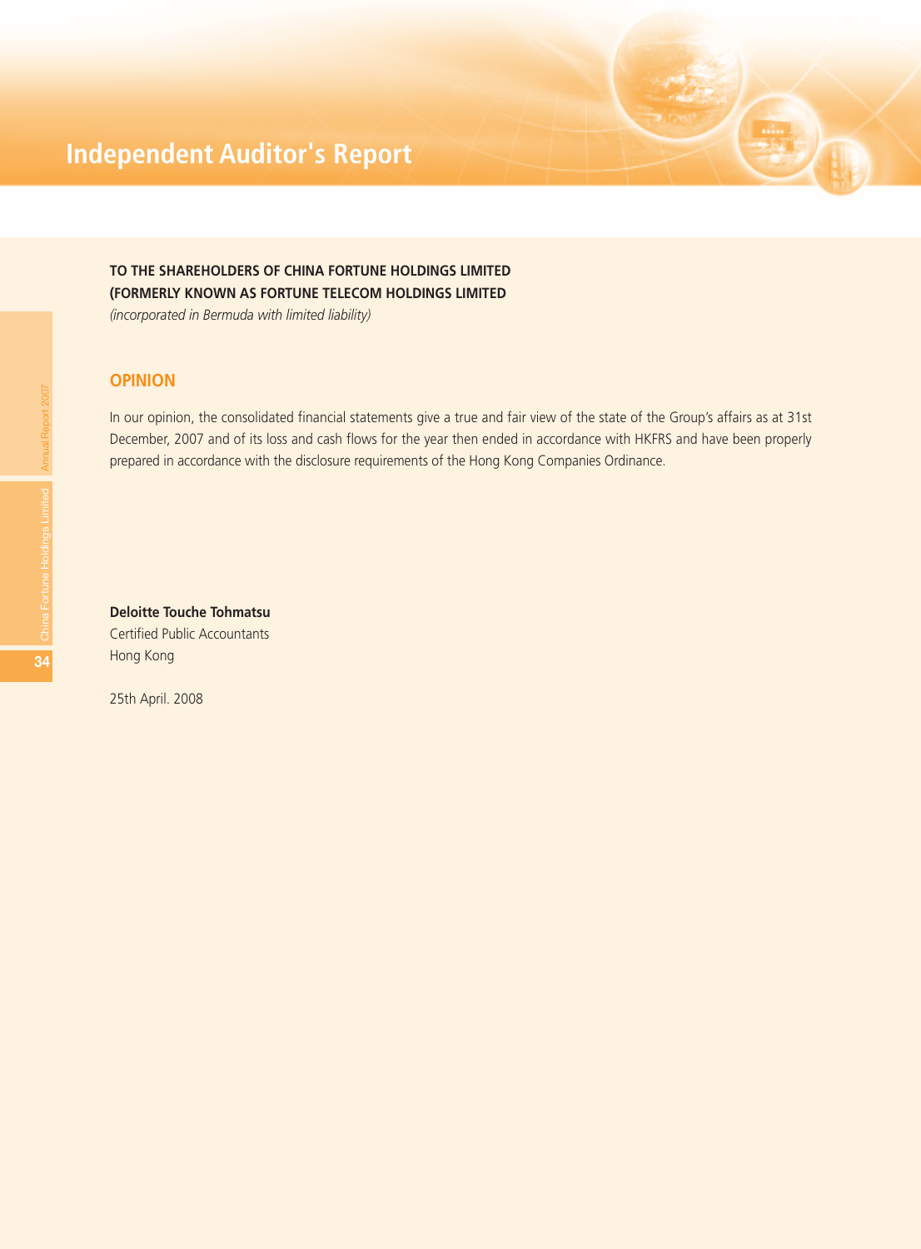#### **TO THE SHAREHOLDERS OF CHINA FORTUNE HOLDINGS LIMITED (FORMERLY KNOWN AS FORTUNE TELECOM HOLDINGS LIMITED**

*(incorporated in Bermuda with limited liability)*

#### **OPINION**

In our opinion, the consolidated financial statements give a true and fair view of the state of the Group's affairs as at 31st December, 2007 and of its loss and cash flows for the year then ended in accordance with HKFRS and have been properly prepared in accordance with the disclosure requirements of the Hong Kong Companies Ordinance.

#### **Deloitte Touche Tohmatsu** Certified Public Accountants Hong Kong

25th April. 2008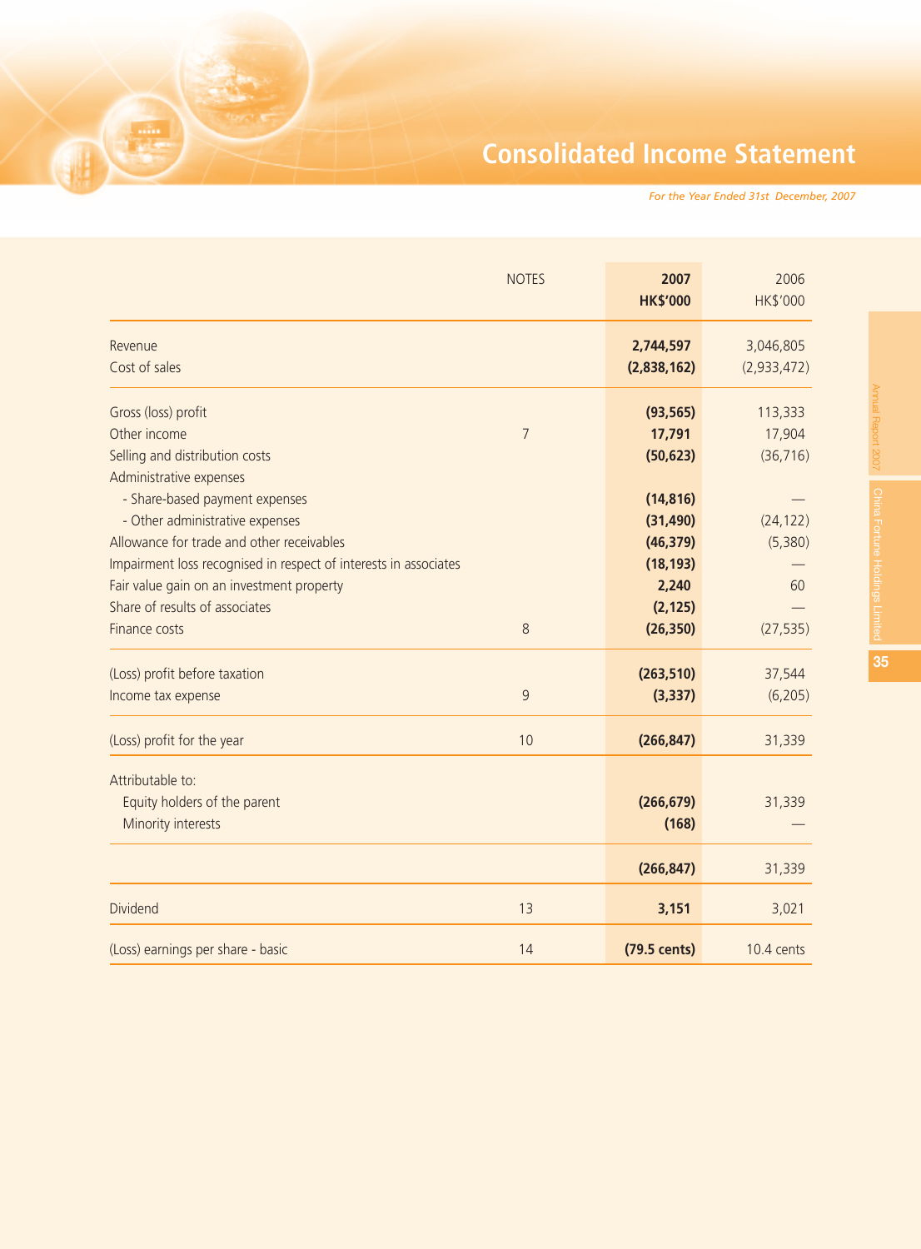## **Consolidated Income Statement**

*For the Year Ended 31st December, 2007*

|                                                                                                                                                                                                                                                                   | <b>NOTES</b>   | 2007<br><b>HK\$'000</b>                                               | 2006<br>HK\$'000               |
|-------------------------------------------------------------------------------------------------------------------------------------------------------------------------------------------------------------------------------------------------------------------|----------------|-----------------------------------------------------------------------|--------------------------------|
| Revenue<br>Cost of sales                                                                                                                                                                                                                                          |                | 2,744,597<br>(2,838,162)                                              | 3,046,805<br>(2,933,472)       |
| Gross (loss) profit<br>Other income<br>Selling and distribution costs<br>Administrative expenses                                                                                                                                                                  | $\overline{7}$ | (93, 565)<br>17,791<br>(50, 623)                                      | 113,333<br>17,904<br>(36, 716) |
| - Share-based payment expenses<br>- Other administrative expenses<br>Allowance for trade and other receivables<br>Impairment loss recognised in respect of interests in associates<br>Fair value gain on an investment property<br>Share of results of associates |                | (14, 816)<br>(31, 490)<br>(46, 379)<br>(18, 193)<br>2,240<br>(2, 125) | (24, 122)<br>(5,380)<br>60     |
| Finance costs                                                                                                                                                                                                                                                     | 8              | (26, 350)                                                             | (27, 535)                      |
| (Loss) profit before taxation<br>Income tax expense                                                                                                                                                                                                               | 9              | (263, 510)<br>(3, 337)                                                | 37,544<br>(6, 205)             |
| (Loss) profit for the year                                                                                                                                                                                                                                        | 10             | (266, 847)                                                            | 31,339                         |
| Attributable to:<br>Equity holders of the parent<br>Minority interests                                                                                                                                                                                            |                | (266, 679)<br>(168)                                                   | 31,339                         |
|                                                                                                                                                                                                                                                                   |                | (266, 847)                                                            | 31,339                         |
| <b>Dividend</b>                                                                                                                                                                                                                                                   | 13             | 3,151                                                                 | 3,021                          |
| (Loss) earnings per share - basic                                                                                                                                                                                                                                 | 14             | (79.5 cents)                                                          | 10.4 cents                     |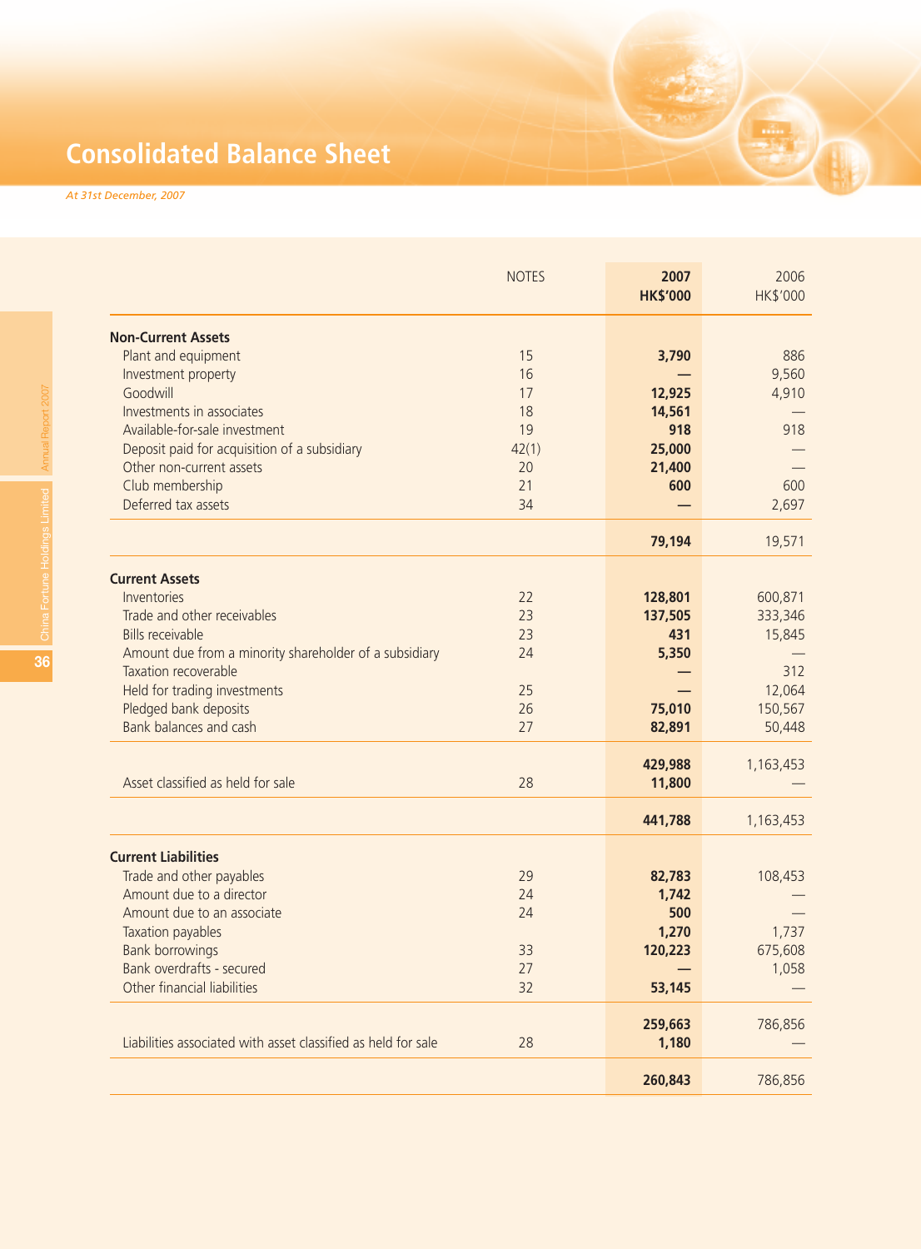# **Consolidated Balance Sheet**

*At 31st December, 2007*

|                                                                                                                                                                                                                                                                                                          | <b>NOTES</b>                                          | 2007<br><b>HK\$'000</b>                                                             | 2006<br>HK\$'000                                                                |
|----------------------------------------------------------------------------------------------------------------------------------------------------------------------------------------------------------------------------------------------------------------------------------------------------------|-------------------------------------------------------|-------------------------------------------------------------------------------------|---------------------------------------------------------------------------------|
| <b>Non-Current Assets</b><br>Plant and equipment<br>Investment property<br>Goodwill<br>Investments in associates<br>Available-for-sale investment<br>Deposit paid for acquisition of a subsidiary<br>Other non-current assets<br>Club membership<br>Deferred tax assets                                  | 15<br>16<br>17<br>18<br>19<br>42(1)<br>20<br>21<br>34 | 3,790<br>12,925<br>14,561<br>918<br>25,000<br>21,400<br>600                         | 886<br>9,560<br>4,910<br>918<br>600<br>2,697                                    |
|                                                                                                                                                                                                                                                                                                          |                                                       | 79,194                                                                              | 19,571                                                                          |
| <b>Current Assets</b><br>Inventories<br>Trade and other receivables<br><b>Bills receivable</b><br>Amount due from a minority shareholder of a subsidiary<br>Taxation recoverable<br>Held for trading investments<br>Pledged bank deposits<br>Bank balances and cash<br>Asset classified as held for sale | 22<br>23<br>23<br>24<br>25<br>26<br>27<br>28          | 128,801<br>137,505<br>431<br>5,350<br>75,010<br>82,891<br>429,988<br>11,800         | 600,871<br>333,346<br>15,845<br>312<br>12,064<br>150,567<br>50,448<br>1,163,453 |
| <b>Current Liabilities</b><br>Trade and other payables<br>Amount due to a director<br>Amount due to an associate<br>Taxation payables<br><b>Bank borrowings</b><br>Bank overdrafts - secured<br>Other financial liabilities<br>Liabilities associated with asset classified as held for sale             | 29<br>24<br>24<br>33<br>27<br>32<br>28                | 441,788<br>82,783<br>1,742<br>500<br>1,270<br>120,223<br>53,145<br>259,663<br>1,180 | 1,163,453<br>108,453<br>1,737<br>675,608<br>1,058<br>786,856                    |
|                                                                                                                                                                                                                                                                                                          |                                                       | 260,843                                                                             | 786,856                                                                         |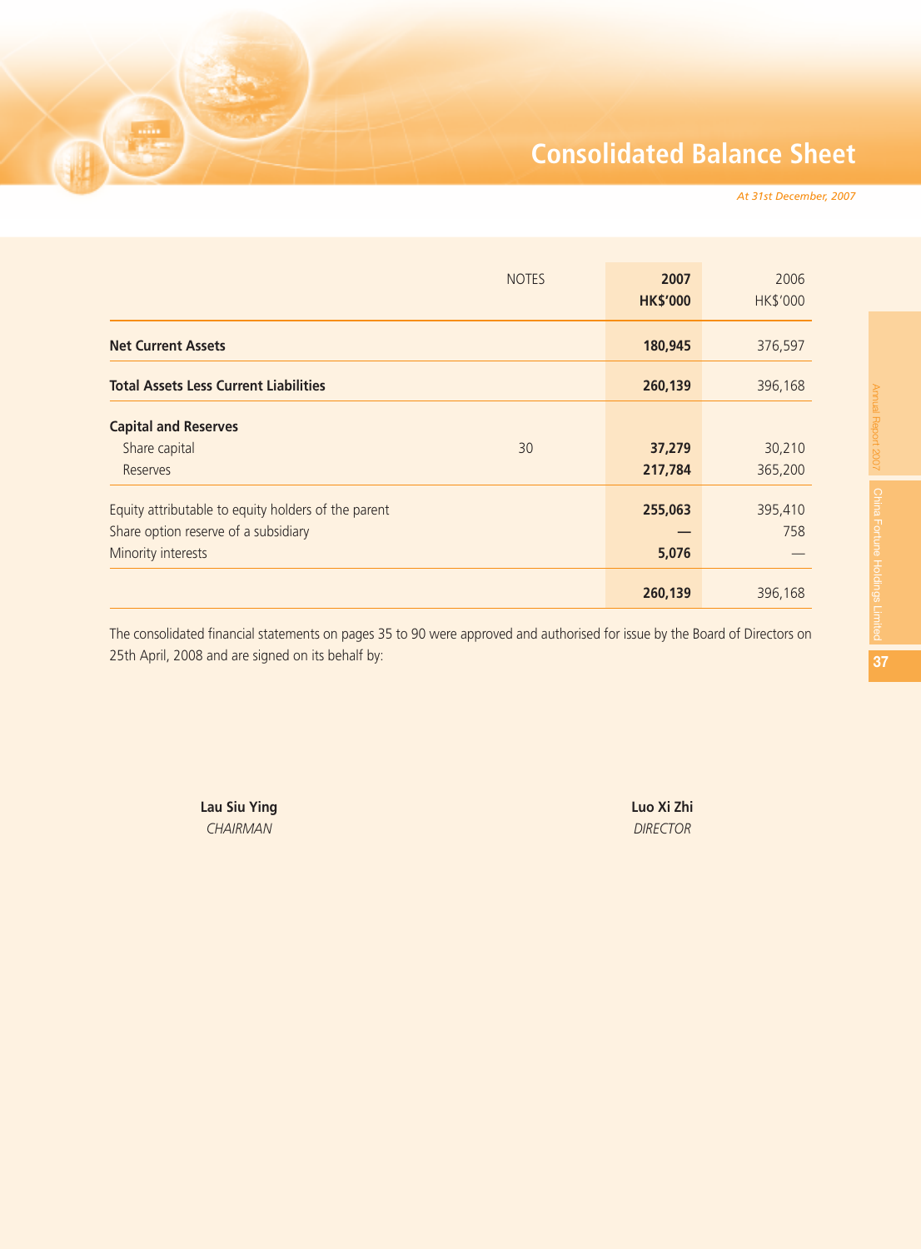# **Consolidated Balance Sheet**

*At 31st December, 2007*

|                                                                                                                   | <b>NOTES</b> | 2007<br><b>HK\$'000</b> | 2006<br>HK\$'000  |
|-------------------------------------------------------------------------------------------------------------------|--------------|-------------------------|-------------------|
| <b>Net Current Assets</b>                                                                                         |              | 180,945                 | 376,597           |
| <b>Total Assets Less Current Liabilities</b>                                                                      |              | 260,139                 | 396,168           |
| <b>Capital and Reserves</b><br>Share capital<br>Reserves                                                          | 30           | 37,279<br>217,784       | 30,210<br>365,200 |
| Equity attributable to equity holders of the parent<br>Share option reserve of a subsidiary<br>Minority interests |              | 255,063<br>5,076        | 395,410<br>758    |
|                                                                                                                   |              | 260,139                 | 396,168           |

The consolidated financial statements on pages 35 to 90 were approved and authorised for issue by the Board of Directors on 25th April, 2008 and are signed on its behalf by:

> **Lau Siu Ying Luo Xi Zhi CHAIRMAN** DIRECTOR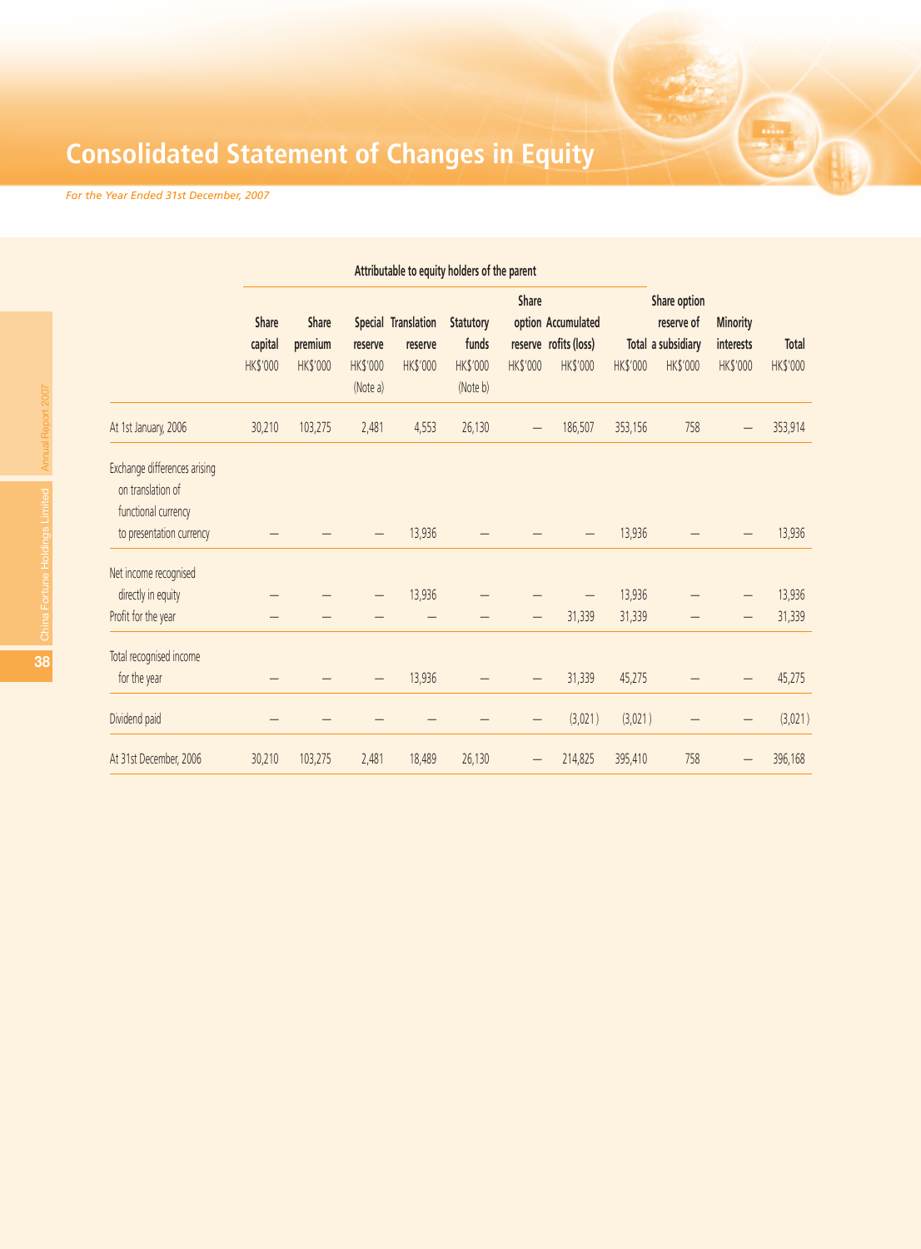# **Consolidated Statement of Changes in Equity**

*For the Year Ended 31st December, 2007*

|                                                                                                      | Attributable to equity holders of the parent |                                            |                                 |                                            |                                                   |                   |                                                         |          |                                                              |                                          |                   |
|------------------------------------------------------------------------------------------------------|----------------------------------------------|--------------------------------------------|---------------------------------|--------------------------------------------|---------------------------------------------------|-------------------|---------------------------------------------------------|----------|--------------------------------------------------------------|------------------------------------------|-------------------|
|                                                                                                      | <b>Share</b><br>capital<br>HK\$'000          | <b>Share</b><br>premium<br><b>HK\$'000</b> | reserve<br>HK\$'000<br>(Note a) | Special Translation<br>reserve<br>HK\$'000 | <b>Statutory</b><br>funds<br>HK\$'000<br>(Note b) | Share<br>HK\$'000 | option Accumulated<br>reserve rofits (loss)<br>HK\$'000 | HK\$'000 | Share option<br>reserve of<br>Total a subsidiary<br>HK\$'000 | <b>Minority</b><br>interests<br>HK\$'000 | Total<br>HK\$'000 |
| At 1st January, 2006                                                                                 | 30,210                                       | 103,275                                    | 2,481                           | 4,553                                      | 26,130                                            |                   | 186,507                                                 | 353,156  | 758                                                          |                                          | 353,914           |
| Exchange differences arising<br>on translation of<br>functional currency<br>to presentation currency |                                              |                                            | $\qquad \qquad -$               | 13,936                                     |                                                   |                   |                                                         | 13,936   |                                                              |                                          | 13,936            |
| Net income recognised                                                                                |                                              |                                            |                                 |                                            |                                                   |                   |                                                         |          |                                                              |                                          |                   |
| directly in equity                                                                                   |                                              |                                            |                                 | 13,936                                     |                                                   |                   |                                                         | 13,936   |                                                              | —                                        | 13,936            |
| Profit for the year                                                                                  |                                              |                                            |                                 |                                            |                                                   | $\qquad \qquad -$ | 31,339                                                  | 31,339   |                                                              |                                          | 31,339            |
| Total recognised income                                                                              |                                              |                                            |                                 |                                            |                                                   |                   |                                                         |          |                                                              |                                          |                   |
| for the year                                                                                         |                                              |                                            |                                 | 13,936                                     |                                                   |                   | 31,339                                                  | 45,275   |                                                              |                                          | 45,275            |
| Dividend paid                                                                                        |                                              |                                            |                                 |                                            |                                                   | —                 | (3,021)                                                 | (3,021)  |                                                              |                                          | (3,021)           |
| At 31st December, 2006                                                                               | 30,210                                       | 103,275                                    | 2,481                           | 18,489                                     | 26,130                                            |                   | 214,825                                                 | 395,410  | 758                                                          |                                          | 396,168           |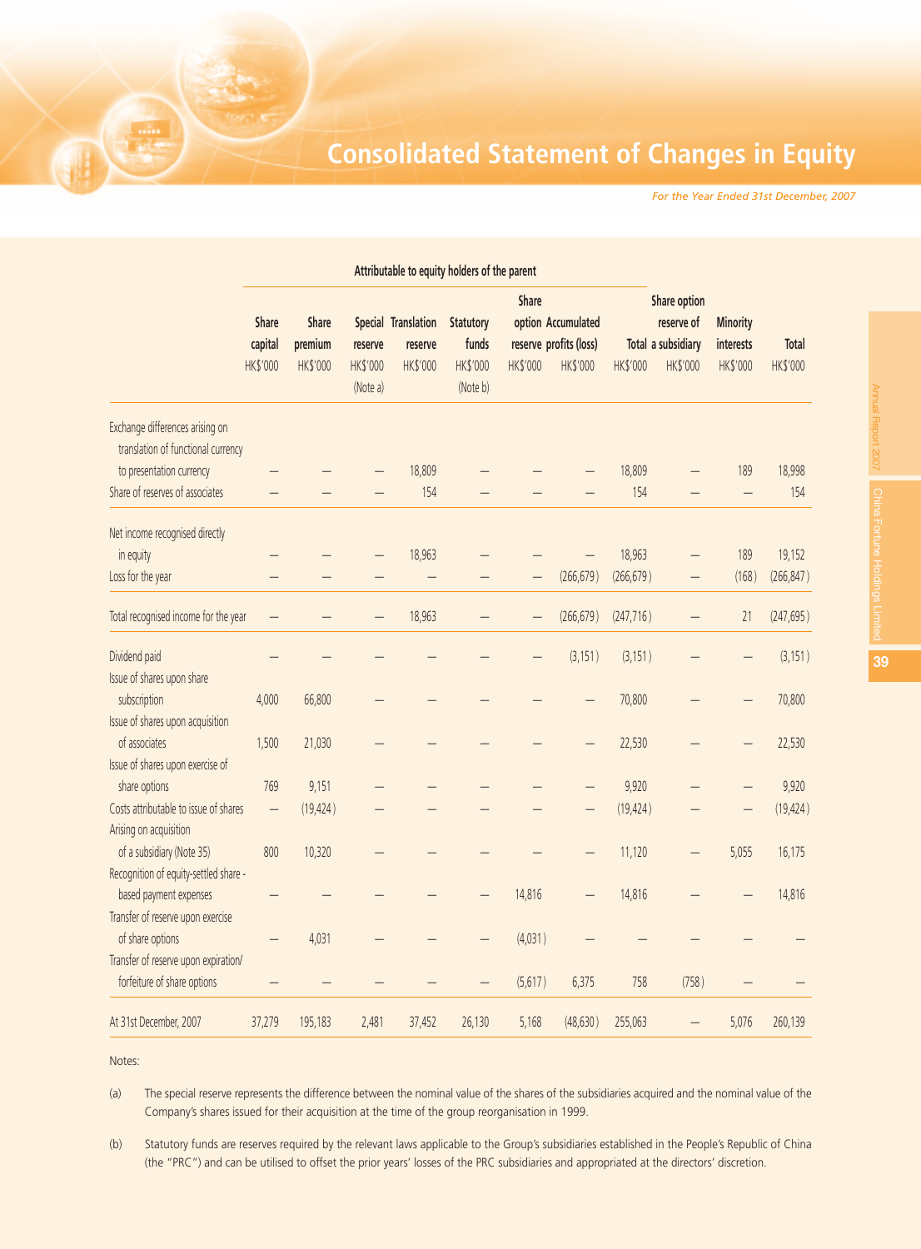# **Consolidated Statement of Changes in Equity**

*For the Year Ended 31st December, 2007*

|                                                                       | Attributable to equity holders of the parent |                     |                                 |                     |                               |                             |                                    |            |                                       |                       |                   |
|-----------------------------------------------------------------------|----------------------------------------------|---------------------|---------------------------------|---------------------|-------------------------------|-----------------------------|------------------------------------|------------|---------------------------------------|-----------------------|-------------------|
|                                                                       | Share<br><b>Share</b>                        |                     | <b>Special Translation</b>      |                     | <b>Statutory</b>              | Share<br>option Accumulated |                                    |            | Share option<br>reserve of            | <b>Minority</b>       |                   |
|                                                                       | capital<br>HK\$'000                          | premium<br>HK\$'000 | reserve<br>HK\$'000<br>(Note a) | reserve<br>HK\$'000 | funds<br>HK\$'000<br>(Note b) | HK\$'000                    | reserve profits (loss)<br>HK\$'000 | HK\$'000   | <b>Total a subsidiary</b><br>HK\$'000 | interests<br>HK\$'000 | Total<br>HK\$'000 |
| Exchange differences arising on<br>translation of functional currency |                                              |                     |                                 |                     |                               |                             |                                    |            |                                       |                       |                   |
| to presentation currency                                              |                                              |                     |                                 | 18,809              |                               |                             |                                    | 18,809     |                                       | 189                   | 18,998            |
| Share of reserves of associates                                       |                                              |                     |                                 | 154                 |                               |                             |                                    | 154        |                                       | $\equiv$              | 154               |
| Net income recognised directly                                        |                                              |                     |                                 |                     |                               |                             |                                    |            |                                       |                       |                   |
| in equity                                                             |                                              |                     |                                 | 18,963              |                               |                             |                                    | 18,963     |                                       | 189                   | 19,152            |
| Loss for the year                                                     |                                              |                     |                                 |                     |                               |                             | (266, 679)                         | (266, 679) |                                       | (168)                 | (266, 847)        |
| Total recognised income for the year                                  |                                              |                     |                                 | 18,963              |                               |                             | (266, 679)                         | (247, 716) |                                       | 21                    | (247, 695)        |
| Dividend paid                                                         |                                              |                     |                                 |                     |                               |                             | (3, 151)                           | (3, 151)   |                                       |                       | (3, 151)          |
| Issue of shares upon share                                            |                                              |                     |                                 |                     |                               |                             |                                    |            |                                       |                       |                   |
| subscription                                                          | 4,000                                        | 66,800              |                                 |                     |                               |                             |                                    | 70,800     |                                       | —                     | 70,800            |
| Issue of shares upon acquisition                                      |                                              |                     |                                 |                     |                               |                             |                                    |            |                                       |                       |                   |
| of associates                                                         | 1,500                                        | 21,030              |                                 |                     |                               |                             |                                    | 22,530     |                                       |                       | 22,530            |
| Issue of shares upon exercise of<br>share options                     | 769                                          | 9,151               |                                 |                     |                               |                             |                                    | 9,920      |                                       |                       | 9,920             |
| Costs attributable to issue of shares                                 | $\overline{\phantom{0}}$                     | (19, 424)           |                                 |                     |                               |                             |                                    | (19, 424)  |                                       |                       | (19, 424)         |
| Arising on acquisition                                                |                                              |                     |                                 |                     |                               |                             |                                    |            |                                       |                       |                   |
| of a subsidiary (Note 35)                                             | 800                                          | 10,320              |                                 |                     |                               |                             |                                    | 11,120     |                                       | 5,055                 | 16,175            |
| Recognition of equity-settled share -                                 |                                              |                     |                                 |                     |                               |                             |                                    |            |                                       |                       |                   |
| based payment expenses                                                |                                              |                     |                                 |                     |                               | 14,816                      |                                    | 14,816     |                                       |                       | 14,816            |
| Transfer of reserve upon exercise                                     |                                              |                     |                                 |                     |                               |                             |                                    |            |                                       |                       |                   |
| of share options                                                      |                                              | 4,031               |                                 |                     |                               | (4,031)                     |                                    |            |                                       |                       |                   |
| Transfer of reserve upon expiration/                                  |                                              |                     |                                 |                     |                               |                             |                                    |            |                                       |                       |                   |
| forfeiture of share options                                           |                                              |                     |                                 |                     |                               | (5,617)                     | 6,375                              | 758        | (758)                                 |                       |                   |
| At 31st December, 2007                                                | 37,279                                       | 195,183             | 2,481                           | 37,452              | 26,130                        | 5,168                       | (48, 630)                          | 255,063    |                                       | 5,076                 | 260,139           |

Notes:

(a) The special reserve represents the difference between the nominal value of the shares of the subsidiaries acquired and the nominal value of the Company's shares issued for their acquisition at the time of the group reorganisation in 1999.

(b) Statutory funds are reserves required by the relevant laws applicable to the Group's subsidiaries established in the People's Republic of China (the "PRC") and can be utilised to offset the prior years' losses of the PRC subsidiaries and appropriated at the directors' discretion.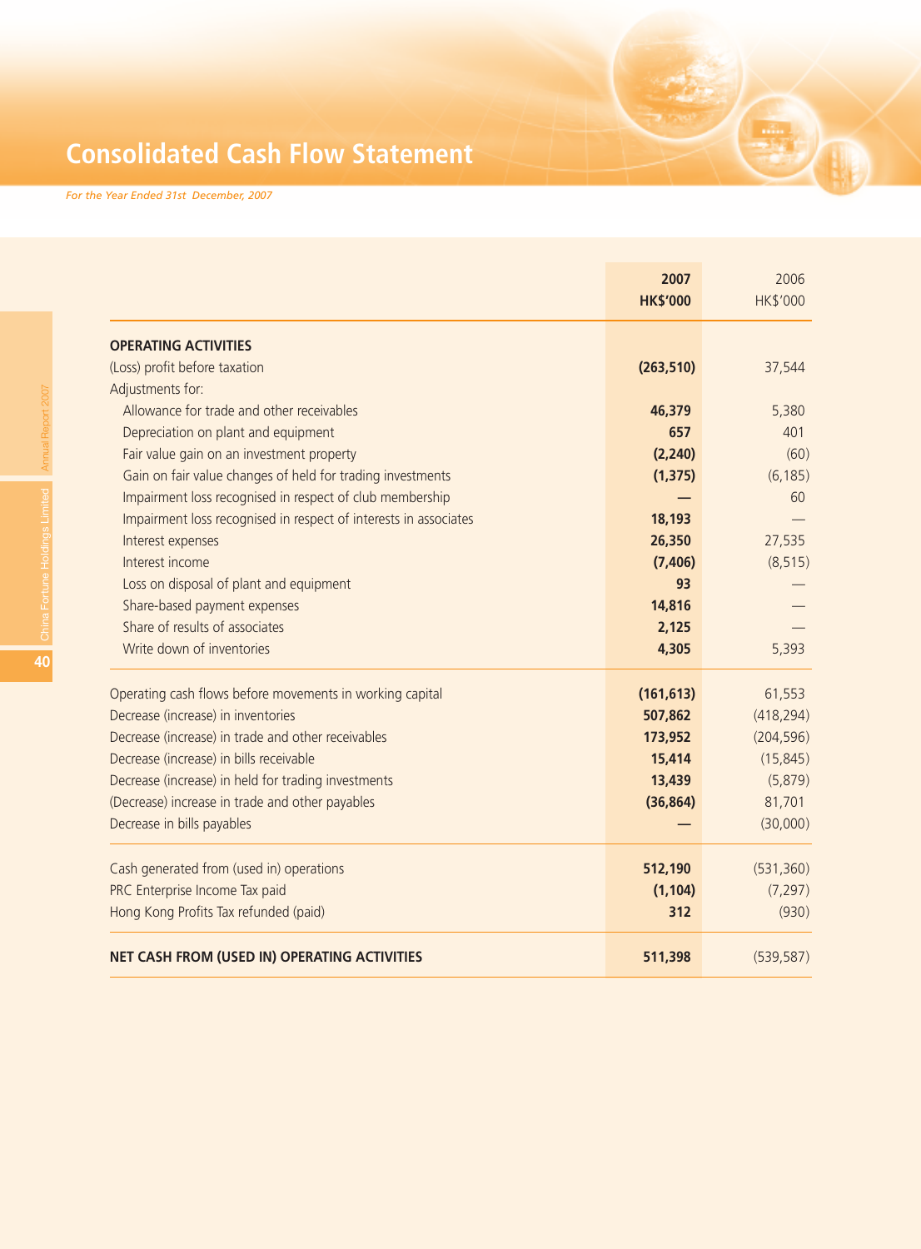# **Consolidated Cash Flow Statement**

*For the Year Ended 31st December, 2007*

|                                                                  | <b>HK\$'000</b> | 2007     | 2006<br><b>HK\$'000</b> |
|------------------------------------------------------------------|-----------------|----------|-------------------------|
| <b>OPERATING ACTIVITIES</b>                                      |                 |          |                         |
| (Loss) profit before taxation                                    | (263, 510)      |          | 37,544                  |
| Adjustments for:                                                 |                 |          |                         |
| Allowance for trade and other receivables                        | 46,379          |          | 5,380                   |
| Depreciation on plant and equipment                              |                 | 657      | 401                     |
| Fair value gain on an investment property                        |                 | (2, 240) | (60)                    |
| Gain on fair value changes of held for trading investments       |                 | (1, 375) | (6, 185)                |
| Impairment loss recognised in respect of club membership         |                 |          | 60                      |
| Impairment loss recognised in respect of interests in associates | 18,193          |          |                         |
| Interest expenses                                                | 26,350          |          | 27,535                  |
| Interest income                                                  |                 | (7, 406) | (8, 515)                |
| Loss on disposal of plant and equipment                          |                 | 93       |                         |
| Share-based payment expenses                                     | 14,816          |          |                         |
| Share of results of associates                                   |                 | 2,125    |                         |
| Write down of inventories                                        |                 | 4,305    | 5,393                   |
| Operating cash flows before movements in working capital         | (161, 613)      |          | 61,553                  |
| Decrease (increase) in inventories                               | 507,862         |          | (418, 294)              |
| Decrease (increase) in trade and other receivables               | 173,952         |          | (204, 596)              |
| Decrease (increase) in bills receivable                          | 15,414          |          | (15, 845)               |
| Decrease (increase) in held for trading investments              | 13,439          |          | (5,879)                 |
| (Decrease) increase in trade and other payables                  | (36, 864)       |          | 81,701                  |
| Decrease in bills payables                                       |                 |          | (30,000)                |
| Cash generated from (used in) operations                         | 512,190         |          | (531, 360)              |
| PRC Enterprise Income Tax paid                                   |                 | (1, 104) | (7, 297)                |
| Hong Kong Profits Tax refunded (paid)                            |                 | 312      | (930)                   |
| NET CASH FROM (USED IN) OPERATING ACTIVITIES                     | 511,398         |          | (539, 587)              |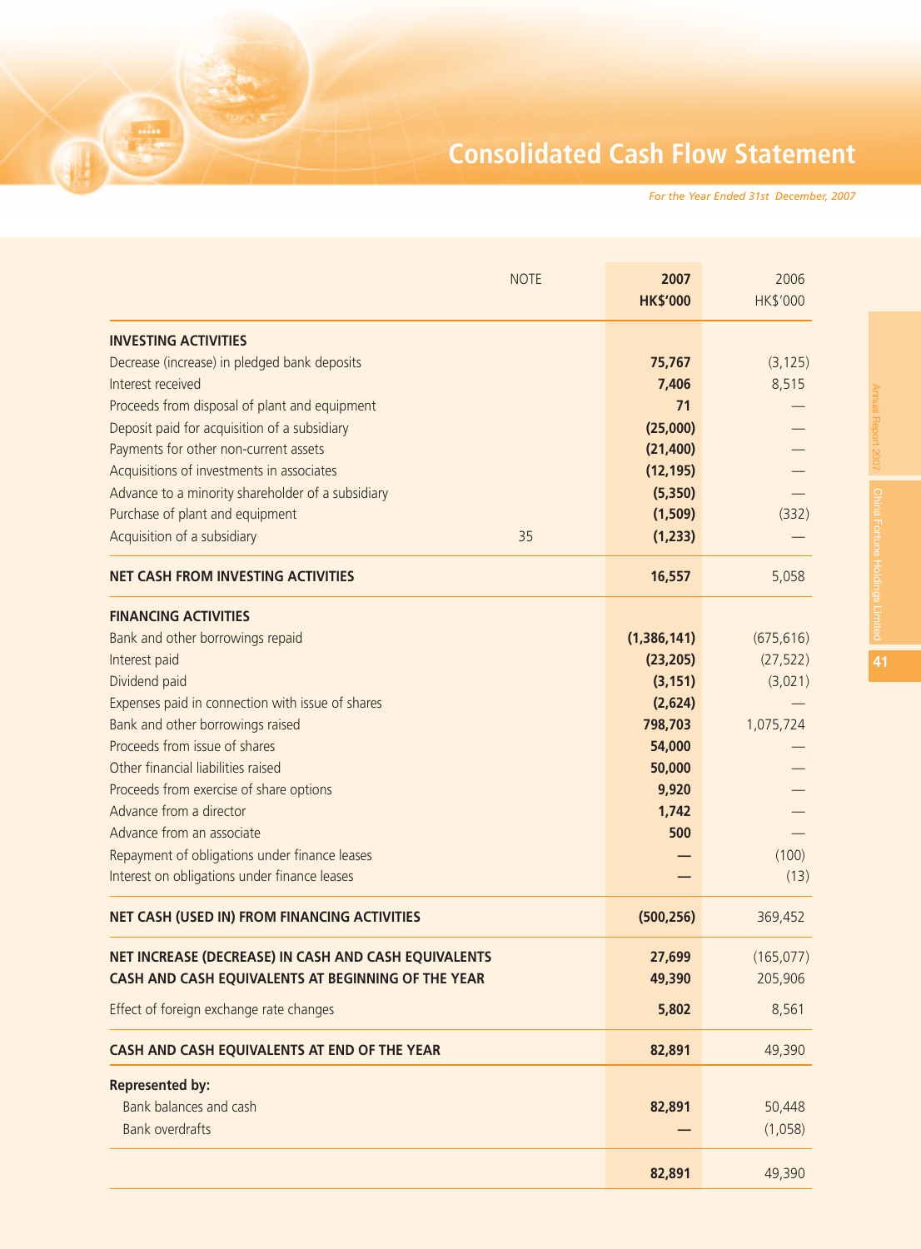# **Consolidated Cash Flow Statement**

*For the Year Ended 31st December, 2007*

| <b>NOTE</b>                                          | 2007<br><b>HK\$'000</b> | 2006<br>HK\$'000 |
|------------------------------------------------------|-------------------------|------------------|
|                                                      |                         |                  |
| <b>INVESTING ACTIVITIES</b>                          |                         |                  |
| Decrease (increase) in pledged bank deposits         | 75,767                  | (3, 125)         |
| Interest received                                    | 7,406                   | 8,515            |
| Proceeds from disposal of plant and equipment        | 71                      |                  |
| Deposit paid for acquisition of a subsidiary         | (25,000)                |                  |
| Payments for other non-current assets                | (21, 400)               |                  |
| Acquisitions of investments in associates            | (12, 195)               |                  |
| Advance to a minority shareholder of a subsidiary    | (5,350)                 |                  |
| Purchase of plant and equipment                      | (1,509)                 | (332)            |
| Acquisition of a subsidiary<br>35                    | (1, 233)                |                  |
| <b>NET CASH FROM INVESTING ACTIVITIES</b>            | 16,557                  | 5,058            |
| <b>FINANCING ACTIVITIES</b>                          |                         |                  |
| Bank and other borrowings repaid                     | (1,386,141)             | (675, 616)       |
| Interest paid                                        | (23, 205)               | (27, 522)        |
| Dividend paid                                        | (3, 151)                | (3,021)          |
| Expenses paid in connection with issue of shares     | (2,624)                 |                  |
| Bank and other borrowings raised                     | 798,703                 | 1,075,724        |
| Proceeds from issue of shares                        | 54,000                  |                  |
| Other financial liabilities raised                   | 50,000                  |                  |
| Proceeds from exercise of share options              | 9,920                   |                  |
| Advance from a director                              | 1,742                   |                  |
| Advance from an associate                            | 500                     |                  |
| Repayment of obligations under finance leases        |                         | (100)            |
| Interest on obligations under finance leases         |                         | (13)             |
| NET CASH (USED IN) FROM FINANCING ACTIVITIES         | (500, 256)              | 369,452          |
| NET INCREASE (DECREASE) IN CASH AND CASH EQUIVALENTS | 27,699                  | (165, 077)       |
| CASH AND CASH EQUIVALENTS AT BEGINNING OF THE YEAR   | 49,390                  | 205,906          |
| Effect of foreign exchange rate changes              | 5,802                   | 8,561            |
| CASH AND CASH EQUIVALENTS AT END OF THE YEAR         | 82,891                  | 49,390           |
| <b>Represented by:</b>                               |                         |                  |
| Bank balances and cash                               | 82,891                  | 50,448           |
| <b>Bank overdrafts</b>                               |                         | (1,058)          |
|                                                      | 82,891                  | 49,390           |

 $\overline{41}$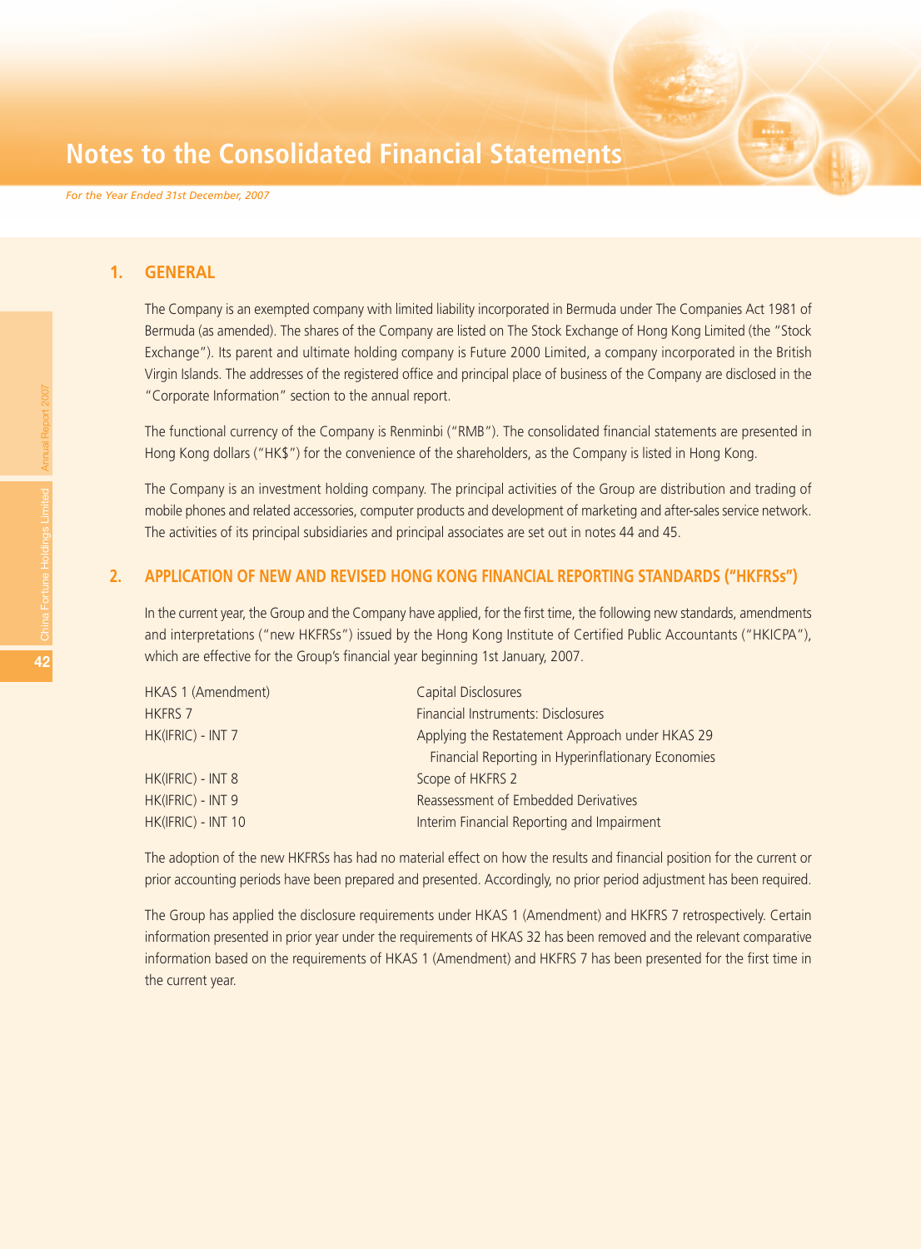### **1. GENERAL**

The Company is an exempted company with limited liability incorporated in Bermuda under The Companies Act 1981 of Bermuda (as amended). The shares of the Company are listed on The Stock Exchange of Hong Kong Limited (the "Stock Exchange"). Its parent and ultimate holding company is Future 2000 Limited, a company incorporated in the British Virgin Islands. The addresses of the registered office and principal place of business of the Company are disclosed in the "Corporate Information" section to the annual report.

The functional currency of the Company is Renminbi ("RMB"). The consolidated financial statements are presented in Hong Kong dollars ("HK\$") for the convenience of the shareholders, as the Company is listed in Hong Kong.

The Company is an investment holding company. The principal activities of the Group are distribution and trading of mobile phones and related accessories, computer products and development of marketing and after-sales service network. The activities of its principal subsidiaries and principal associates are set out in notes 44 and 45.

#### **2. APPLICATION OF NEW AND REVISED HONG KONG FINANCIAL REPORTING STANDARDS ("HKFRSs")**

In the current year, the Group and the Company have applied, for the first time, the following new standards, amendments and interpretations ("new HKFRSs") issued by the Hong Kong Institute of Certified Public Accountants ("HKICPA"), which are effective for the Group's financial year beginning 1st January, 2007.

| HKAS 1 (Amendment) | Capital Disclosures                                |
|--------------------|----------------------------------------------------|
| <b>HKFRS 7</b>     | <b>Financial Instruments: Disclosures</b>          |
| HK(IFRIC) - INT 7  | Applying the Restatement Approach under HKAS 29    |
|                    | Financial Reporting in Hyperinflationary Economies |
| HK(IFRIC) - INT 8  | Scope of HKFRS 2                                   |
| HK(IFRIC) - INT 9  | <b>Reassessment of Embedded Derivatives</b>        |
| HK(IFRIC) - INT 10 | Interim Financial Reporting and Impairment         |

The adoption of the new HKFRSs has had no material effect on how the results and financial position for the current or prior accounting periods have been prepared and presented. Accordingly, no prior period adjustment has been required.

The Group has applied the disclosure requirements under HKAS 1 (Amendment) and HKFRS 7 retrospectively. Certain information presented in prior year under the requirements of HKAS 32 has been removed and the relevant comparative information based on the requirements of HKAS 1 (Amendment) and HKFRS 7 has been presented for the first time in the current year.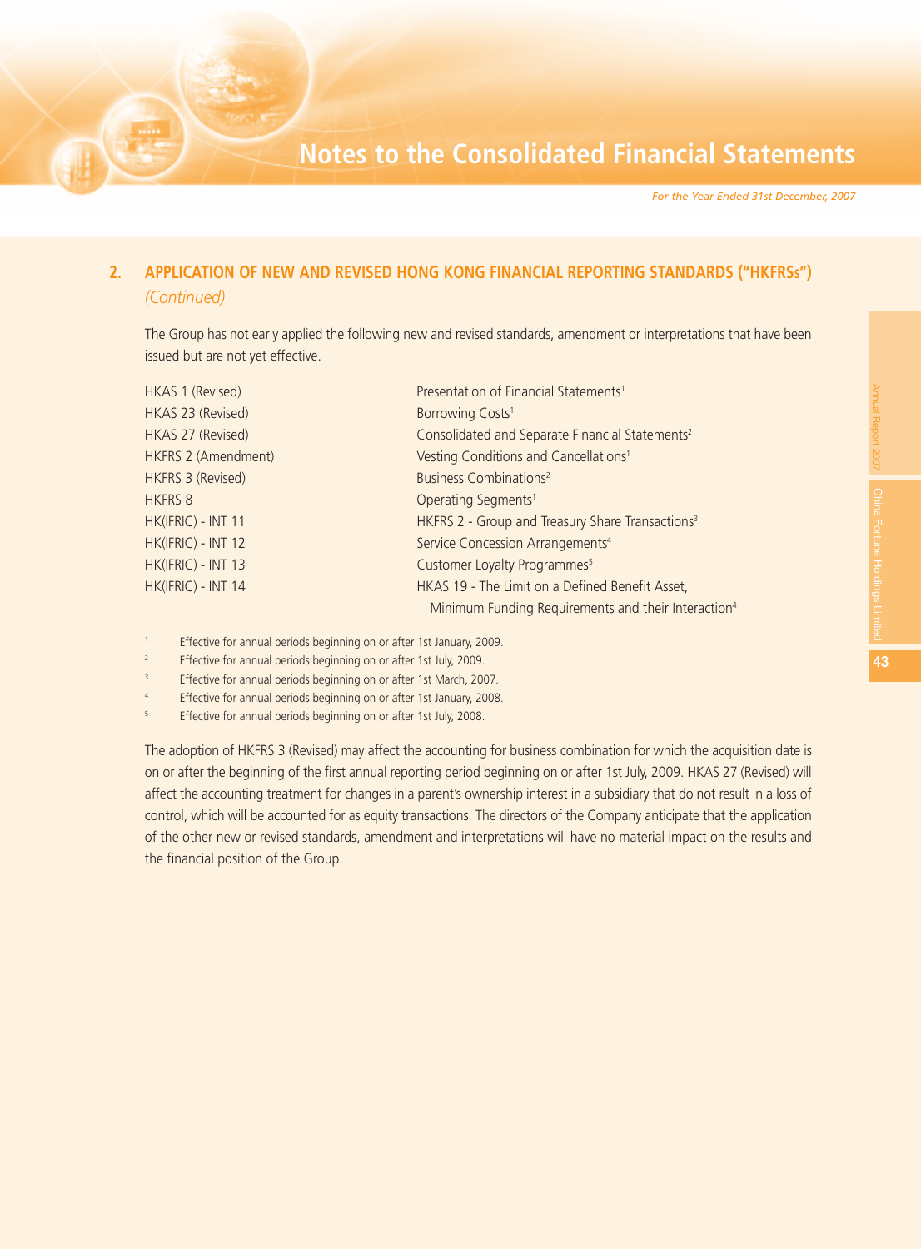*For the Year Ended 31st December, 2007*

# **2. APPLICATION OF NEW AND REVISED HONG KONG FINANCIAL REPORTING STANDARDS ("HKFRSS")** *(Continued)*

The Group has not early applied the following new and revised standards, amendment or interpretations that have been issued but are not yet effective.

| HKAS 1 (Revised)    | Presentation of Financial Statements <sup>1</sup>               |
|---------------------|-----------------------------------------------------------------|
| HKAS 23 (Revised)   | Borrowing Costs <sup>1</sup>                                    |
| HKAS 27 (Revised)   | Consolidated and Separate Financial Statements <sup>2</sup>     |
| HKFRS 2 (Amendment) | Vesting Conditions and Cancellations <sup>1</sup>               |
| HKFRS 3 (Revised)   | Business Combinations <sup>2</sup>                              |
| <b>HKFRS 8</b>      | Operating Segments <sup>1</sup>                                 |
| HK(IFRIC) - INT 11  | HKFRS 2 - Group and Treasury Share Transactions <sup>3</sup>    |
| HK(IFRIC) - INT 12  | Service Concession Arrangements <sup>4</sup>                    |
| HK(IFRIC) - INT 13  | Customer Loyalty Programmes <sup>5</sup>                        |
| HK(IFRIC) - INT 14  | HKAS 19 - The Limit on a Defined Benefit Asset,                 |
|                     | Minimum Funding Requirements and their Interaction <sup>4</sup> |

<sup>1</sup> Effective for annual periods beginning on or after 1st January, 2009.

<sup>2</sup> Effective for annual periods beginning on or after 1st July, 2009.

Effective for annual periods beginning on or after 1st March, 2007.

Effective for annual periods beginning on or after 1st January, 2008.

<sup>5</sup> Effective for annual periods beginning on or after 1st July, 2008.

The adoption of HKFRS 3 (Revised) may affect the accounting for business combination for which the acquisition date is on or after the beginning of the first annual reporting period beginning on or after 1st July, 2009. HKAS 27 (Revised) will affect the accounting treatment for changes in a parent's ownership interest in a subsidiary that do not result in a loss of control, which will be accounted for as equity transactions. The directors of the Company anticipate that the application of the other new or revised standards, amendment and interpretations will have no material impact on the results and the financial position of the Group.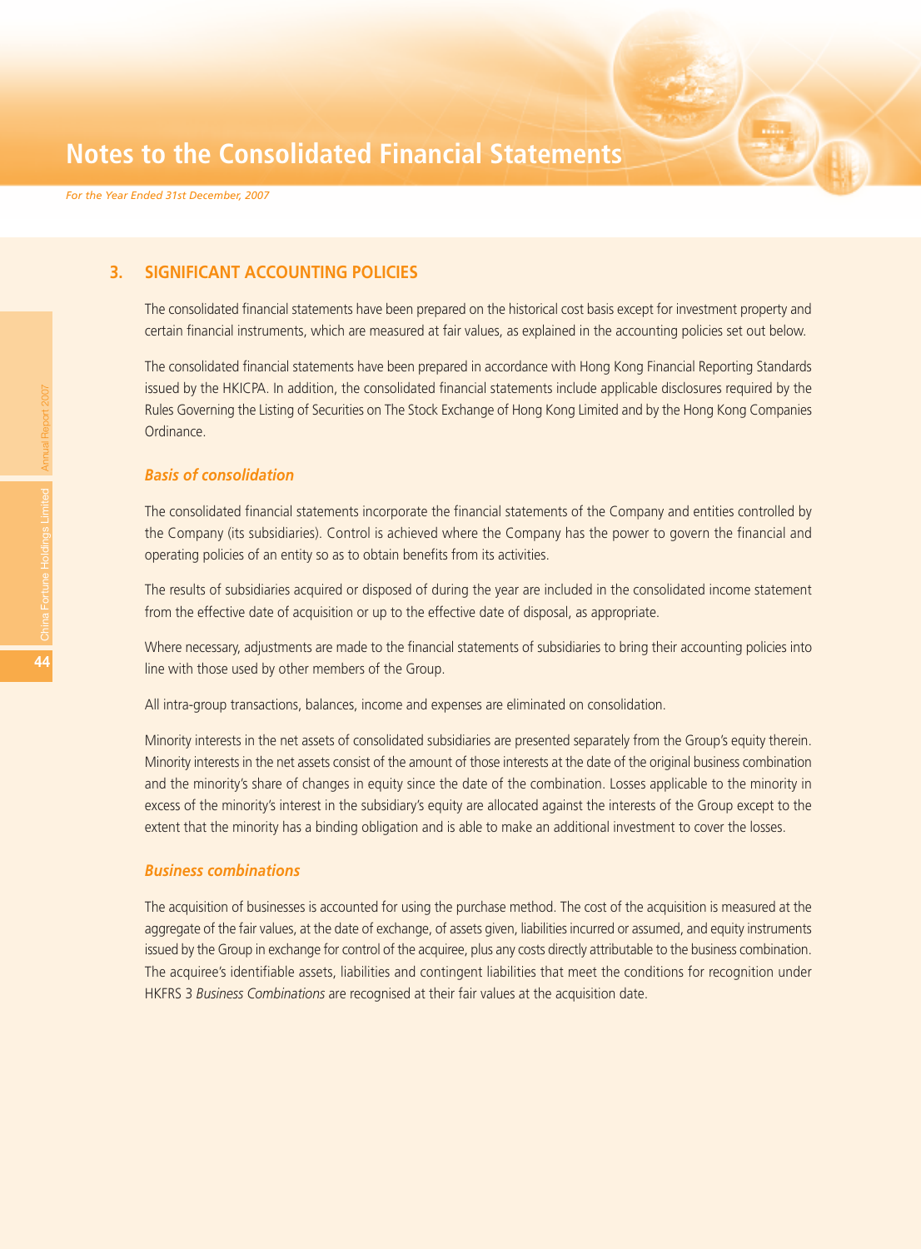## **3. SIGNIFICANT ACCOUNTING POLICIES**

The consolidated financial statements have been prepared on the historical cost basis except for investment property and certain financial instruments, which are measured at fair values, as explained in the accounting policies set out below.

The consolidated financial statements have been prepared in accordance with Hong Kong Financial Reporting Standards issued by the HKICPA. In addition, the consolidated financial statements include applicable disclosures required by the Rules Governing the Listing of Securities on The Stock Exchange of Hong Kong Limited and by the Hong Kong Companies Ordinance.

#### *Basis of consolidation*

The consolidated financial statements incorporate the financial statements of the Company and entities controlled by the Company (its subsidiaries). Control is achieved where the Company has the power to govern the financial and operating policies of an entity so as to obtain benefits from its activities.

The results of subsidiaries acquired or disposed of during the year are included in the consolidated income statement from the effective date of acquisition or up to the effective date of disposal, as appropriate.

Where necessary, adjustments are made to the financial statements of subsidiaries to bring their accounting policies into line with those used by other members of the Group.

All intra-group transactions, balances, income and expenses are eliminated on consolidation.

Minority interests in the net assets of consolidated subsidiaries are presented separately from the Group's equity therein. Minority interests in the net assets consist of the amount of those interests at the date of the original business combination and the minority's share of changes in equity since the date of the combination. Losses applicable to the minority in excess of the minority's interest in the subsidiary's equity are allocated against the interests of the Group except to the extent that the minority has a binding obligation and is able to make an additional investment to cover the losses.

#### *Business combinations*

The acquisition of businesses is accounted for using the purchase method. The cost of the acquisition is measured at the aggregate of the fair values, at the date of exchange, of assets given, liabilities incurred or assumed, and equity instruments issued by the Group in exchange for control of the acquiree, plus any costs directly attributable to the business combination. The acquiree's identifiable assets, liabilities and contingent liabilities that meet the conditions for recognition under HKFRS 3 *Business Combinations* are recognised at their fair values at the acquisition date.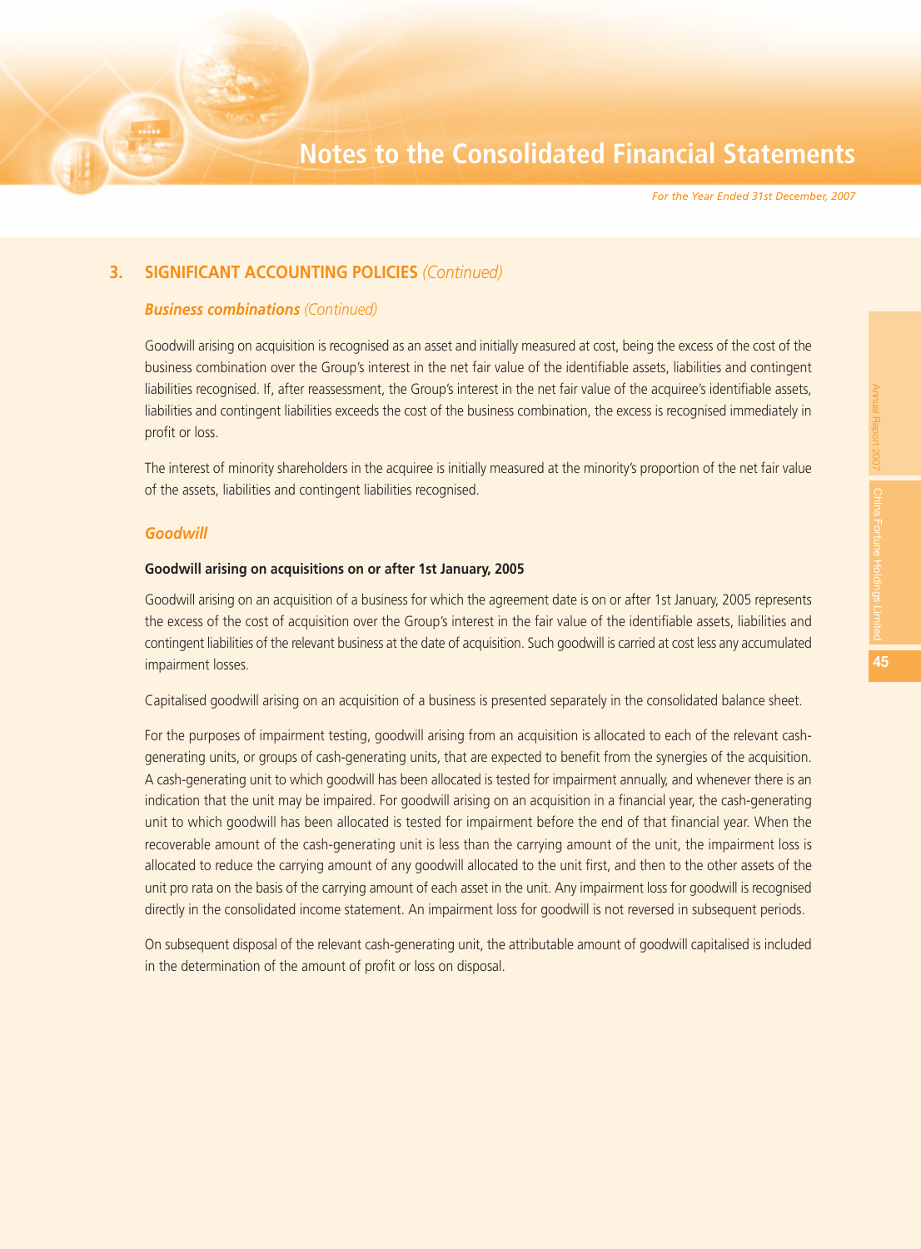*For the Year Ended 31st December, 2007*

# **3. SIGNIFICANT ACCOUNTING POLICIES** *(Continued)*

#### *Business combinations (Continued)*

Goodwill arising on acquisition is recognised as an asset and initially measured at cost, being the excess of the cost of the business combination over the Group's interest in the net fair value of the identifiable assets, liabilities and contingent liabilities recognised. If, after reassessment, the Group's interest in the net fair value of the acquiree's identifiable assets, liabilities and contingent liabilities exceeds the cost of the business combination, the excess is recognised immediately in profit or loss.

The interest of minority shareholders in the acquiree is initially measured at the minority's proportion of the net fair value of the assets, liabilities and contingent liabilities recognised.

#### *Goodwill*

#### **Goodwill arising on acquisitions on or after 1st January, 2005**

Goodwill arising on an acquisition of a business for which the agreement date is on or after 1st January, 2005 represents the excess of the cost of acquisition over the Group's interest in the fair value of the identifiable assets, liabilities and contingent liabilities of the relevant business at the date of acquisition. Such goodwill is carried at cost less any accumulated impairment losses.

Capitalised goodwill arising on an acquisition of a business is presented separately in the consolidated balance sheet.

For the purposes of impairment testing, goodwill arising from an acquisition is allocated to each of the relevant cashgenerating units, or groups of cash-generating units, that are expected to benefit from the synergies of the acquisition. A cash-generating unit to which goodwill has been allocated is tested for impairment annually, and whenever there is an indication that the unit may be impaired. For goodwill arising on an acquisition in a financial year, the cash-generating unit to which goodwill has been allocated is tested for impairment before the end of that financial year. When the recoverable amount of the cash-generating unit is less than the carrying amount of the unit, the impairment loss is allocated to reduce the carrying amount of any goodwill allocated to the unit first, and then to the other assets of the unit pro rata on the basis of the carrying amount of each asset in the unit. Any impairment loss for goodwill is recognised directly in the consolidated income statement. An impairment loss for goodwill is not reversed in subsequent periods.

On subsequent disposal of the relevant cash-generating unit, the attributable amount of goodwill capitalised is included in the determination of the amount of profit or loss on disposal.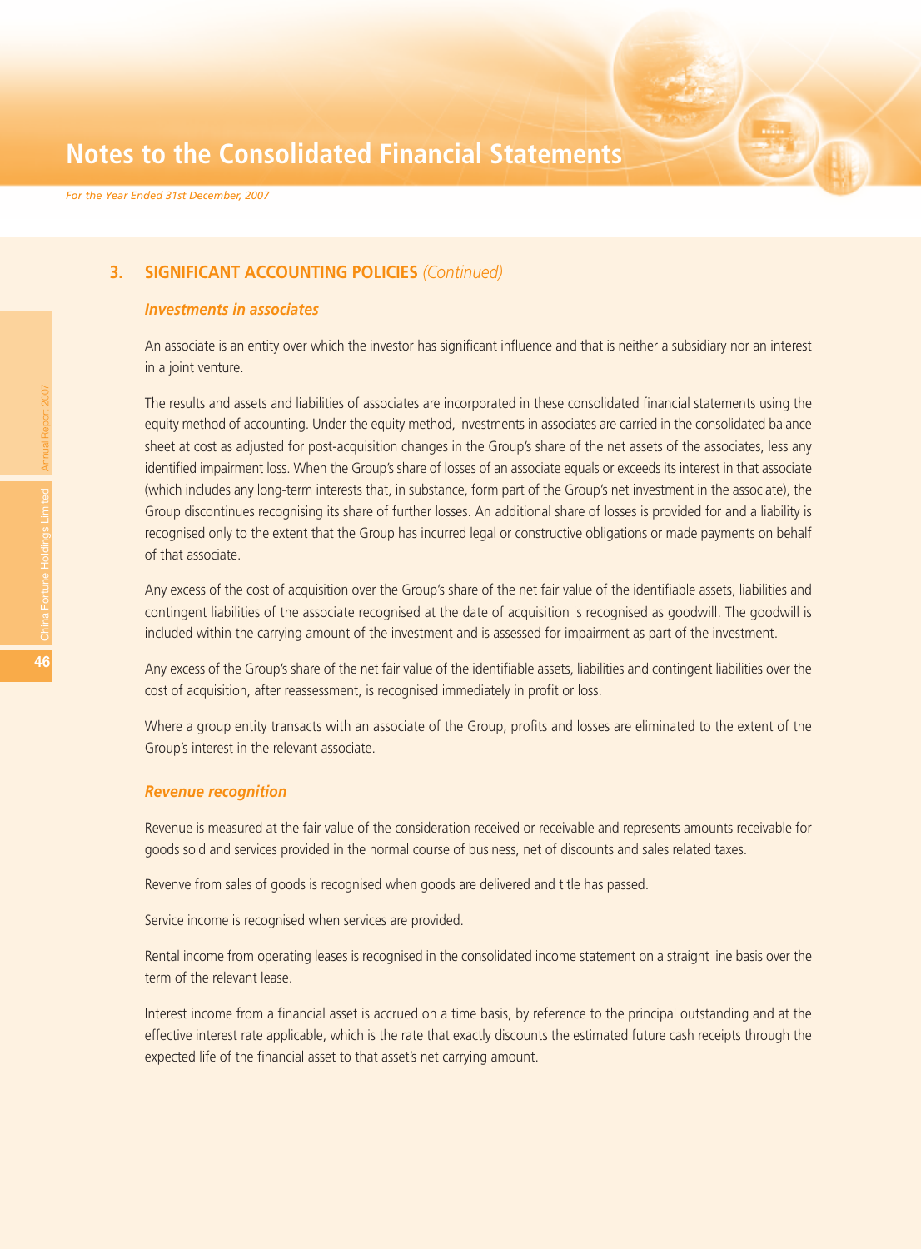*For the Year Ended 31st December, 2007*

## **3. SIGNIFICANT ACCOUNTING POLICIES** *(Continued)*

#### *Investments in associates*

An associate is an entity over which the investor has significant influence and that is neither a subsidiary nor an interest in a joint venture.

The results and assets and liabilities of associates are incorporated in these consolidated financial statements using the equity method of accounting. Under the equity method, investments in associates are carried in the consolidated balance sheet at cost as adjusted for post-acquisition changes in the Group's share of the net assets of the associates, less any identified impairment loss. When the Group's share of losses of an associate equals or exceeds its interest in that associate (which includes any long-term interests that, in substance, form part of the Group's net investment in the associate), the Group discontinues recognising its share of further losses. An additional share of losses is provided for and a liability is recognised only to the extent that the Group has incurred legal or constructive obligations or made payments on behalf of that associate.

Any excess of the cost of acquisition over the Group's share of the net fair value of the identifiable assets, liabilities and contingent liabilities of the associate recognised at the date of acquisition is recognised as goodwill. The goodwill is included within the carrying amount of the investment and is assessed for impairment as part of the investment.

Any excess of the Group's share of the net fair value of the identifiable assets, liabilities and contingent liabilities over the cost of acquisition, after reassessment, is recognised immediately in profit or loss.

Where a group entity transacts with an associate of the Group, profits and losses are eliminated to the extent of the Group's interest in the relevant associate.

#### *Revenue recognition*

Revenue is measured at the fair value of the consideration received or receivable and represents amounts receivable for goods sold and services provided in the normal course of business, net of discounts and sales related taxes.

Revenve from sales of goods is recognised when goods are delivered and title has passed.

Service income is recognised when services are provided.

Rental income from operating leases is recognised in the consolidated income statement on a straight line basis over the term of the relevant lease.

Interest income from a financial asset is accrued on a time basis, by reference to the principal outstanding and at the effective interest rate applicable, which is the rate that exactly discounts the estimated future cash receipts through the expected life of the financial asset to that asset's net carrying amount.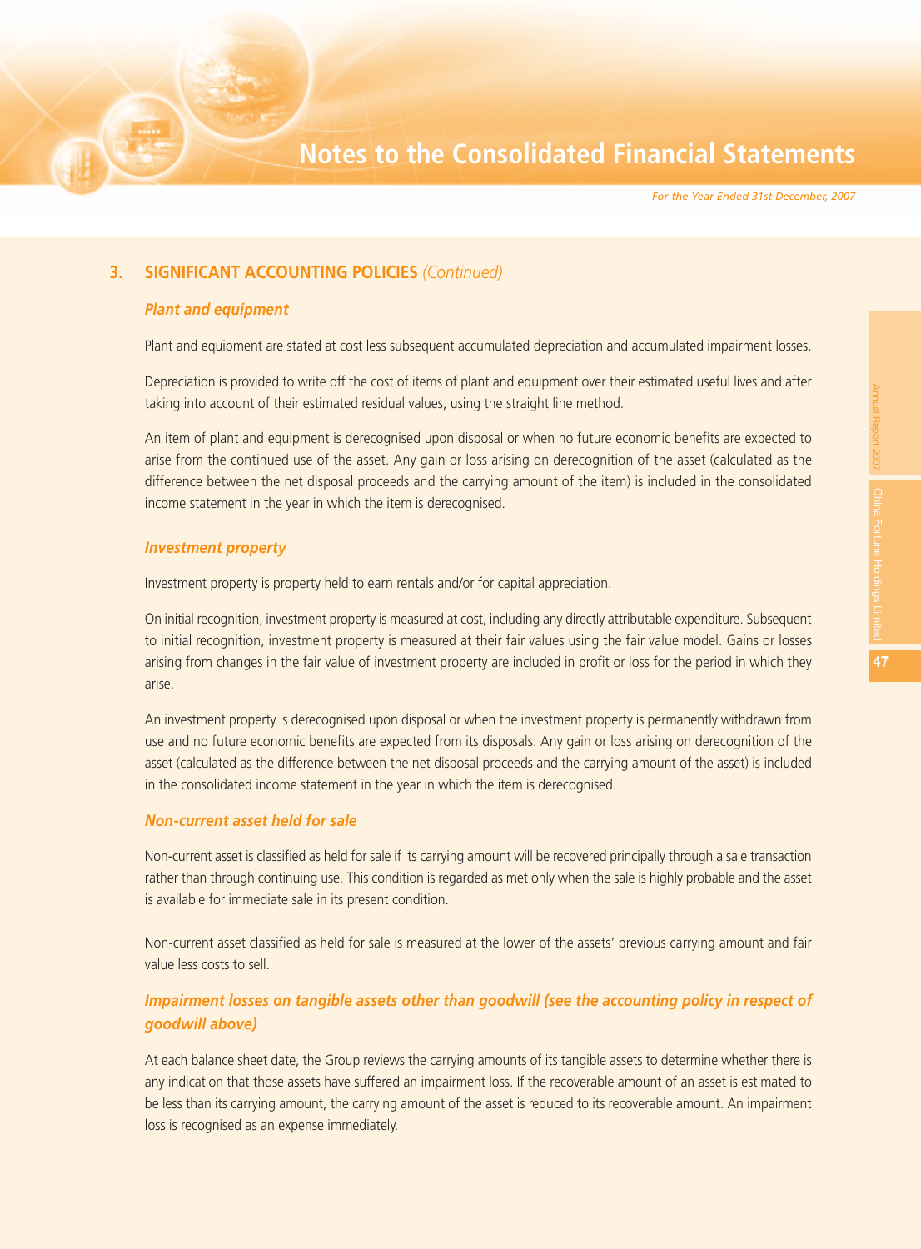*For the Year Ended 31st December, 2007*

# **3. SIGNIFICANT ACCOUNTING POLICIES** *(Continued)*

#### *Plant and equipment*

Plant and equipment are stated at cost less subsequent accumulated depreciation and accumulated impairment losses.

Depreciation is provided to write off the cost of items of plant and equipment over their estimated useful lives and after taking into account of their estimated residual values, using the straight line method.

An item of plant and equipment is derecognised upon disposal or when no future economic benefits are expected to arise from the continued use of the asset. Any gain or loss arising on derecognition of the asset (calculated as the difference between the net disposal proceeds and the carrying amount of the item) is included in the consolidated income statement in the year in which the item is derecognised.

#### *Investment property*

Investment property is property held to earn rentals and/or for capital appreciation.

On initial recognition, investment property is measured at cost, including any directly attributable expenditure. Subsequent to initial recognition, investment property is measured at their fair values using the fair value model. Gains or losses arising from changes in the fair value of investment property are included in profit or loss for the period in which they arise.

An investment property is derecognised upon disposal or when the investment property is permanently withdrawn from use and no future economic benefits are expected from its disposals. Any gain or loss arising on derecognition of the asset (calculated as the difference between the net disposal proceeds and the carrying amount of the asset) is included in the consolidated income statement in the year in which the item is derecognised.

### *Non-current asset held for sale*

Non-current asset is classified as held for sale if its carrying amount will be recovered principally through a sale transaction rather than through continuing use. This condition is regarded as met only when the sale is highly probable and the asset is available for immediate sale in its present condition.

Non-current asset classified as held for sale is measured at the lower of the assets' previous carrying amount and fair value less costs to sell.

## *Impairment losses on tangible assets other than goodwill (see the accounting policy in respect of goodwill above)*

At each balance sheet date, the Group reviews the carrying amounts of its tangible assets to determine whether there is any indication that those assets have suffered an impairment loss. If the recoverable amount of an asset is estimated to be less than its carrying amount, the carrying amount of the asset is reduced to its recoverable amount. An impairment loss is recognised as an expense immediately.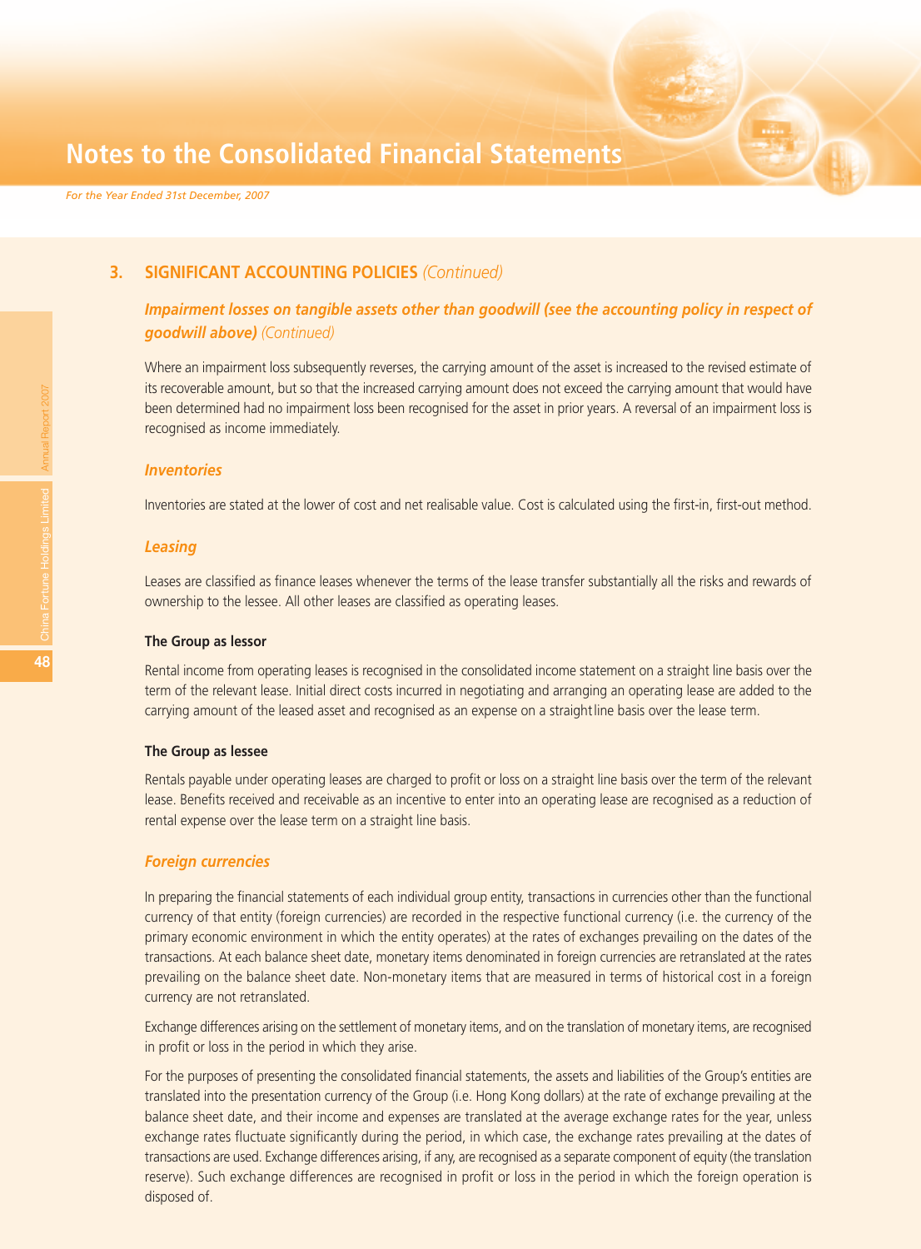*For the Year Ended 31st December, 2007*

# **3. SIGNIFICANT ACCOUNTING POLICIES** *(Continued)*

# *Impairment losses on tangible assets other than goodwill (see the accounting policy in respect of goodwill above) (Continued)*

Where an impairment loss subsequently reverses, the carrying amount of the asset is increased to the revised estimate of its recoverable amount, but so that the increased carrying amount does not exceed the carrying amount that would have been determined had no impairment loss been recognised for the asset in prior years. A reversal of an impairment loss is recognised as income immediately.

#### *Inventories*

Inventories are stated at the lower of cost and net realisable value. Cost is calculated using the first-in, first-out method.

#### *Leasing*

Leases are classified as finance leases whenever the terms of the lease transfer substantially all the risks and rewards of ownership to the lessee. All other leases are classified as operating leases.

#### **The Group as lessor**

Rental income from operating leases is recognised in the consolidated income statement on a straight line basis over the term of the relevant lease. Initial direct costs incurred in negotiating and arranging an operating lease are added to the carrying amount of the leased asset and recognised as an expense on a straightline basis over the lease term.

#### **The Group as lessee**

Rentals payable under operating leases are charged to profit or loss on a straight line basis over the term of the relevant lease. Benefits received and receivable as an incentive to enter into an operating lease are recognised as a reduction of rental expense over the lease term on a straight line basis.

#### *Foreign currencies*

In preparing the financial statements of each individual group entity, transactions in currencies other than the functional currency of that entity (foreign currencies) are recorded in the respective functional currency (i.e. the currency of the primary economic environment in which the entity operates) at the rates of exchanges prevailing on the dates of the transactions. At each balance sheet date, monetary items denominated in foreign currencies are retranslated at the rates prevailing on the balance sheet date. Non-monetary items that are measured in terms of historical cost in a foreign currency are not retranslated.

Exchange differences arising on the settlement of monetary items, and on the translation of monetary items, are recognised in profit or loss in the period in which they arise.

For the purposes of presenting the consolidated financial statements, the assets and liabilities of the Group's entities are translated into the presentation currency of the Group (i.e. Hong Kong dollars) at the rate of exchange prevailing at the balance sheet date, and their income and expenses are translated at the average exchange rates for the year, unless exchange rates fluctuate significantly during the period, in which case, the exchange rates prevailing at the dates of transactions are used. Exchange differences arising, if any, are recognised as a separate component of equity (the translation reserve). Such exchange differences are recognised in profit or loss in the period in which the foreign operation is disposed of.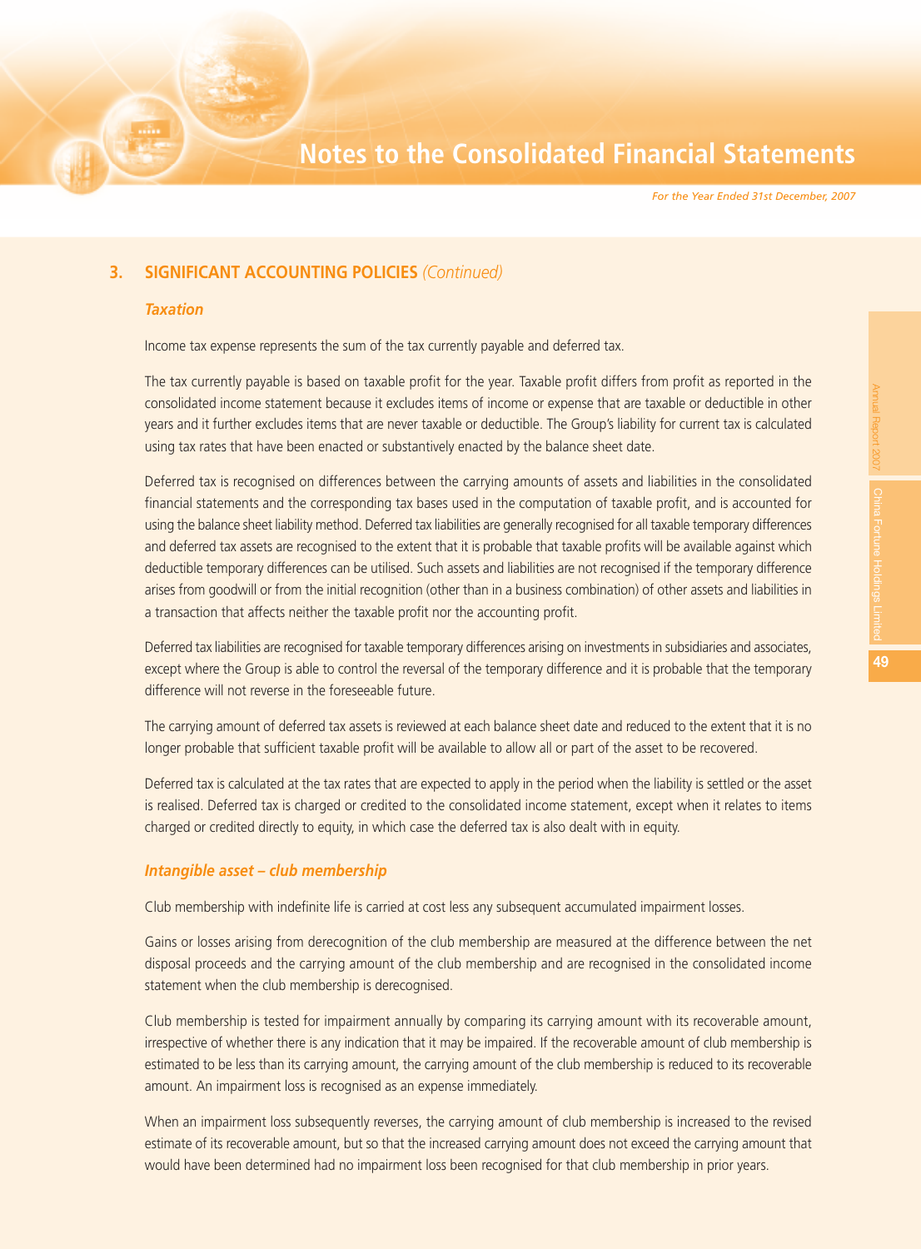*For the Year Ended 31st December, 2007*

# **3. SIGNIFICANT ACCOUNTING POLICIES** *(Continued)*

#### *Taxation*

Income tax expense represents the sum of the tax currently payable and deferred tax.

The tax currently payable is based on taxable profit for the year. Taxable profit differs from profit as reported in the consolidated income statement because it excludes items of income or expense that are taxable or deductible in other years and it further excludes items that are never taxable or deductible. The Group's liability for current tax is calculated using tax rates that have been enacted or substantively enacted by the balance sheet date.

Deferred tax is recognised on differences between the carrying amounts of assets and liabilities in the consolidated financial statements and the corresponding tax bases used in the computation of taxable profit, and is accounted for using the balance sheet liability method. Deferred tax liabilities are generally recognised for all taxable temporary differences and deferred tax assets are recognised to the extent that it is probable that taxable profits will be available against which deductible temporary differences can be utilised. Such assets and liabilities are not recognised if the temporary difference arises from goodwill or from the initial recognition (other than in a business combination) of other assets and liabilities in a transaction that affects neither the taxable profit nor the accounting profit.

Deferred tax liabilities are recognised for taxable temporary differences arising on investments in subsidiaries and associates, except where the Group is able to control the reversal of the temporary difference and it is probable that the temporary difference will not reverse in the foreseeable future.

The carrying amount of deferred tax assets is reviewed at each balance sheet date and reduced to the extent that it is no longer probable that sufficient taxable profit will be available to allow all or part of the asset to be recovered.

Deferred tax is calculated at the tax rates that are expected to apply in the period when the liability is settled or the asset is realised. Deferred tax is charged or credited to the consolidated income statement, except when it relates to items charged or credited directly to equity, in which case the deferred tax is also dealt with in equity.

#### *Intangible asset – club membership*

Club membership with indefinite life is carried at cost less any subsequent accumulated impairment losses.

Gains or losses arising from derecognition of the club membership are measured at the difference between the net disposal proceeds and the carrying amount of the club membership and are recognised in the consolidated income statement when the club membership is derecognised.

Club membership is tested for impairment annually by comparing its carrying amount with its recoverable amount, irrespective of whether there is any indication that it may be impaired. If the recoverable amount of club membership is estimated to be less than its carrying amount, the carrying amount of the club membership is reduced to its recoverable amount. An impairment loss is recognised as an expense immediately.

When an impairment loss subsequently reverses, the carrying amount of club membership is increased to the revised estimate of its recoverable amount, but so that the increased carrying amount does not exceed the carrying amount that would have been determined had no impairment loss been recognised for that club membership in prior years.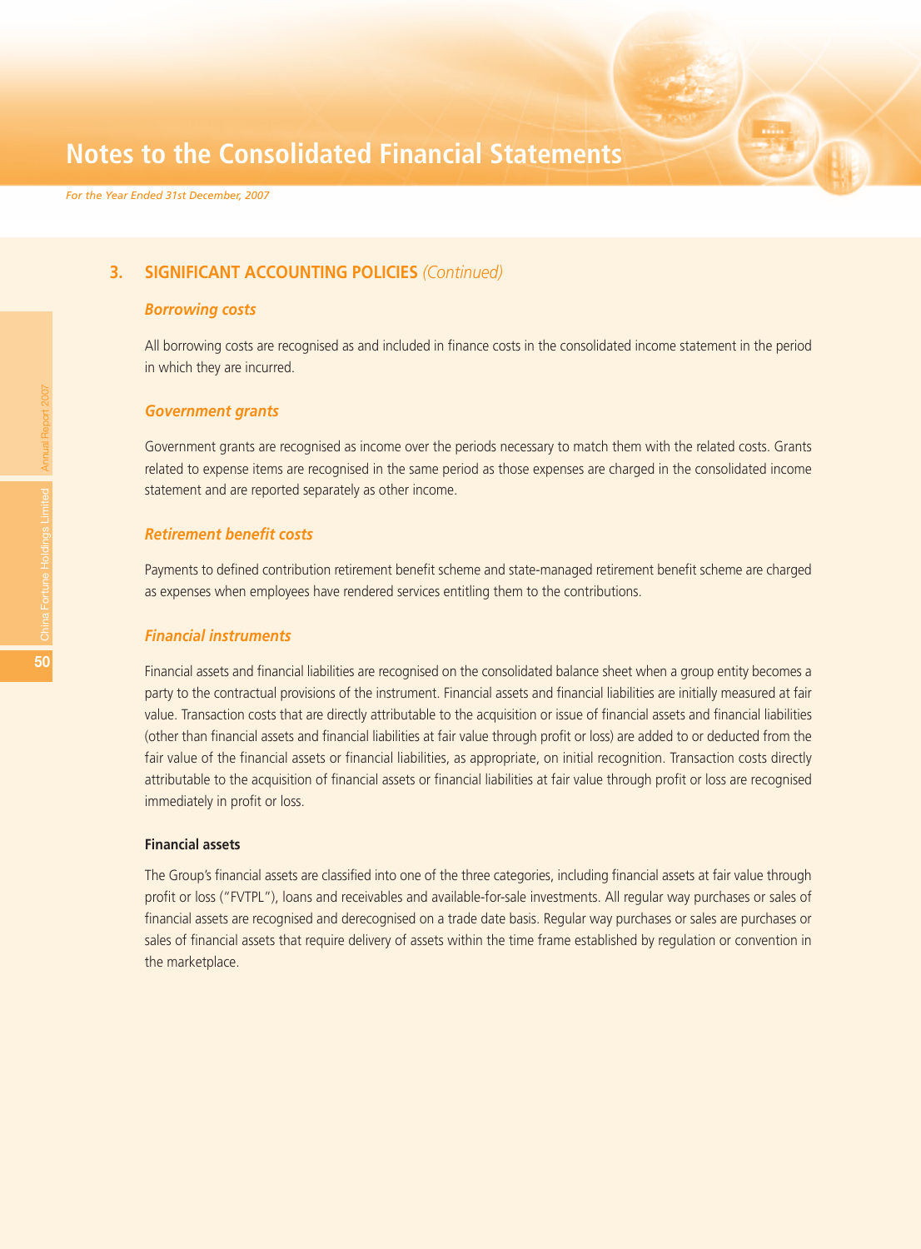*For the Year Ended 31st December, 2007*

### **3. SIGNIFICANT ACCOUNTING POLICIES** *(Continued)*

#### *Borrowing costs*

All borrowing costs are recognised as and included in finance costs in the consolidated income statement in the period in which they are incurred.

#### *Government grants*

Government grants are recognised as income over the periods necessary to match them with the related costs. Grants related to expense items are recognised in the same period as those expenses are charged in the consolidated income statement and are reported separately as other income.

#### *Retirement benefit costs*

Payments to defined contribution retirement benefit scheme and state-managed retirement benefit scheme are charged as expenses when employees have rendered services entitling them to the contributions.

#### *Financial instruments*

Financial assets and financial liabilities are recognised on the consolidated balance sheet when a group entity becomes a party to the contractual provisions of the instrument. Financial assets and financial liabilities are initially measured at fair value. Transaction costs that are directly attributable to the acquisition or issue of financial assets and financial liabilities (other than financial assets and financial liabilities at fair value through profit or loss) are added to or deducted from the fair value of the financial assets or financial liabilities, as appropriate, on initial recognition. Transaction costs directly attributable to the acquisition of financial assets or financial liabilities at fair value through profit or loss are recognised immediately in profit or loss.

#### **Financial assets**

The Group's financial assets are classified into one of the three categories, including financial assets at fair value through profit or loss ("FVTPL"), loans and receivables and available-for-sale investments. All regular way purchases or sales of financial assets are recognised and derecognised on a trade date basis. Regular way purchases or sales are purchases or sales of financial assets that require delivery of assets within the time frame established by regulation or convention in the marketplace.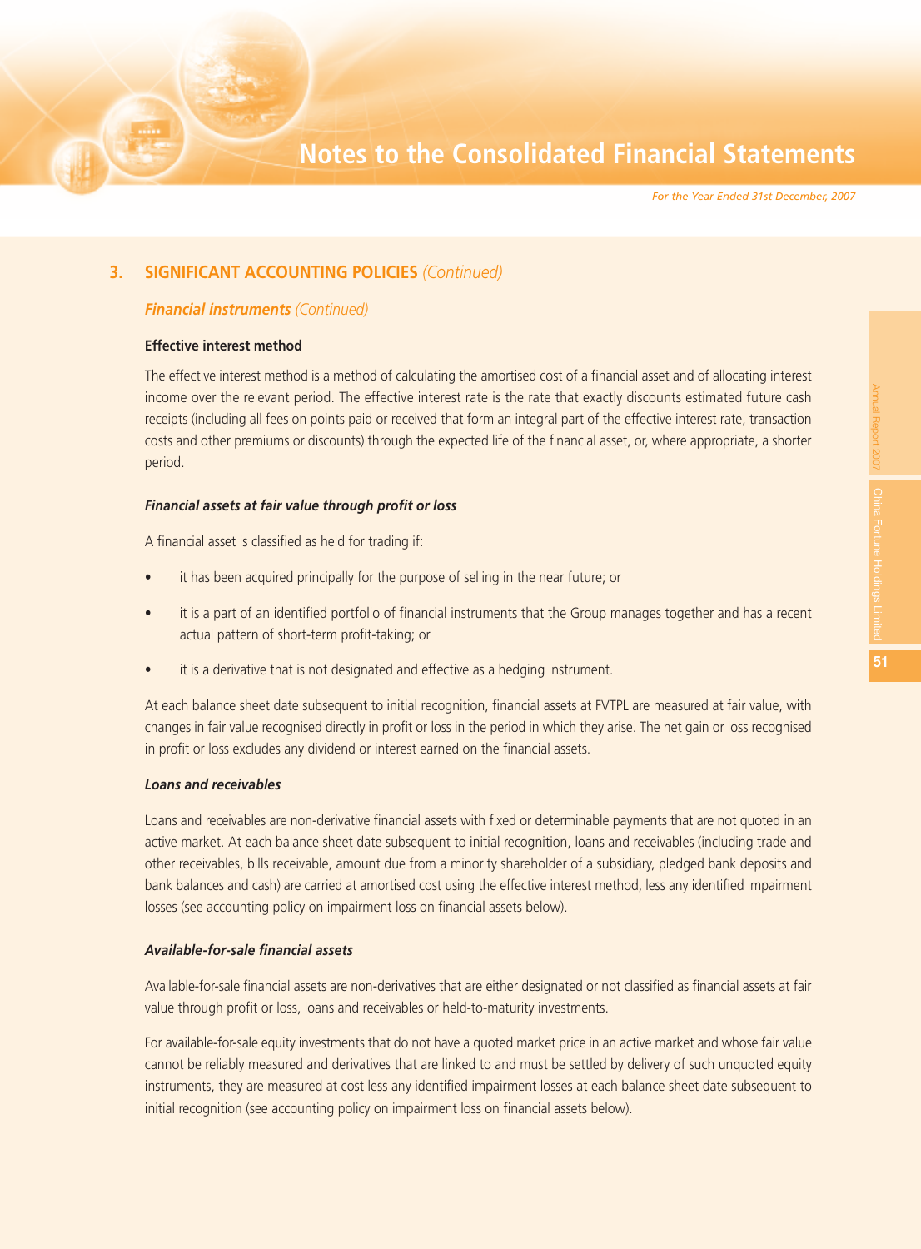*For the Year Ended 31st December, 2007*

# **3. SIGNIFICANT ACCOUNTING POLICIES** *(Continued)*

#### *Financial instruments (Continued)*

#### **Effective interest method**

The effective interest method is a method of calculating the amortised cost of a financial asset and of allocating interest income over the relevant period. The effective interest rate is the rate that exactly discounts estimated future cash receipts (including all fees on points paid or received that form an integral part of the effective interest rate, transaction costs and other premiums or discounts) through the expected life of the financial asset, or, where appropriate, a shorter period.

#### *Financial assets at fair value through profit or loss*

A financial asset is classified as held for trading if:

- it has been acquired principally for the purpose of selling in the near future; or
- it is a part of an identified portfolio of financial instruments that the Group manages together and has a recent actual pattern of short-term profit-taking; or
- it is a derivative that is not designated and effective as a hedging instrument.

At each balance sheet date subsequent to initial recognition, financial assets at FVTPL are measured at fair value, with changes in fair value recognised directly in profit or loss in the period in which they arise. The net gain or loss recognised in profit or loss excludes any dividend or interest earned on the financial assets.

#### *Loans and receivables*

Loans and receivables are non-derivative financial assets with fixed or determinable payments that are not quoted in an active market. At each balance sheet date subsequent to initial recognition, loans and receivables (including trade and other receivables, bills receivable, amount due from a minority shareholder of a subsidiary, pledged bank deposits and bank balances and cash) are carried at amortised cost using the effective interest method, less any identified impairment losses (see accounting policy on impairment loss on financial assets below).

#### *Available-for-sale financial assets*

Available-for-sale financial assets are non-derivatives that are either designated or not classified as financial assets at fair value through profit or loss, loans and receivables or held-to-maturity investments.

For available-for-sale equity investments that do not have a quoted market price in an active market and whose fair value cannot be reliably measured and derivatives that are linked to and must be settled by delivery of such unquoted equity instruments, they are measured at cost less any identified impairment losses at each balance sheet date subsequent to initial recognition (see accounting policy on impairment loss on financial assets below).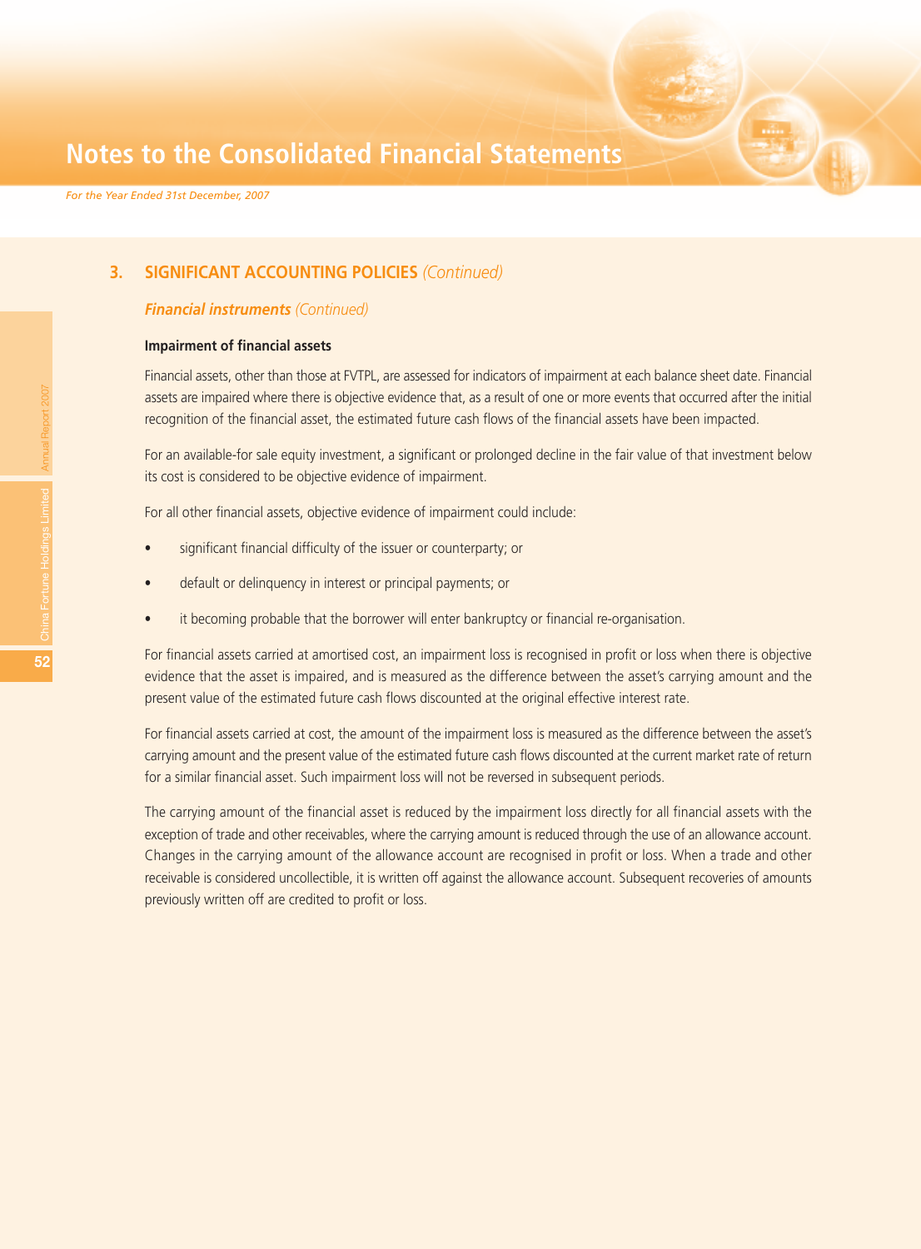*For the Year Ended 31st December, 2007*

# **3. SIGNIFICANT ACCOUNTING POLICIES** *(Continued)*

#### *Financial instruments (Continued)*

#### **Impairment of financial assets**

Financial assets, other than those at FVTPL, are assessed for indicators of impairment at each balance sheet date. Financial assets are impaired where there is objective evidence that, as a result of one or more events that occurred after the initial recognition of the financial asset, the estimated future cash flows of the financial assets have been impacted.

For an available-for sale equity investment, a significant or prolonged decline in the fair value of that investment below its cost is considered to be objective evidence of impairment.

For all other financial assets, objective evidence of impairment could include:

- significant financial difficulty of the issuer or counterparty; or
- default or delinquency in interest or principal payments; or
- it becoming probable that the borrower will enter bankruptcy or financial re-organisation.

For financial assets carried at amortised cost, an impairment loss is recognised in profit or loss when there is objective evidence that the asset is impaired, and is measured as the difference between the asset's carrying amount and the present value of the estimated future cash flows discounted at the original effective interest rate.

For financial assets carried at cost, the amount of the impairment loss is measured as the difference between the asset's carrying amount and the present value of the estimated future cash flows discounted at the current market rate of return for a similar financial asset. Such impairment loss will not be reversed in subsequent periods.

The carrying amount of the financial asset is reduced by the impairment loss directly for all financial assets with the exception of trade and other receivables, where the carrying amount is reduced through the use of an allowance account. Changes in the carrying amount of the allowance account are recognised in profit or loss. When a trade and other receivable is considered uncollectible, it is written off against the allowance account. Subsequent recoveries of amounts previously written off are credited to profit or loss.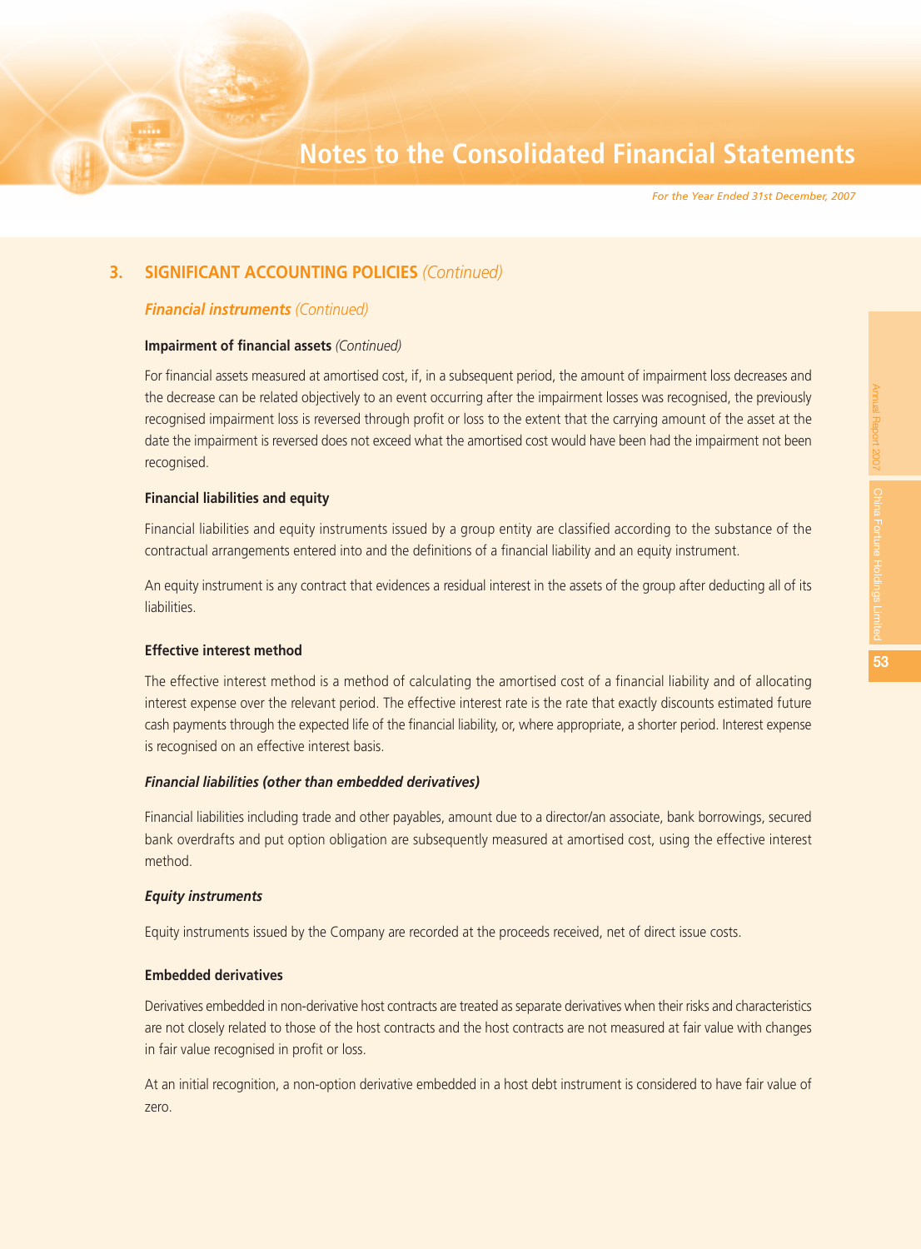*For the Year Ended 31st December, 2007*

# **3. SIGNIFICANT ACCOUNTING POLICIES** *(Continued)*

#### *Financial instruments (Continued)*

#### **Impairment of financial assets** *(Continued)*

For financial assets measured at amortised cost, if, in a subsequent period, the amount of impairment loss decreases and the decrease can be related objectively to an event occurring after the impairment losses was recognised, the previously recognised impairment loss is reversed through profit or loss to the extent that the carrying amount of the asset at the date the impairment is reversed does not exceed what the amortised cost would have been had the impairment not been recognised.

#### **Financial liabilities and equity**

Financial liabilities and equity instruments issued by a group entity are classified according to the substance of the contractual arrangements entered into and the definitions of a financial liability and an equity instrument.

An equity instrument is any contract that evidences a residual interest in the assets of the group after deducting all of its liabilities.

#### **Effective interest method**

The effective interest method is a method of calculating the amortised cost of a financial liability and of allocating interest expense over the relevant period. The effective interest rate is the rate that exactly discounts estimated future cash payments through the expected life of the financial liability, or, where appropriate, a shorter period. Interest expense is recognised on an effective interest basis.

#### *Financial liabilities (other than embedded derivatives)*

Financial liabilities including trade and other payables, amount due to a director/an associate, bank borrowings, secured bank overdrafts and put option obligation are subsequently measured at amortised cost, using the effective interest method.

#### *Equity instruments*

Equity instruments issued by the Company are recorded at the proceeds received, net of direct issue costs.

#### **Embedded derivatives**

Derivatives embedded in non-derivative host contracts are treated as separate derivatives when their risks and characteristics are not closely related to those of the host contracts and the host contracts are not measured at fair value with changes in fair value recognised in profit or loss.

At an initial recognition, a non-option derivative embedded in a host debt instrument is considered to have fair value of zero.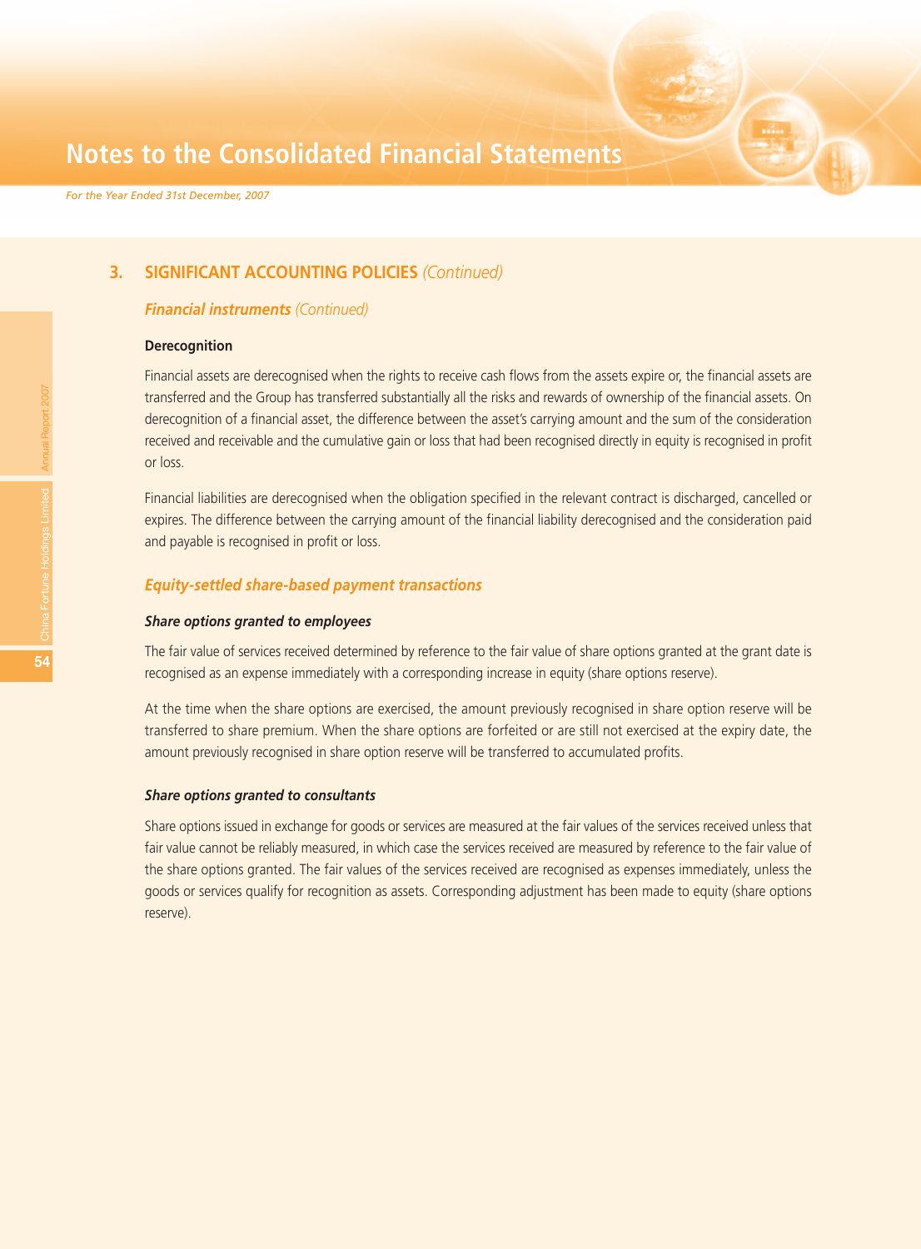### **3. SIGNIFICANT ACCOUNTING POLICIES** *(Continued)*

#### *Financial instruments (Continued)*

#### **Derecognition**

Financial assets are derecognised when the rights to receive cash flows from the assets expire or, the financial assets are transferred and the Group has transferred substantially all the risks and rewards of ownership of the financial assets. On derecognition of a financial asset, the difference between the asset's carrying amount and the sum of the consideration received and receivable and the cumulative gain or loss that had been recognised directly in equity is recognised in profit or loss.

Financial liabilities are derecognised when the obligation specified in the relevant contract is discharged, cancelled or expires. The difference between the carrying amount of the financial liability derecognised and the consideration paid and payable is recognised in profit or loss.

#### *Equity-settled share-based payment transactions*

#### *Share options granted to employees*

The fair value of services received determined by reference to the fair value of share options granted at the grant date is recognised as an expense immediately with a corresponding increase in equity (share options reserve).

At the time when the share options are exercised, the amount previously recognised in share option reserve will be transferred to share premium. When the share options are forfeited or are still not exercised at the expiry date, the amount previously recognised in share option reserve will be transferred to accumulated profits.

#### *Share options granted to consultants*

Share options issued in exchange for goods or services are measured at the fair values of the services received unless that fair value cannot be reliably measured, in which case the services received are measured by reference to the fair value of the share options granted. The fair values of the services received are recognised as expenses immediately, unless the goods or services qualify for recognition as assets. Corresponding adjustment has been made to equity (share options reserve).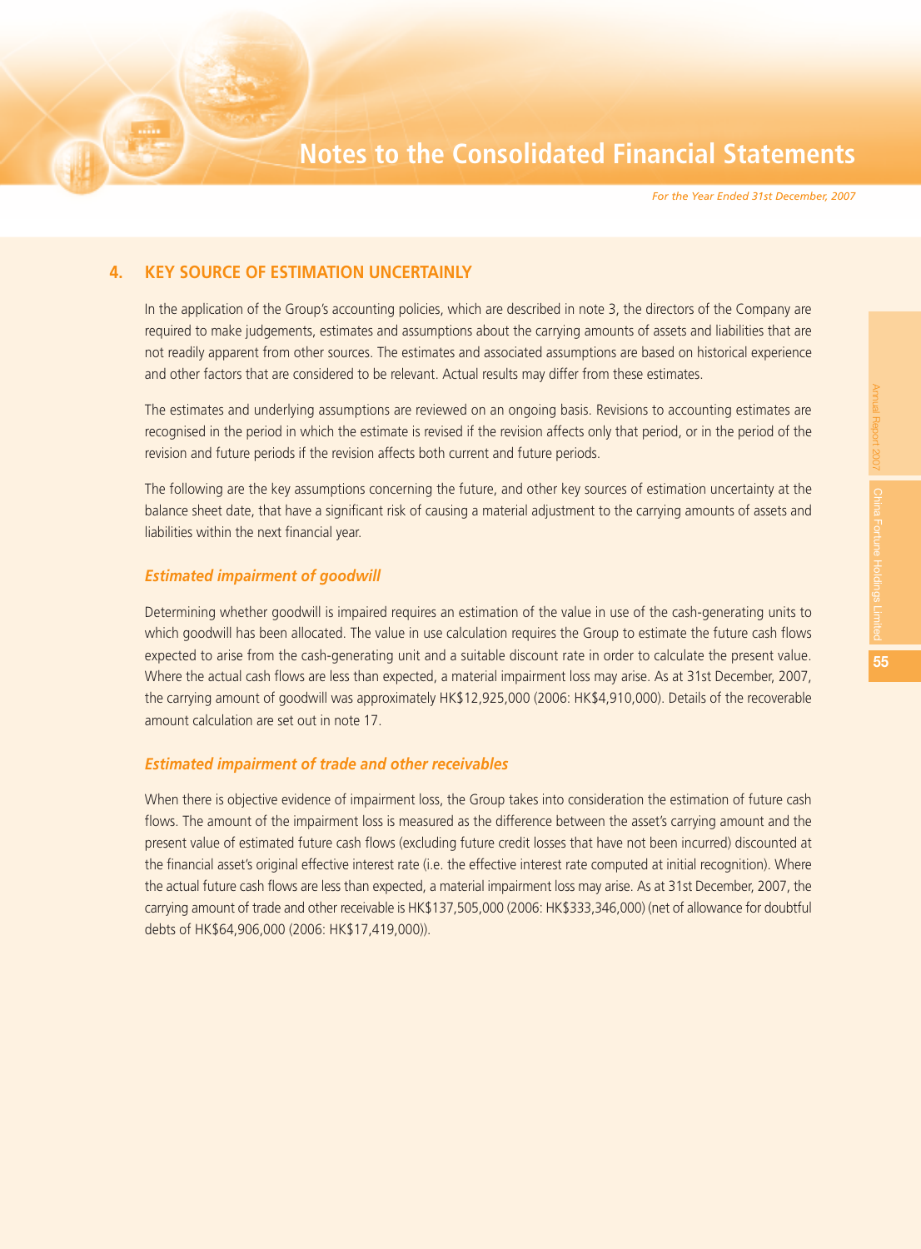*For the Year Ended 31st December, 2007*

# **4. KEY SOURCE OF ESTIMATION UNCERTAINLY**

In the application of the Group's accounting policies, which are described in note 3, the directors of the Company are required to make judgements, estimates and assumptions about the carrying amounts of assets and liabilities that are not readily apparent from other sources. The estimates and associated assumptions are based on historical experience and other factors that are considered to be relevant. Actual results may differ from these estimates.

The estimates and underlying assumptions are reviewed on an ongoing basis. Revisions to accounting estimates are recognised in the period in which the estimate is revised if the revision affects only that period, or in the period of the revision and future periods if the revision affects both current and future periods.

The following are the key assumptions concerning the future, and other key sources of estimation uncertainty at the balance sheet date, that have a significant risk of causing a material adjustment to the carrying amounts of assets and liabilities within the next financial year.

### *Estimated impairment of goodwill*

Determining whether goodwill is impaired requires an estimation of the value in use of the cash-generating units to which goodwill has been allocated. The value in use calculation requires the Group to estimate the future cash flows expected to arise from the cash-generating unit and a suitable discount rate in order to calculate the present value. Where the actual cash flows are less than expected, a material impairment loss may arise. As at 31st December, 2007, the carrying amount of goodwill was approximately HK\$12,925,000 (2006: HK\$4,910,000). Details of the recoverable amount calculation are set out in note 17.

#### *Estimated impairment of trade and other receivables*

When there is objective evidence of impairment loss, the Group takes into consideration the estimation of future cash flows. The amount of the impairment loss is measured as the difference between the asset's carrying amount and the present value of estimated future cash flows (excluding future credit losses that have not been incurred) discounted at the financial asset's original effective interest rate (i.e. the effective interest rate computed at initial recognition). Where the actual future cash flows are less than expected, a material impairment loss may arise. As at 31st December, 2007, the carrying amount of trade and other receivable is HK\$137,505,000 (2006: HK\$333,346,000) (net of allowance for doubtful debts of HK\$64,906,000 (2006: HK\$17,419,000)).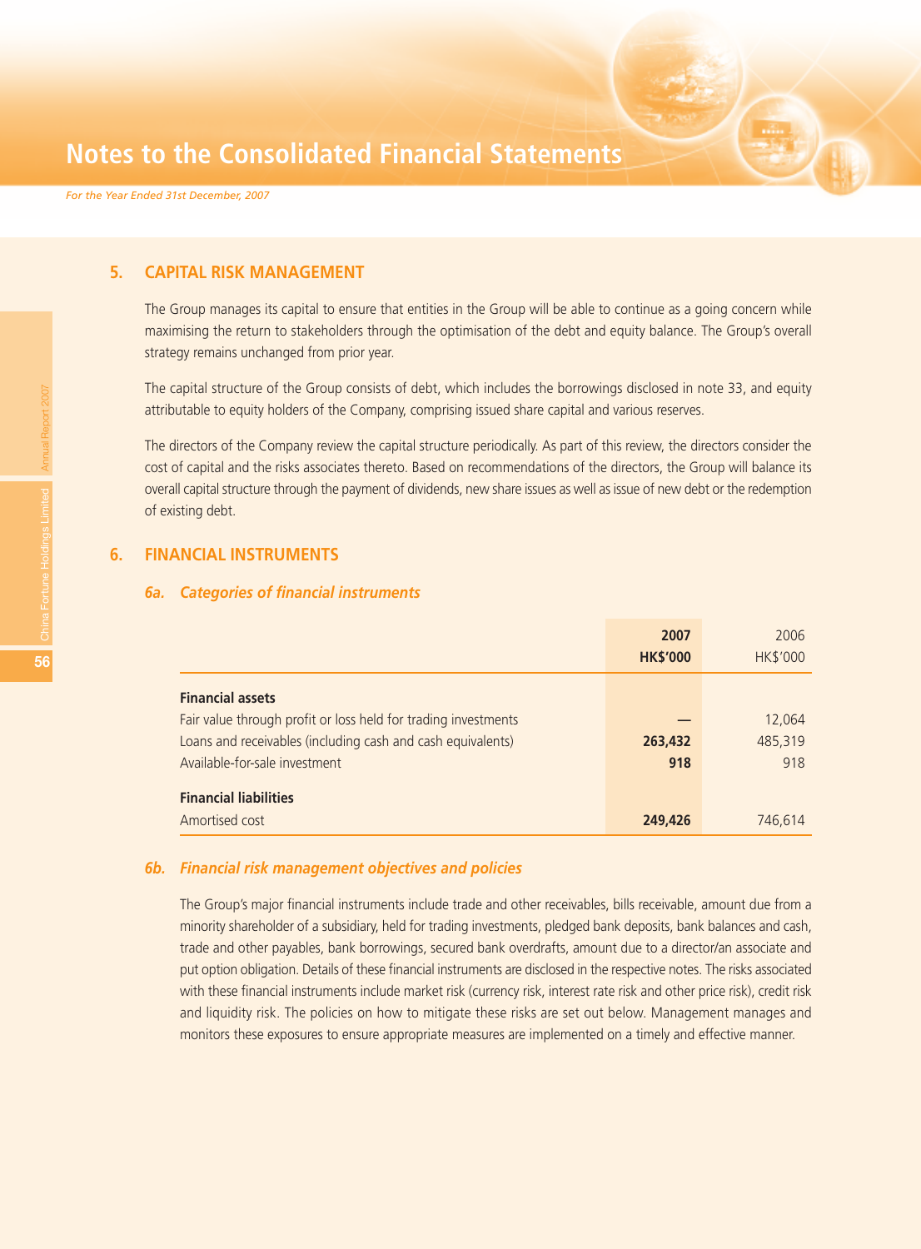### **5. CAPITAL RISK MANAGEMENT**

The Group manages its capital to ensure that entities in the Group will be able to continue as a going concern while maximising the return to stakeholders through the optimisation of the debt and equity balance. The Group's overall strategy remains unchanged from prior year.

The capital structure of the Group consists of debt, which includes the borrowings disclosed in note 33, and equity attributable to equity holders of the Company, comprising issued share capital and various reserves.

The directors of the Company review the capital structure periodically. As part of this review, the directors consider the cost of capital and the risks associates thereto. Based on recommendations of the directors, the Group will balance its overall capital structure through the payment of dividends, new share issues as well as issue of new debt or the redemption of existing debt.

### **6. FINANCIAL INSTRUMENTS**

#### *6a. Categories of financial instruments*

|                                                                | 2007            | 2006            |
|----------------------------------------------------------------|-----------------|-----------------|
|                                                                | <b>HK\$'000</b> | <b>HK\$'000</b> |
| <b>Financial assets</b>                                        |                 |                 |
| Fair value through profit or loss held for trading investments |                 | 12,064          |
| Loans and receivables (including cash and cash equivalents)    | 263,432         | 485,319         |
| Available-for-sale investment                                  | 918             | 918             |
| <b>Financial liabilities</b>                                   |                 |                 |
| Amortised cost                                                 | 249,426         | 746.614         |

#### *6b. Financial risk management objectives and policies*

The Group's major financial instruments include trade and other receivables, bills receivable, amount due from a minority shareholder of a subsidiary, held for trading investments, pledged bank deposits, bank balances and cash, trade and other payables, bank borrowings, secured bank overdrafts, amount due to a director/an associate and put option obligation. Details of these financial instruments are disclosed in the respective notes. The risks associated with these financial instruments include market risk (currency risk, interest rate risk and other price risk), credit risk and liquidity risk. The policies on how to mitigate these risks are set out below. Management manages and monitors these exposures to ensure appropriate measures are implemented on a timely and effective manner.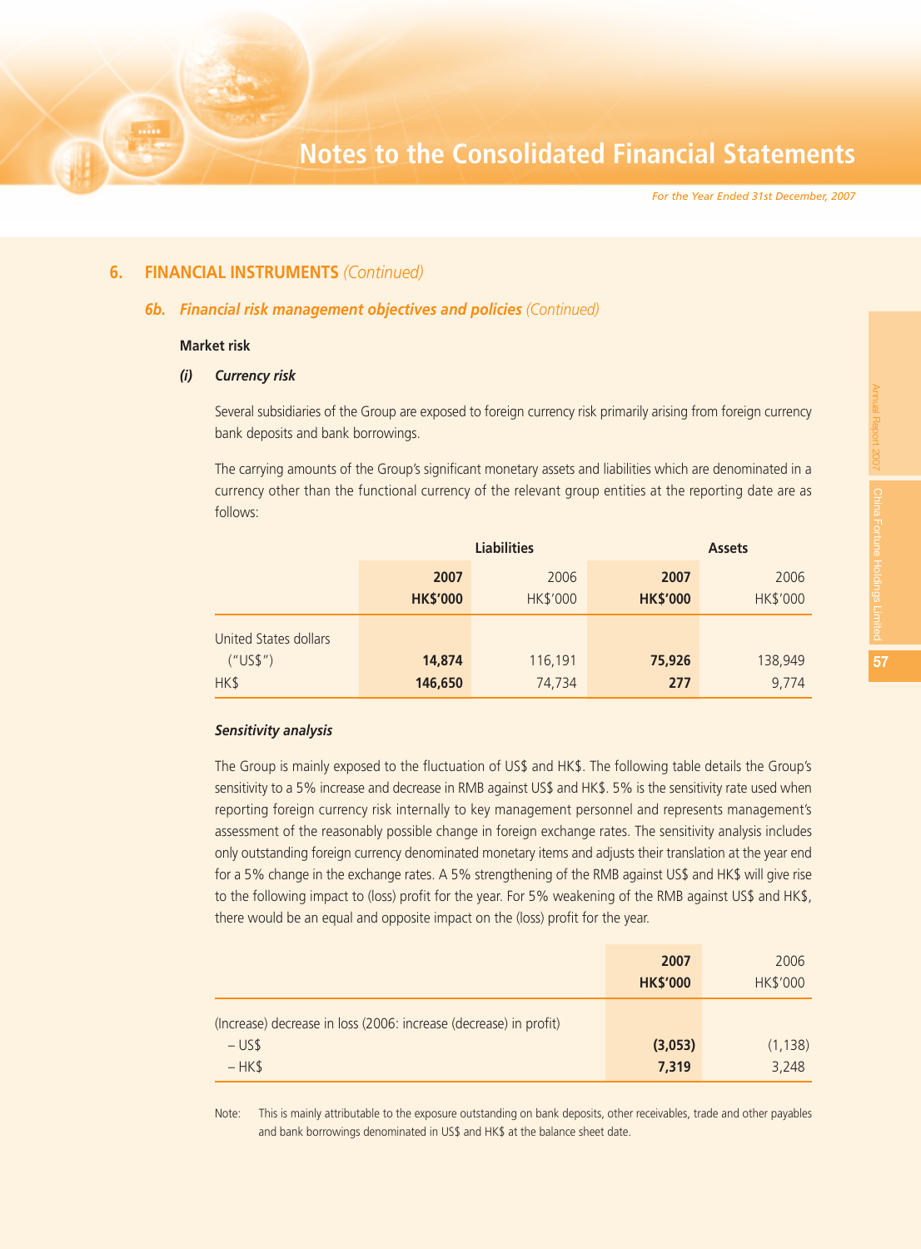*For the Year Ended 31st December, 2007*

### **6. FINANCIAL INSTRUMENTS** *(Continued)*

#### *6b. Financial risk management objectives and policies (Continued)*

#### **Market risk**

#### *(i) Currency risk*

Several subsidiaries of the Group are exposed to foreign currency risk primarily arising from foreign currency bank deposits and bank borrowings.

The carrying amounts of the Group's significant monetary assets and liabilities which are denominated in a currency other than the functional currency of the relevant group entities at the reporting date are as follows:

|                                           |                         | <b>Liabilities</b> | <b>Assets</b>           |                  |  |
|-------------------------------------------|-------------------------|--------------------|-------------------------|------------------|--|
|                                           | 2007<br><b>HK\$'000</b> | 2006<br>HK\$'000   | 2007<br><b>HK\$'000</b> | 2006<br>HK\$'000 |  |
| United States dollars<br>("US\$")<br>HK\$ | 14,874<br>146,650       | 116,191<br>74,734  | 75,926<br>277           | 138,949<br>9,774 |  |

#### *Sensitivity analysis*

The Group is mainly exposed to the fluctuation of US\$ and HK\$. The following table details the Group's sensitivity to a 5% increase and decrease in RMB against US\$ and HK\$. 5% is the sensitivity rate used when reporting foreign currency risk internally to key management personnel and represents management's assessment of the reasonably possible change in foreign exchange rates. The sensitivity analysis includes only outstanding foreign currency denominated monetary items and adjusts their translation at the year end for a 5% change in the exchange rates. A 5% strengthening of the RMB against US\$ and HK\$ will give rise to the following impact to (loss) profit for the year. For 5% weakening of the RMB against US\$ and HK\$, there would be an equal and opposite impact on the (loss) profit for the year.

|                                                                   | 2007<br><b>HK\$'000</b> | 2006<br>HK\$'000 |
|-------------------------------------------------------------------|-------------------------|------------------|
| (Increase) decrease in loss (2006: increase (decrease) in profit) |                         |                  |
| $-US5$                                                            | (3,053)                 | (1, 138)         |
| $-HK$$                                                            | 7,319                   | 3,248            |

Note: This is mainly attributable to the exposure outstanding on bank deposits, other receivables, trade and other payables and bank borrowings denominated in US\$ and HK\$ at the balance sheet date.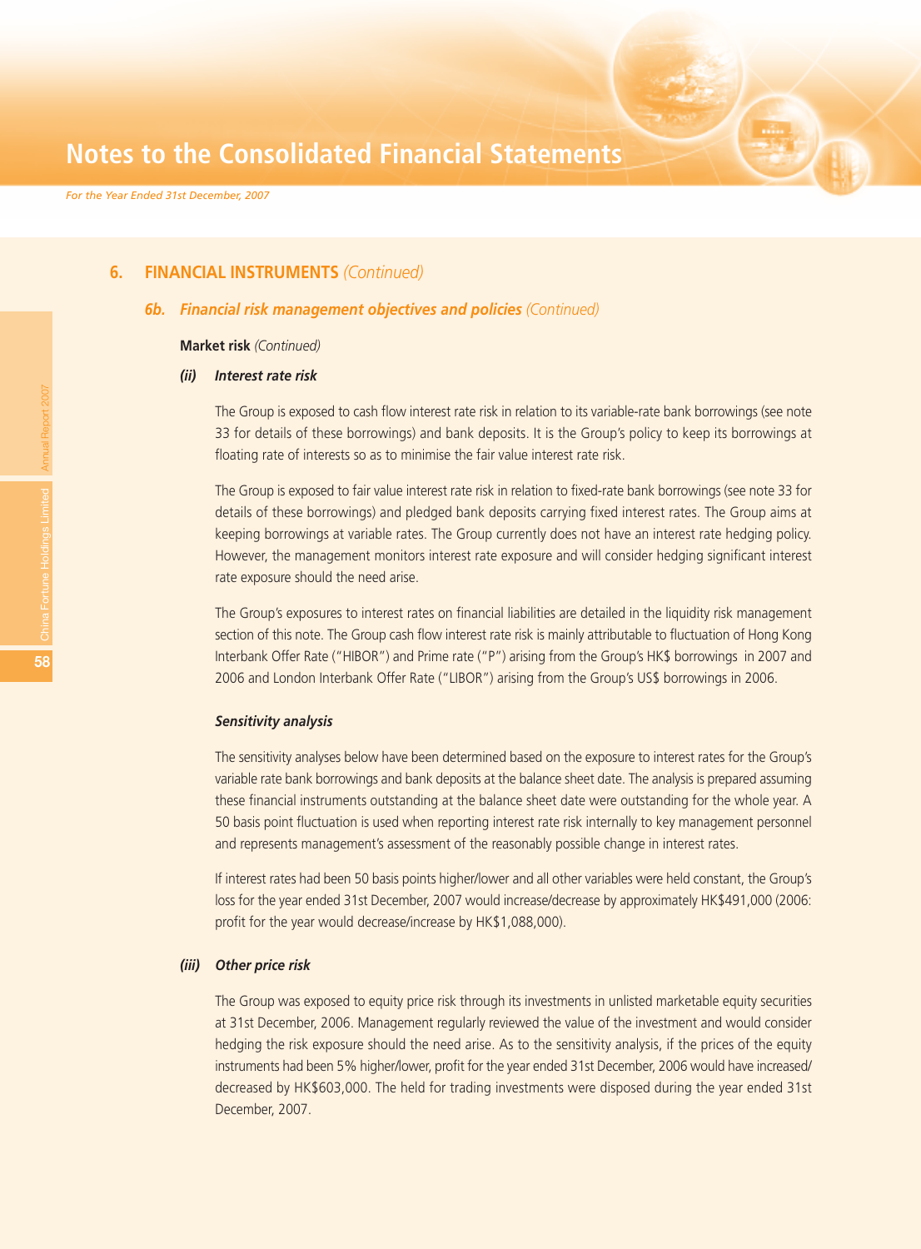*For the Year Ended 31st December, 2007*

#### **6. FINANCIAL INSTRUMENTS** *(Continued)*

#### *6b. Financial risk management objectives and policies (Continued)*

#### **Market risk** *(Continued)*

#### *(ii) Interest rate risk*

The Group is exposed to cash flow interest rate risk in relation to its variable-rate bank borrowings (see note 33 for details of these borrowings) and bank deposits. It is the Group's policy to keep its borrowings at floating rate of interests so as to minimise the fair value interest rate risk.

The Group is exposed to fair value interest rate risk in relation to fixed-rate bank borrowings (see note 33 for details of these borrowings) and pledged bank deposits carrying fixed interest rates. The Group aims at keeping borrowings at variable rates. The Group currently does not have an interest rate hedging policy. However, the management monitors interest rate exposure and will consider hedging significant interest rate exposure should the need arise.

The Group's exposures to interest rates on financial liabilities are detailed in the liquidity risk management section of this note. The Group cash flow interest rate risk is mainly attributable to fluctuation of Hong Kong Interbank Offer Rate ("HIBOR") and Prime rate ("P") arising from the Group's HK\$ borrowings in 2007 and 2006 and London Interbank Offer Rate ("LIBOR") arising from the Group's US\$ borrowings in 2006.

#### *Sensitivity analysis*

The sensitivity analyses below have been determined based on the exposure to interest rates for the Group's variable rate bank borrowings and bank deposits at the balance sheet date. The analysis is prepared assuming these financial instruments outstanding at the balance sheet date were outstanding for the whole year. A 50 basis point fluctuation is used when reporting interest rate risk internally to key management personnel and represents management's assessment of the reasonably possible change in interest rates.

If interest rates had been 50 basis points higher/lower and all other variables were held constant, the Group's loss for the year ended 31st December, 2007 would increase/decrease by approximately HK\$491,000 (2006: profit for the year would decrease/increase by HK\$1,088,000).

#### *(iii) Other price risk*

The Group was exposed to equity price risk through its investments in unlisted marketable equity securities at 31st December, 2006. Management regularly reviewed the value of the investment and would consider hedging the risk exposure should the need arise. As to the sensitivity analysis, if the prices of the equity instruments had been 5% higher/lower, profit for the year ended 31st December, 2006 would have increased/ decreased by HK\$603,000. The held for trading investments were disposed during the year ended 31st December, 2007.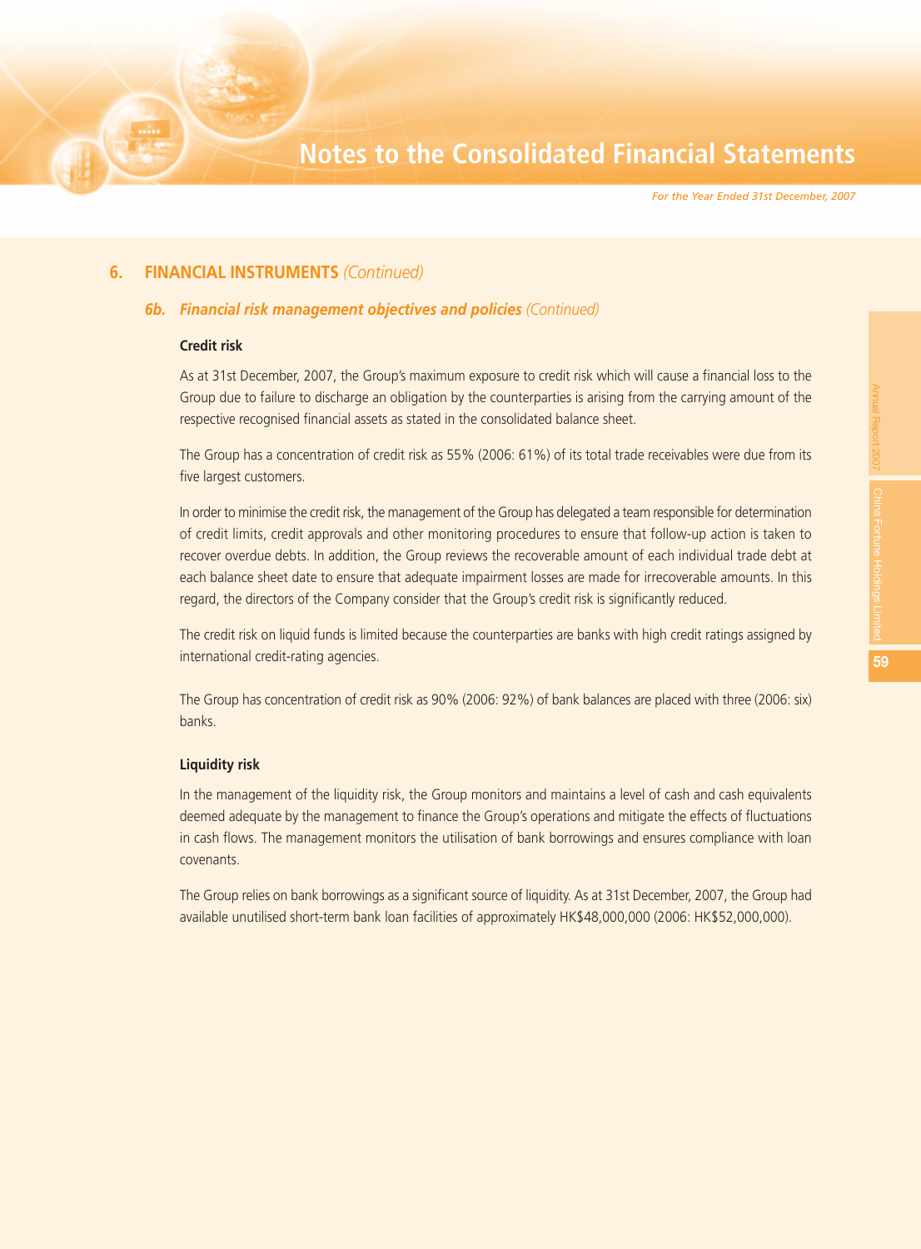*For the Year Ended 31st December, 2007*

### **6. FINANCIAL INSTRUMENTS** *(Continued)*

#### *6b. Financial risk management objectives and policies (Continued)*

#### **Credit risk**

As at 31st December, 2007, the Group's maximum exposure to credit risk which will cause a financial loss to the Group due to failure to discharge an obligation by the counterparties is arising from the carrying amount of the respective recognised financial assets as stated in the consolidated balance sheet.

The Group has a concentration of credit risk as 55% (2006: 61%) of its total trade receivables were due from its five largest customers.

In order to minimise the credit risk, the management of the Group has delegated a team responsible for determination of credit limits, credit approvals and other monitoring procedures to ensure that follow-up action is taken to recover overdue debts. In addition, the Group reviews the recoverable amount of each individual trade debt at each balance sheet date to ensure that adequate impairment losses are made for irrecoverable amounts. In this regard, the directors of the Company consider that the Group's credit risk is significantly reduced.

The credit risk on liquid funds is limited because the counterparties are banks with high credit ratings assigned by international credit-rating agencies.

The Group has concentration of credit risk as 90% (2006: 92%) of bank balances are placed with three (2006: six) banks.

#### **Liquidity risk**

In the management of the liquidity risk, the Group monitors and maintains a level of cash and cash equivalents deemed adequate by the management to finance the Group's operations and mitigate the effects of fluctuations in cash flows. The management monitors the utilisation of bank borrowings and ensures compliance with loan covenants.

The Group relies on bank borrowings as a significant source of liquidity. As at 31st December, 2007, the Group had available unutilised short-term bank loan facilities of approximately HK\$48,000,000 (2006: HK\$52,000,000).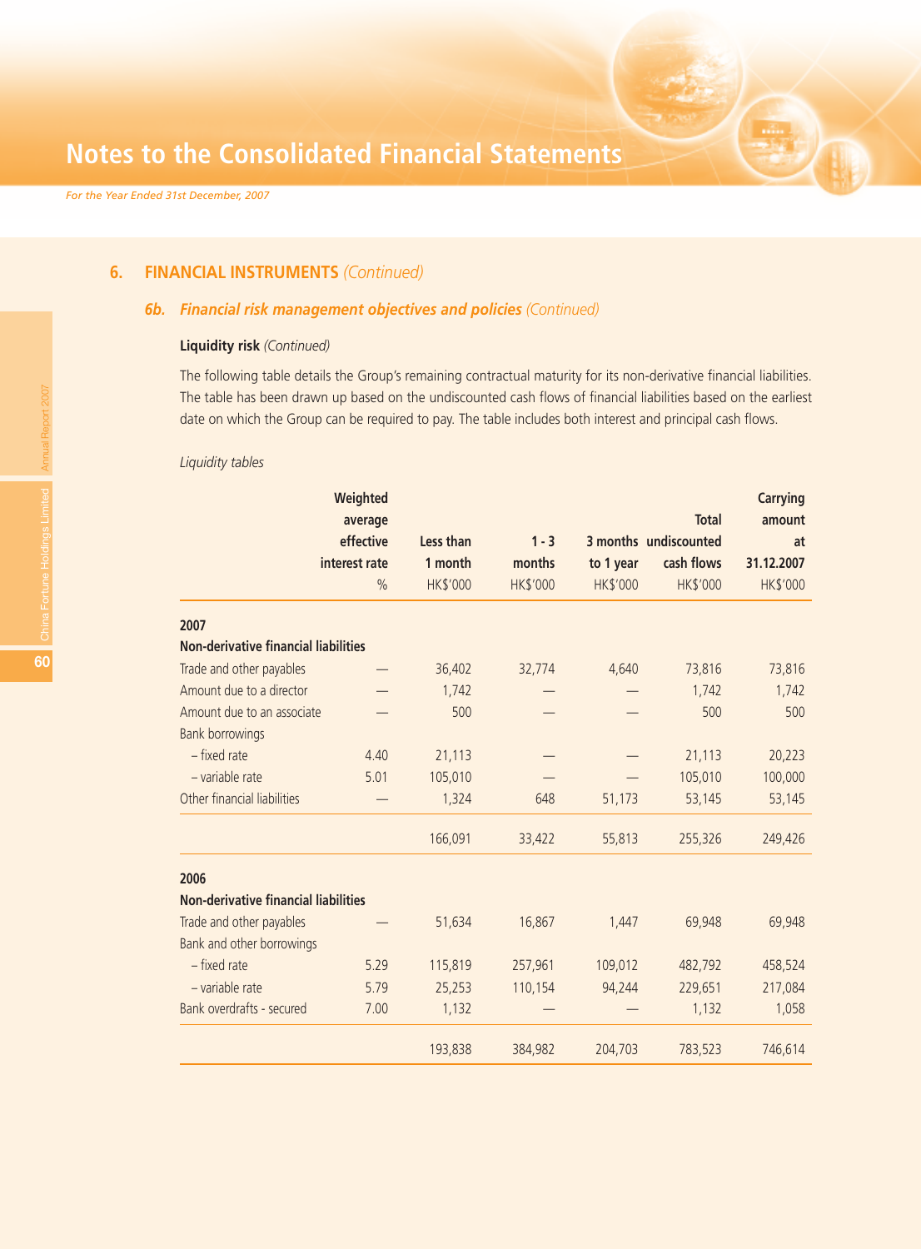### **6. FINANCIAL INSTRUMENTS** *(Continued)*

#### *6b. Financial risk management objectives and policies (Continued)*

#### **Liquidity risk** *(Continued)*

The following table details the Group's remaining contractual maturity for its non-derivative financial liabilities. The table has been drawn up based on the undiscounted cash flows of financial liabilities based on the earliest date on which the Group can be required to pay. The table includes both interest and principal cash flows.

#### *Liquidity tables*

|                                             | Weighted             |           |          |                 | <b>Total</b>          | <b>Carrying</b><br>amount |
|---------------------------------------------|----------------------|-----------|----------|-----------------|-----------------------|---------------------------|
|                                             | average<br>effective | Less than | $1 - 3$  |                 | 3 months undiscounted | at                        |
|                                             | interest rate        | 1 month   | months   | to 1 year       | cash flows            | 31.12.2007                |
|                                             | $\%$                 | HK\$'000  | HK\$'000 | <b>HK\$'000</b> | HK\$'000              | HK\$'000                  |
| 2007                                        |                      |           |          |                 |                       |                           |
| <b>Non-derivative financial liabilities</b> |                      |           |          |                 |                       |                           |
| Trade and other payables                    |                      | 36,402    | 32,774   | 4,640           | 73,816                | 73,816                    |
| Amount due to a director                    |                      | 1,742     |          |                 | 1,742                 | 1,742                     |
| Amount due to an associate                  |                      | 500       |          |                 | 500                   | 500                       |
| <b>Bank borrowings</b>                      |                      |           |          |                 |                       |                           |
| - fixed rate                                | 4.40                 | 21,113    |          |                 | 21,113                | 20,223                    |
| - variable rate                             | 5.01                 | 105,010   |          |                 | 105,010               | 100,000                   |
| Other financial liabilities                 |                      | 1,324     | 648      | 51,173          | 53,145                | 53,145                    |
|                                             |                      | 166,091   | 33,422   | 55,813          | 255,326               | 249,426                   |
| 2006                                        |                      |           |          |                 |                       |                           |
| <b>Non-derivative financial liabilities</b> |                      |           |          |                 |                       |                           |
| Trade and other payables                    |                      | 51,634    | 16,867   | 1,447           | 69,948                | 69,948                    |
| Bank and other borrowings                   |                      |           |          |                 |                       |                           |
| - fixed rate                                | 5.29                 | 115,819   | 257,961  | 109,012         | 482,792               | 458,524                   |
| - variable rate                             | 5.79                 | 25,253    | 110,154  | 94,244          | 229,651               | 217,084                   |
| Bank overdrafts - secured                   | 7.00                 | 1,132     |          |                 | 1,132                 | 1,058                     |
|                                             |                      | 193,838   | 384,982  | 204,703         | 783,523               | 746,614                   |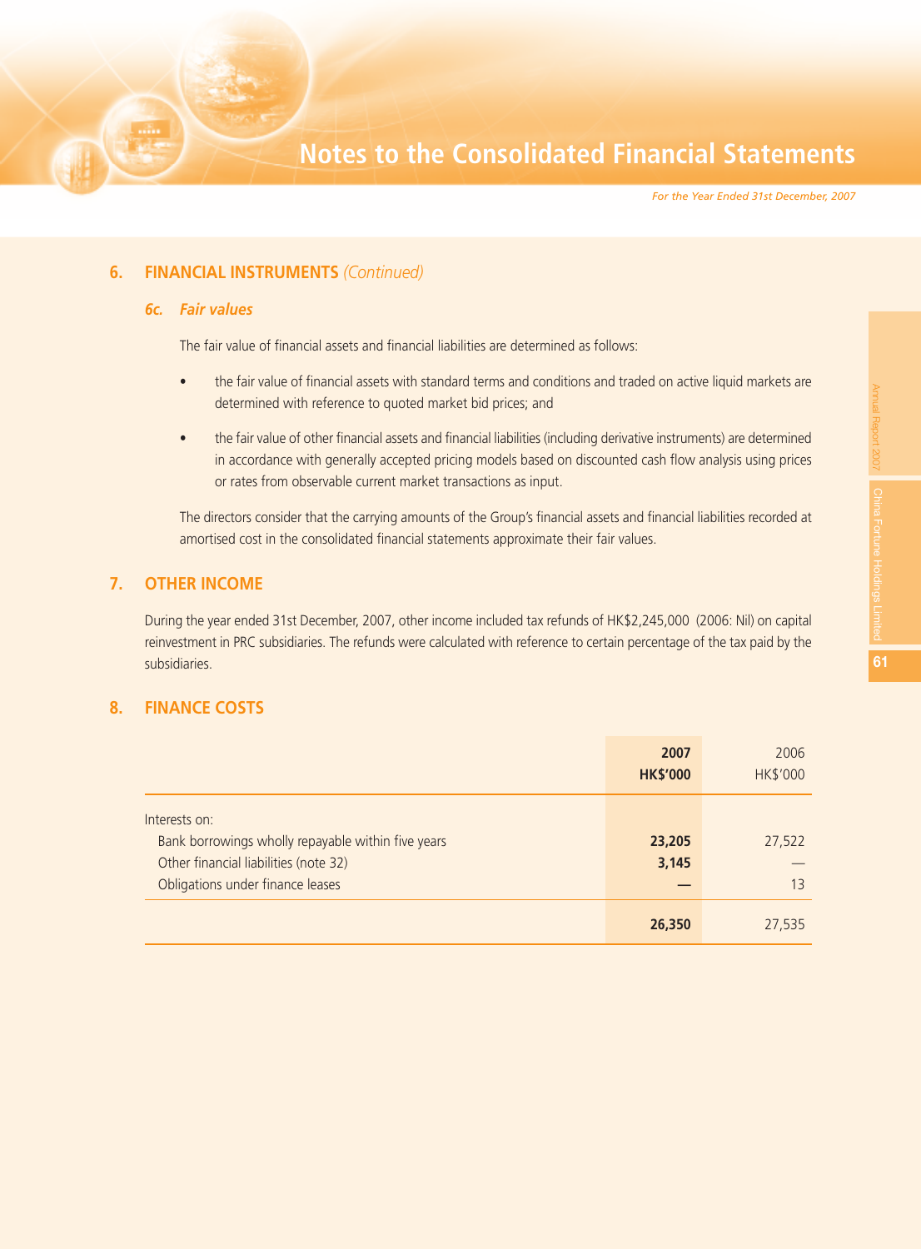*For the Year Ended 31st December, 2007*

# **6. FINANCIAL INSTRUMENTS** *(Continued)*

### *6c. Fair values*

The fair value of financial assets and financial liabilities are determined as follows:

- the fair value of financial assets with standard terms and conditions and traded on active liquid markets are determined with reference to quoted market bid prices; and
- the fair value of other financial assets and financial liabilities (including derivative instruments) are determined in accordance with generally accepted pricing models based on discounted cash flow analysis using prices or rates from observable current market transactions as input.

The directors consider that the carrying amounts of the Group's financial assets and financial liabilities recorded at amortised cost in the consolidated financial statements approximate their fair values.

# **7. OTHER INCOME**

During the year ended 31st December, 2007, other income included tax refunds of HK\$2,245,000 (2006: Nil) on capital reinvestment in PRC subsidiaries. The refunds were calculated with reference to certain percentage of the tax paid by the subsidiaries.

# **8. FINANCE COSTS**

|                                                    | 2007<br><b>HK\$'000</b> | 2006<br>HK\$'000 |
|----------------------------------------------------|-------------------------|------------------|
| Interests on:                                      |                         |                  |
| Bank borrowings wholly repayable within five years | 23,205                  | 27,522           |
| Other financial liabilities (note 32)              | 3,145                   |                  |
| Obligations under finance leases                   |                         | 13               |
|                                                    | 26,350                  | 27,535           |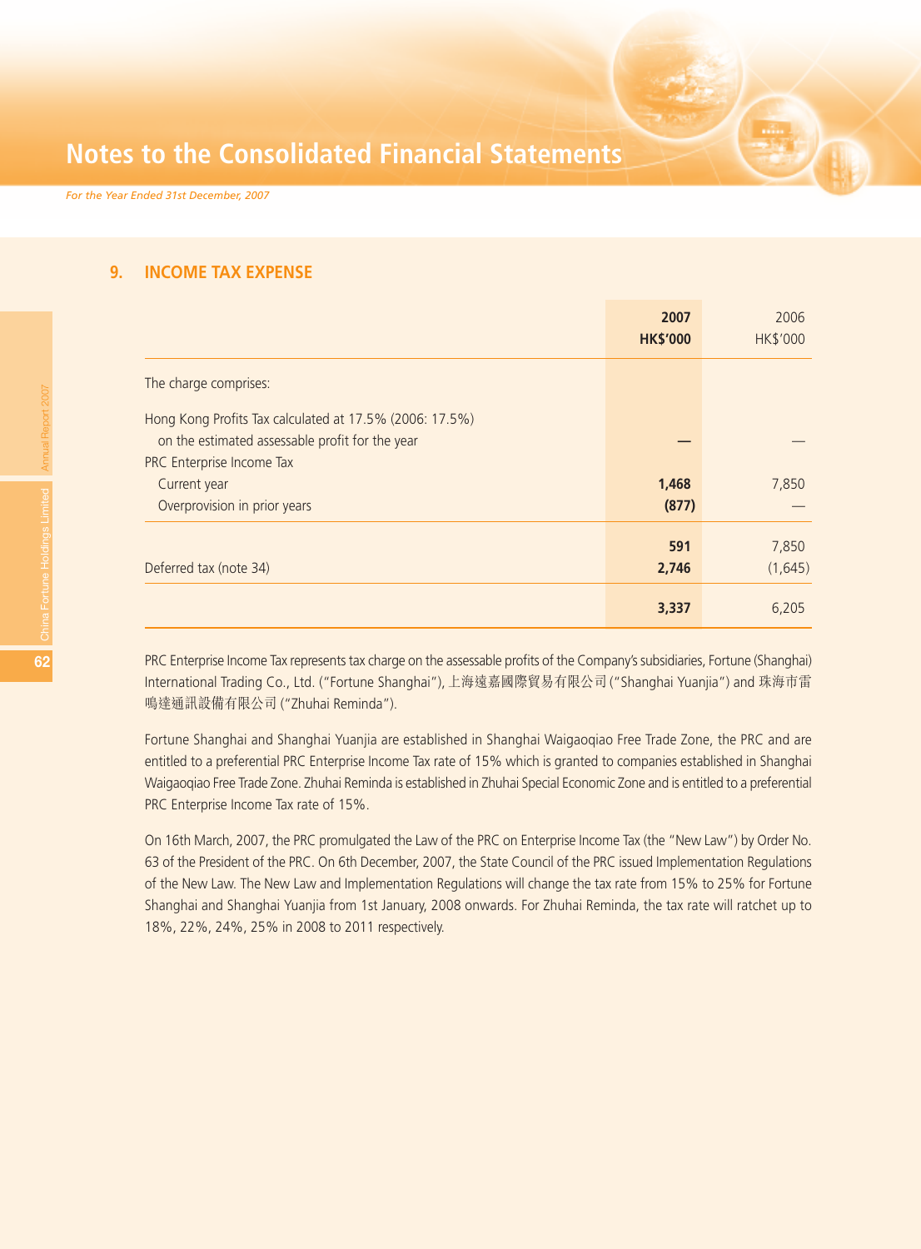*For the Year Ended 31st December, 2007*

### **9. INCOME TAX EXPENSE**

|                                                         | 2007<br><b>HK\$'000</b> | 2006<br>HK\$'000 |
|---------------------------------------------------------|-------------------------|------------------|
| The charge comprises:                                   |                         |                  |
| Hong Kong Profits Tax calculated at 17.5% (2006: 17.5%) |                         |                  |
| on the estimated assessable profit for the year         |                         |                  |
| PRC Enterprise Income Tax                               |                         |                  |
| Current year                                            | 1,468                   | 7,850            |
| Overprovision in prior years                            | (877)                   |                  |
|                                                         |                         |                  |
|                                                         | 591                     | 7,850            |
| Deferred tax (note 34)                                  | 2,746                   | (1,645)          |
|                                                         | 3,337                   | 6,205            |

PRC Enterprise Income Tax represents tax charge on the assessable profits of the Company's subsidiaries, Fortune (Shanghai) International Trading Co., Ltd. ("Fortune Shanghai"), 上海遠嘉國際貿易有限公司 ("Shanghai Yuanjia") and 珠海市雷 鳴達通訊設備有限公司 ("Zhuhai Reminda").

Fortune Shanghai and Shanghai Yuanjia are established in Shanghai Waigaoqiao Free Trade Zone, the PRC and are entitled to a preferential PRC Enterprise Income Tax rate of 15% which is granted to companies established in Shanghai Waigaoqiao Free Trade Zone. Zhuhai Reminda is established in Zhuhai Special Economic Zone and is entitled to a preferential PRC Enterprise Income Tax rate of 15%.

On 16th March, 2007, the PRC promulgated the Law of the PRC on Enterprise Income Tax (the "New Law") by Order No. 63 of the President of the PRC. On 6th December, 2007, the State Council of the PRC issued Implementation Regulations of the New Law. The New Law and Implementation Regulations will change the tax rate from 15% to 25% for Fortune Shanghai and Shanghai Yuanjia from 1st January, 2008 onwards. For Zhuhai Reminda, the tax rate will ratchet up to 18%, 22%, 24%, 25% in 2008 to 2011 respectively.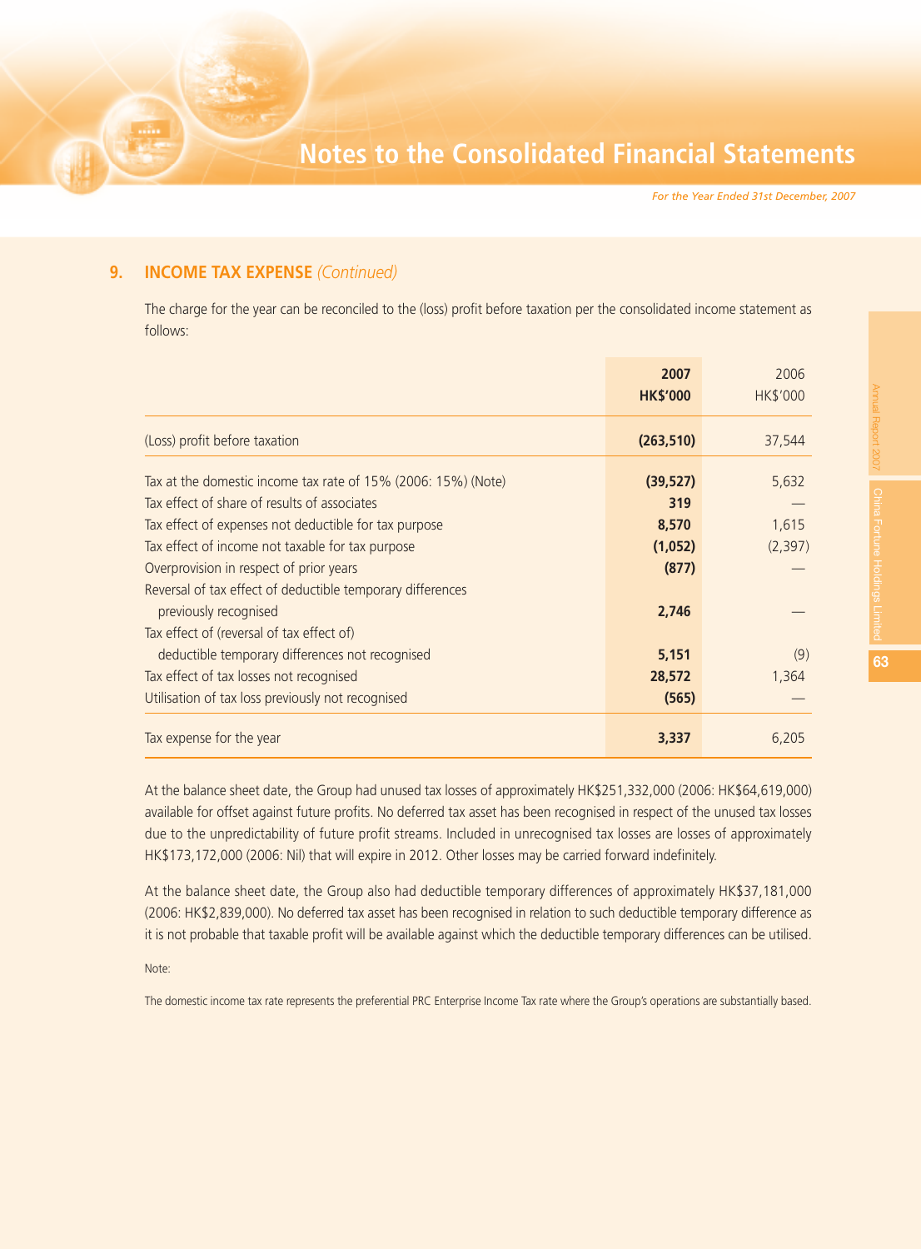*For the Year Ended 31st December, 2007*

# **9. INCOME TAX EXPENSE** *(Continued)*

The charge for the year can be reconciled to the (loss) profit before taxation per the consolidated income statement as follows:

|                                                               | 2007<br><b>HK\$'000</b> | 2006<br>HK\$'000 |
|---------------------------------------------------------------|-------------------------|------------------|
| (Loss) profit before taxation                                 | (263, 510)              | 37,544           |
| Tax at the domestic income tax rate of 15% (2006: 15%) (Note) | (39, 527)               | 5,632            |
| Tax effect of share of results of associates                  | 319                     |                  |
| Tax effect of expenses not deductible for tax purpose         | 8,570                   | 1,615            |
| Tax effect of income not taxable for tax purpose              | (1,052)                 | (2, 397)         |
| Overprovision in respect of prior years                       | (877)                   |                  |
| Reversal of tax effect of deductible temporary differences    |                         |                  |
| previously recognised                                         | 2,746                   |                  |
| Tax effect of (reversal of tax effect of)                     |                         |                  |
| deductible temporary differences not recognised               | 5,151                   | (9)              |
| Tax effect of tax losses not recognised                       | 28,572                  | 1,364            |
| Utilisation of tax loss previously not recognised             | (565)                   |                  |
| Tax expense for the year                                      | 3,337                   | 6,205            |

At the balance sheet date, the Group had unused tax losses of approximately HK\$251,332,000 (2006: HK\$64,619,000) available for offset against future profits. No deferred tax asset has been recognised in respect of the unused tax losses due to the unpredictability of future profit streams. Included in unrecognised tax losses are losses of approximately HK\$173,172,000 (2006: Nil) that will expire in 2012. Other losses may be carried forward indefinitely.

At the balance sheet date, the Group also had deductible temporary differences of approximately HK\$37,181,000 (2006: HK\$2,839,000). No deferred tax asset has been recognised in relation to such deductible temporary difference as it is not probable that taxable profit will be available against which the deductible temporary differences can be utilised.

Note:

The domestic income tax rate represents the preferential PRC Enterprise Income Tax rate where the Group's operations are substantially based.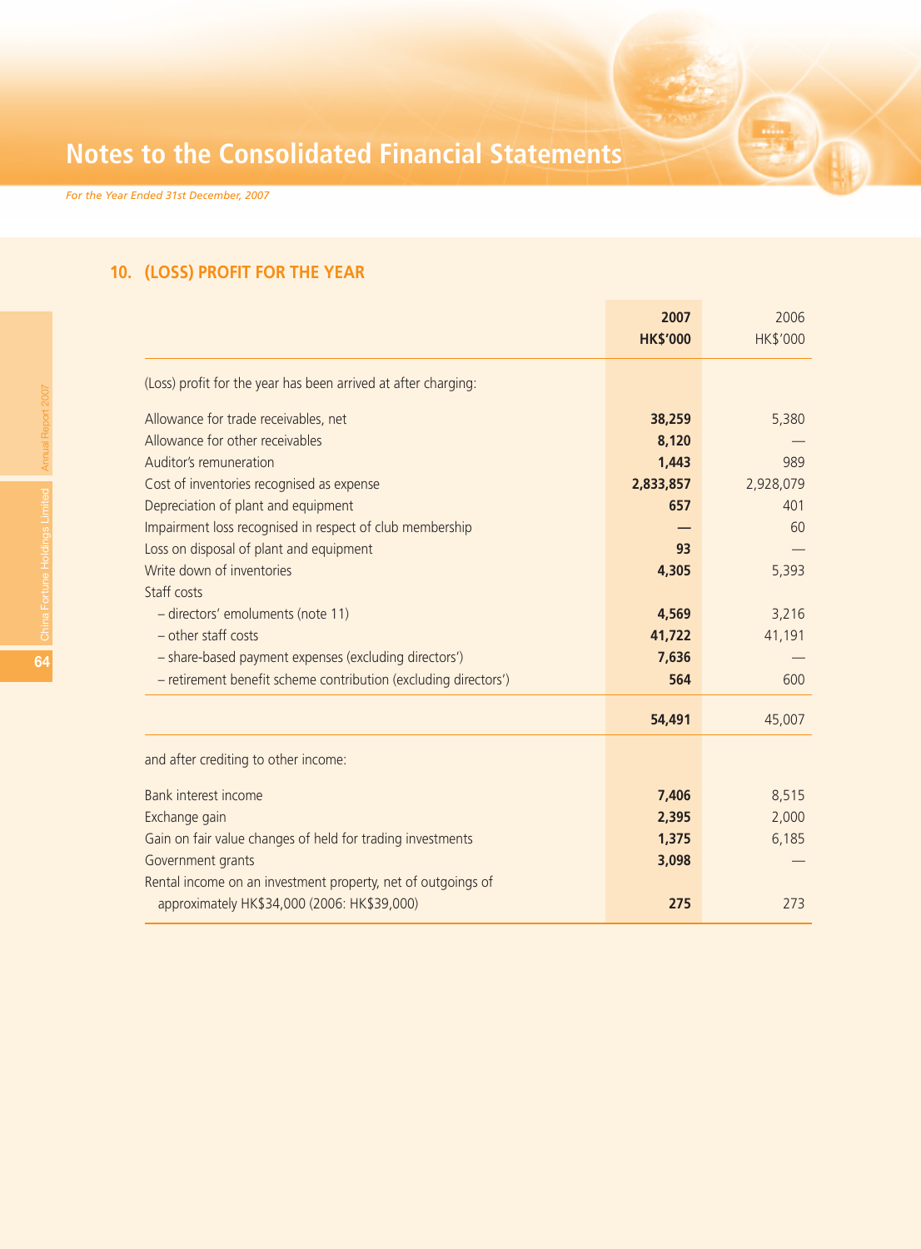*For the Year Ended 31st December, 2007*

# **10. (LOSS) PROFIT FOR THE YEAR**

|                                                                 | 2007<br><b>HK\$'000</b> | 2006<br><b>HK\$'000</b> |
|-----------------------------------------------------------------|-------------------------|-------------------------|
| (Loss) profit for the year has been arrived at after charging:  |                         |                         |
| Allowance for trade receivables, net                            | 38,259                  | 5,380                   |
| Allowance for other receivables                                 | 8,120                   |                         |
| Auditor's remuneration                                          | 1,443                   | 989                     |
| Cost of inventories recognised as expense                       | 2,833,857               | 2,928,079               |
| Depreciation of plant and equipment                             | 657                     | 401                     |
| Impairment loss recognised in respect of club membership        |                         | 60                      |
| Loss on disposal of plant and equipment                         | 93                      |                         |
| Write down of inventories                                       | 4,305                   | 5,393                   |
| Staff costs                                                     |                         |                         |
| - directors' emoluments (note 11)                               | 4,569                   | 3,216                   |
| $-$ other staff costs                                           | 41,722                  | 41,191                  |
| - share-based payment expenses (excluding directors')           | 7,636                   |                         |
| - retirement benefit scheme contribution (excluding directors') | 564                     | 600                     |
|                                                                 | 54,491                  | 45,007                  |
| and after crediting to other income:                            |                         |                         |
| Bank interest income                                            | 7.406                   | 8,515                   |
| Exchange gain                                                   | 2,395                   | 2,000                   |
| Gain on fair value changes of held for trading investments      | 1,375                   | 6,185                   |
| Government grants                                               | 3,098                   |                         |
| Rental income on an investment property, net of outgoings of    |                         |                         |
| approximately HK\$34,000 (2006: HK\$39,000)                     | 275                     | 273                     |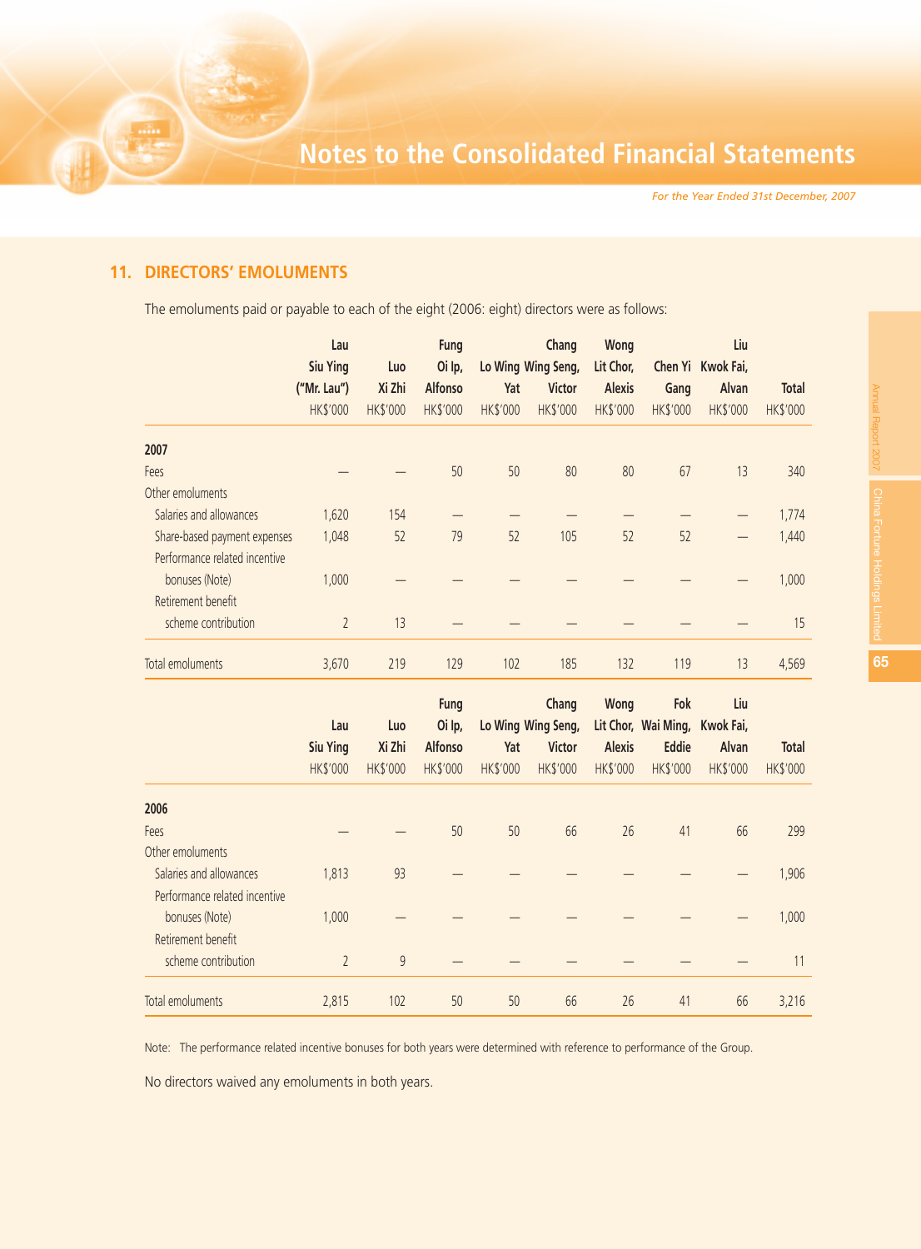*For the Year Ended 31st December, 2007*

# **11. DIRECTORS' EMOLUMENTS**

The emoluments paid or payable to each of the eight (2006: eight) directors were as follows:

|                               | Lau             |                | Fung     |          | Chang              | Wong          |                     | Liu               |              |
|-------------------------------|-----------------|----------------|----------|----------|--------------------|---------------|---------------------|-------------------|--------------|
|                               | <b>Siu Ying</b> | Luo            | Oi Ip,   |          | Lo Wing Wing Seng, | Lit Chor,     |                     | Chen Yi Kwok Fai, |              |
|                               | ("Mr. Lau")     | Xi Zhi         | Alfonso  | Yat      | <b>Victor</b>      | <b>Alexis</b> | Gang                | Alvan             | Total        |
|                               | HK\$'000        | HK\$'000       | HK\$'000 | HK\$'000 | HK\$'000           | HK\$'000      | HK\$'000            | HK\$'000          | HK\$'000     |
| 2007                          |                 |                |          |          |                    |               |                     |                   |              |
| Fees                          |                 |                | 50       | 50       | 80                 | 80            | 67                  | 13                | 340          |
| Other emoluments              |                 |                |          |          |                    |               |                     |                   |              |
| Salaries and allowances       | 1,620           | 154            |          |          |                    |               |                     |                   | 1,774        |
| Share-based payment expenses  | 1,048           | 52             | 79       | 52       | 105                | 52            | 52                  |                   | 1,440        |
| Performance related incentive |                 |                |          |          |                    |               |                     |                   |              |
| bonuses (Note)                | 1,000           |                |          |          |                    |               |                     |                   | 1,000        |
| Retirement benefit            |                 |                |          |          |                    |               |                     |                   |              |
| scheme contribution           | $\overline{2}$  | 13             |          |          |                    |               |                     |                   | 15           |
| Total emoluments              | 3,670           | 219            | 129      | 102      | 185                | 132           | 119                 | 13                | 4,569        |
|                               |                 |                | Fung     |          | Chang              | Wong          | Fok                 | Liu               |              |
|                               | Lau             | Luo            | Oi Ip,   |          | Lo Wing Wing Seng, |               | Lit Chor, Wai Ming, | Kwok Fai,         |              |
|                               | <b>Siu Ying</b> | Xi Zhi         | Alfonso  | Yat      | <b>Victor</b>      | <b>Alexis</b> | <b>Eddie</b>        | Alvan             | <b>Total</b> |
|                               | HK\$'000        | HK\$'000       | HK\$'000 | HK\$'000 | HK\$'000           | HK\$'000      | HK\$'000            | HK\$'000          | HK\$'000     |
| 2006                          |                 |                |          |          |                    |               |                     |                   |              |
| Fees                          |                 |                | 50       | 50       | 66                 | 26            | 41                  | 66                | 299          |
| Other emoluments              |                 |                |          |          |                    |               |                     |                   |              |
| Salaries and allowances       | 1,813           | 93             |          |          |                    |               |                     |                   | 1,906        |
| Performance related incentive |                 |                |          |          |                    |               |                     |                   |              |
| bonuses (Note)                | 1,000           |                |          |          |                    |               |                     |                   | 1,000        |
| Retirement benefit            |                 |                |          |          |                    |               |                     |                   |              |
| scheme contribution           | $\overline{2}$  | $\overline{9}$ |          |          |                    |               |                     |                   | 11           |
| <b>Total emoluments</b>       | 2,815           | 102            | 50       | 50       | 66                 | 26            | 41                  | 66                | 3,216        |

Note: The performance related incentive bonuses for both years were determined with reference to performance of the Group.

No directors waived any emoluments in both years.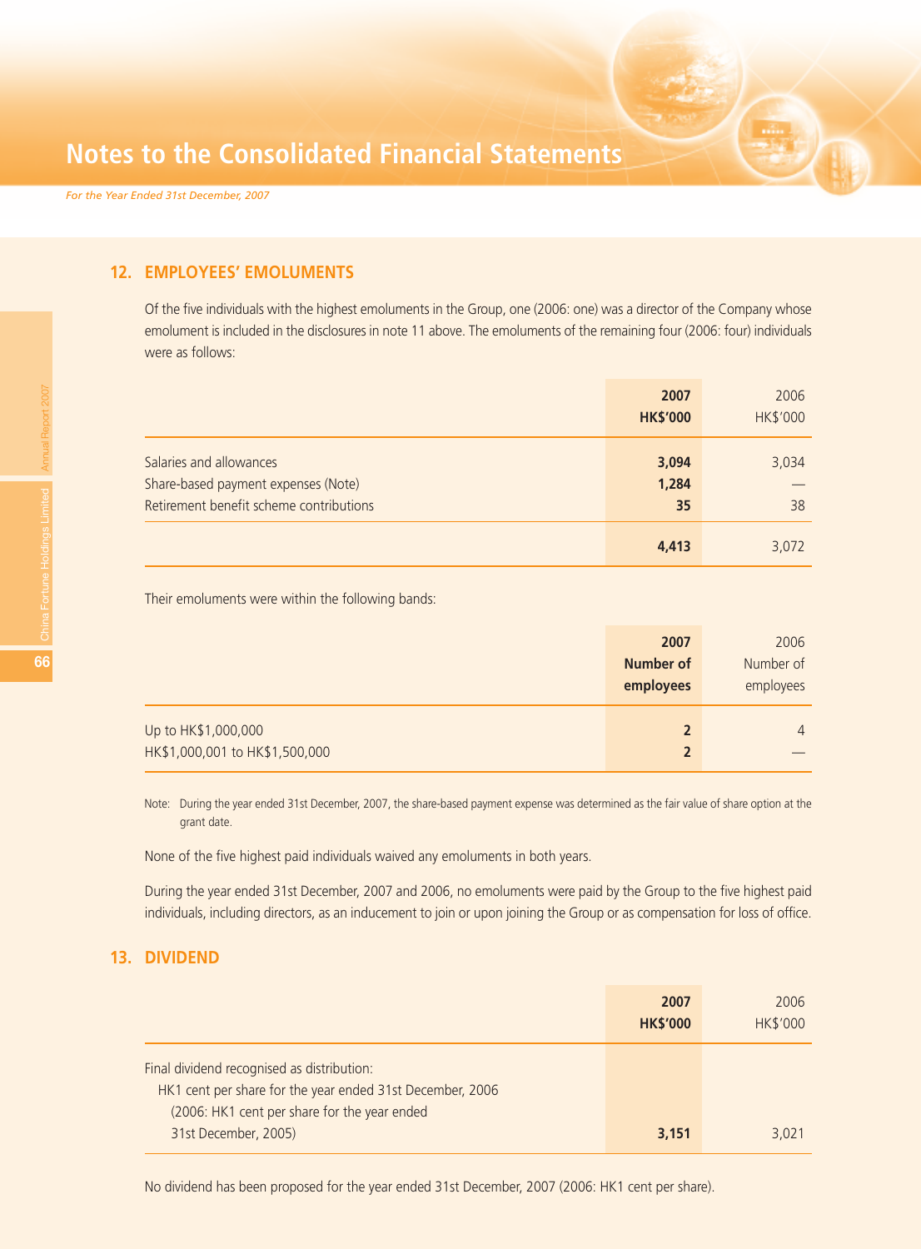*For the Year Ended 31st December, 2007*

## **12. EMPLOYEES' EMOLUMENTS**

Of the five individuals with the highest emoluments in the Group, one (2006: one) was a director of the Company whose emolument is included in the disclosures in note 11 above. The emoluments of the remaining four (2006: four) individuals were as follows:

|                                                                                                           | 2007<br><b>HK\$'000</b> | 2006<br>HK\$'000 |
|-----------------------------------------------------------------------------------------------------------|-------------------------|------------------|
| Salaries and allowances<br>Share-based payment expenses (Note)<br>Retirement benefit scheme contributions | 3,094<br>1,284<br>35    | 3,034<br>38      |
|                                                                                                           | 4,413                   | 3,072            |

Their emoluments were within the following bands:

|                                | 2007             | 2006           |
|--------------------------------|------------------|----------------|
|                                | <b>Number of</b> | Number of      |
|                                | employees        | employees      |
|                                |                  |                |
| Up to HK\$1,000,000            | 2                | $\overline{4}$ |
| HK\$1,000,001 to HK\$1,500,000 | 2                |                |

Note: During the year ended 31st December, 2007, the share-based payment expense was determined as the fair value of share option at the grant date.

None of the five highest paid individuals waived any emoluments in both years.

During the year ended 31st December, 2007 and 2006, no emoluments were paid by the Group to the five highest paid individuals, including directors, as an inducement to join or upon joining the Group or as compensation for loss of office.

### **13. DIVIDEND**

|                                                                                                         | 2007<br><b>HK\$'000</b> | 2006<br><b>HK\$'000</b> |
|---------------------------------------------------------------------------------------------------------|-------------------------|-------------------------|
| Final dividend recognised as distribution:<br>HK1 cent per share for the year ended 31st December, 2006 |                         |                         |
| (2006: HK1 cent per share for the year ended                                                            |                         |                         |
| 31st December, 2005)                                                                                    | 3,151                   | 3.021                   |

No dividend has been proposed for the year ended 31st December, 2007 (2006: HK1 cent per share).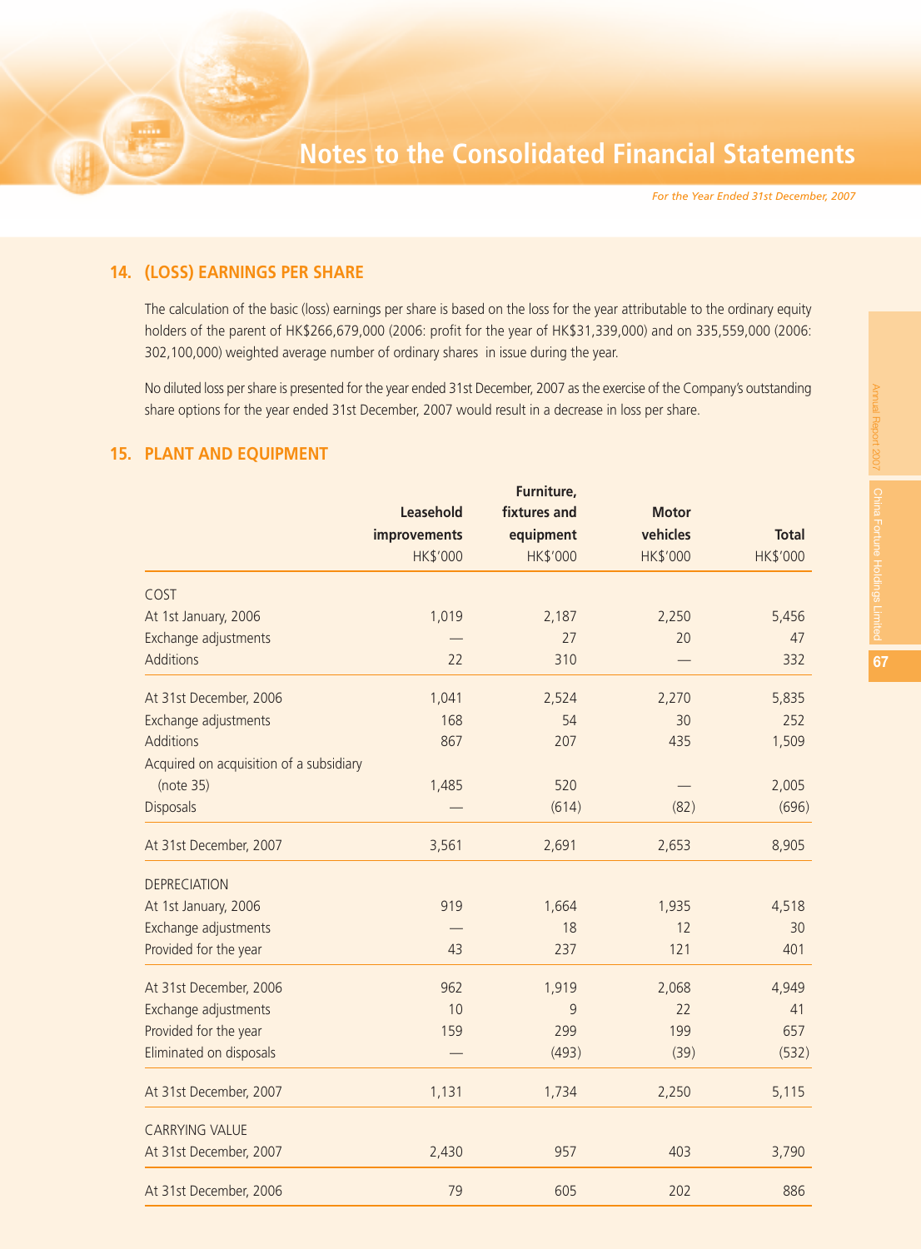*For the Year Ended 31st December, 2007*

## **14. (LOSS) EARNINGS PER SHARE**

The calculation of the basic (loss) earnings per share is based on the loss for the year attributable to the ordinary equity holders of the parent of HK\$266,679,000 (2006: profit for the year of HK\$31,339,000) and on 335,559,000 (2006: 302,100,000) weighted average number of ordinary shares in issue during the year.

No diluted loss per share is presented for the year ended 31st December, 2007 as the exercise of the Company's outstanding share options for the year ended 31st December, 2007 would result in a decrease in loss per share.

### **15. PLANT AND EQUIPMENT**

|                                         |                 | Furniture,   |                 |                 |
|-----------------------------------------|-----------------|--------------|-----------------|-----------------|
|                                         | Leasehold       | fixtures and | <b>Motor</b>    |                 |
|                                         | improvements    | equipment    | vehicles        | <b>Total</b>    |
|                                         | <b>HK\$'000</b> | HK\$'000     | <b>HK\$'000</b> | <b>HK\$'000</b> |
| COST                                    |                 |              |                 |                 |
| At 1st January, 2006                    | 1,019           | 2,187        | 2,250           | 5,456           |
| Exchange adjustments                    |                 | 27           | 20              | 47              |
| <b>Additions</b>                        | 22              | 310          |                 | 332             |
| At 31st December, 2006                  | 1,041           | 2,524        | 2,270           | 5,835           |
| Exchange adjustments                    | 168             | 54           | 30              | 252             |
| <b>Additions</b>                        | 867             | 207          | 435             | 1,509           |
| Acquired on acquisition of a subsidiary |                 |              |                 |                 |
| (note 35)                               | 1,485           | 520          |                 | 2,005           |
| <b>Disposals</b>                        |                 | (614)        | (82)            | (696)           |
| At 31st December, 2007                  | 3,561           | 2,691        | 2,653           | 8,905           |
| <b>DEPRECIATION</b>                     |                 |              |                 |                 |
| At 1st January, 2006                    | 919             | 1,664        | 1,935           | 4,518           |
| Exchange adjustments                    |                 | 18           | 12              | 30              |
| Provided for the year                   | 43              | 237          | 121             | 401             |
| At 31st December, 2006                  | 962             | 1,919        | 2,068           | 4,949           |
| Exchange adjustments                    | 10              | 9            | 22              | 41              |
| Provided for the year                   | 159             | 299          | 199             | 657             |
| Eliminated on disposals                 |                 | (493)        | (39)            | (532)           |
| At 31st December, 2007                  | 1,131           | 1,734        | 2,250           | 5,115           |
| <b>CARRYING VALUE</b>                   |                 |              |                 |                 |
| At 31st December, 2007                  | 2,430           | 957          | 403             | 3,790           |
| At 31st December, 2006                  | 79              | 605          | 202             | 886             |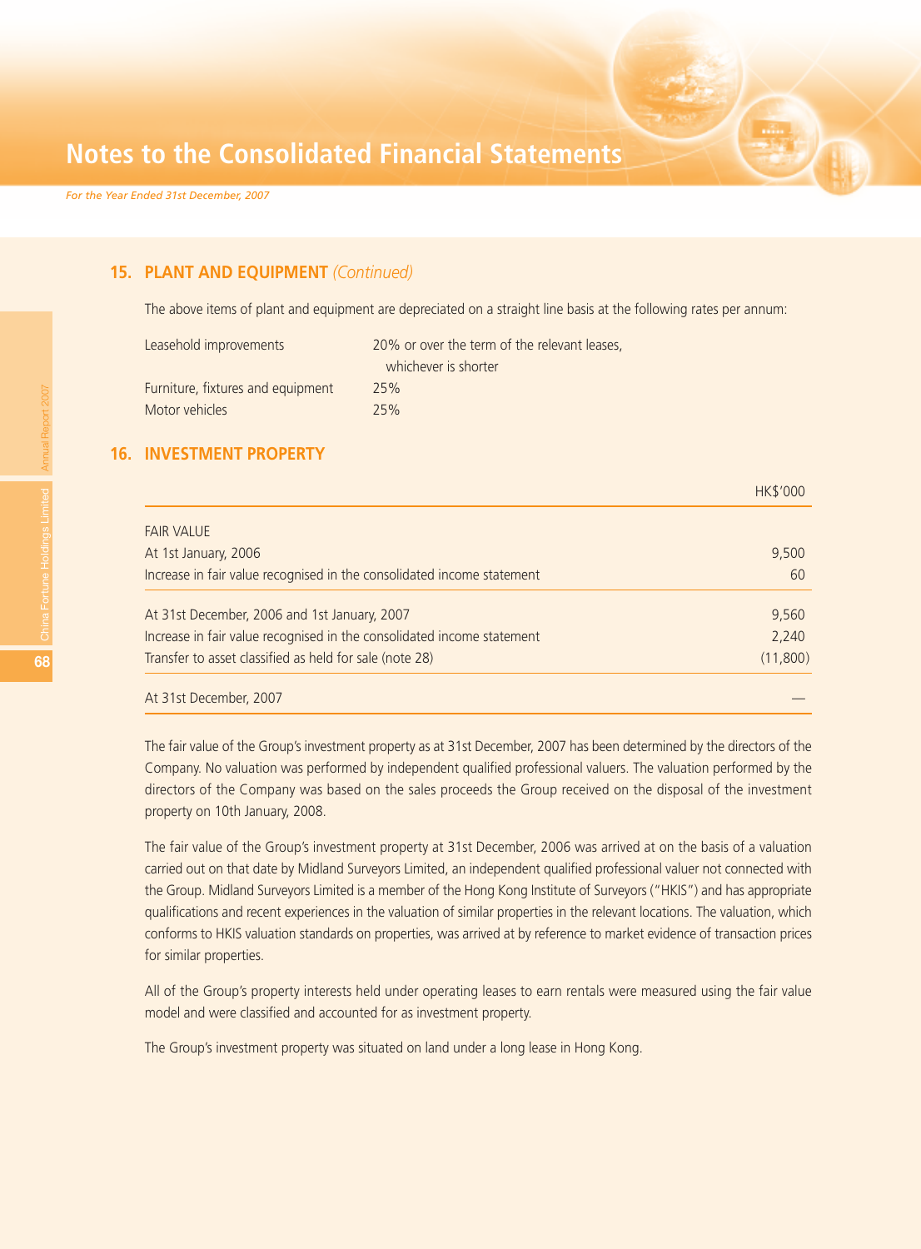*For the Year Ended 31st December, 2007*

# **15. PLANT AND EQUIPMENT** *(Continued)*

The above items of plant and equipment are depreciated on a straight line basis at the following rates per annum:

 $\mathbb{Z}_{\mathbb{R}}$ 

| Leasehold improvements            | 20% or over the term of the relevant leases. |
|-----------------------------------|----------------------------------------------|
|                                   | whichever is shorter                         |
| Furniture, fixtures and equipment | 25%                                          |
| Motor vehicles                    | 25%                                          |

### **16. INVESTMENT PROPERTY**

|                                                                        | <b>HK\$'000</b> |
|------------------------------------------------------------------------|-----------------|
| <b>FAIR VALUE</b>                                                      |                 |
| At 1st January, 2006                                                   | 9,500           |
| Increase in fair value recognised in the consolidated income statement | 60              |
| At 31st December, 2006 and 1st January, 2007                           | 9,560           |
| Increase in fair value recognised in the consolidated income statement | 2,240           |
| Transfer to asset classified as held for sale (note 28)                | (11,800)        |
| At 31st December, 2007                                                 |                 |

The fair value of the Group's investment property as at 31st December, 2007 has been determined by the directors of the Company. No valuation was performed by independent qualified professional valuers. The valuation performed by the directors of the Company was based on the sales proceeds the Group received on the disposal of the investment property on 10th January, 2008.

The fair value of the Group's investment property at 31st December, 2006 was arrived at on the basis of a valuation carried out on that date by Midland Surveyors Limited, an independent qualified professional valuer not connected with the Group. Midland Surveyors Limited is a member of the Hong Kong Institute of Surveyors ("HKIS") and has appropriate qualifications and recent experiences in the valuation of similar properties in the relevant locations. The valuation, which conforms to HKIS valuation standards on properties, was arrived at by reference to market evidence of transaction prices for similar properties.

All of the Group's property interests held under operating leases to earn rentals were measured using the fair value model and were classified and accounted for as investment property.

The Group's investment property was situated on land under a long lease in Hong Kong.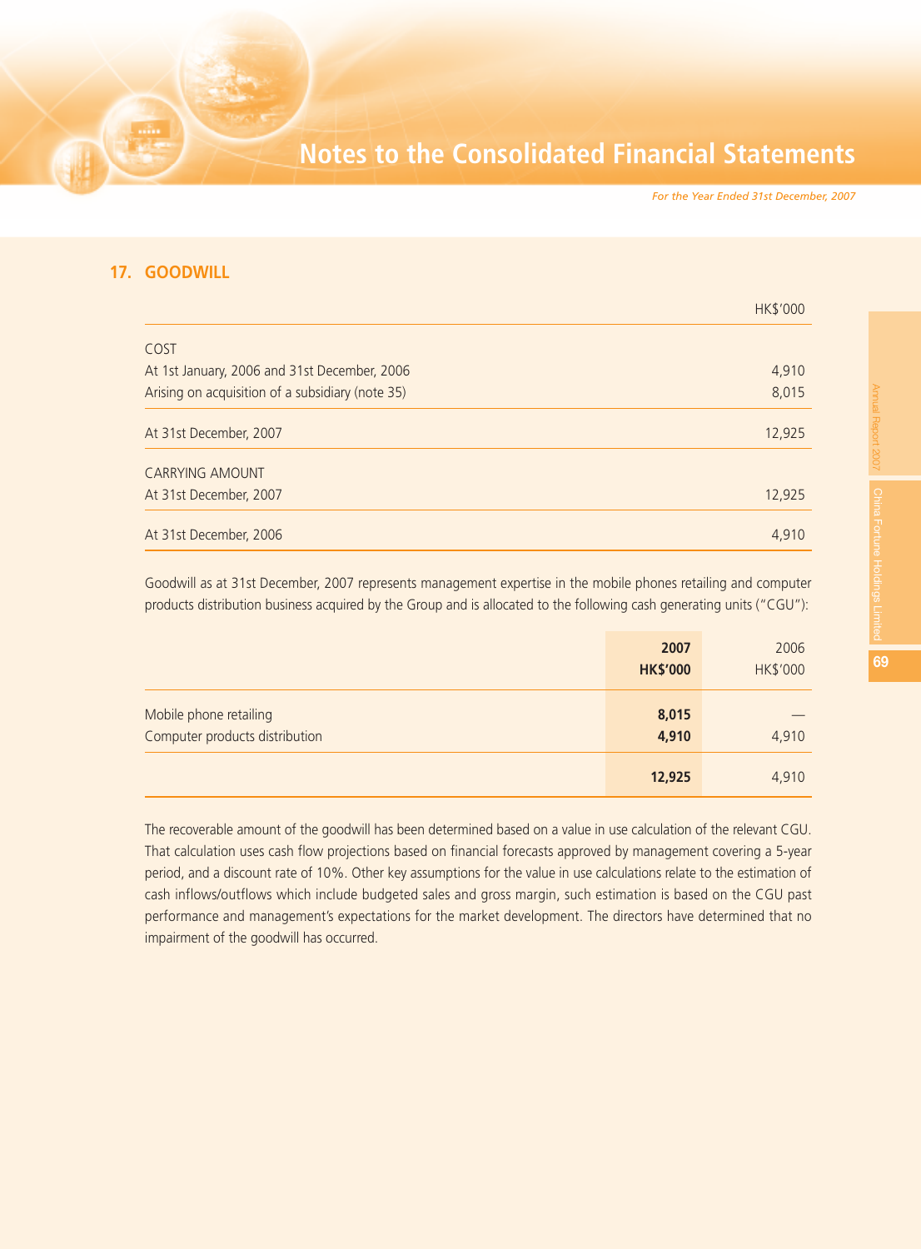*For the Year Ended 31st December, 2007*

# **17. GOODWILL**

|                                                  | HK\$'000 |
|--------------------------------------------------|----------|
| <b>COST</b>                                      |          |
| At 1st January, 2006 and 31st December, 2006     | 4,910    |
| Arising on acquisition of a subsidiary (note 35) | 8,015    |
| At 31st December, 2007                           | 12,925   |
| <b>CARRYING AMOUNT</b>                           |          |
| At 31st December, 2007                           | 12,925   |
| At 31st December, 2006                           | 4,910    |

Goodwill as at 31st December, 2007 represents management expertise in the mobile phones retailing and computer products distribution business acquired by the Group and is allocated to the following cash generating units ("CGU"):

|                                                          | 2007<br><b>HK\$'000</b> | 2006<br>HK\$'000 |
|----------------------------------------------------------|-------------------------|------------------|
| Mobile phone retailing<br>Computer products distribution | 8,015<br>4,910          | 4,910            |
|                                                          | 12,925                  | 4,910            |

The recoverable amount of the goodwill has been determined based on a value in use calculation of the relevant CGU. That calculation uses cash flow projections based on financial forecasts approved by management covering a 5-year period, and a discount rate of 10%. Other key assumptions for the value in use calculations relate to the estimation of cash inflows/outflows which include budgeted sales and gross margin, such estimation is based on the CGU past performance and management's expectations for the market development. The directors have determined that no impairment of the goodwill has occurred.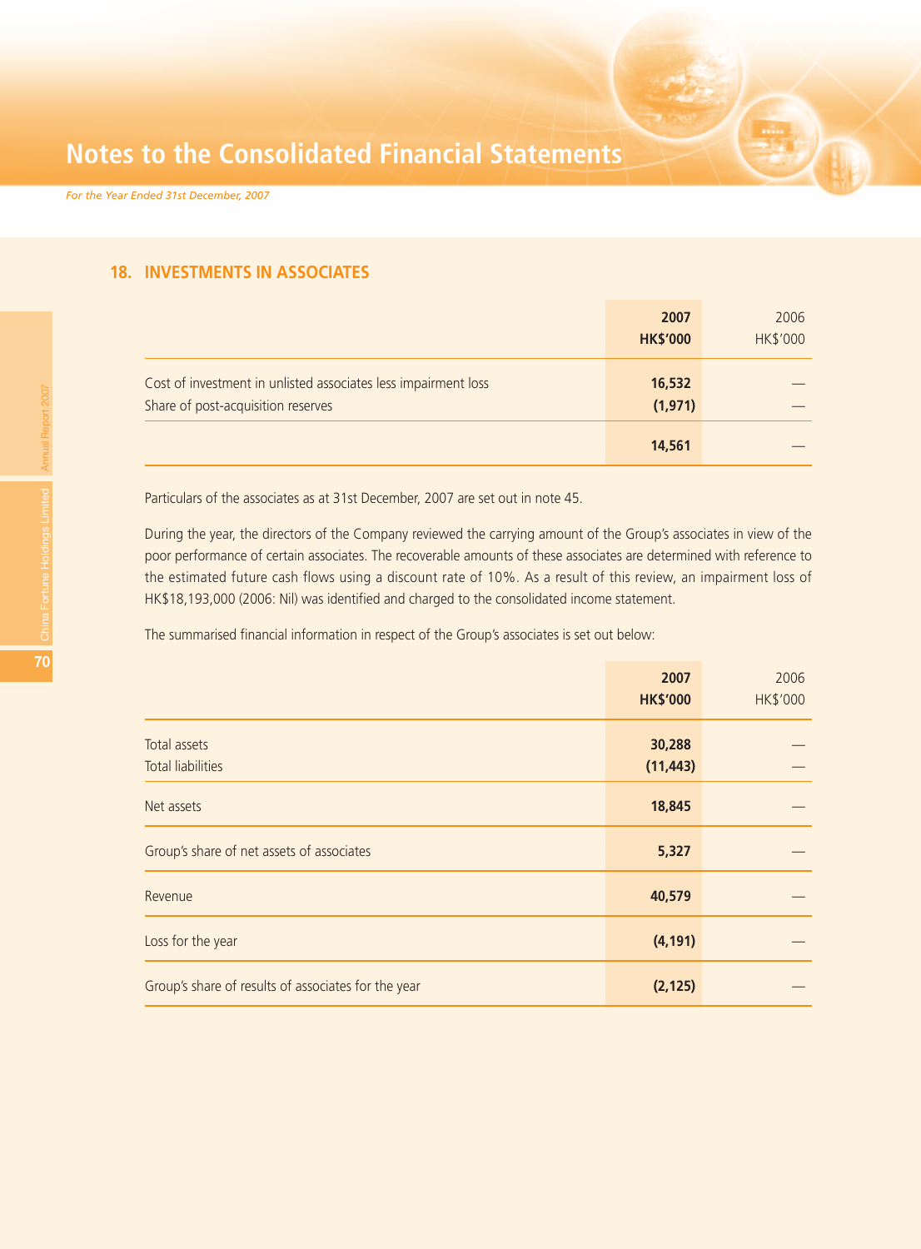*For the Year Ended 31st December, 2007*

# **18. INVESTMENTS IN ASSOCIATES**

|                                                                                                      | 2007<br><b>HK\$'000</b> | 2006<br>HK\$'000 |
|------------------------------------------------------------------------------------------------------|-------------------------|------------------|
| Cost of investment in unlisted associates less impairment loss<br>Share of post-acquisition reserves | 16,532<br>(1, 971)      |                  |
|                                                                                                      | 14,561                  |                  |

Particulars of the associates as at 31st December, 2007 are set out in note 45.

During the year, the directors of the Company reviewed the carrying amount of the Group's associates in view of the poor performance of certain associates. The recoverable amounts of these associates are determined with reference to the estimated future cash flows using a discount rate of 10%. As a result of this review, an impairment loss of HK\$18,193,000 (2006: Nil) was identified and charged to the consolidated income statement.

The summarised financial information in respect of the Group's associates is set out below:

|                                                     | 2007<br><b>HK\$'000</b> | 2006<br>HK\$'000 |
|-----------------------------------------------------|-------------------------|------------------|
| Total assets<br><b>Total liabilities</b>            | 30,288<br>(11, 443)     |                  |
| Net assets                                          | 18,845                  |                  |
| Group's share of net assets of associates           | 5,327                   |                  |
| Revenue                                             | 40,579                  |                  |
| Loss for the year                                   | (4, 191)                |                  |
| Group's share of results of associates for the year | (2, 125)                |                  |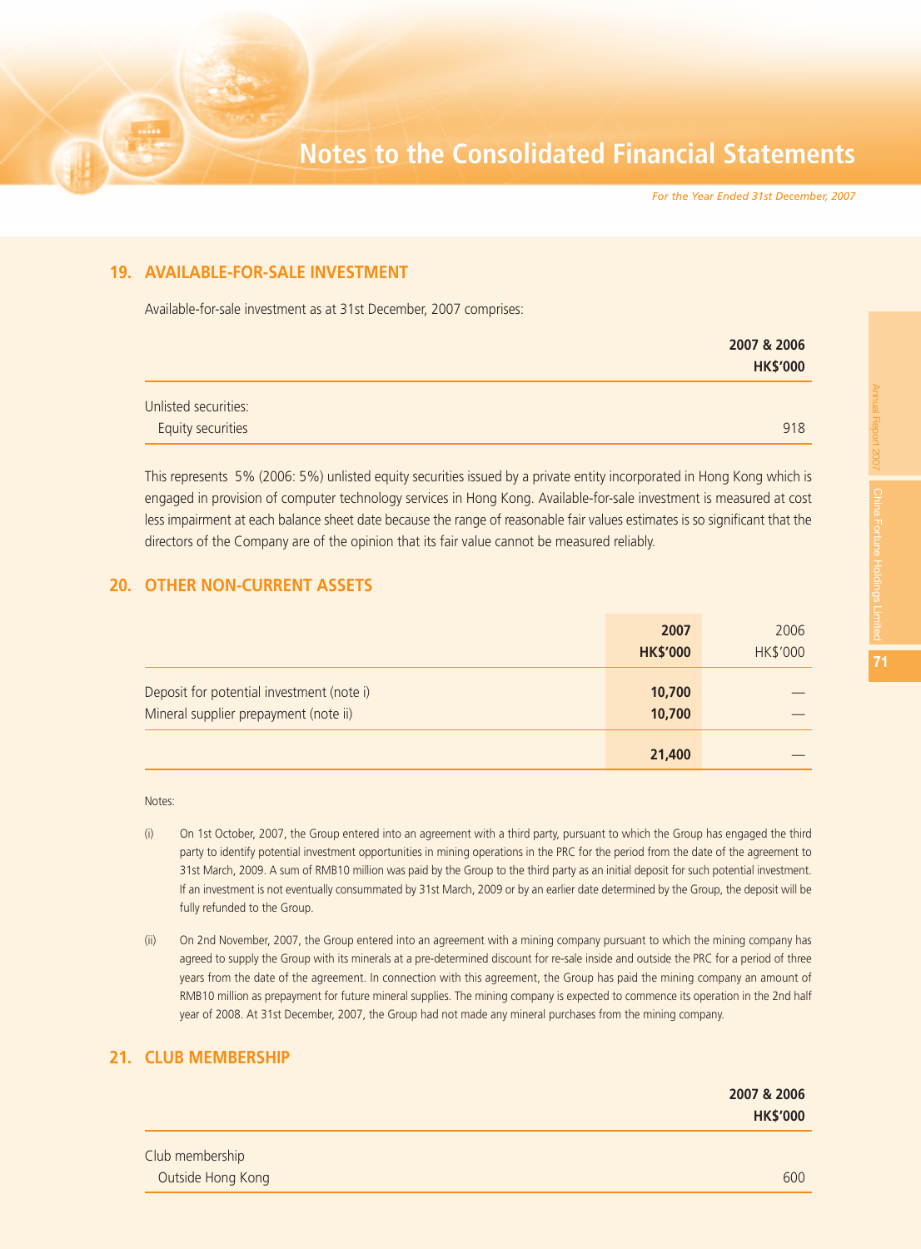*For the Year Ended 31st December, 2007*

## **19. AVAILABLE-FOR-SALE INVESTMENT**

Available-for-sale investment as at 31st December, 2007 comprises:

|                                                  | 2007 & 2006<br><b>HK\$'000</b> |
|--------------------------------------------------|--------------------------------|
| Unlisted securities:<br><b>Equity securities</b> | 918                            |

This represents 5% (2006: 5%) unlisted equity securities issued by a private entity incorporated in Hong Kong which is engaged in provision of computer technology services in Hong Kong. Available-for-sale investment is measured at cost less impairment at each balance sheet date because the range of reasonable fair values estimates is so significant that the directors of the Company are of the opinion that its fair value cannot be measured reliably.

# **20. OTHER NON-CURRENT ASSETS**

|                                                                                    | 2007<br><b>HK\$'000</b> | 2006<br>HK\$'000 |
|------------------------------------------------------------------------------------|-------------------------|------------------|
| Deposit for potential investment (note i)<br>Mineral supplier prepayment (note ii) | 10,700<br>10,700        |                  |
|                                                                                    | 21,400                  |                  |

Notes:

- (i) On 1st October, 2007, the Group entered into an agreement with a third party, pursuant to which the Group has engaged the third party to identify potential investment opportunities in mining operations in the PRC for the period from the date of the agreement to 31st March, 2009. A sum of RMB10 million was paid by the Group to the third party as an initial deposit for such potential investment. If an investment is not eventually consummated by 31st March, 2009 or by an earlier date determined by the Group, the deposit will be fully refunded to the Group.
- (ii) On 2nd November, 2007, the Group entered into an agreement with a mining company pursuant to which the mining company has agreed to supply the Group with its minerals at a pre-determined discount for re-sale inside and outside the PRC for a period of three years from the date of the agreement. In connection with this agreement, the Group has paid the mining company an amount of RMB10 million as prepayment for future mineral supplies. The mining company is expected to commence its operation in the 2nd half year of 2008. At 31st December, 2007, the Group had not made any mineral purchases from the mining company.

## **21. CLUB MEMBERSHIP**

|                   | 2007 & 2006<br><b>HK\$'000</b> |
|-------------------|--------------------------------|
| Club membership   |                                |
| Outside Hong Kong | 600                            |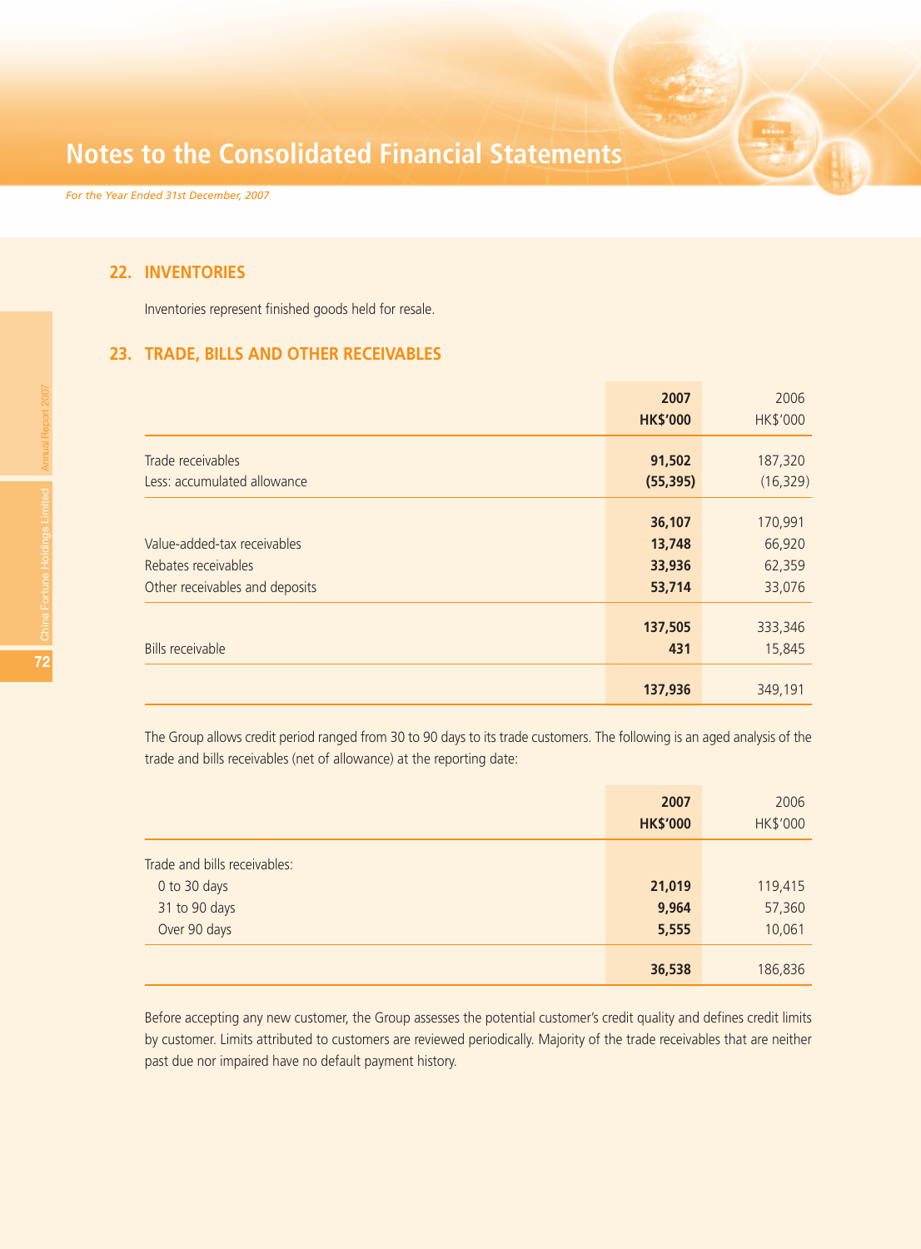*For the Year Ended 31st December, 2007*

#### **22. INVENTORIES**

Inventories represent finished goods held for resale.

## **23. TRADE, BILLS AND OTHER RECEIVABLES**

|                                | 2007            | 2006            |
|--------------------------------|-----------------|-----------------|
|                                | <b>HK\$'000</b> | <b>HK\$'000</b> |
| Trade receivables              | 91,502          | 187,320         |
| Less: accumulated allowance    | (55, 395)       | (16, 329)       |
|                                | 36,107          | 170,991         |
| Value-added-tax receivables    | 13,748          | 66,920          |
| Rebates receivables            | 33,936          | 62,359          |
| Other receivables and deposits | 53,714          | 33,076          |
|                                | 137,505         | 333,346         |
| <b>Bills receivable</b>        | 431             | 15,845          |
|                                | 137,936         | 349,191         |

 $\mathbb{Z}/\mathbb{Z}$ 

The Group allows credit period ranged from 30 to 90 days to its trade customers. The following is an aged analysis of the trade and bills receivables (net of allowance) at the reporting date:

|                              | 2007<br><b>HK\$'000</b> | 2006<br>HK\$'000 |
|------------------------------|-------------------------|------------------|
| Trade and bills receivables: |                         |                  |
| 0 to 30 days                 | 21,019                  | 119,415          |
| 31 to 90 days                | 9,964                   | 57,360           |
| Over 90 days                 | 5,555                   | 10,061           |
|                              | 36,538                  | 186,836          |

Before accepting any new customer, the Group assesses the potential customer's credit quality and defines credit limits by customer. Limits attributed to customers are reviewed periodically. Majority of the trade receivables that are neither past due nor impaired have no default payment history.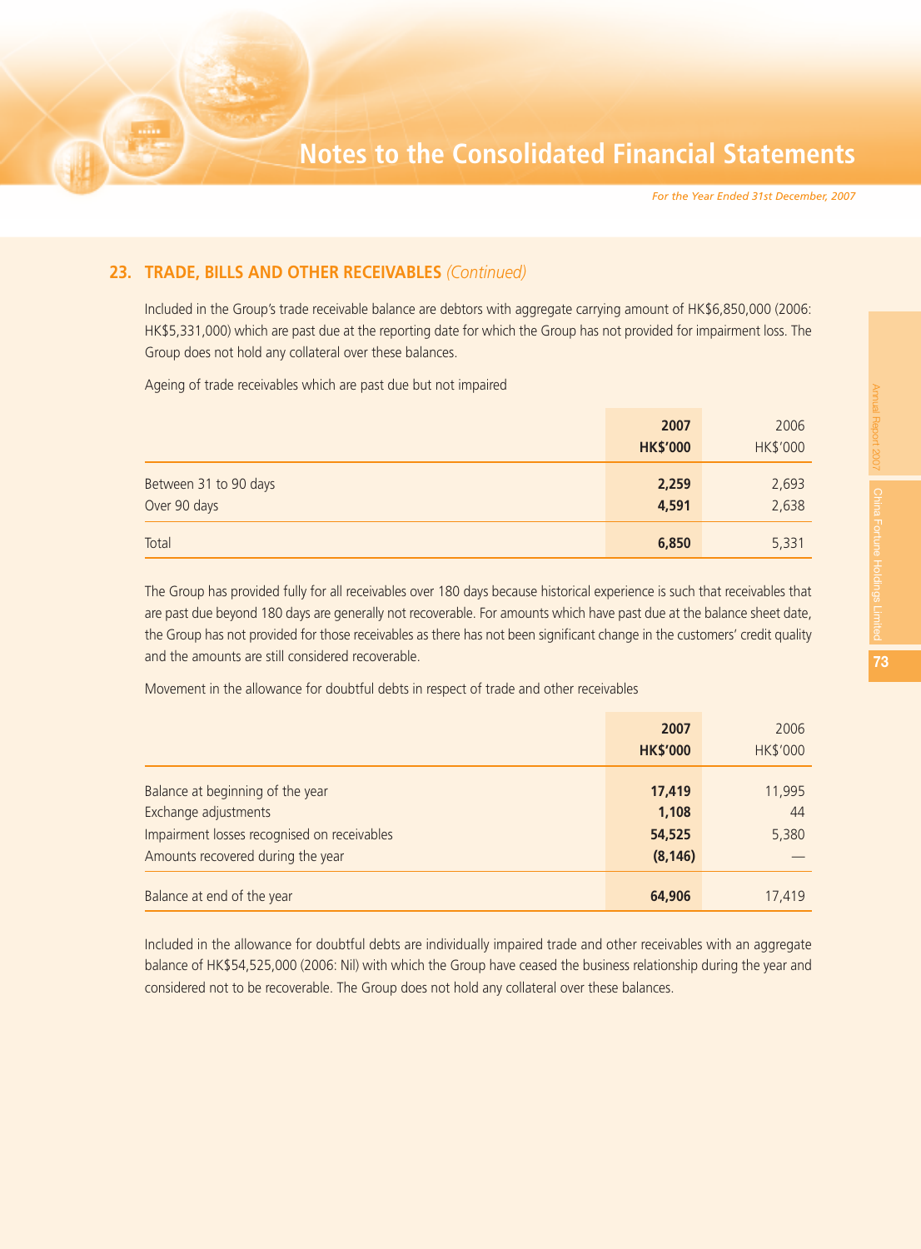*For the Year Ended 31st December, 2007*

### **23. TRADE, BILLS AND OTHER RECEIVABLES** *(Continued)*

Included in the Group's trade receivable balance are debtors with aggregate carrying amount of HK\$6,850,000 (2006: HK\$5,331,000) which are past due at the reporting date for which the Group has not provided for impairment loss. The Group does not hold any collateral over these balances.

Ageing of trade receivables which are past due but not impaired

|                                       | 2007<br><b>HK\$'000</b> | 2006<br>HK\$'000 |
|---------------------------------------|-------------------------|------------------|
| Between 31 to 90 days<br>Over 90 days | 2,259<br>4,591          | 2,693<br>2,638   |
| Total                                 | 6,850                   | 5,331            |

The Group has provided fully for all receivables over 180 days because historical experience is such that receivables that are past due beyond 180 days are generally not recoverable. For amounts which have past due at the balance sheet date, the Group has not provided for those receivables as there has not been significant change in the customers' credit quality and the amounts are still considered recoverable.

Movement in the allowance for doubtful debts in respect of trade and other receivables

|                                             | 2007<br><b>HK\$'000</b> | 2006<br>HK\$'000 |
|---------------------------------------------|-------------------------|------------------|
| Balance at beginning of the year            | 17,419                  | 11,995           |
| Exchange adjustments                        | 1,108                   | 44               |
| Impairment losses recognised on receivables | 54,525                  | 5,380            |
| Amounts recovered during the year           | (8, 146)                |                  |
| Balance at end of the year                  | 64,906                  | 17,419           |

Included in the allowance for doubtful debts are individually impaired trade and other receivables with an aggregate balance of HK\$54,525,000 (2006: Nil) with which the Group have ceased the business relationship during the year and considered not to be recoverable. The Group does not hold any collateral over these balances.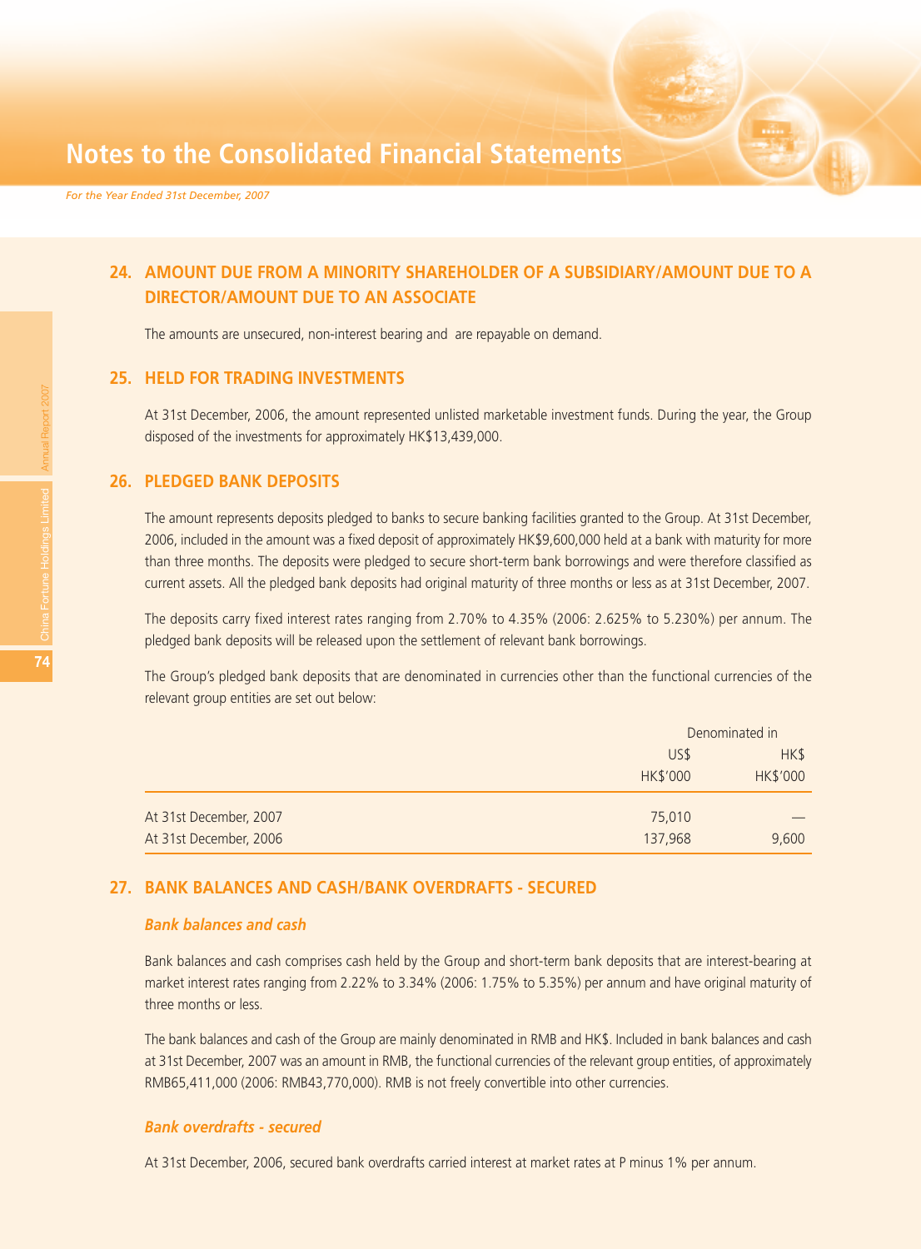*For the Year Ended 31st December, 2007*

## **24. AMOUNT DUE FROM A MINORITY SHAREHOLDER OF A SUBSIDIARY/AMOUNT DUE TO A DIRECTOR/AMOUNT DUE TO AN ASSOCIATE**

The amounts are unsecured, non-interest bearing and are repayable on demand.

#### **25. HELD FOR TRADING INVESTMENTS**

At 31st December, 2006, the amount represented unlisted marketable investment funds. During the year, the Group disposed of the investments for approximately HK\$13,439,000.

#### **26. PLEDGED BANK DEPOSITS**

The amount represents deposits pledged to banks to secure banking facilities granted to the Group. At 31st December, 2006, included in the amount was a fixed deposit of approximately HK\$9,600,000 held at a bank with maturity for more than three months. The deposits were pledged to secure short-term bank borrowings and were therefore classified as current assets. All the pledged bank deposits had original maturity of three months or less as at 31st December, 2007.

The deposits carry fixed interest rates ranging from 2.70% to 4.35% (2006: 2.625% to 5.230%) per annum. The pledged bank deposits will be released upon the settlement of relevant bank borrowings.

The Group's pledged bank deposits that are denominated in currencies other than the functional currencies of the relevant group entities are set out below:

|                        |          | Denominated in |  |
|------------------------|----------|----------------|--|
|                        | US\$     | HK\$           |  |
|                        | HK\$'000 | HK\$'000       |  |
| At 31st December, 2007 | 75,010   |                |  |
| At 31st December, 2006 | 137,968  | 9,600          |  |

#### **27. BANK BALANCES AND CASH/BANK OVERDRAFTS - SECURED**

#### *Bank balances and cash*

Bank balances and cash comprises cash held by the Group and short-term bank deposits that are interest-bearing at market interest rates ranging from 2.22% to 3.34% (2006: 1.75% to 5.35%) per annum and have original maturity of three months or less.

The bank balances and cash of the Group are mainly denominated in RMB and HK\$. Included in bank balances and cash at 31st December, 2007 was an amount in RMB, the functional currencies of the relevant group entities, of approximately RMB65,411,000 (2006: RMB43,770,000). RMB is not freely convertible into other currencies.

#### *Bank overdrafts - secured*

At 31st December, 2006, secured bank overdrafts carried interest at market rates at P minus 1% per annum.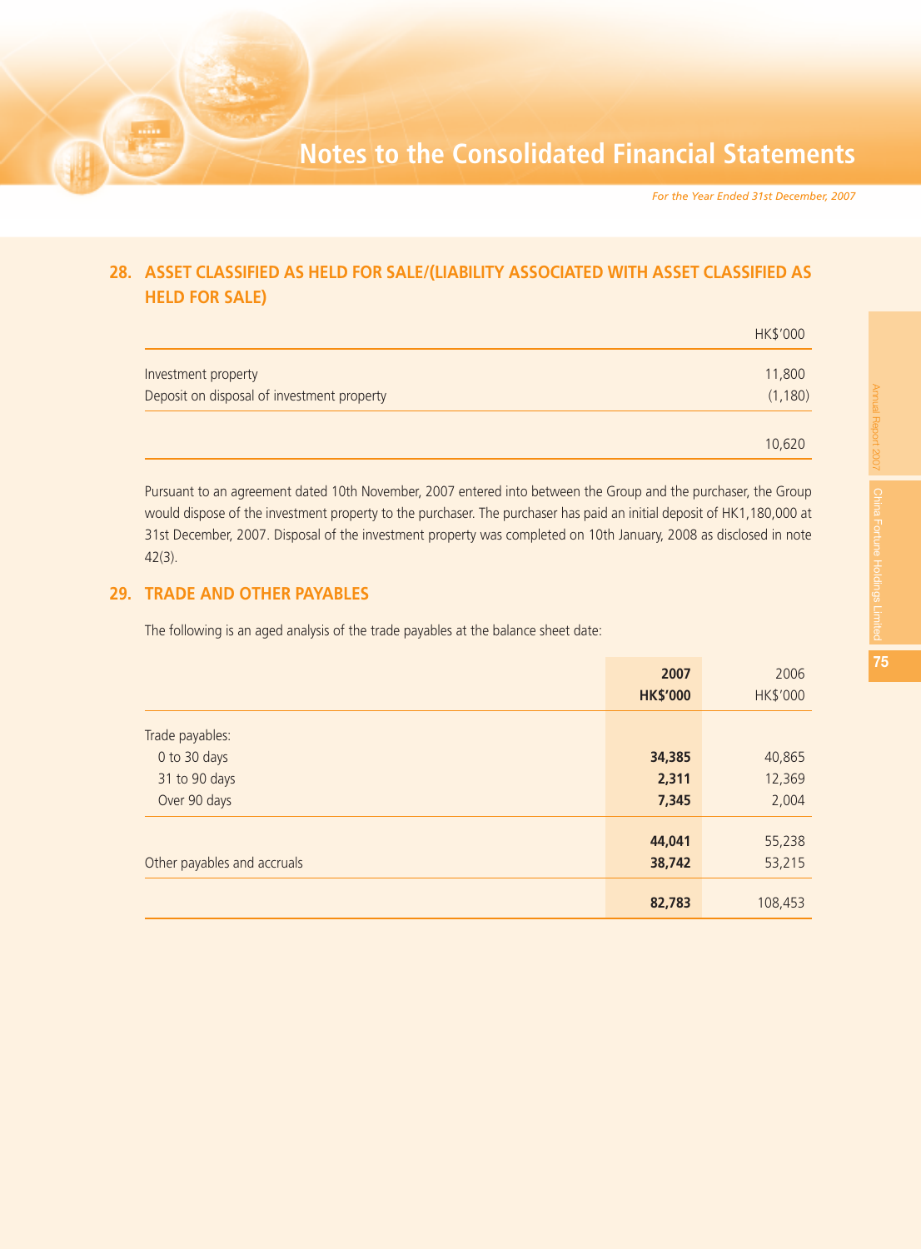*For the Year Ended 31st December, 2007*

## **28. ASSET CLASSIFIED AS HELD FOR SALE/(LIABILITY ASSOCIATED WITH ASSET CLASSIFIED AS HELD FOR SALE)**

|                                            | HK\$'000 |
|--------------------------------------------|----------|
| Investment property                        | 11,800   |
| Deposit on disposal of investment property | (1, 180) |
|                                            |          |
|                                            | 10,620   |

Pursuant to an agreement dated 10th November, 2007 entered into between the Group and the purchaser, the Group would dispose of the investment property to the purchaser. The purchaser has paid an initial deposit of HK1,180,000 at 31st December, 2007. Disposal of the investment property was completed on 10th January, 2008 as disclosed in note 42(3).

### **29. TRADE AND OTHER PAYABLES**

The following is an aged analysis of the trade payables at the balance sheet date:

|                             | 2007<br><b>HK\$'000</b> | 2006<br>HK\$'000 |
|-----------------------------|-------------------------|------------------|
| Trade payables:             |                         |                  |
| 0 to 30 days                | 34,385                  | 40,865           |
| 31 to 90 days               | 2,311                   | 12,369           |
| Over 90 days                | 7,345                   | 2,004            |
| Other payables and accruals | 44,041<br>38,742        | 55,238<br>53,215 |
|                             | 82,783                  | 108,453          |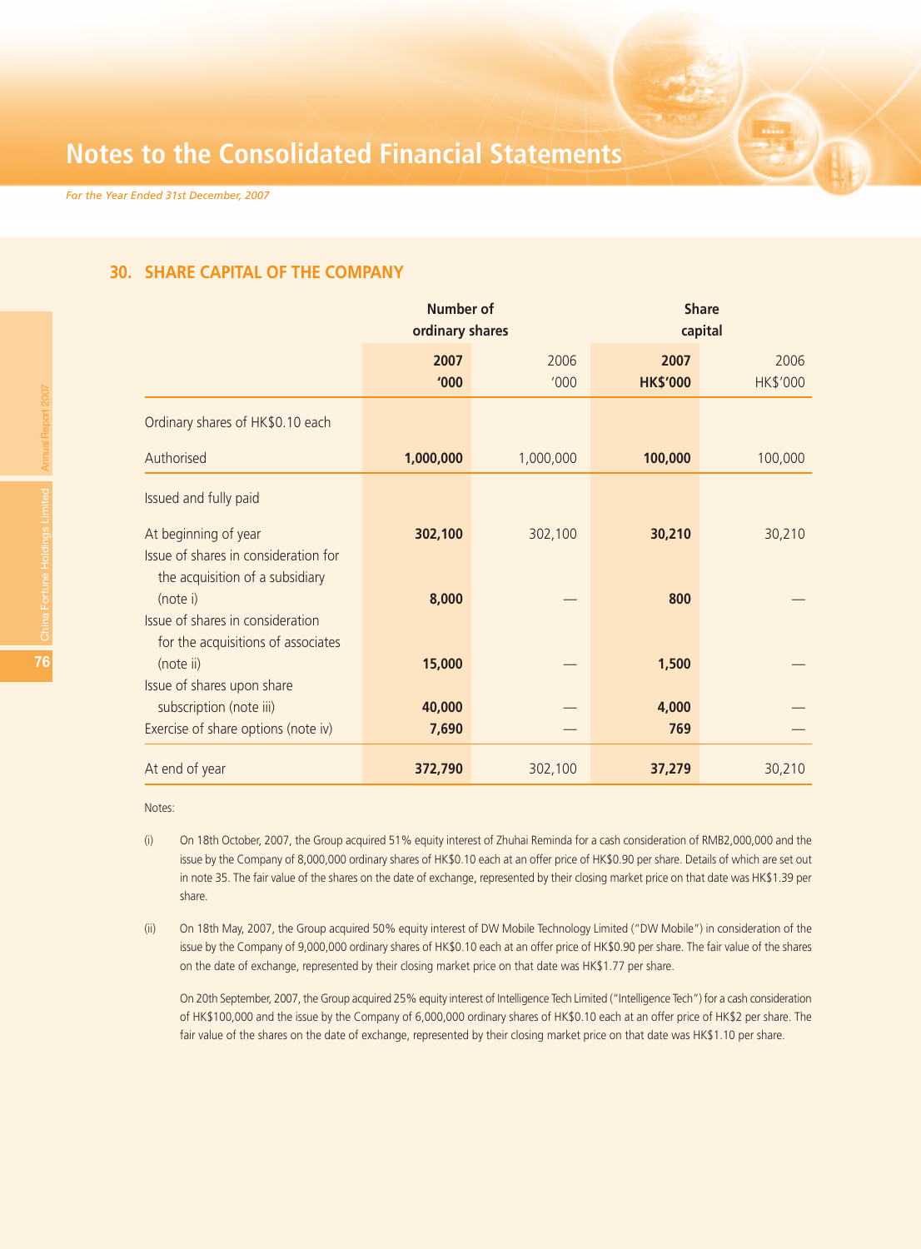*For the Year Ended 31st December, 2007*

### **30. SHARE CAPITAL OF THE COMPANY**

|                                                                                 | <b>Number of</b><br>ordinary shares |              | <b>Share</b><br>capital |                  |
|---------------------------------------------------------------------------------|-------------------------------------|--------------|-------------------------|------------------|
|                                                                                 | 2007<br>'000                        | 2006<br>'000 | 2007<br><b>HK\$'000</b> | 2006<br>HK\$'000 |
| Ordinary shares of HK\$0.10 each                                                |                                     |              |                         |                  |
| Authorised                                                                      | 1,000,000                           | 1,000,000    | 100,000                 | 100,000          |
| Issued and fully paid                                                           |                                     |              |                         |                  |
| At beginning of year<br>Issue of shares in consideration for                    | 302,100                             | 302,100      | 30,210                  | 30,210           |
| the acquisition of a subsidiary<br>(note i)<br>Issue of shares in consideration | 8,000                               |              | 800                     |                  |
| for the acquisitions of associates<br>(note ii)<br>Issue of shares upon share   | 15,000                              |              | 1,500                   |                  |
| subscription (note iii)                                                         | 40,000<br>7,690                     |              | 4,000<br>769            |                  |
| Exercise of share options (note iv)                                             |                                     |              |                         |                  |
| At end of year                                                                  | 372,790                             | 302,100      | 37,279                  | 30,210           |

Notes:

- (i) On 18th October, 2007, the Group acquired 51% equity interest of Zhuhai Reminda for a cash consideration of RMB2,000,000 and the issue by the Company of 8,000,000 ordinary shares of HK\$0.10 each at an offer price of HK\$0.90 per share. Details of which are set out in note 35. The fair value of the shares on the date of exchange, represented by their closing market price on that date was HK\$1.39 per share.
- (ii) On 18th May, 2007, the Group acquired 50% equity interest of DW Mobile Technology Limited ("DW Mobile") in consideration of the issue by the Company of 9,000,000 ordinary shares of HK\$0.10 each at an offer price of HK\$0.90 per share. The fair value of the shares on the date of exchange, represented by their closing market price on that date was HK\$1.77 per share.

On 20th September, 2007, the Group acquired 25% equity interest of Intelligence Tech Limited ("Intelligence Tech") for a cash consideration of HK\$100,000 and the issue by the Company of 6,000,000 ordinary shares of HK\$0.10 each at an offer price of HK\$2 per share. The fair value of the shares on the date of exchange, represented by their closing market price on that date was HK\$1.10 per share.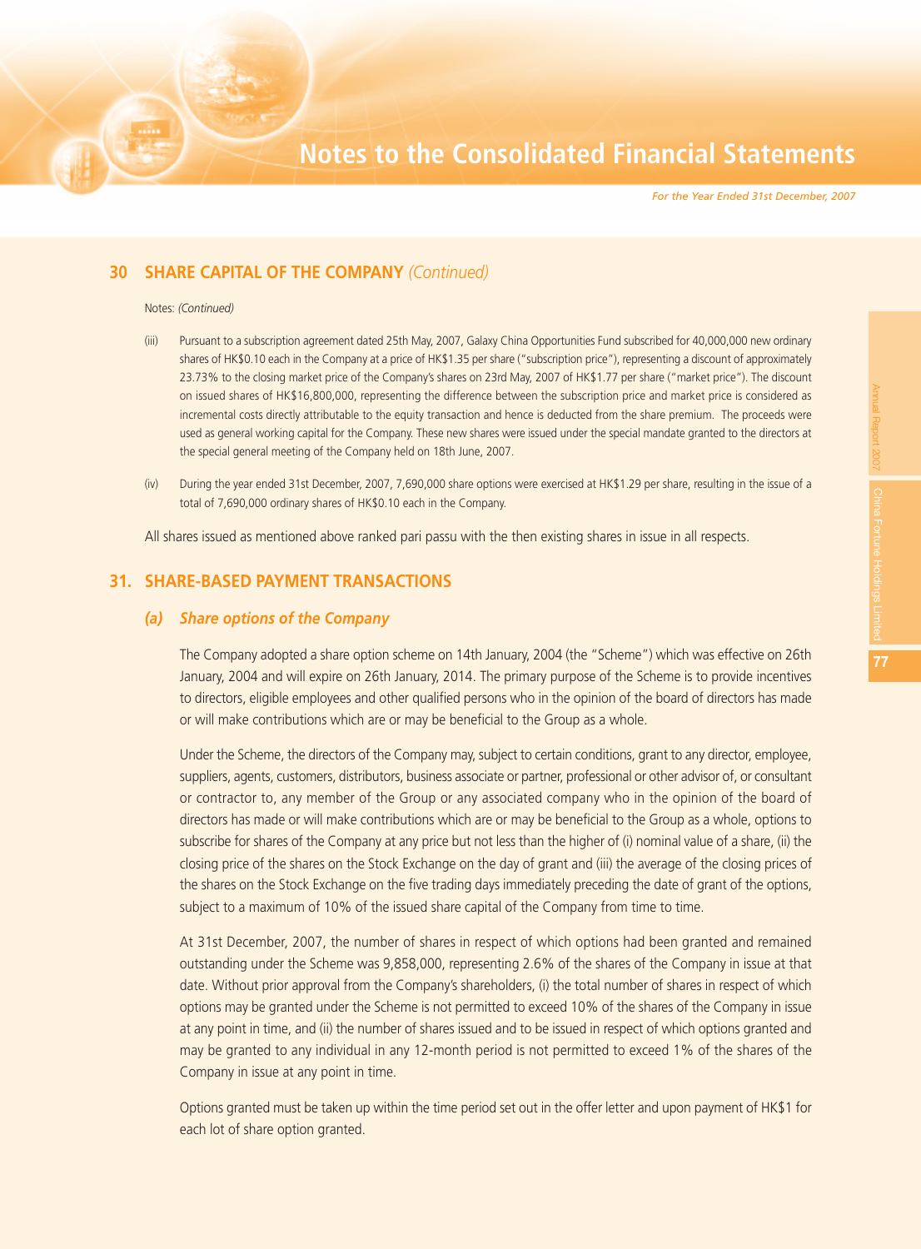*For the Year Ended 31st December, 2007*

## **30 SHARE CAPITAL OF THE COMPANY** *(Continued)*

Notes: *(Continued)*

- (iii) Pursuant to a subscription agreement dated 25th May, 2007, Galaxy China Opportunities Fund subscribed for 40,000,000 new ordinary shares of HK\$0.10 each in the Company at a price of HK\$1.35 per share ("subscription price"), representing a discount of approximately 23.73% to the closing market price of the Company's shares on 23rd May, 2007 of HK\$1.77 per share ("market price"). The discount on issued shares of HK\$16,800,000, representing the difference between the subscription price and market price is considered as incremental costs directly attributable to the equity transaction and hence is deducted from the share premium. The proceeds were used as general working capital for the Company. These new shares were issued under the special mandate granted to the directors at the special general meeting of the Company held on 18th June, 2007.
- (iv) During the year ended 31st December, 2007, 7,690,000 share options were exercised at HK\$1.29 per share, resulting in the issue of a total of 7,690,000 ordinary shares of HK\$0.10 each in the Company.

All shares issued as mentioned above ranked pari passu with the then existing shares in issue in all respects.

#### **31. SHARE-BASED PAYMENT TRANSACTIONS**

#### *(a) Share options of the Company*

The Company adopted a share option scheme on 14th January, 2004 (the "Scheme") which was effective on 26th January, 2004 and will expire on 26th January, 2014. The primary purpose of the Scheme is to provide incentives to directors, eligible employees and other qualified persons who in the opinion of the board of directors has made or will make contributions which are or may be beneficial to the Group as a whole.

Under the Scheme, the directors of the Company may, subject to certain conditions, grant to any director, employee, suppliers, agents, customers, distributors, business associate or partner, professional or other advisor of, or consultant or contractor to, any member of the Group or any associated company who in the opinion of the board of directors has made or will make contributions which are or may be beneficial to the Group as a whole, options to subscribe for shares of the Company at any price but not less than the higher of (i) nominal value of a share, (ii) the closing price of the shares on the Stock Exchange on the day of grant and (iii) the average of the closing prices of the shares on the Stock Exchange on the five trading days immediately preceding the date of grant of the options, subject to a maximum of 10% of the issued share capital of the Company from time to time.

At 31st December, 2007, the number of shares in respect of which options had been granted and remained outstanding under the Scheme was 9,858,000, representing 2.6% of the shares of the Company in issue at that date. Without prior approval from the Company's shareholders, (i) the total number of shares in respect of which options may be granted under the Scheme is not permitted to exceed 10% of the shares of the Company in issue at any point in time, and (ii) the number of shares issued and to be issued in respect of which options granted and may be granted to any individual in any 12-month period is not permitted to exceed 1% of the shares of the Company in issue at any point in time.

Options granted must be taken up within the time period set out in the offer letter and upon payment of HK\$1 for each lot of share option granted.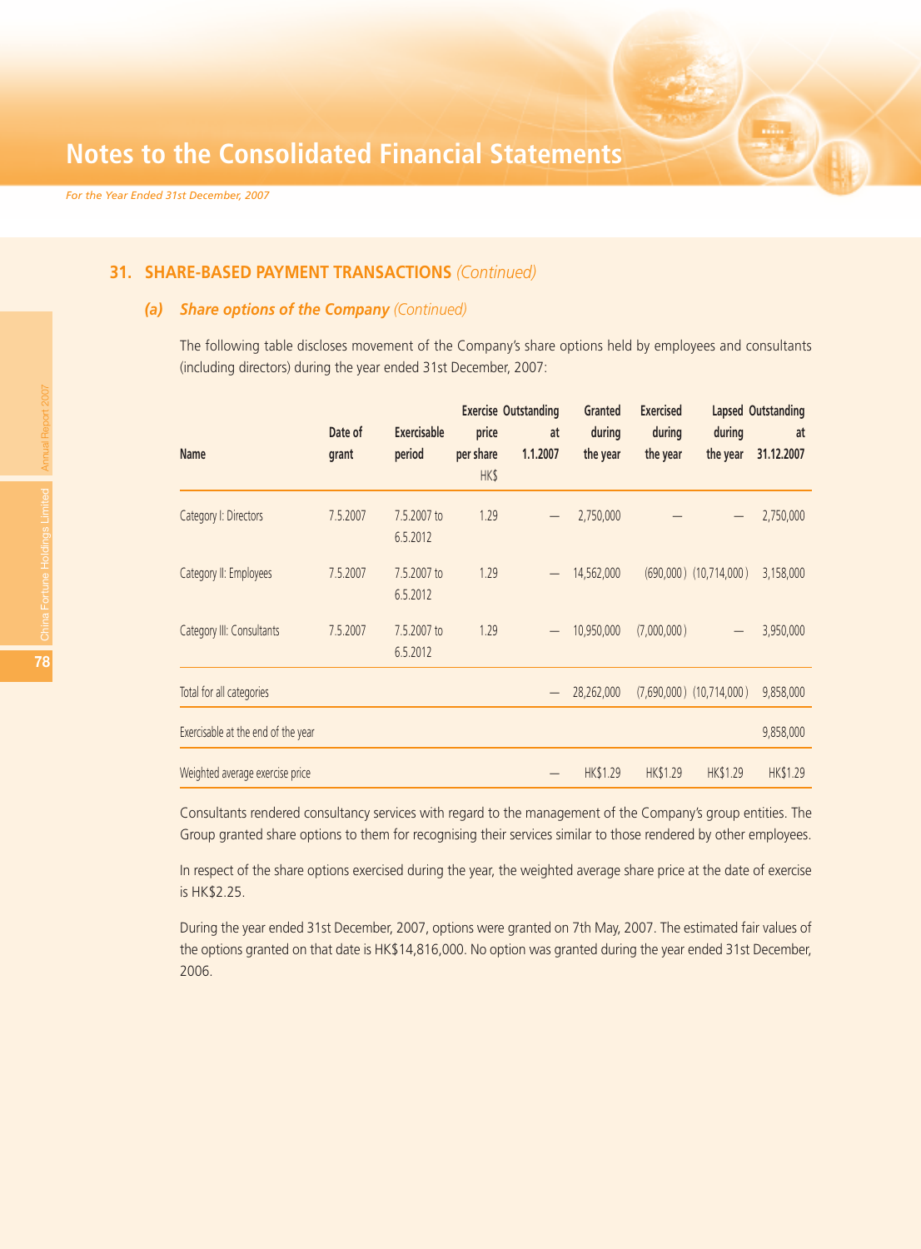#### **31. SHARE-BASED PAYMENT TRANSACTIONS** *(Continued)*

#### *(a) Share options of the Company (Continued)*

The following table discloses movement of the Company's share options held by employees and consultants (including directors) during the year ended 31st December, 2007:

| <b>Name</b>                        | Date of<br>grant | Exercisable<br>period   | price<br>per share<br>HK\$ | <b>Exercise Outstanding</b><br>at<br>1.1.2007 | Granted<br>during<br>the year | <b>Exercised</b><br>during<br>the year | during<br>the year           | Lapsed Outstanding<br>at<br>31.12.2007 |
|------------------------------------|------------------|-------------------------|----------------------------|-----------------------------------------------|-------------------------------|----------------------------------------|------------------------------|----------------------------------------|
| Category I: Directors              | 7.5.2007         | 7.5.2007 to<br>6.5.2012 | 1.29                       |                                               | 2,750,000                     |                                        |                              | 2,750,000                              |
| Category II: Employees             | 7.5.2007         | 7.5.2007 to<br>6.5.2012 | 1.29                       |                                               | 14,562,000                    |                                        | $(690,000)$ $(10,714,000)$   | 3,158,000                              |
| Category III: Consultants          | 7.5.2007         | 7.5.2007 to<br>6.5.2012 | 1.29                       |                                               | 10,950,000                    | (7,000,000)                            |                              | 3,950,000                              |
| Total for all categories           |                  |                         |                            |                                               | 28,262,000                    |                                        | $(7,690,000)$ $(10,714,000)$ | 9,858,000                              |
| Exercisable at the end of the year |                  |                         |                            |                                               |                               |                                        |                              | 9,858,000                              |
| Weighted average exercise price    |                  |                         |                            |                                               | HK\$1.29                      | HK\$1.29                               | <b>HK\$1.29</b>              | HK\$1.29                               |

Consultants rendered consultancy services with regard to the management of the Company's group entities. The Group granted share options to them for recognising their services similar to those rendered by other employees.

In respect of the share options exercised during the year, the weighted average share price at the date of exercise is HK\$2.25.

During the year ended 31st December, 2007, options were granted on 7th May, 2007. The estimated fair values of the options granted on that date is HK\$14,816,000. No option was granted during the year ended 31st December, 2006.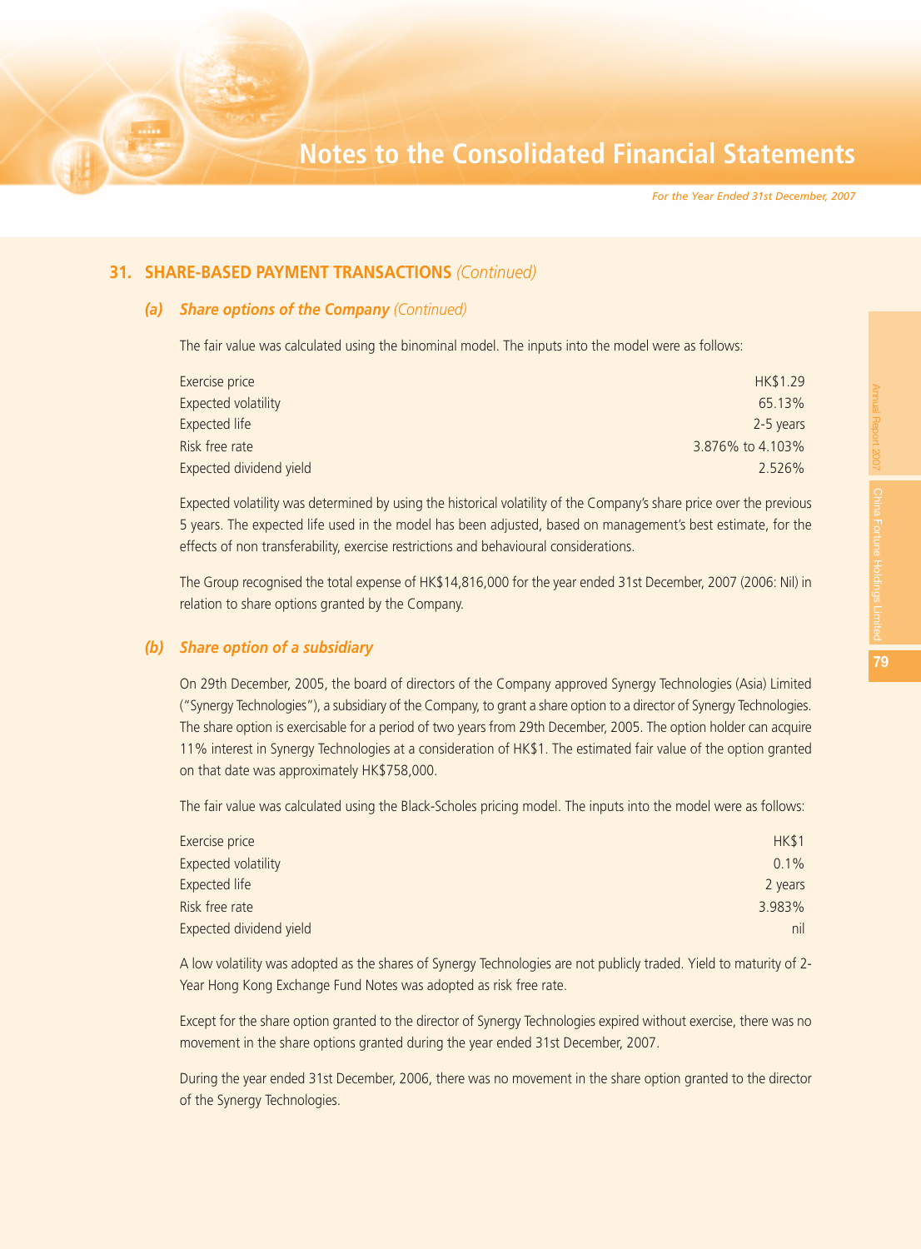*For the Year Ended 31st December, 2007*

### **31. SHARE-BASED PAYMENT TRANSACTIONS** *(Continued)*

#### *(a) Share options of the Company (Continued)*

The fair value was calculated using the binominal model. The inputs into the model were as follows:

| HK\$1.29         |
|------------------|
| 65.13%           |
| 2-5 years        |
| 3.876% to 4.103% |
| 2.526%           |
|                  |

Expected volatility was determined by using the historical volatility of the Company's share price over the previous 5 years. The expected life used in the model has been adjusted, based on management's best estimate, for the effects of non transferability, exercise restrictions and behavioural considerations.

The Group recognised the total expense of HK\$14,816,000 for the year ended 31st December, 2007 (2006: Nil) in relation to share options granted by the Company.

#### *(b) Share option of a subsidiary*

On 29th December, 2005, the board of directors of the Company approved Synergy Technologies (Asia) Limited ("Synergy Technologies"), a subsidiary of the Company, to grant a share option to a director of Synergy Technologies. The share option is exercisable for a period of two years from 29th December, 2005. The option holder can acquire 11% interest in Synergy Technologies at a consideration of HK\$1. The estimated fair value of the option granted on that date was approximately HK\$758,000.

The fair value was calculated using the Black-Scholes pricing model. The inputs into the model were as follows:

| Exercise price          | <b>HK\$1</b> |
|-------------------------|--------------|
| Expected volatility     | 0.1%         |
| Expected life           | 2 years      |
| Risk free rate          | 3.983%       |
| Expected dividend yield | nil          |

A low volatility was adopted as the shares of Synergy Technologies are not publicly traded. Yield to maturity of 2- Year Hong Kong Exchange Fund Notes was adopted as risk free rate.

Except for the share option granted to the director of Synergy Technologies expired without exercise, there was no movement in the share options granted during the year ended 31st December, 2007.

During the year ended 31st December, 2006, there was no movement in the share option granted to the director of the Synergy Technologies.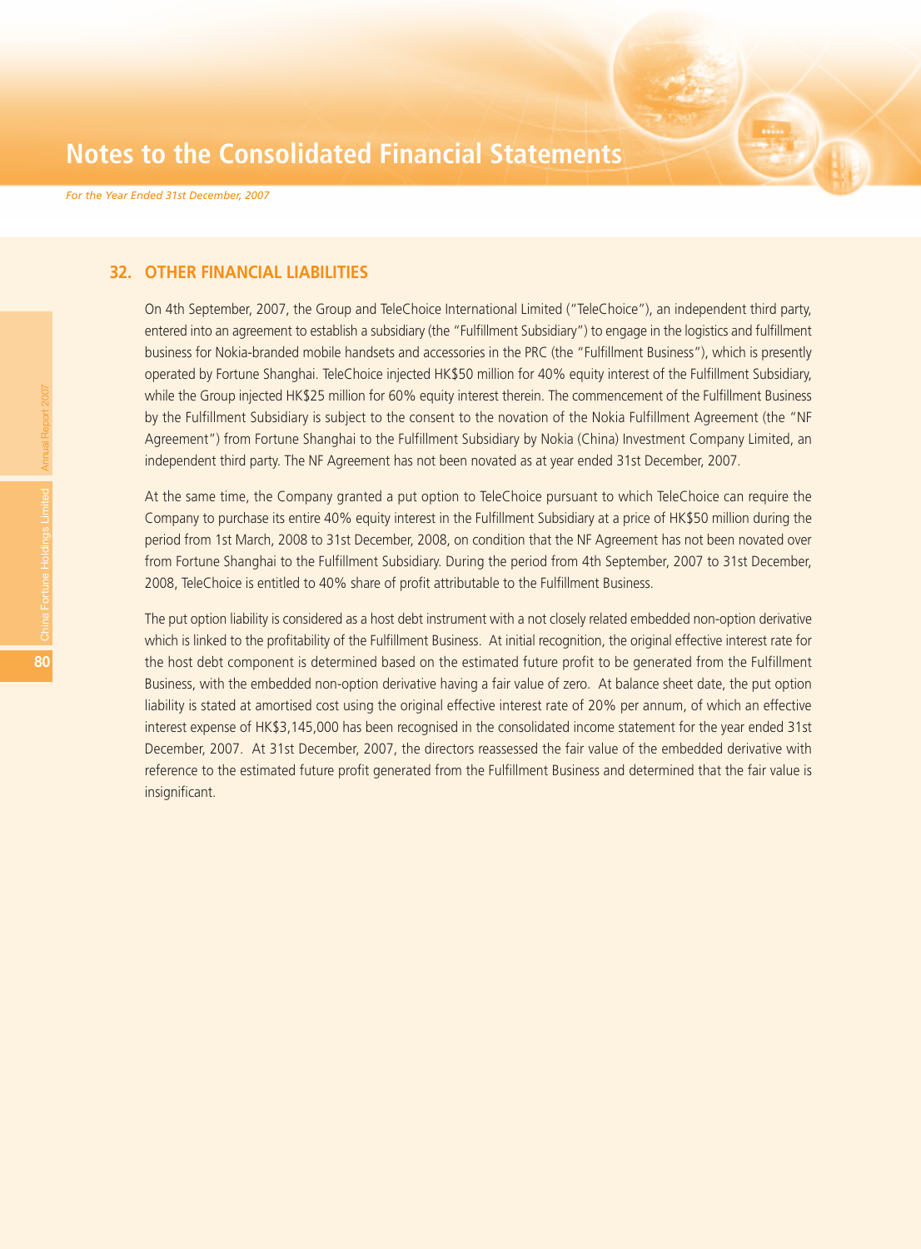*For the Year Ended 31st December, 2007*

#### **32. OTHER FINANCIAL LIABILITIES**

On 4th September, 2007, the Group and TeleChoice International Limited ("TeleChoice"), an independent third party, entered into an agreement to establish a subsidiary (the "Fulfillment Subsidiary") to engage in the logistics and fulfillment business for Nokia-branded mobile handsets and accessories in the PRC (the "Fulfillment Business"), which is presently operated by Fortune Shanghai. TeleChoice injected HK\$50 million for 40% equity interest of the Fulfillment Subsidiary, while the Group injected HK\$25 million for 60% equity interest therein. The commencement of the Fulfillment Business by the Fulfillment Subsidiary is subject to the consent to the novation of the Nokia Fulfillment Agreement (the "NF Agreement") from Fortune Shanghai to the Fulfillment Subsidiary by Nokia (China) Investment Company Limited, an independent third party. The NF Agreement has not been novated as at year ended 31st December, 2007.

At the same time, the Company granted a put option to TeleChoice pursuant to which TeleChoice can require the Company to purchase its entire 40% equity interest in the Fulfillment Subsidiary at a price of HK\$50 million during the period from 1st March, 2008 to 31st December, 2008, on condition that the NF Agreement has not been novated over from Fortune Shanghai to the Fulfillment Subsidiary. During the period from 4th September, 2007 to 31st December, 2008, TeleChoice is entitled to 40% share of profit attributable to the Fulfillment Business.

The put option liability is considered as a host debt instrument with a not closely related embedded non-option derivative which is linked to the profitability of the Fulfillment Business. At initial recognition, the original effective interest rate for the host debt component is determined based on the estimated future profit to be generated from the Fulfillment Business, with the embedded non-option derivative having a fair value of zero. At balance sheet date, the put option liability is stated at amortised cost using the original effective interest rate of 20% per annum, of which an effective interest expense of HK\$3,145,000 has been recognised in the consolidated income statement for the year ended 31st December, 2007. At 31st December, 2007, the directors reassessed the fair value of the embedded derivative with reference to the estimated future profit generated from the Fulfillment Business and determined that the fair value is insignificant.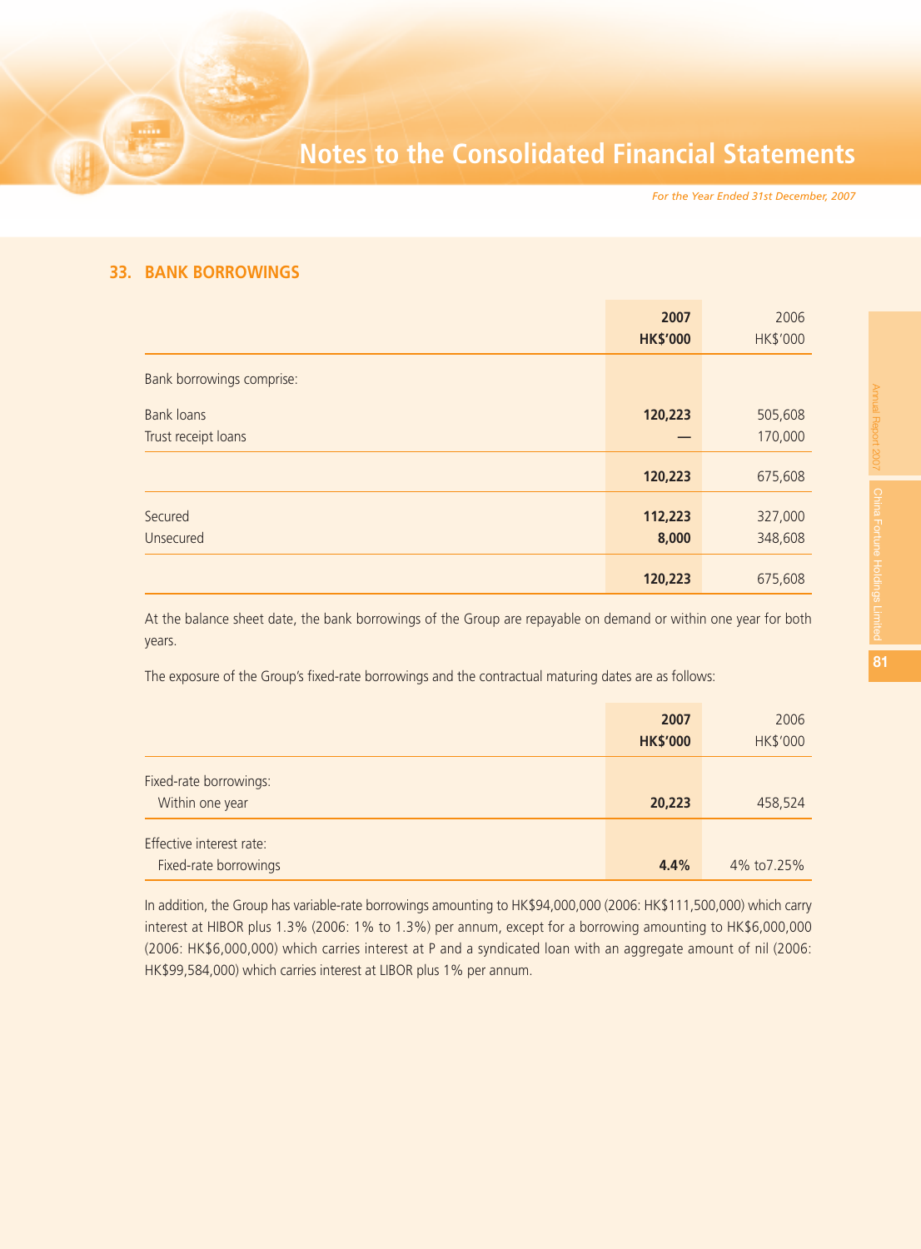*For the Year Ended 31st December, 2007*

#### **33. BANK BORROWINGS**

|                                          | 2007<br><b>HK\$'000</b> | 2006<br>HK\$'000   |
|------------------------------------------|-------------------------|--------------------|
| Bank borrowings comprise:                |                         |                    |
| <b>Bank loans</b><br>Trust receipt loans | 120,223                 | 505,608<br>170,000 |
|                                          | 120,223                 | 675,608            |
| Secured<br>Unsecured                     | 112,223<br>8,000        | 327,000<br>348,608 |
|                                          | 120,223                 | 675,608            |

At the balance sheet date, the bank borrowings of the Group are repayable on demand or within one year for both years.

The exposure of the Group's fixed-rate borrowings and the contractual maturing dates are as follows:

|                                                   | 2007<br><b>HK\$'000</b> | 2006<br>HK\$'000 |
|---------------------------------------------------|-------------------------|------------------|
| Fixed-rate borrowings:<br>Within one year         | 20,223                  | 458,524          |
| Effective interest rate:<br>Fixed-rate borrowings | 4.4%                    | 4% to 7.25%      |

In addition, the Group has variable-rate borrowings amounting to HK\$94,000,000 (2006: HK\$111,500,000) which carry interest at HIBOR plus 1.3% (2006: 1% to 1.3%) per annum, except for a borrowing amounting to HK\$6,000,000 (2006: HK\$6,000,000) which carries interest at P and a syndicated loan with an aggregate amount of nil (2006: HK\$99,584,000) which carries interest at LIBOR plus 1% per annum.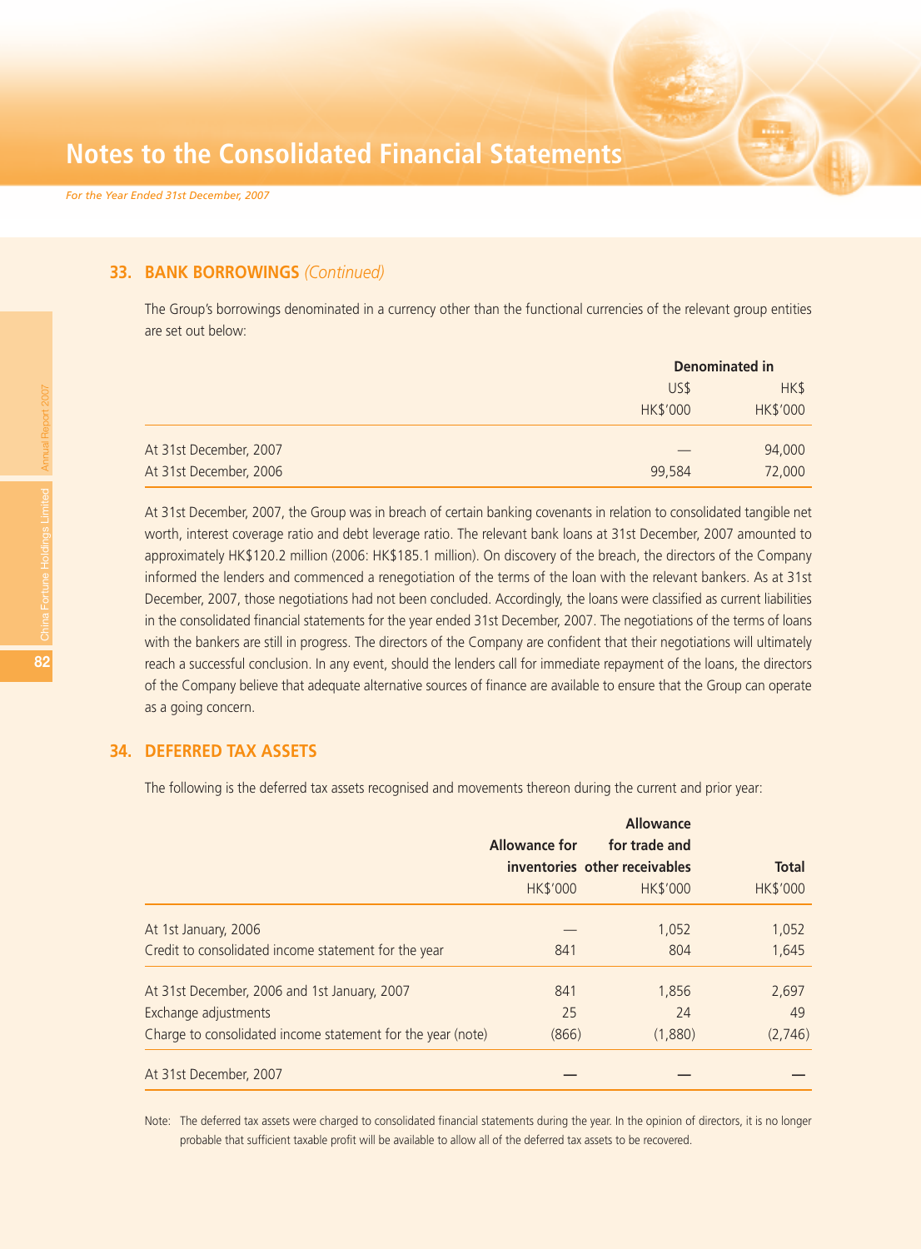*For the Year Ended 31st December, 2007*

### **33. BANK BORROWINGS** *(Continued)*

The Group's borrowings denominated in a currency other than the functional currencies of the relevant group entities are set out below:

|                        |          | Denominated in |  |
|------------------------|----------|----------------|--|
|                        | US\$     | HK\$           |  |
|                        | HK\$'000 | HK\$'000       |  |
| At 31st December, 2007 |          | 94,000         |  |
|                        |          |                |  |
| At 31st December, 2006 | 99,584   | 72,000         |  |

At 31st December, 2007, the Group was in breach of certain banking covenants in relation to consolidated tangible net worth, interest coverage ratio and debt leverage ratio. The relevant bank loans at 31st December, 2007 amounted to approximately HK\$120.2 million (2006: HK\$185.1 million). On discovery of the breach, the directors of the Company informed the lenders and commenced a renegotiation of the terms of the loan with the relevant bankers. As at 31st December, 2007, those negotiations had not been concluded. Accordingly, the loans were classified as current liabilities in the consolidated financial statements for the year ended 31st December, 2007. The negotiations of the terms of loans with the bankers are still in progress. The directors of the Company are confident that their negotiations will ultimately reach a successful conclusion. In any event, should the lenders call for immediate repayment of the loans, the directors of the Company believe that adequate alternative sources of finance are available to ensure that the Group can operate as a going concern.

#### **34. DEFERRED TAX ASSETS**

The following is the deferred tax assets recognised and movements thereon during the current and prior year:

|                                                             |                                         | Allowance                                                         |                                 |  |  |
|-------------------------------------------------------------|-----------------------------------------|-------------------------------------------------------------------|---------------------------------|--|--|
|                                                             | <b>Allowance for</b><br><b>HK\$'000</b> | for trade and<br>inventories other receivables<br><b>HK\$'000</b> | <b>Total</b><br><b>HK\$'000</b> |  |  |
| At 1st January, 2006                                        |                                         | 1,052                                                             | 1,052                           |  |  |
| Credit to consolidated income statement for the year        | 841                                     | 804                                                               | 1,645                           |  |  |
| At 31st December, 2006 and 1st January, 2007                | 841                                     | 1,856                                                             | 2,697                           |  |  |
| Exchange adjustments                                        | 25                                      | 24                                                                | 49                              |  |  |
| Charge to consolidated income statement for the year (note) | (866)                                   | (1,880)                                                           | (2,746)                         |  |  |
| At 31st December, 2007                                      |                                         |                                                                   |                                 |  |  |

Note: The deferred tax assets were charged to consolidated financial statements during the year. In the opinion of directors, it is no longer probable that sufficient taxable profit will be available to allow all of the deferred tax assets to be recovered.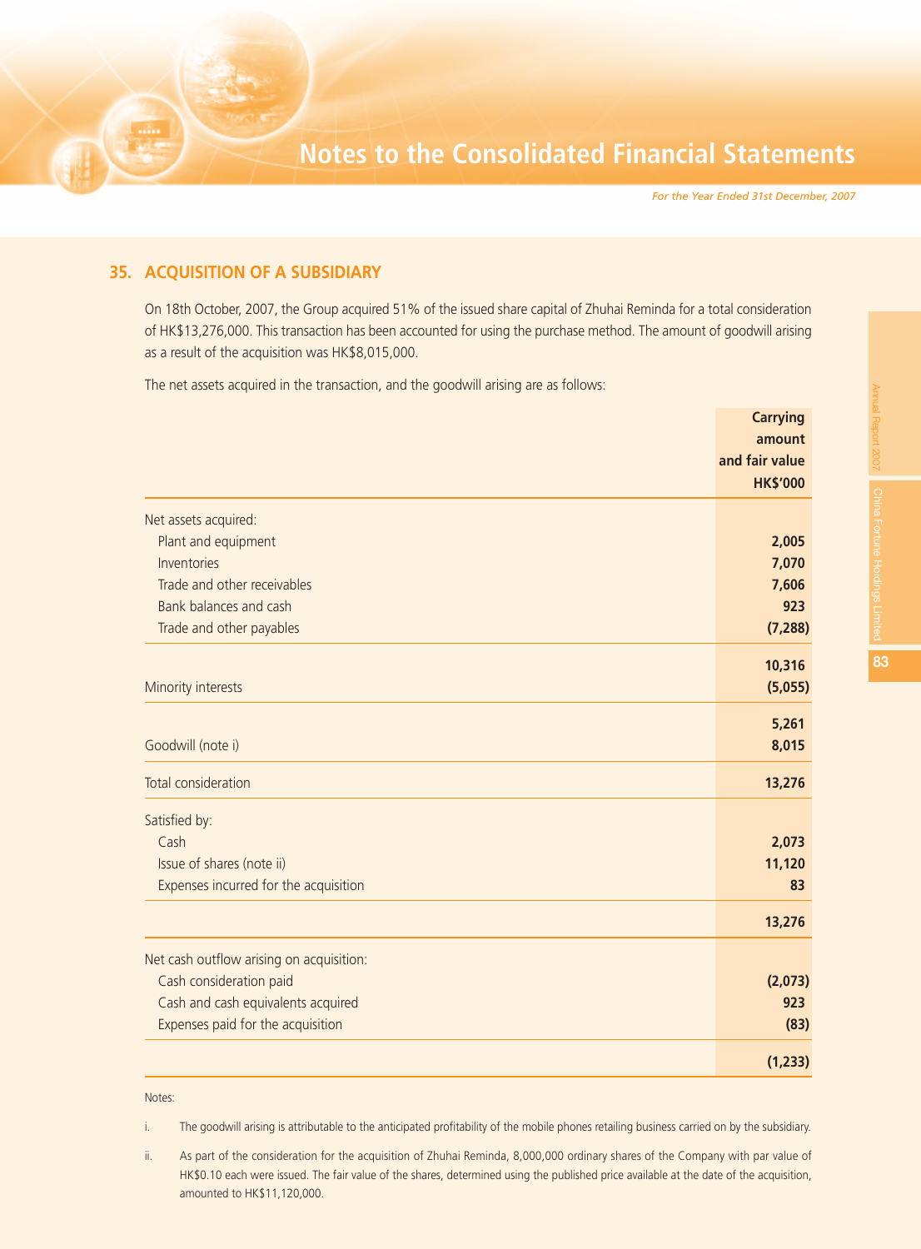*For the Year Ended 31st December, 2007*

#### **35. ACQUISITION OF A SUBSIDIARY**

On 18th October, 2007, the Group acquired 51% of the issued share capital of Zhuhai Reminda for a total consideration of HK\$13,276,000. This transaction has been accounted for using the purchase method. The amount of goodwill arising as a result of the acquisition was HK\$8,015,000.

The net assets acquired in the transaction, and the goodwill arising are as follows:

|                                          | <b>Carrying</b>   |
|------------------------------------------|-------------------|
|                                          | amount            |
|                                          | and fair value    |
|                                          | <b>HK\$'000</b>   |
| Net assets acquired:                     |                   |
| Plant and equipment                      | 2,005             |
| Inventories                              | 7,070             |
| Trade and other receivables              | 7,606             |
| Bank balances and cash                   | 923               |
| Trade and other payables                 | (7, 288)          |
| Minority interests                       | 10,316<br>(5,055) |
|                                          |                   |
|                                          | 5,261             |
| Goodwill (note i)                        | 8,015             |
| <b>Total consideration</b>               | 13,276            |
| Satisfied by:                            |                   |
| Cash                                     | 2,073             |
| Issue of shares (note ii)                | 11,120            |
| Expenses incurred for the acquisition    | 83                |
|                                          | 13,276            |
| Net cash outflow arising on acquisition: |                   |
| Cash consideration paid                  | (2,073)           |
| Cash and cash equivalents acquired       | 923               |
| Expenses paid for the acquisition        | (83)              |
|                                          | (1, 233)          |
|                                          |                   |

Notes:

i. The goodwill arising is attributable to the anticipated profitability of the mobile phones retailing business carried on by the subsidiary.

ii. As part of the consideration for the acquisition of Zhuhai Reminda, 8,000,000 ordinary shares of the Company with par value of HK\$0.10 each were issued. The fair value of the shares, determined using the published price available at the date of the acquisition, amounted to HK\$11,120,000.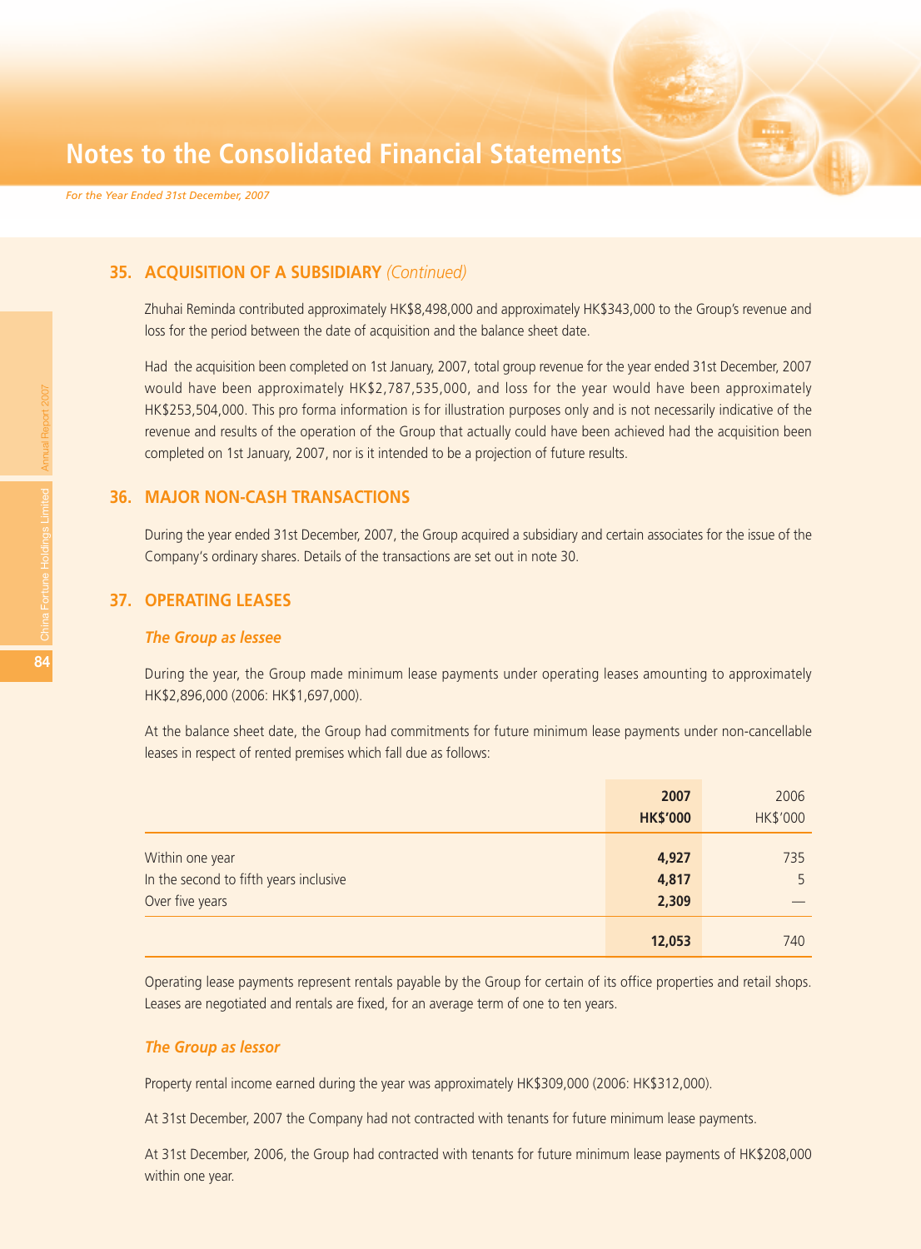*For the Year Ended 31st December, 2007*

#### **35. ACQUISITION OF A SUBSIDIARY** *(Continued)*

Zhuhai Reminda contributed approximately HK\$8,498,000 and approximately HK\$343,000 to the Group's revenue and loss for the period between the date of acquisition and the balance sheet date.

Had the acquisition been completed on 1st January, 2007, total group revenue for the year ended 31st December, 2007 would have been approximately HK\$2,787,535,000, and loss for the year would have been approximately HK\$253,504,000. This pro forma information is for illustration purposes only and is not necessarily indicative of the revenue and results of the operation of the Group that actually could have been achieved had the acquisition been completed on 1st January, 2007, nor is it intended to be a projection of future results.

#### **36. MAJOR NON-CASH TRANSACTIONS**

During the year ended 31st December, 2007, the Group acquired a subsidiary and certain associates for the issue of the Company's ordinary shares. Details of the transactions are set out in note 30.

### **37. OPERATING LEASES**

#### *The Group as lessee*

During the year, the Group made minimum lease payments under operating leases amounting to approximately HK\$2,896,000 (2006: HK\$1,697,000).

At the balance sheet date, the Group had commitments for future minimum lease payments under non-cancellable leases in respect of rented premises which fall due as follows:

|                                        | 2007<br><b>HK\$'000</b> | 2006<br>HK\$'000 |
|----------------------------------------|-------------------------|------------------|
|                                        |                         |                  |
| Within one year                        | 4,927                   | 735              |
| In the second to fifth years inclusive | 4,817                   | 5                |
| Over five years                        | 2,309                   |                  |
|                                        | 12,053                  | 740              |

Operating lease payments represent rentals payable by the Group for certain of its office properties and retail shops. Leases are negotiated and rentals are fixed, for an average term of one to ten years.

#### *The Group as lessor*

Property rental income earned during the year was approximately HK\$309,000 (2006: HK\$312,000).

At 31st December, 2007 the Company had not contracted with tenants for future minimum lease payments.

At 31st December, 2006, the Group had contracted with tenants for future minimum lease payments of HK\$208,000 within one year.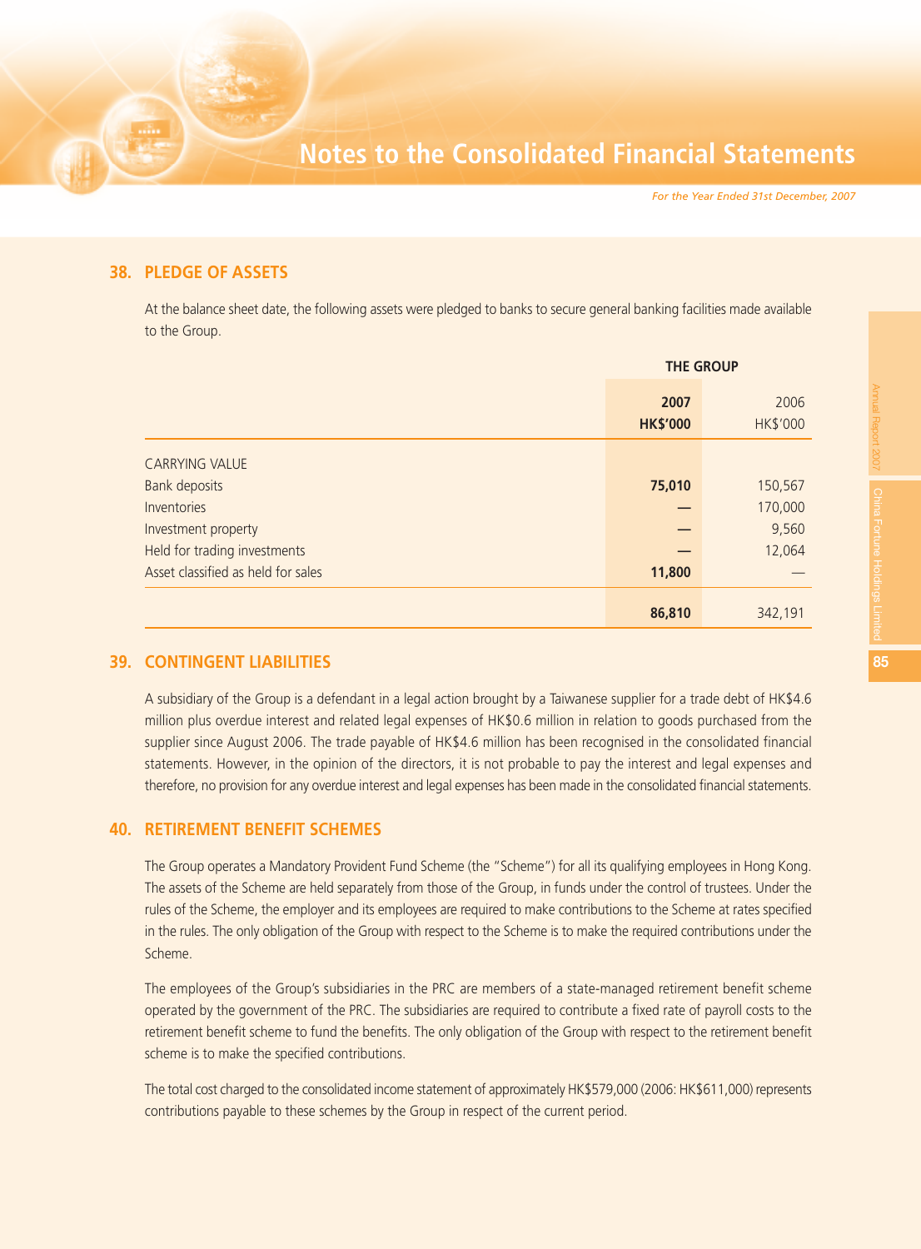*For the Year Ended 31st December, 2007*

#### **38. PLEDGE OF ASSETS**

At the balance sheet date, the following assets were pledged to banks to secure general banking facilities made available to the Group.

|                                    | <b>THE GROUP</b>        |                  |
|------------------------------------|-------------------------|------------------|
|                                    | 2007<br><b>HK\$'000</b> | 2006<br>HK\$'000 |
| <b>CARRYING VALUE</b>              |                         |                  |
| Bank deposits                      | 75,010                  | 150,567          |
| Inventories                        |                         | 170,000          |
| Investment property                |                         | 9,560            |
| Held for trading investments       |                         | 12,064           |
| Asset classified as held for sales | 11,800                  |                  |
|                                    | 86,810                  | 342,191          |

#### **39. CONTINGENT LIABILITIES**

A subsidiary of the Group is a defendant in a legal action brought by a Taiwanese supplier for a trade debt of HK\$4.6 million plus overdue interest and related legal expenses of HK\$0.6 million in relation to goods purchased from the supplier since August 2006. The trade payable of HK\$4.6 million has been recognised in the consolidated financial statements. However, in the opinion of the directors, it is not probable to pay the interest and legal expenses and therefore, no provision for any overdue interest and legal expenses has been made in the consolidated financial statements.

#### **40. RETIREMENT BENEFIT SCHEMES**

The Group operates a Mandatory Provident Fund Scheme (the "Scheme") for all its qualifying employees in Hong Kong. The assets of the Scheme are held separately from those of the Group, in funds under the control of trustees. Under the rules of the Scheme, the employer and its employees are required to make contributions to the Scheme at rates specified in the rules. The only obligation of the Group with respect to the Scheme is to make the required contributions under the Scheme.

The employees of the Group's subsidiaries in the PRC are members of a state-managed retirement benefit scheme operated by the government of the PRC. The subsidiaries are required to contribute a fixed rate of payroll costs to the retirement benefit scheme to fund the benefits. The only obligation of the Group with respect to the retirement benefit scheme is to make the specified contributions.

The total cost charged to the consolidated income statement of approximately HK\$579,000 (2006: HK\$611,000) represents contributions payable to these schemes by the Group in respect of the current period.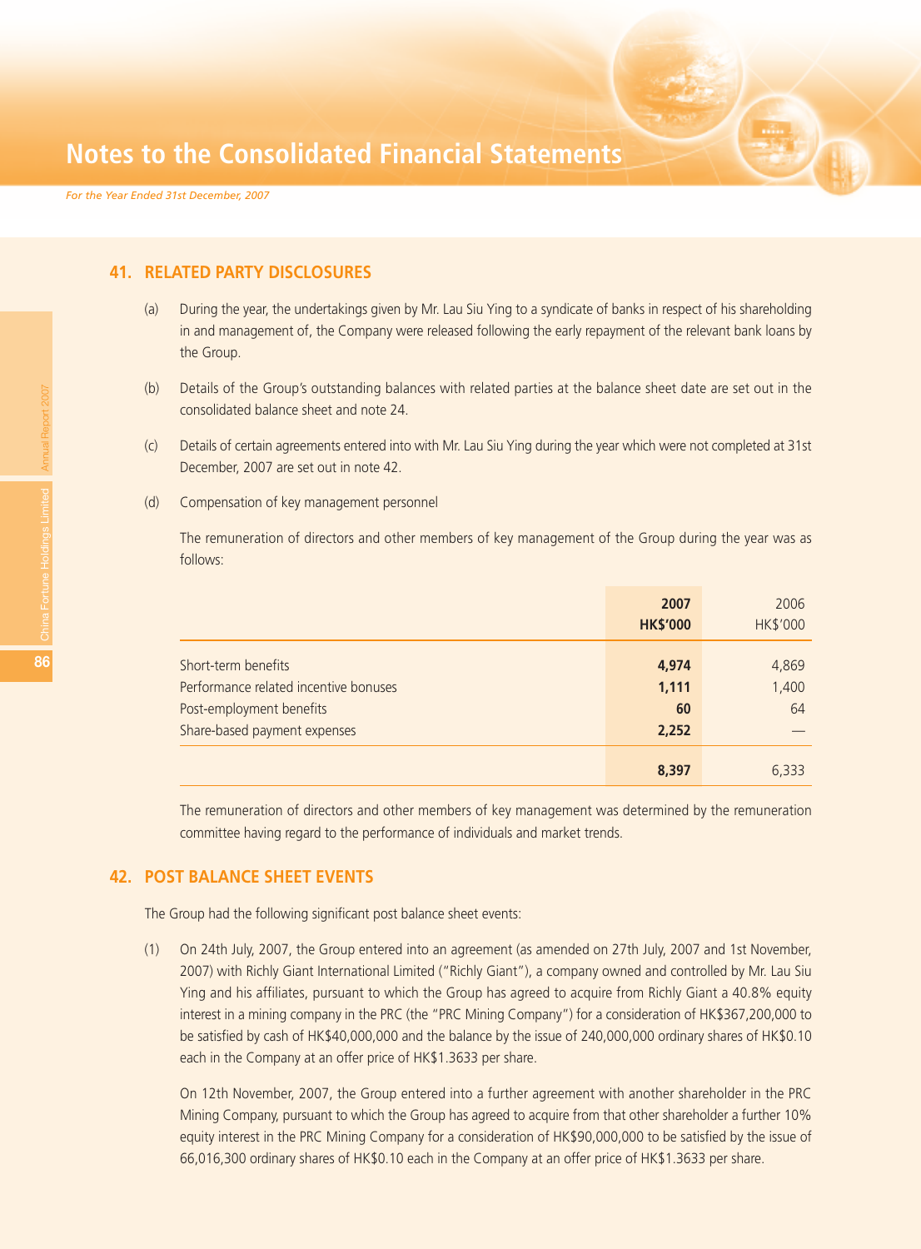*For the Year Ended 31st December, 2007*

### **41. RELATED PARTY DISCLOSURES**

- (a) During the year, the undertakings given by Mr. Lau Siu Ying to a syndicate of banks in respect of his shareholding in and management of, the Company were released following the early repayment of the relevant bank loans by the Group.
- (b) Details of the Group's outstanding balances with related parties at the balance sheet date are set out in the consolidated balance sheet and note 24.
- (c) Details of certain agreements entered into with Mr. Lau Siu Ying during the year which were not completed at 31st December, 2007 are set out in note 42.
- (d) Compensation of key management personnel

The remuneration of directors and other members of key management of the Group during the year was as follows:

|                                       | 2007<br><b>HK\$'000</b> | 2006<br>HK\$'000 |
|---------------------------------------|-------------------------|------------------|
| Short-term benefits                   | 4,974                   | 4,869            |
| Performance related incentive bonuses | 1,111                   | 1,400            |
| Post-employment benefits              | 60                      | 64               |
| Share-based payment expenses          | 2,252                   |                  |
|                                       | 8,397                   | 6,333            |

The remuneration of directors and other members of key management was determined by the remuneration committee having regard to the performance of individuals and market trends.

#### **42. POST BALANCE SHEET EVENTS**

The Group had the following significant post balance sheet events:

(1) On 24th July, 2007, the Group entered into an agreement (as amended on 27th July, 2007 and 1st November, 2007) with Richly Giant International Limited ("Richly Giant"), a company owned and controlled by Mr. Lau Siu Ying and his affiliates, pursuant to which the Group has agreed to acquire from Richly Giant a 40.8% equity interest in a mining company in the PRC (the "PRC Mining Company") for a consideration of HK\$367,200,000 to be satisfied by cash of HK\$40,000,000 and the balance by the issue of 240,000,000 ordinary shares of HK\$0.10 each in the Company at an offer price of HK\$1.3633 per share.

On 12th November, 2007, the Group entered into a further agreement with another shareholder in the PRC Mining Company, pursuant to which the Group has agreed to acquire from that other shareholder a further 10% equity interest in the PRC Mining Company for a consideration of HK\$90,000,000 to be satisfied by the issue of 66,016,300 ordinary shares of HK\$0.10 each in the Company at an offer price of HK\$1.3633 per share.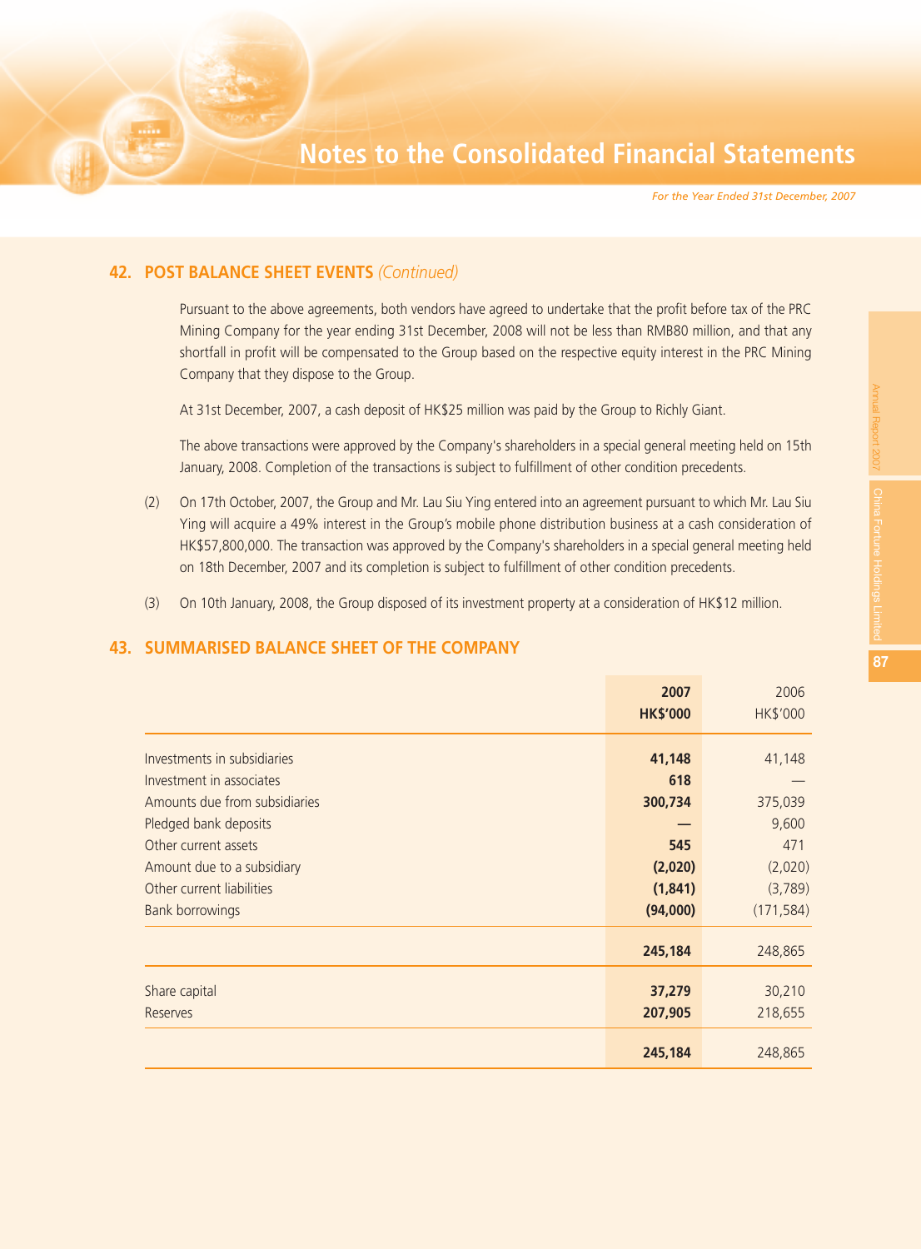

*For the Year Ended 31st December, 2007*

### **42. POST BALANCE SHEET EVENTS** *(Continued)*

Pursuant to the above agreements, both vendors have agreed to undertake that the profit before tax of the PRC Mining Company for the year ending 31st December, 2008 will not be less than RMB80 million, and that any shortfall in profit will be compensated to the Group based on the respective equity interest in the PRC Mining Company that they dispose to the Group.

At 31st December, 2007, a cash deposit of HK\$25 million was paid by the Group to Richly Giant.

The above transactions were approved by the Company's shareholders in a special general meeting held on 15th January, 2008. Completion of the transactions is subject to fulfillment of other condition precedents.

- (2) On 17th October, 2007, the Group and Mr. Lau Siu Ying entered into an agreement pursuant to which Mr. Lau Siu Ying will acquire a 49% interest in the Group's mobile phone distribution business at a cash consideration of HK\$57,800,000. The transaction was approved by the Company's shareholders in a special general meeting held on 18th December, 2007 and its completion is subject to fulfillment of other condition precedents.
- (3) On 10th January, 2008, the Group disposed of its investment property at a consideration of HK\$12 million.

### **43. SUMMARISED BALANCE SHEET OF THE COMPANY**

|                                                                                                                                                                                                                                | 2007<br><b>HK\$'000</b>                                           | 2006<br>HK\$'000                                                      |
|--------------------------------------------------------------------------------------------------------------------------------------------------------------------------------------------------------------------------------|-------------------------------------------------------------------|-----------------------------------------------------------------------|
| Investments in subsidiaries<br>Investment in associates<br>Amounts due from subsidiaries<br>Pledged bank deposits<br>Other current assets<br>Amount due to a subsidiary<br>Other current liabilities<br><b>Bank borrowings</b> | 41,148<br>618<br>300,734<br>545<br>(2,020)<br>(1,841)<br>(94,000) | 41,148<br>375,039<br>9,600<br>471<br>(2,020)<br>(3,789)<br>(171, 584) |
|                                                                                                                                                                                                                                | 245,184                                                           | 248,865                                                               |
| Share capital<br><b>Reserves</b>                                                                                                                                                                                               | 37,279<br>207,905<br>245,184                                      | 30,210<br>218,655<br>248,865                                          |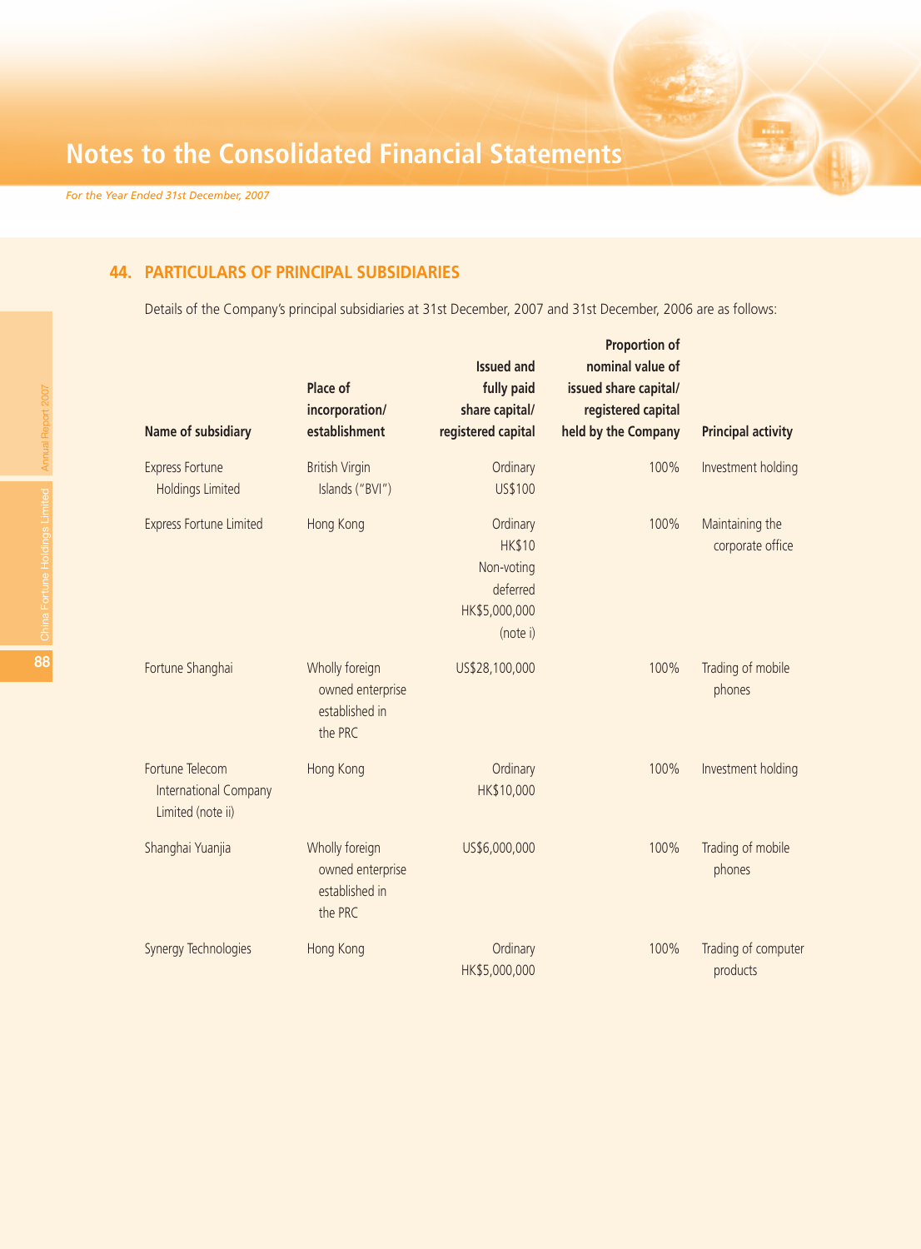*For the Year Ended 31st December, 2007*

## **44. PARTICULARS OF PRINCIPAL SUBSIDIARIES**

Details of the Company's principal subsidiaries at 31st December, 2007 and 31st December, 2006 are as follows:

ES)

| <b>Name of subsidiary</b>                                     | Place of<br>incorporation/<br>establishment                     | <b>Issued and</b><br>fully paid<br>share capital/<br>registered capital          | <b>Proportion of</b><br>nominal value of<br>issued share capital/<br>registered capital<br>held by the Company | <b>Principal activity</b>           |
|---------------------------------------------------------------|-----------------------------------------------------------------|----------------------------------------------------------------------------------|----------------------------------------------------------------------------------------------------------------|-------------------------------------|
| <b>Express Fortune</b><br><b>Holdings Limited</b>             | <b>British Virgin</b><br>Islands ("BVI")                        | Ordinary<br>US\$100                                                              | 100%                                                                                                           | Investment holding                  |
| <b>Express Fortune Limited</b>                                | Hong Kong                                                       | Ordinary<br><b>HK\$10</b><br>Non-voting<br>deferred<br>HK\$5,000,000<br>(note i) | 100%                                                                                                           | Maintaining the<br>corporate office |
| Fortune Shanghai                                              | Wholly foreign<br>owned enterprise<br>established in<br>the PRC | US\$28,100,000                                                                   | 100%                                                                                                           | Trading of mobile<br>phones         |
| Fortune Telecom<br>International Company<br>Limited (note ii) | Hong Kong                                                       | Ordinary<br>HK\$10,000                                                           | 100%                                                                                                           | Investment holding                  |
| Shanghai Yuanjia                                              | Wholly foreign<br>owned enterprise<br>established in<br>the PRC | US\$6,000,000                                                                    | 100%                                                                                                           | Trading of mobile<br>phones         |
| Synergy Technologies                                          | Hong Kong                                                       | Ordinary<br>HK\$5,000,000                                                        | 100%                                                                                                           | Trading of computer<br>products     |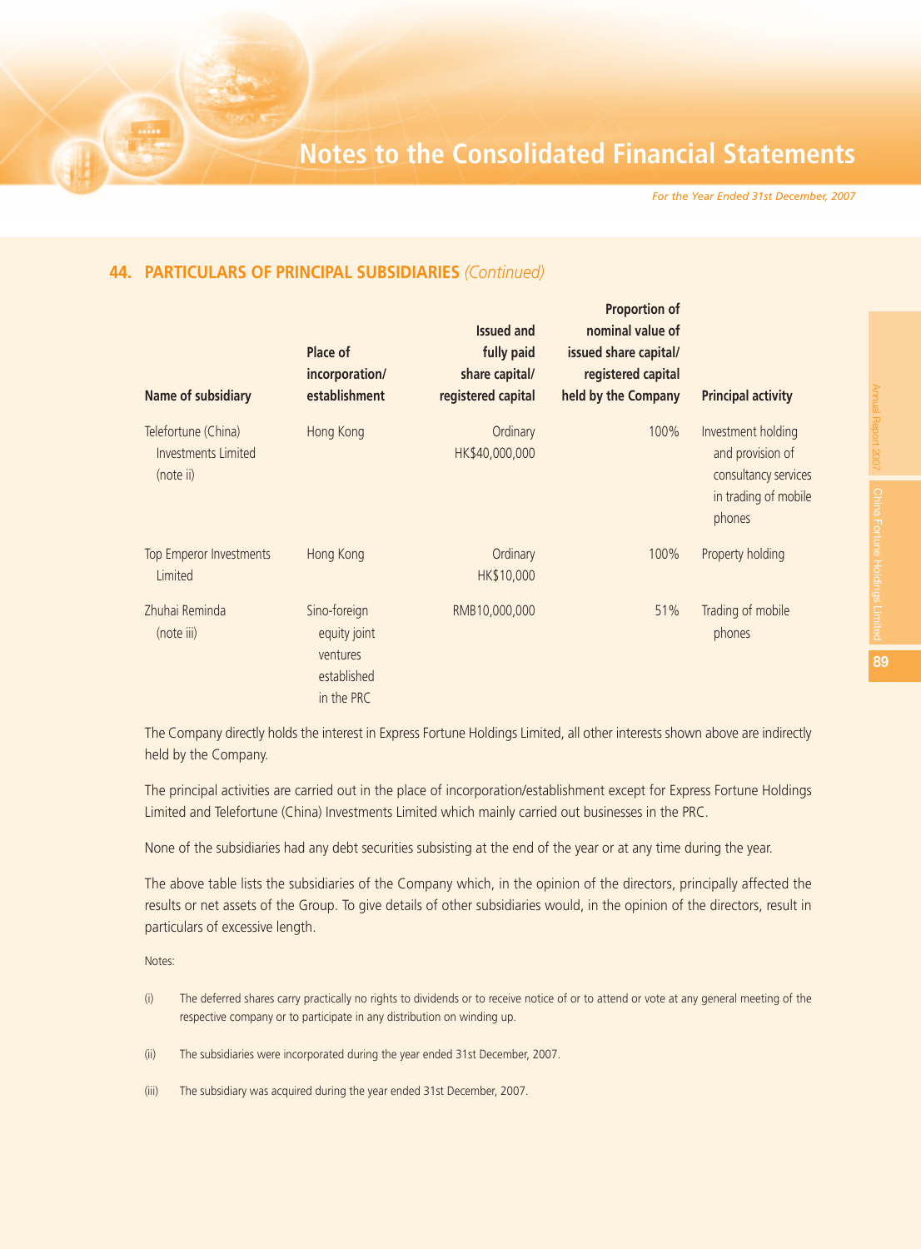*For the Year Ended 31st December, 2007*

### **44. PARTICULARS OF PRINCIPAL SUBSIDIARIES** *(Continued)*

| Name of subsidiary                                      | Place of<br>incorporation/<br>establishment                           | <b>Issued and</b><br>fully paid<br>share capital/<br>registered capital | <b>Proportion of</b><br>nominal value of<br>issued share capital/<br>registered capital<br>held by the Company | <b>Principal activity</b>                                                                        |
|---------------------------------------------------------|-----------------------------------------------------------------------|-------------------------------------------------------------------------|----------------------------------------------------------------------------------------------------------------|--------------------------------------------------------------------------------------------------|
| Telefortune (China)<br>Investments Limited<br>(note ii) | Hong Kong                                                             | Ordinary<br>HK\$40,000,000                                              | 100%                                                                                                           | Investment holding<br>and provision of<br>consultancy services<br>in trading of mobile<br>phones |
| <b>Top Emperor Investments</b><br>Limited               | Hong Kong                                                             | Ordinary<br>HK\$10,000                                                  | 100%                                                                                                           | Property holding                                                                                 |
| Zhuhai Reminda<br>(note iii)                            | Sino-foreign<br>equity joint<br>ventures<br>established<br>in the PRC | RMB10,000,000                                                           | 51%                                                                                                            | Trading of mobile<br>phones                                                                      |

The Company directly holds the interest in Express Fortune Holdings Limited, all other interests shown above are indirectly held by the Company.

The principal activities are carried out in the place of incorporation/establishment except for Express Fortune Holdings Limited and Telefortune (China) Investments Limited which mainly carried out businesses in the PRC.

None of the subsidiaries had any debt securities subsisting at the end of the year or at any time during the year.

The above table lists the subsidiaries of the Company which, in the opinion of the directors, principally affected the results or net assets of the Group. To give details of other subsidiaries would, in the opinion of the directors, result in particulars of excessive length.

Notes:

- (i) The deferred shares carry practically no rights to dividends or to receive notice of or to attend or vote at any general meeting of the respective company or to participate in any distribution on winding up.
- (ii) The subsidiaries were incorporated during the year ended 31st December, 2007.
- (iii) The subsidiary was acquired during the year ended 31st December, 2007.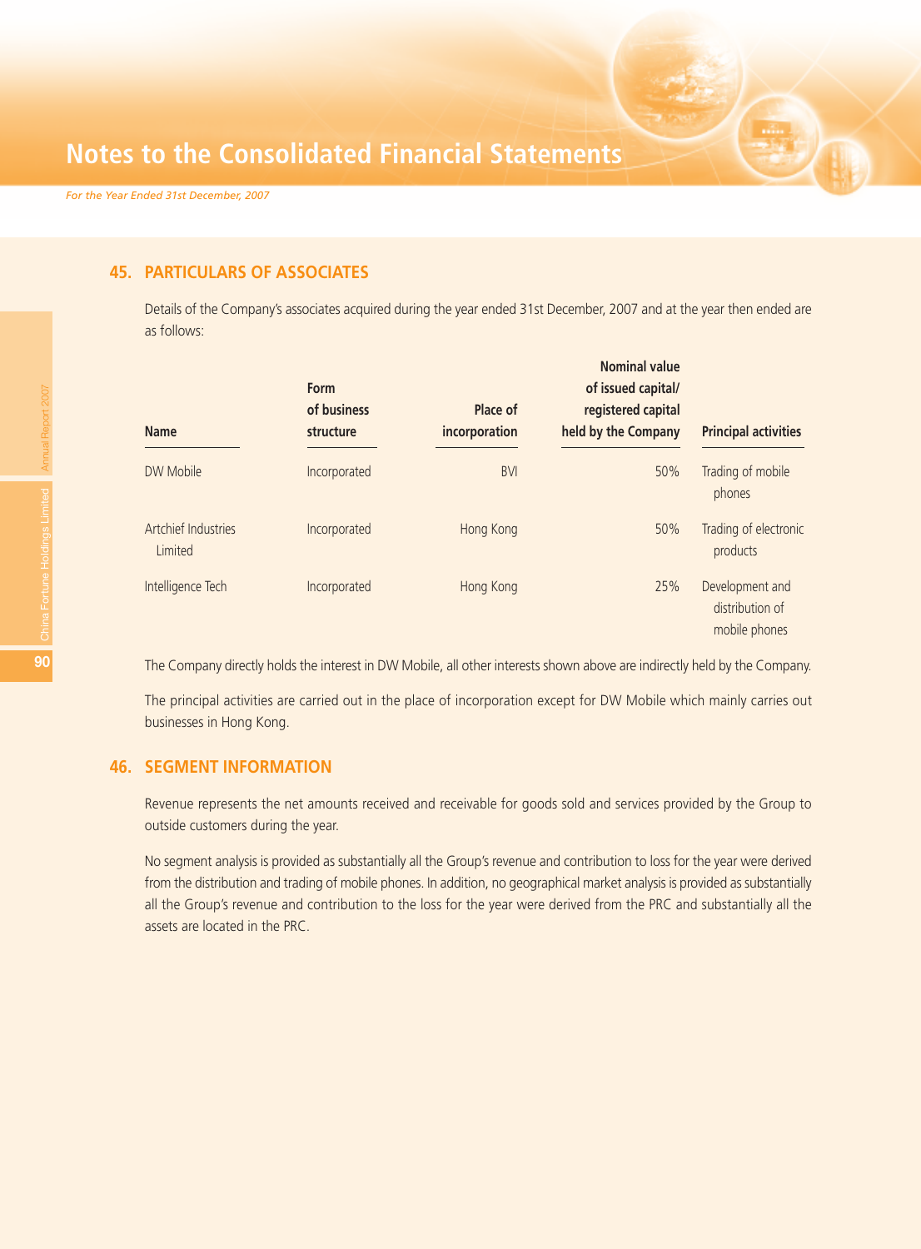*For the Year Ended 31st December, 2007*

### **45. PARTICULARS OF ASSOCIATES**

Details of the Company's associates acquired during the year ended 31st December, 2007 and at the year then ended are as follows:

| <b>Name</b>                    | <b>Form</b><br>of business<br>structure | Place of<br>incorporation | <b>Nominal value</b><br>of issued capital/<br>registered capital<br>held by the Company | <b>Principal activities</b>                         |
|--------------------------------|-----------------------------------------|---------------------------|-----------------------------------------------------------------------------------------|-----------------------------------------------------|
| DW Mobile                      | Incorporated                            | <b>BVI</b>                | 50%                                                                                     | Trading of mobile<br>phones                         |
| Artchief Industries<br>Limited | Incorporated                            | Hong Kong                 | 50%                                                                                     | Trading of electronic<br>products                   |
| Intelligence Tech              | Incorporated                            | Hong Kong                 | 25%                                                                                     | Development and<br>distribution of<br>mobile phones |

The Company directly holds the interest in DW Mobile, all other interests shown above are indirectly held by the Company.

The principal activities are carried out in the place of incorporation except for DW Mobile which mainly carries out businesses in Hong Kong.

### **46. SEGMENT INFORMATION**

Revenue represents the net amounts received and receivable for goods sold and services provided by the Group to outside customers during the year.

No segment analysis is provided as substantially all the Group's revenue and contribution to loss for the year were derived from the distribution and trading of mobile phones. In addition, no geographical market analysis is provided as substantially all the Group's revenue and contribution to the loss for the year were derived from the PRC and substantially all the assets are located in the PRC.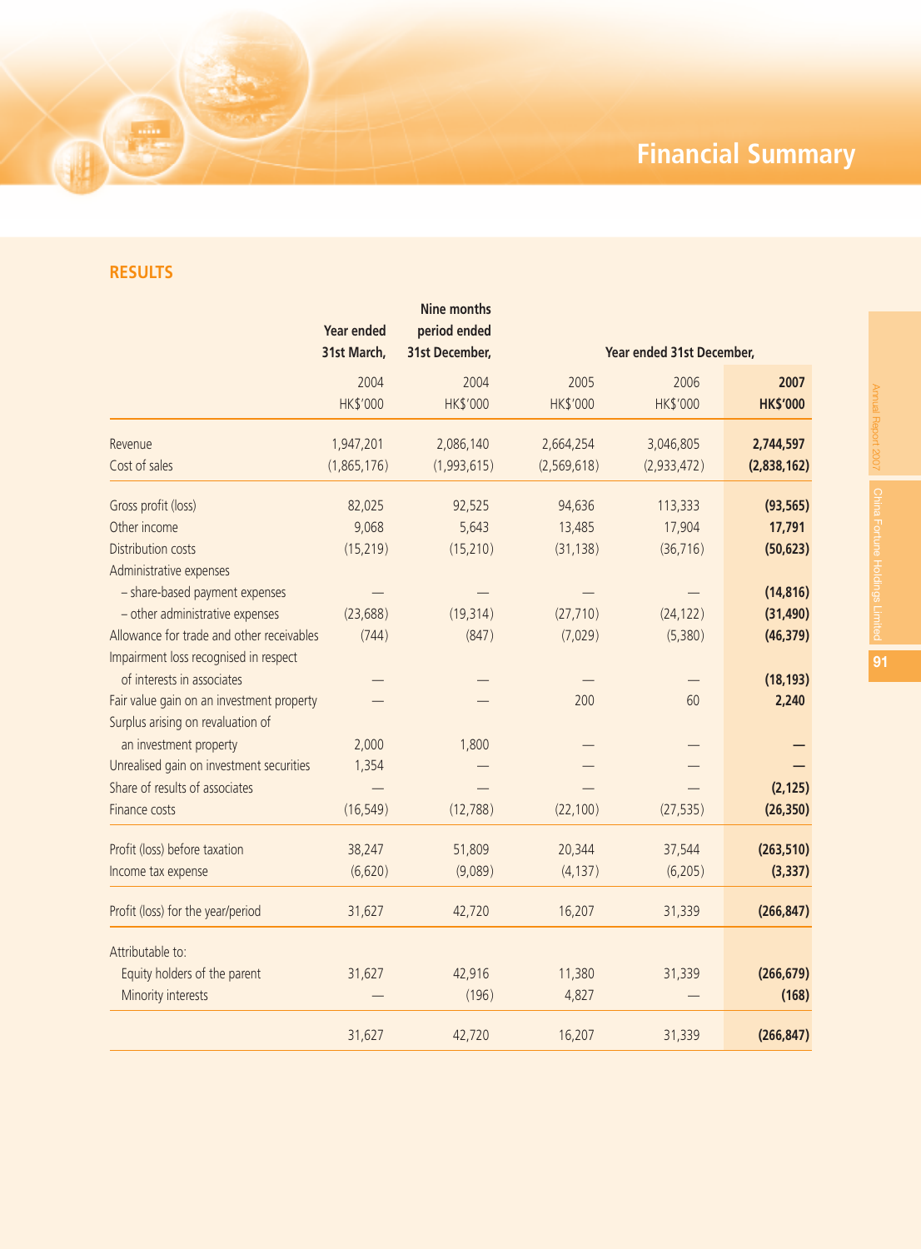## **RESULTS**

|                                           | <b>Year ended</b><br>31st March, | <b>Nine months</b><br>period ended<br>31st December, |             | Year ended 31st December, |                 |
|-------------------------------------------|----------------------------------|------------------------------------------------------|-------------|---------------------------|-----------------|
|                                           | 2004                             | 2004                                                 | 2005        | 2006                      | 2007            |
|                                           | <b>HK\$'000</b>                  | HK\$'000                                             | HK\$'000    | HK\$'000                  | <b>HK\$'000</b> |
|                                           |                                  |                                                      |             |                           |                 |
| Revenue                                   | 1,947,201                        | 2,086,140                                            | 2,664,254   | 3,046,805                 | 2,744,597       |
| Cost of sales                             | (1,865,176)                      | (1,993,615)                                          | (2,569,618) | (2,933,472)               | (2,838,162)     |
| Gross profit (loss)                       | 82,025                           | 92,525                                               | 94,636      | 113,333                   | (93, 565)       |
| Other income                              | 9,068                            | 5,643                                                | 13,485      | 17,904                    | 17,791          |
| <b>Distribution costs</b>                 | (15, 219)                        | (15, 210)                                            | (31, 138)   | (36, 716)                 | (50, 623)       |
| Administrative expenses                   |                                  |                                                      |             |                           |                 |
| - share-based payment expenses            |                                  |                                                      |             |                           | (14, 816)       |
| - other administrative expenses           | (23, 688)                        | (19, 314)                                            | (27, 710)   | (24, 122)                 | (31, 490)       |
| Allowance for trade and other receivables | (744)                            | (847)                                                | (7,029)     | (5,380)                   | (46, 379)       |
| Impairment loss recognised in respect     |                                  |                                                      |             |                           |                 |
| of interests in associates                |                                  |                                                      |             |                           | (18, 193)       |
| Fair value gain on an investment property |                                  |                                                      | 200         | 60                        | 2,240           |
| Surplus arising on revaluation of         |                                  |                                                      |             |                           |                 |
| an investment property                    | 2,000                            | 1,800                                                |             |                           |                 |
| Unrealised gain on investment securities  | 1,354                            |                                                      |             |                           |                 |
| Share of results of associates            |                                  |                                                      |             |                           | (2, 125)        |
| Finance costs                             | (16, 549)                        | (12,788)                                             | (22, 100)   | (27, 535)                 | (26, 350)       |
| Profit (loss) before taxation             | 38,247                           | 51,809                                               | 20,344      | 37,544                    | (263, 510)      |
| Income tax expense                        | (6,620)                          | (9,089)                                              | (4, 137)    | (6,205)                   | (3, 337)        |
|                                           |                                  |                                                      |             |                           |                 |
| Profit (loss) for the year/period         | 31,627                           | 42,720                                               | 16,207      | 31,339                    | (266, 847)      |
| Attributable to:                          |                                  |                                                      |             |                           |                 |
| Equity holders of the parent              | 31,627                           | 42,916                                               | 11,380      | 31,339                    | (266, 679)      |
| Minority interests                        |                                  | (196)                                                | 4,827       |                           | (168)           |
|                                           | 31,627                           | 42,720                                               | 16,207      | 31,339                    | (266, 847)      |